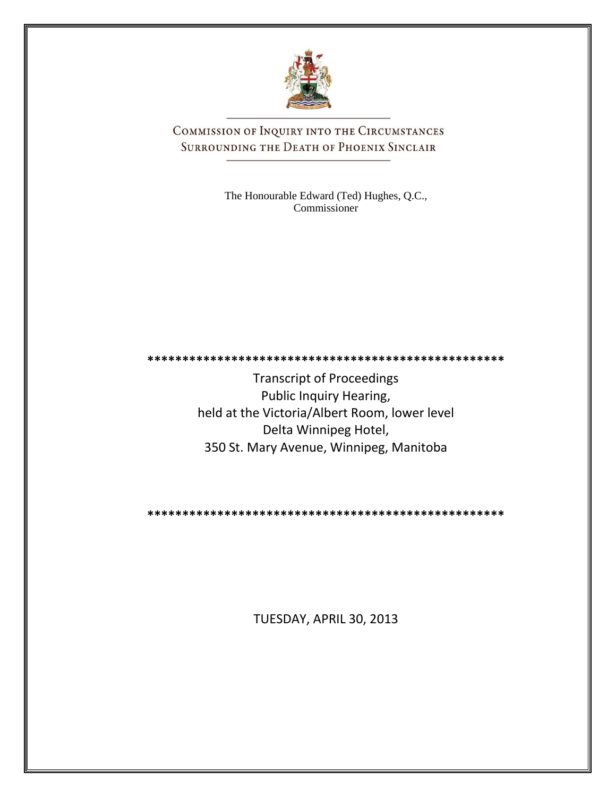

COMMISSION OF INQUIRY INTO THE CIRCUMSTANCES SURROUNDING THE DEATH OF PHOENIX SINCLAIR

> The Honourable Edward (Ted) Hughes, Q.C., Commissioner

**\*\*\*\*\*\*\*\*\*\*\*\*\*\*\*\*\*\*\*\*\*\*\*\*\*\*\*\*\*\*\*\*\*\*\*\*\*\*\*\*\*\*\*\*\*\*\*\*\*\*\***

Transcript of Proceedings Public Inquiry Hearing, held at the Victoria/Albert Room, lower level Delta Winnipeg Hotel, 350 St. Mary Avenue, Winnipeg, Manitoba

**\*\*\*\*\*\*\*\*\*\*\*\*\*\*\*\*\*\*\*\*\*\*\*\*\*\*\*\*\*\*\*\*\*\*\*\*\*\*\*\*\*\*\*\*\*\*\*\*\*\*\***

TUESDAY, APRIL 30, 2013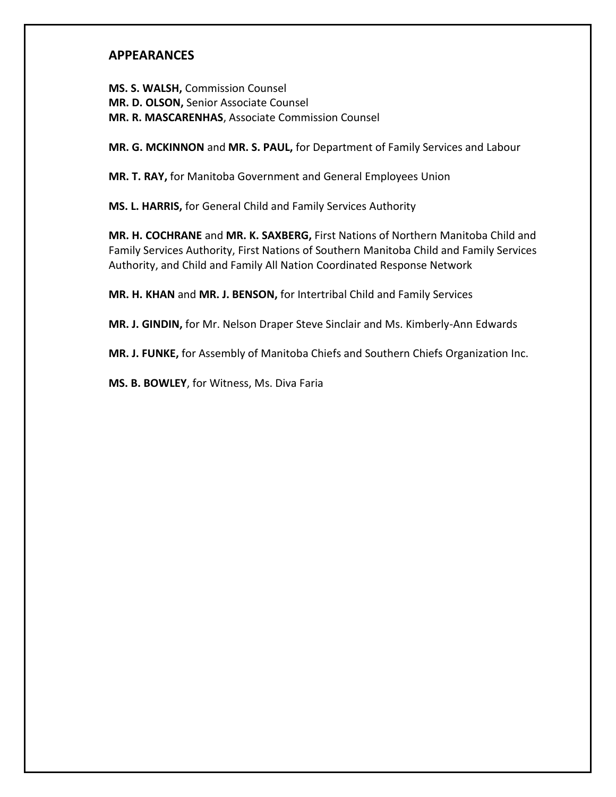## **APPEARANCES**

**MS. S. WALSH,** Commission Counsel **MR. D. OLSON,** Senior Associate Counsel **MR. R. MASCARENHAS**, Associate Commission Counsel

**MR. G. MCKINNON** and **MR. S. PAUL,** for Department of Family Services and Labour

**MR. T. RAY,** for Manitoba Government and General Employees Union

**MS. L. HARRIS,** for General Child and Family Services Authority

**MR. H. COCHRANE** and **MR. K. SAXBERG,** First Nations of Northern Manitoba Child and Family Services Authority, First Nations of Southern Manitoba Child and Family Services Authority, and Child and Family All Nation Coordinated Response Network

**MR. H. KHAN** and **MR. J. BENSON,** for Intertribal Child and Family Services

**MR. J. GINDIN,** for Mr. Nelson Draper Steve Sinclair and Ms. Kimberly-Ann Edwards

**MR. J. FUNKE,** for Assembly of Manitoba Chiefs and Southern Chiefs Organization Inc.

**MS. B. BOWLEY**, for Witness, Ms. Diva Faria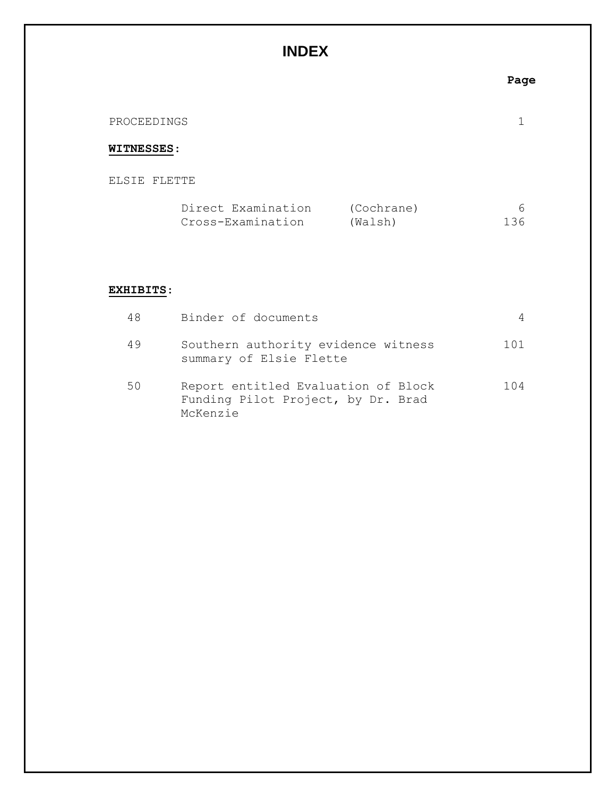# **INDEX**

|                   |                                         |                       | Page     |
|-------------------|-----------------------------------------|-----------------------|----------|
| PROCEEDINGS       |                                         |                       |          |
| <b>WITNESSES:</b> |                                         |                       |          |
| ELSIE FLETTE      |                                         |                       |          |
|                   | Direct Examination<br>Cross-Examination | (Cochrane)<br>(Walsh) | 6<br>136 |
|                   |                                         |                       |          |

### **EXHIBITS**:

| 48 | Binder of documents                                                                   | 4      |
|----|---------------------------------------------------------------------------------------|--------|
| 49 | Southern authority evidence witness<br>summary of Elsie Flette                        | 101    |
| 50 | Report entitled Evaluation of Block<br>Funding Pilot Project, by Dr. Brad<br>McKenzie | 1 () 4 |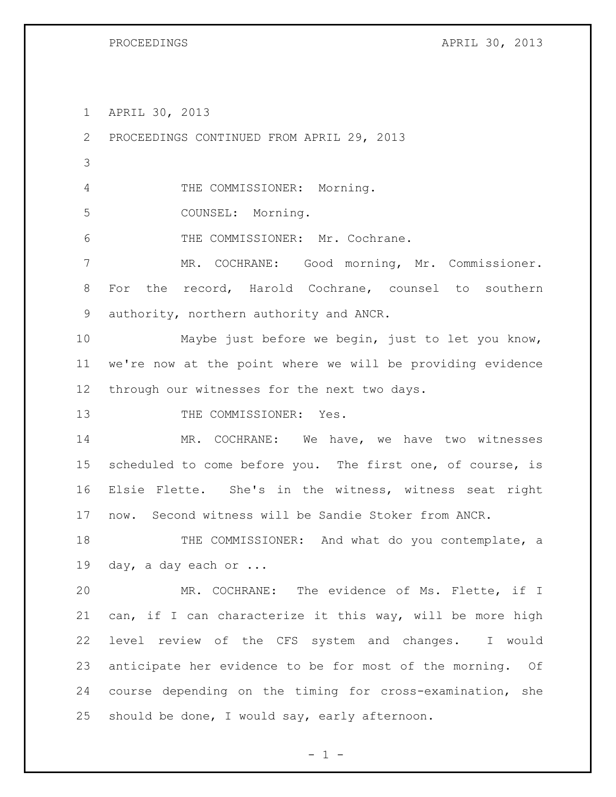PROCEEDINGS APRIL 30, 2013

APRIL 30, 2013

 PROCEEDINGS CONTINUED FROM APRIL 29, 2013 THE COMMISSIONER: Morning. COUNSEL: Morning. THE COMMISSIONER: Mr. Cochrane. MR. COCHRANE: Good morning, Mr. Commissioner. For the record, Harold Cochrane, counsel to southern authority, northern authority and ANCR. Maybe just before we begin, just to let you know, we're now at the point where we will be providing evidence through our witnesses for the next two days. 13 THE COMMISSIONER: Yes. MR. COCHRANE: We have, we have two witnesses scheduled to come before you. The first one, of course, is Elsie Flette. She's in the witness, witness seat right now. Second witness will be Sandie Stoker from ANCR. THE COMMISSIONER: And what do you contemplate, a day, a day each or ... MR. COCHRANE: The evidence of Ms. Flette, if I can, if I can characterize it this way, will be more high level review of the CFS system and changes. I would anticipate her evidence to be for most of the morning. Of course depending on the timing for cross-examination, she should be done, I would say, early afternoon.

 $- 1 -$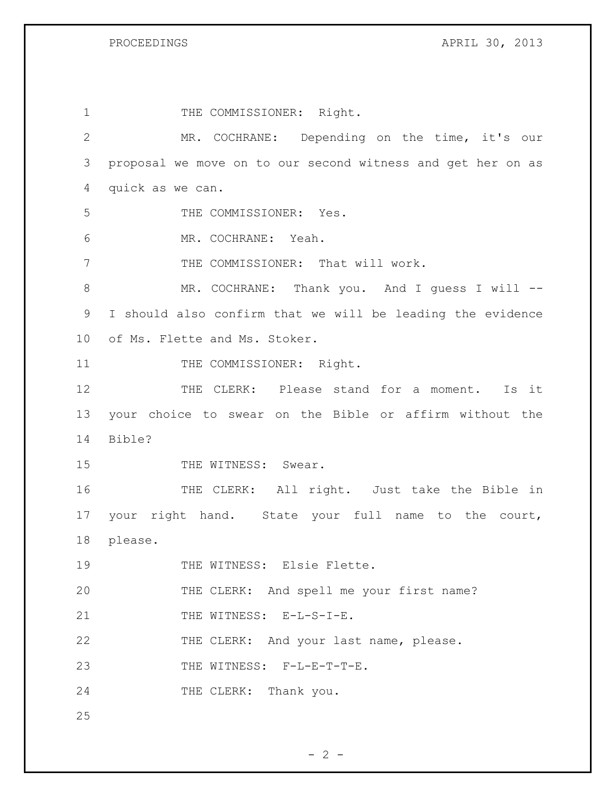PROCEEDINGS APRIL 30, 2013

| $\mathbf{1}$    | THE COMMISSIONER: Right.                                    |
|-----------------|-------------------------------------------------------------|
| $\mathbf{2}$    | MR. COCHRANE: Depending on the time, it's our               |
| 3               | proposal we move on to our second witness and get her on as |
| 4               | quick as we can.                                            |
| 5               | THE COMMISSIONER: Yes.                                      |
| 6               | MR. COCHRANE: Yeah.                                         |
| 7               | THE COMMISSIONER: That will work.                           |
| 8               | MR. COCHRANE: Thank you. And I guess I will --              |
| $\mathsf 9$     | I should also confirm that we will be leading the evidence  |
| 10 <sub>o</sub> | of Ms. Flette and Ms. Stoker.                               |
| 11              | THE COMMISSIONER: Right.                                    |
| 12              | THE CLERK: Please stand for a moment.<br>Is it              |
| 13              | your choice to swear on the Bible or affirm without the     |
| 14              | Bible?                                                      |
| 15              | THE WITNESS: Swear.                                         |
| 16              | THE CLERK: All right. Just take the Bible in                |
| 17              | your right hand. State your full name to the court,         |
| 18              | please.                                                     |
| 19              | THE WITNESS: Elsie Flette.                                  |
| 20              | THE CLERK: And spell me your first name?                    |
| 21              | THE WITNESS: E-L-S-I-E.                                     |
| 22              | THE CLERK: And your last name, please.                      |
| 23              | THE WITNESS: F-L-E-T-T-E.                                   |
| 24              | THE CLERK: Thank you.                                       |
| 25              |                                                             |

 $- 2 -$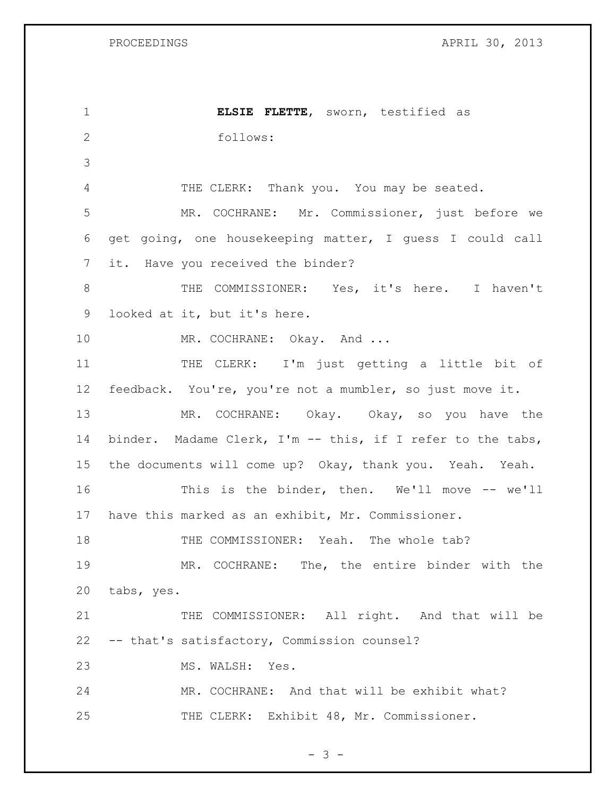| PROCEEDINGS |
|-------------|
|-------------|

NGS 2013

| $\mathbf 1$    | ELSIE FLETTE, sworn, testified as                          |
|----------------|------------------------------------------------------------|
| $\overline{2}$ | follows:                                                   |
| 3              |                                                            |
| 4              | THE CLERK: Thank you. You may be seated.                   |
| 5              | MR. COCHRANE: Mr. Commissioner, just before we             |
| 6              | get going, one housekeeping matter, I guess I could call   |
| 7              | it. Have you received the binder?                          |
| 8              | THE COMMISSIONER: Yes, it's here. I haven't                |
| 9              | looked at it, but it's here.                               |
| 10             | MR. COCHRANE: Okay. And                                    |
| 11             | THE CLERK: I'm just getting a little bit of                |
| 12             | feedback. You're, you're not a mumbler, so just move it.   |
| 13             | MR. COCHRANE: Okay. Okay, so you have the                  |
| 14             | binder. Madame Clerk, I'm -- this, if I refer to the tabs, |
| 15             | the documents will come up? Okay, thank you. Yeah. Yeah.   |
| 16             | This is the binder, then. We'll move -- we'll              |
| 17             | have this marked as an exhibit, Mr. Commissioner.          |
| 18             | THE COMMISSIONER: Yeah. The whole tab?                     |
| 19             | MR. COCHRANE: The, the entire binder with the              |
| 20             | tabs, yes.                                                 |
| 21             | THE COMMISSIONER: All right. And that will be              |
| 22             | -- that's satisfactory, Commission counsel?                |
| 23             | MS. WALSH: Yes.                                            |
| 24             | MR. COCHRANE: And that will be exhibit what?               |
| 25             | THE CLERK: Exhibit 48, Mr. Commissioner.                   |

 $- 3 -$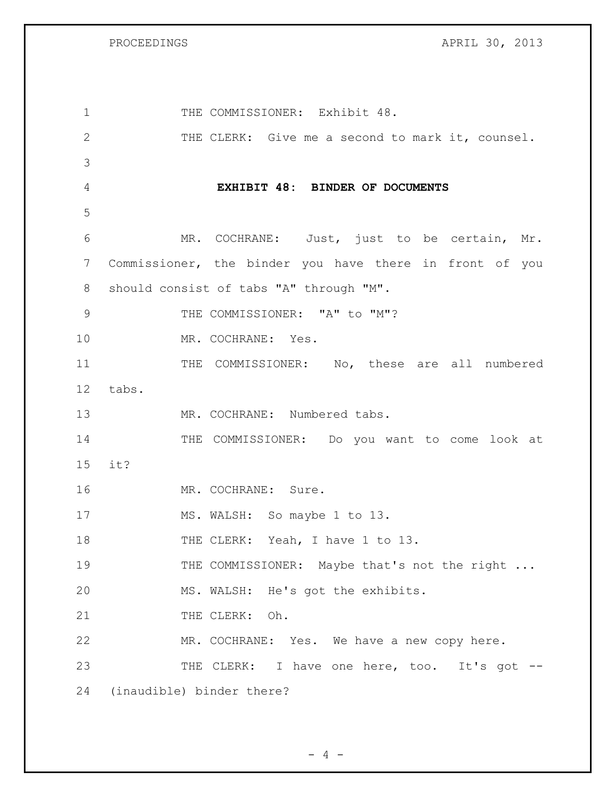PROCEEDINGS APRIL 30, 2013

| $\mathbf 1$ | THE COMMISSIONER: Exhibit 48.                           |
|-------------|---------------------------------------------------------|
| 2           | THE CLERK: Give me a second to mark it, counsel.        |
| 3           |                                                         |
| 4           | EXHIBIT 48: BINDER OF DOCUMENTS                         |
| 5           |                                                         |
| 6           | MR. COCHRANE: Just, just to be certain, Mr.             |
| 7           | Commissioner, the binder you have there in front of you |
| 8           | should consist of tabs "A" through "M".                 |
| 9           | THE COMMISSIONER: "A" to "M"?                           |
| 10          | MR. COCHRANE: Yes.                                      |
| 11          | THE COMMISSIONER: No, these are all numbered            |
| 12          | tabs.                                                   |
| 13          | MR. COCHRANE: Numbered tabs.                            |
| 14          | THE COMMISSIONER: Do you want to come look at           |
| 15          | it?                                                     |
| 16          | MR. COCHRANE: Sure.                                     |
| 17          | MS. WALSH: So maybe 1 to 13.                            |
| 18          | THE CLERK: Yeah, I have 1 to 13.                        |
| 19          | THE COMMISSIONER: Maybe that's not the right            |
| 20          | MS. WALSH: He's got the exhibits.                       |
| 21          | THE CLERK: Oh.                                          |
| 22          | MR. COCHRANE: Yes. We have a new copy here.             |
| 23          | THE CLERK: I have one here, too. It's got --            |
| 24          | (inaudible) binder there?                               |

- 4 -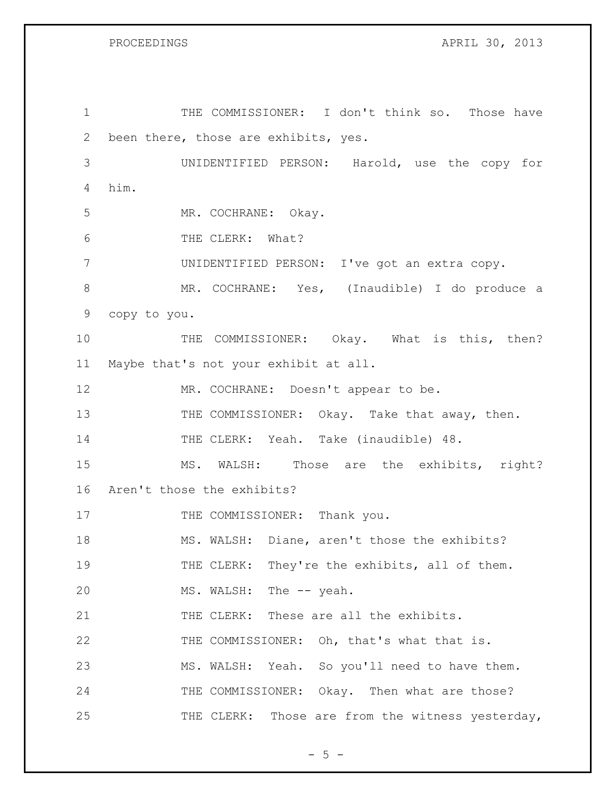PROCEEDINGS APRIL 30, 2013

 THE COMMISSIONER: I don't think so. Those have been there, those are exhibits, yes. UNIDENTIFIED PERSON: Harold, use the copy for him. MR. COCHRANE: Okay. THE CLERK: What? UNIDENTIFIED PERSON: I've got an extra copy. MR. COCHRANE: Yes, (Inaudible) I do produce a copy to you. 10 THE COMMISSIONER: Okay. What is this, then? Maybe that's not your exhibit at all. MR. COCHRANE: Doesn't appear to be. 13 THE COMMISSIONER: Okay. Take that away, then. THE CLERK: Yeah. Take (inaudible) 48. MS. WALSH: Those are the exhibits, right? Aren't those the exhibits? 17 THE COMMISSIONER: Thank you. MS. WALSH: Diane, aren't those the exhibits? 19 THE CLERK: They're the exhibits, all of them. 20 MS. WALSH: The -- yeah. 21 THE CLERK: These are all the exhibits. THE COMMISSIONER: Oh, that's what that is. MS. WALSH: Yeah. So you'll need to have them. 24 THE COMMISSIONER: Okay. Then what are those? 25 THE CLERK: Those are from the witness yesterday,

 $- 5 -$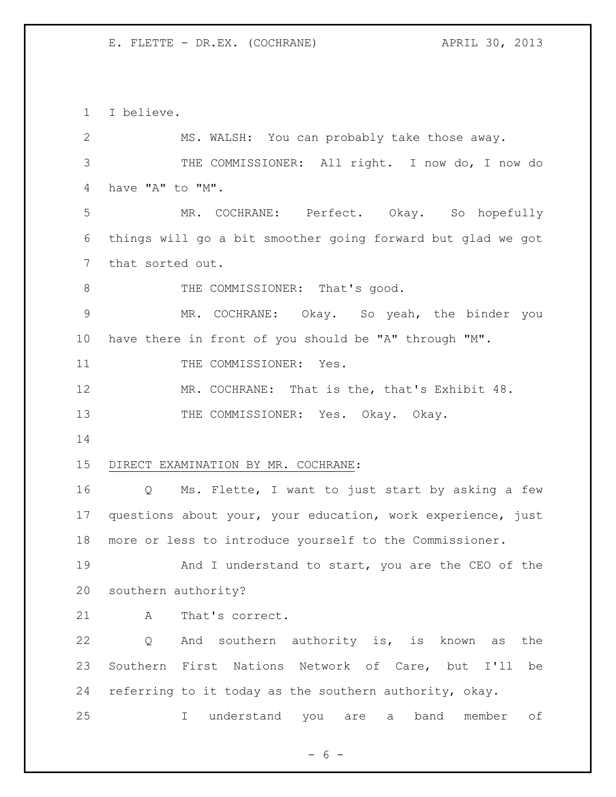I believe. MS. WALSH: You can probably take those away. THE COMMISSIONER: All right. I now do, I now do have "A" to "M". MR. COCHRANE: Perfect. Okay. So hopefully things will go a bit smoother going forward but glad we got that sorted out. 8 THE COMMISSIONER: That's good. MR. COCHRANE: Okay. So yeah, the binder you have there in front of you should be "A" through "M". 11 THE COMMISSIONER: Yes. 12 MR. COCHRANE: That is the, that's Exhibit 48. 13 THE COMMISSIONER: Yes. Okay. Okay. DIRECT EXAMINATION BY MR. COCHRANE: Q Ms. Flette, I want to just start by asking a few questions about your, your education, work experience, just more or less to introduce yourself to the Commissioner. 19 And I understand to start, you are the CEO of the southern authority? 21 A That's correct. Q And southern authority is, is known as the Southern First Nations Network of Care, but I'll be referring to it today as the southern authority, okay. I understand you are a band member of

 $- 6 -$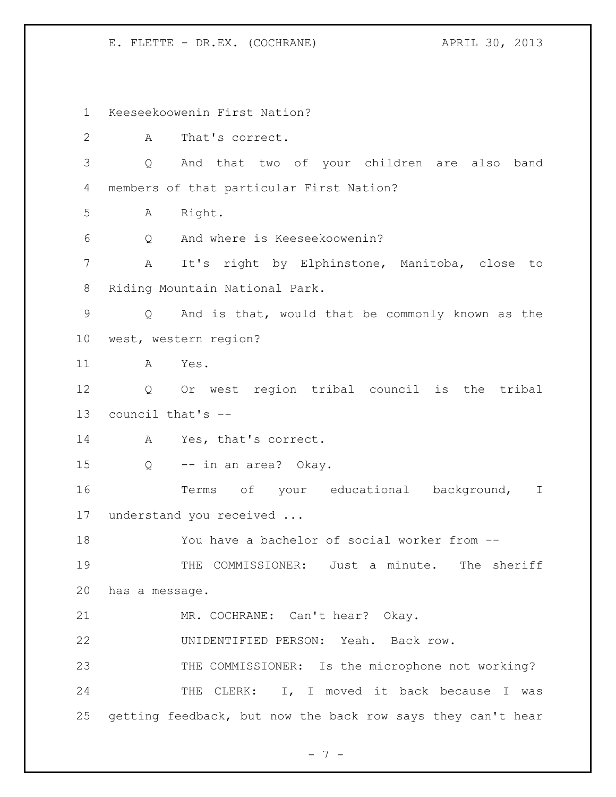Keeseekoowenin First Nation? A That's correct. Q And that two of your children are also band members of that particular First Nation? A Right. Q And where is Keeseekoowenin? A It's right by Elphinstone, Manitoba, close to Riding Mountain National Park. Q And is that, would that be commonly known as the west, western region? A Yes. Q Or west region tribal council is the tribal council that's -- 14 A Yes, that's correct. Q -- in an area? Okay. 16 Terms of your educational background, I understand you received ... You have a bachelor of social worker from -- THE COMMISSIONER: Just a minute. The sheriff has a message. MR. COCHRANE: Can't hear? Okay. UNIDENTIFIED PERSON: Yeah. Back row. THE COMMISSIONER: Is the microphone not working? 24 THE CLERK: I, I moved it back because I was getting feedback, but now the back row says they can't hear

- 7 -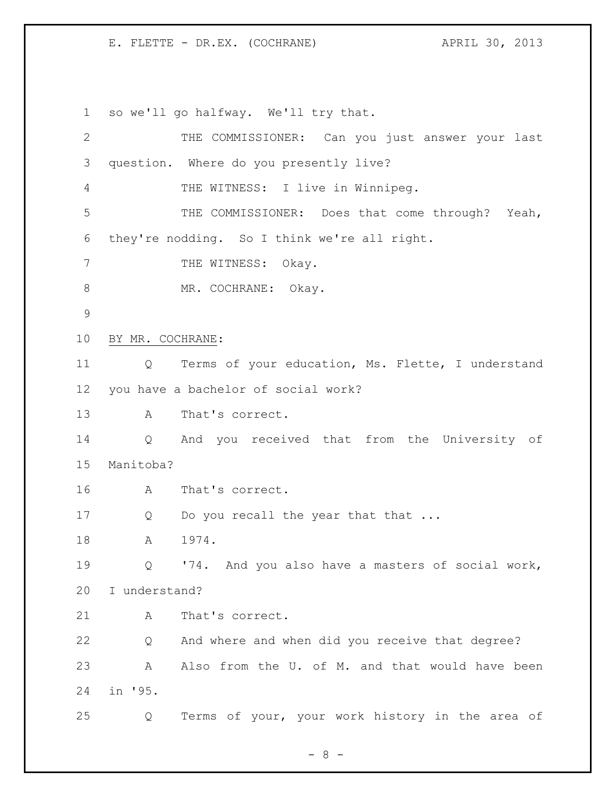so we'll go halfway. We'll try that. THE COMMISSIONER: Can you just answer your last question. Where do you presently live? THE WITNESS: I live in Winnipeg. THE COMMISSIONER: Does that come through? Yeah, they're nodding. So I think we're all right. 7 THE WITNESS: Okay. 8 MR. COCHRANE: Okay. BY MR. COCHRANE: Q Terms of your education, Ms. Flette, I understand you have a bachelor of social work? A That's correct. Q And you received that from the University of Manitoba? A That's correct. 17 Q Do you recall the year that that ... 18 A 1974. Q '74. And you also have a masters of social work, I understand? 21 A That's correct. Q And where and when did you receive that degree? A Also from the U. of M. and that would have been in '95. Q Terms of your, your work history in the area of

 $- 8 -$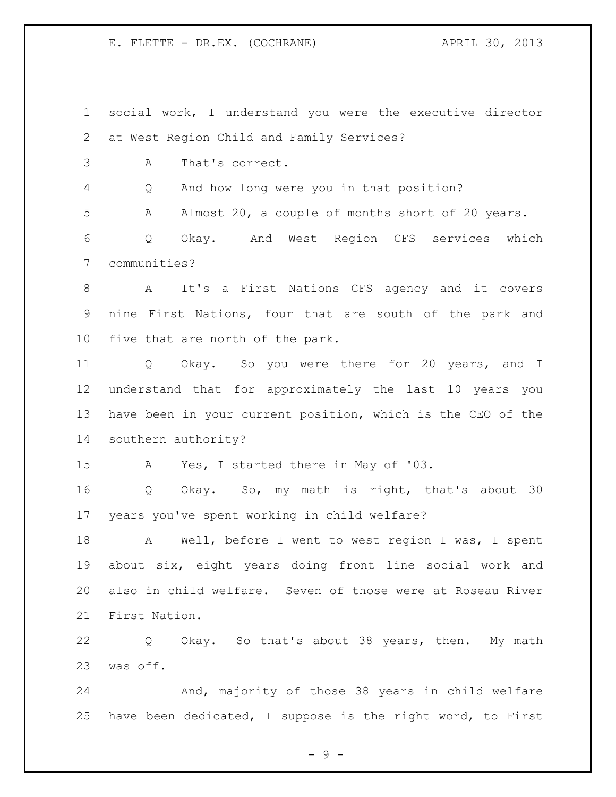social work, I understand you were the executive director at West Region Child and Family Services? A That's correct. Q And how long were you in that position? A Almost 20, a couple of months short of 20 years. Q Okay. And West Region CFS services which communities? A It's a First Nations CFS agency and it covers nine First Nations, four that are south of the park and five that are north of the park. Q Okay. So you were there for 20 years, and I understand that for approximately the last 10 years you have been in your current position, which is the CEO of the southern authority? A Yes, I started there in May of '03. Q Okay. So, my math is right, that's about 30 years you've spent working in child welfare? 18 A Well, before I went to west region I was, I spent about six, eight years doing front line social work and also in child welfare. Seven of those were at Roseau River First Nation.

 Q Okay. So that's about 38 years, then. My math was off.

 And, majority of those 38 years in child welfare have been dedicated, I suppose is the right word, to First

- 9 -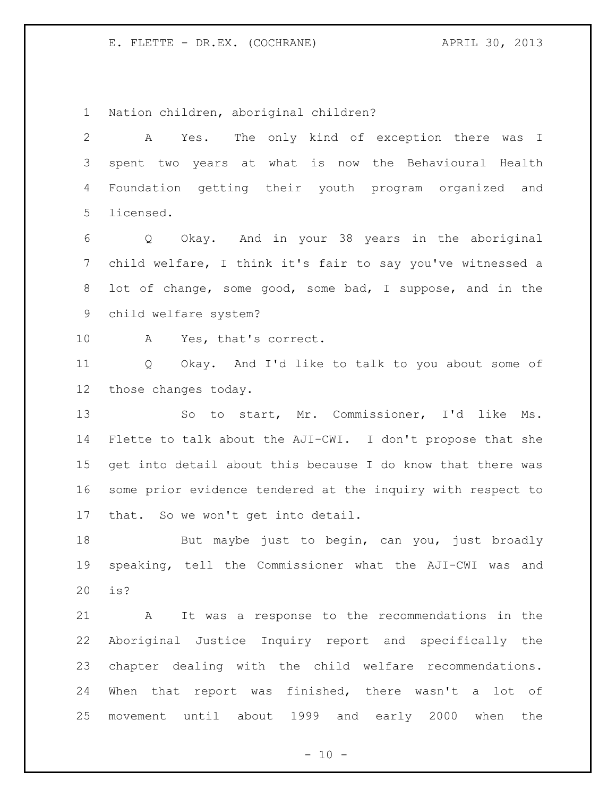Nation children, aboriginal children?

 A Yes. The only kind of exception there was I spent two years at what is now the Behavioural Health Foundation getting their youth program organized and licensed. Q Okay. And in your 38 years in the aboriginal child welfare, I think it's fair to say you've witnessed a lot of change, some good, some bad, I suppose, and in the child welfare system? A Yes, that's correct. Q Okay. And I'd like to talk to you about some of those changes today. So to start, Mr. Commissioner, I'd like Ms. Flette to talk about the AJI-CWI. I don't propose that she get into detail about this because I do know that there was some prior evidence tendered at the inquiry with respect to that. So we won't get into detail. 18 But maybe just to begin, can you, just broadly speaking, tell the Commissioner what the AJI-CWI was and is? A It was a response to the recommendations in the Aboriginal Justice Inquiry report and specifically the chapter dealing with the child welfare recommendations. When that report was finished, there wasn't a lot of movement until about 1999 and early 2000 when the

 $- 10 -$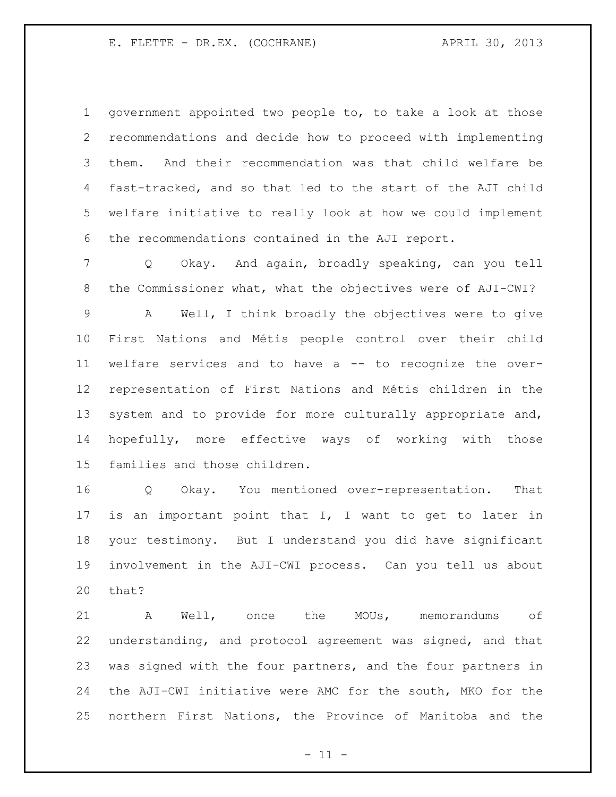government appointed two people to, to take a look at those recommendations and decide how to proceed with implementing them. And their recommendation was that child welfare be fast-tracked, and so that led to the start of the AJI child welfare initiative to really look at how we could implement the recommendations contained in the AJI report.

 Q Okay. And again, broadly speaking, can you tell the Commissioner what, what the objectives were of AJI-CWI?

 A Well, I think broadly the objectives were to give First Nations and Métis people control over their child welfare services and to have a -- to recognize the over- representation of First Nations and Métis children in the system and to provide for more culturally appropriate and, hopefully, more effective ways of working with those families and those children.

 Q Okay. You mentioned over-representation. That is an important point that I, I want to get to later in your testimony. But I understand you did have significant involvement in the AJI-CWI process. Can you tell us about that?

 A Well, once the MOUs, memorandums of understanding, and protocol agreement was signed, and that was signed with the four partners, and the four partners in the AJI-CWI initiative were AMC for the south, MKO for the northern First Nations, the Province of Manitoba and the

 $-11 -$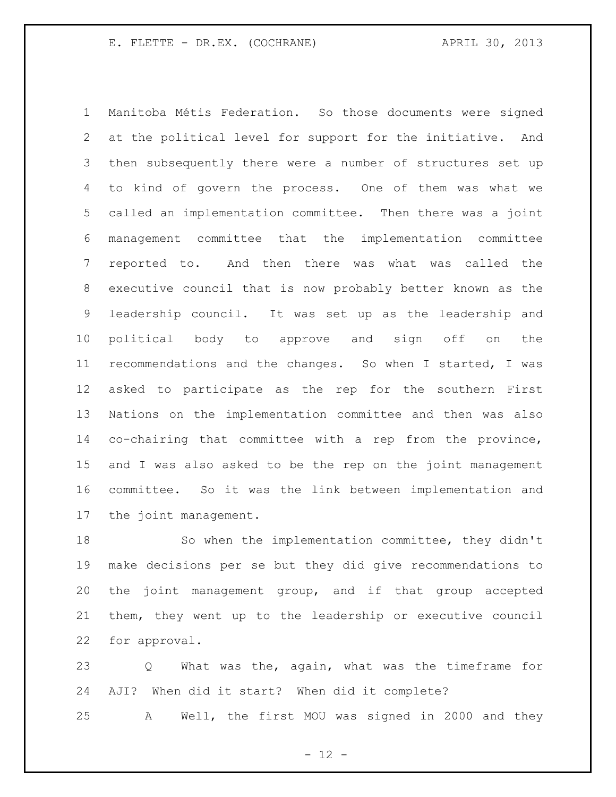Manitoba Métis Federation. So those documents were signed at the political level for support for the initiative. And then subsequently there were a number of structures set up to kind of govern the process. One of them was what we called an implementation committee. Then there was a joint management committee that the implementation committee reported to. And then there was what was called the executive council that is now probably better known as the leadership council. It was set up as the leadership and political body to approve and sign off on the recommendations and the changes. So when I started, I was asked to participate as the rep for the southern First Nations on the implementation committee and then was also co-chairing that committee with a rep from the province, and I was also asked to be the rep on the joint management committee. So it was the link between implementation and the joint management.

 So when the implementation committee, they didn't make decisions per se but they did give recommendations to the joint management group, and if that group accepted them, they went up to the leadership or executive council for approval.

 Q What was the, again, what was the timeframe for AJI? When did it start? When did it complete?

A Well, the first MOU was signed in 2000 and they

 $- 12 -$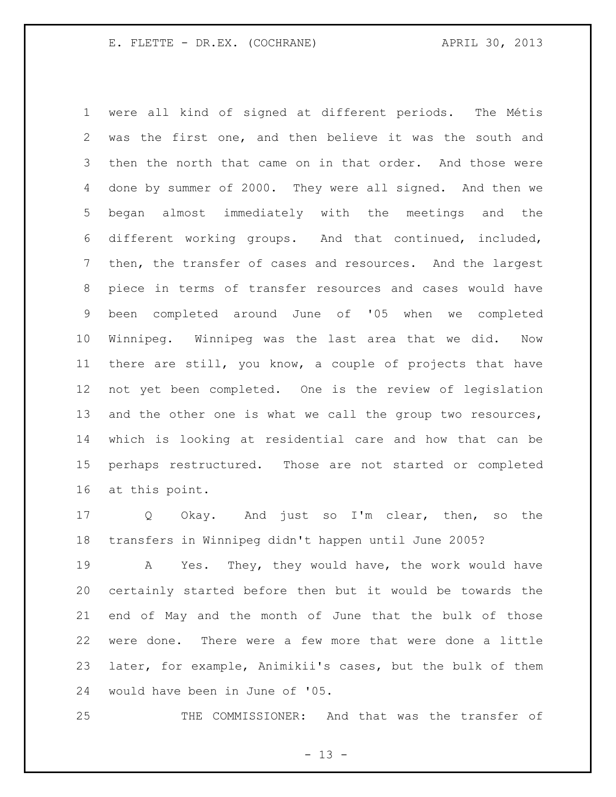were all kind of signed at different periods. The Métis was the first one, and then believe it was the south and then the north that came on in that order. And those were done by summer of 2000. They were all signed. And then we began almost immediately with the meetings and the different working groups. And that continued, included, then, the transfer of cases and resources. And the largest piece in terms of transfer resources and cases would have been completed around June of '05 when we completed Winnipeg. Winnipeg was the last area that we did. Now there are still, you know, a couple of projects that have not yet been completed. One is the review of legislation 13 and the other one is what we call the group two resources, which is looking at residential care and how that can be perhaps restructured. Those are not started or completed at this point.

 Q Okay. And just so I'm clear, then, so the transfers in Winnipeg didn't happen until June 2005?

 A Yes. They, they would have, the work would have certainly started before then but it would be towards the end of May and the month of June that the bulk of those were done. There were a few more that were done a little later, for example, Animikii's cases, but the bulk of them would have been in June of '05.

THE COMMISSIONER: And that was the transfer of

 $- 13 -$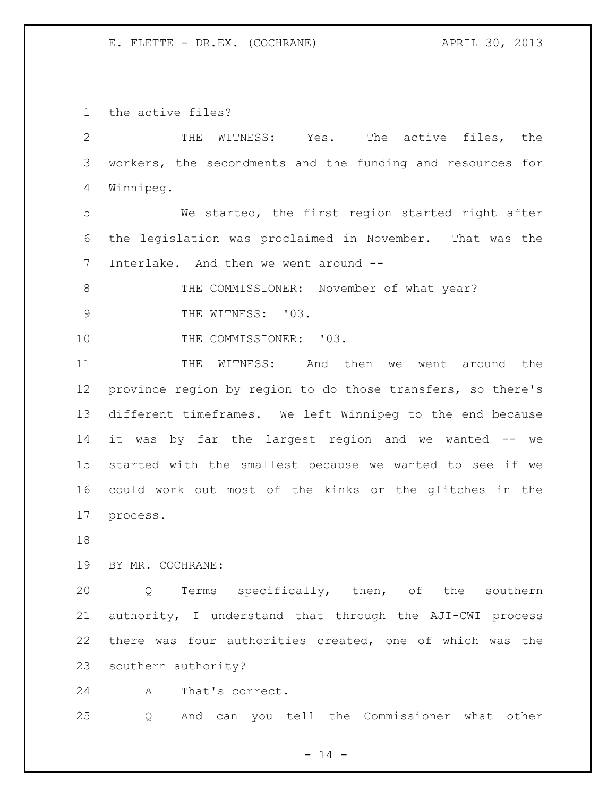the active files?

 THE WITNESS: Yes. The active files, the workers, the secondments and the funding and resources for Winnipeg. We started, the first region started right after the legislation was proclaimed in November. That was the Interlake. And then we went around -- 8 THE COMMISSIONER: November of what year? 9 THE WITNESS: '03. 10 THE COMMISSIONER: '03. THE WITNESS: And then we went around the province region by region to do those transfers, so there's different timeframes. We left Winnipeg to the end because it was by far the largest region and we wanted -- we started with the smallest because we wanted to see if we could work out most of the kinks or the glitches in the process.

#### BY MR. COCHRANE:

 Q Terms specifically, then, of the southern authority, I understand that through the AJI-CWI process there was four authorities created, one of which was the southern authority?

A That's correct.

Q And can you tell the Commissioner what other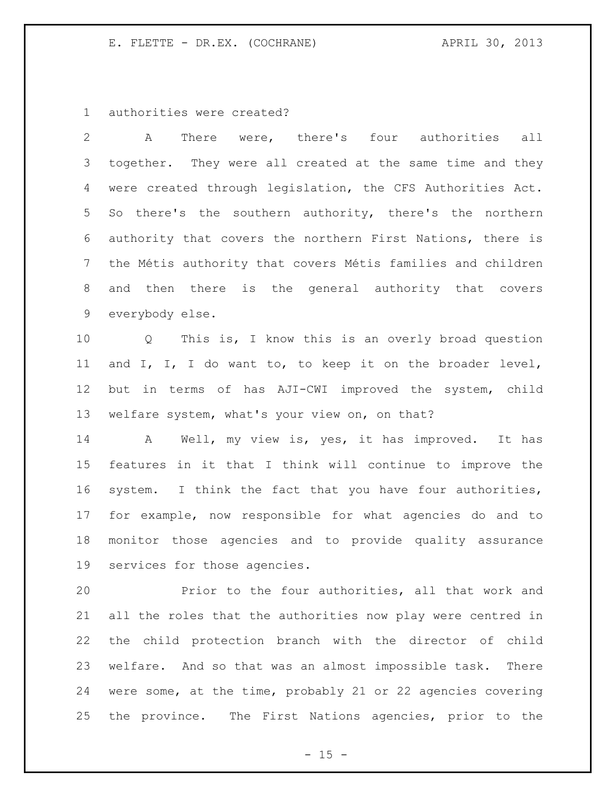authorities were created?

 A There were, there's four authorities all together. They were all created at the same time and they were created through legislation, the CFS Authorities Act. So there's the southern authority, there's the northern authority that covers the northern First Nations, there is the Métis authority that covers Métis families and children and then there is the general authority that covers everybody else.

 Q This is, I know this is an overly broad question and I, I, I do want to, to keep it on the broader level, but in terms of has AJI-CWI improved the system, child welfare system, what's your view on, on that?

 A Well, my view is, yes, it has improved. It has features in it that I think will continue to improve the system. I think the fact that you have four authorities, for example, now responsible for what agencies do and to monitor those agencies and to provide quality assurance services for those agencies.

 Prior to the four authorities, all that work and all the roles that the authorities now play were centred in the child protection branch with the director of child welfare. And so that was an almost impossible task. There were some, at the time, probably 21 or 22 agencies covering the province. The First Nations agencies, prior to the

 $- 15 -$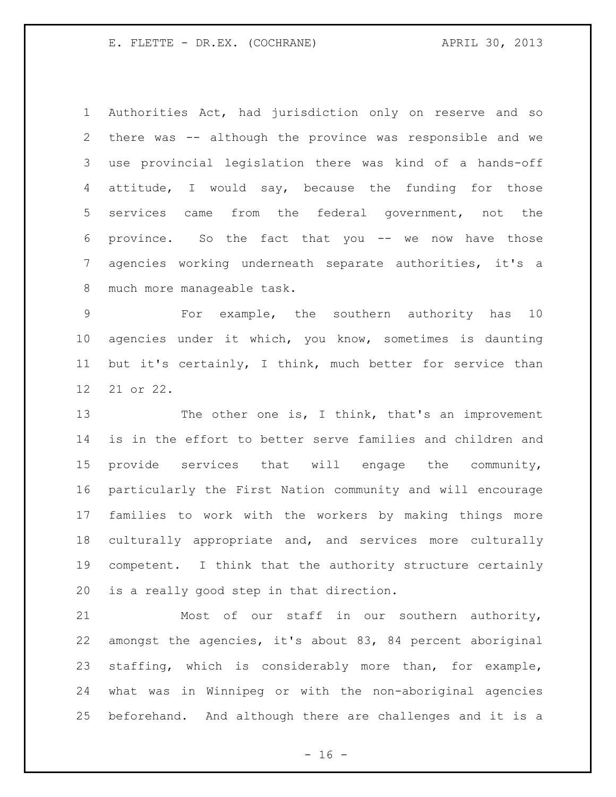Authorities Act, had jurisdiction only on reserve and so there was -- although the province was responsible and we use provincial legislation there was kind of a hands-off attitude, I would say, because the funding for those services came from the federal government, not the province. So the fact that you -- we now have those agencies working underneath separate authorities, it's a much more manageable task.

 For example, the southern authority has 10 agencies under it which, you know, sometimes is daunting but it's certainly, I think, much better for service than 21 or 22.

13 The other one is, I think, that's an improvement is in the effort to better serve families and children and provide services that will engage the community, particularly the First Nation community and will encourage families to work with the workers by making things more culturally appropriate and, and services more culturally competent. I think that the authority structure certainly is a really good step in that direction.

 Most of our staff in our southern authority, amongst the agencies, it's about 83, 84 percent aboriginal staffing, which is considerably more than, for example, what was in Winnipeg or with the non-aboriginal agencies beforehand. And although there are challenges and it is a

 $- 16 -$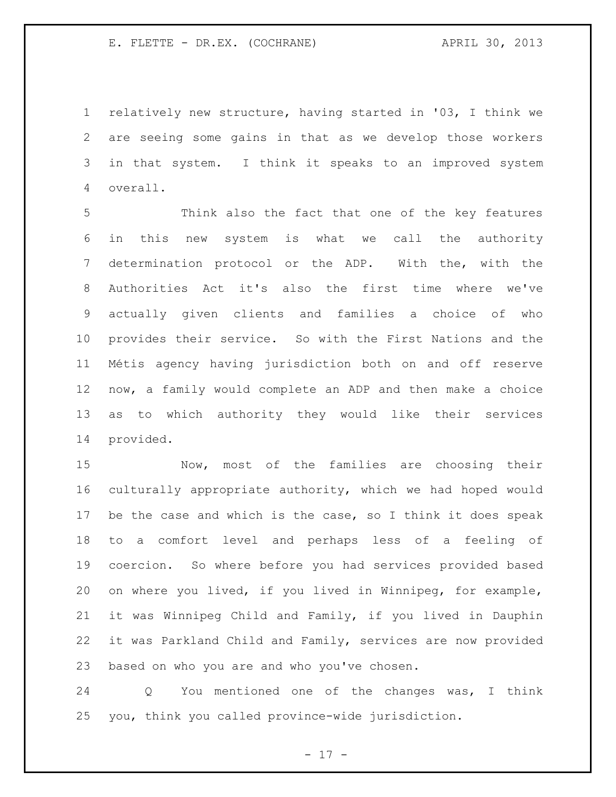relatively new structure, having started in '03, I think we are seeing some gains in that as we develop those workers in that system. I think it speaks to an improved system overall.

 Think also the fact that one of the key features in this new system is what we call the authority determination protocol or the ADP. With the, with the Authorities Act it's also the first time where we've actually given clients and families a choice of who provides their service. So with the First Nations and the Métis agency having jurisdiction both on and off reserve now, a family would complete an ADP and then make a choice as to which authority they would like their services provided.

 Now, most of the families are choosing their culturally appropriate authority, which we had hoped would be the case and which is the case, so I think it does speak to a comfort level and perhaps less of a feeling of coercion. So where before you had services provided based on where you lived, if you lived in Winnipeg, for example, it was Winnipeg Child and Family, if you lived in Dauphin it was Parkland Child and Family, services are now provided based on who you are and who you've chosen.

 Q You mentioned one of the changes was, I think you, think you called province-wide jurisdiction.

- 17 -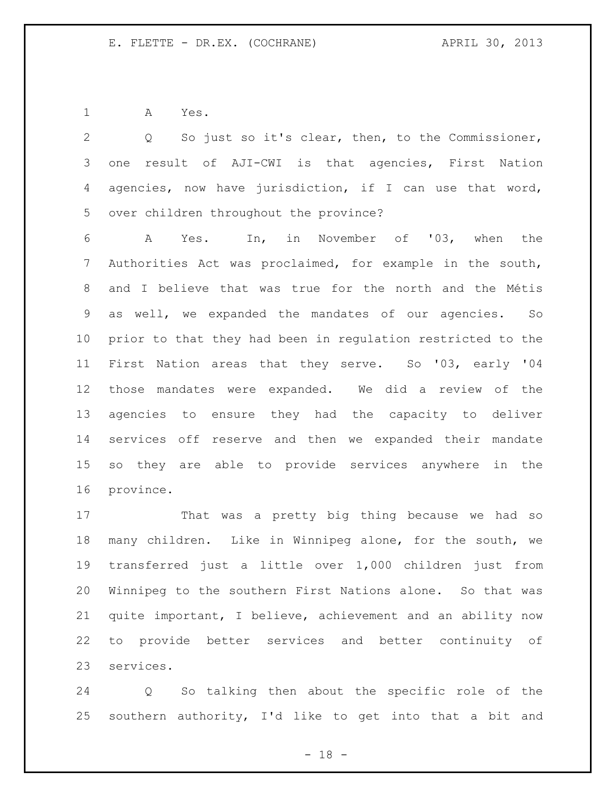A Yes.

 Q So just so it's clear, then, to the Commissioner, one result of AJI-CWI is that agencies, First Nation agencies, now have jurisdiction, if I can use that word, over children throughout the province?

 A Yes. In, in November of '03, when the Authorities Act was proclaimed, for example in the south, and I believe that was true for the north and the Métis as well, we expanded the mandates of our agencies. So prior to that they had been in regulation restricted to the First Nation areas that they serve. So '03, early '04 those mandates were expanded. We did a review of the agencies to ensure they had the capacity to deliver services off reserve and then we expanded their mandate so they are able to provide services anywhere in the province.

 That was a pretty big thing because we had so many children. Like in Winnipeg alone, for the south, we transferred just a little over 1,000 children just from Winnipeg to the southern First Nations alone. So that was quite important, I believe, achievement and an ability now to provide better services and better continuity of services.

 Q So talking then about the specific role of the southern authority, I'd like to get into that a bit and

- 18 -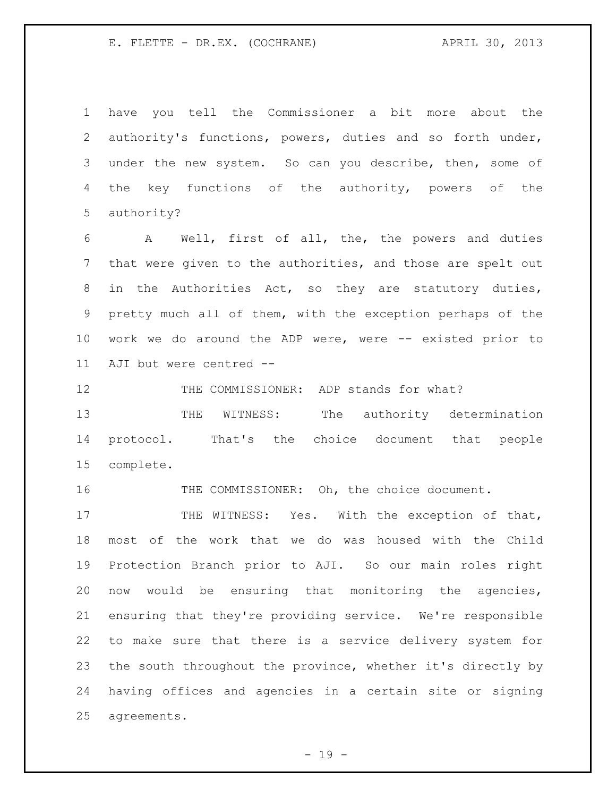have you tell the Commissioner a bit more about the authority's functions, powers, duties and so forth under, under the new system. So can you describe, then, some of 4 the key functions of the authority, powers of the authority?

 A Well, first of all, the, the powers and duties that were given to the authorities, and those are spelt out in the Authorities Act, so they are statutory duties, pretty much all of them, with the exception perhaps of the work we do around the ADP were, were -- existed prior to AJI but were centred --

12 THE COMMISSIONER: ADP stands for what?

13 THE WITNESS: The authority determination protocol. That's the choice document that people complete.

16 THE COMMISSIONER: Oh, the choice document.

17 THE WITNESS: Yes. With the exception of that, most of the work that we do was housed with the Child Protection Branch prior to AJI. So our main roles right now would be ensuring that monitoring the agencies, ensuring that they're providing service. We're responsible to make sure that there is a service delivery system for the south throughout the province, whether it's directly by having offices and agencies in a certain site or signing agreements.

 $- 19 -$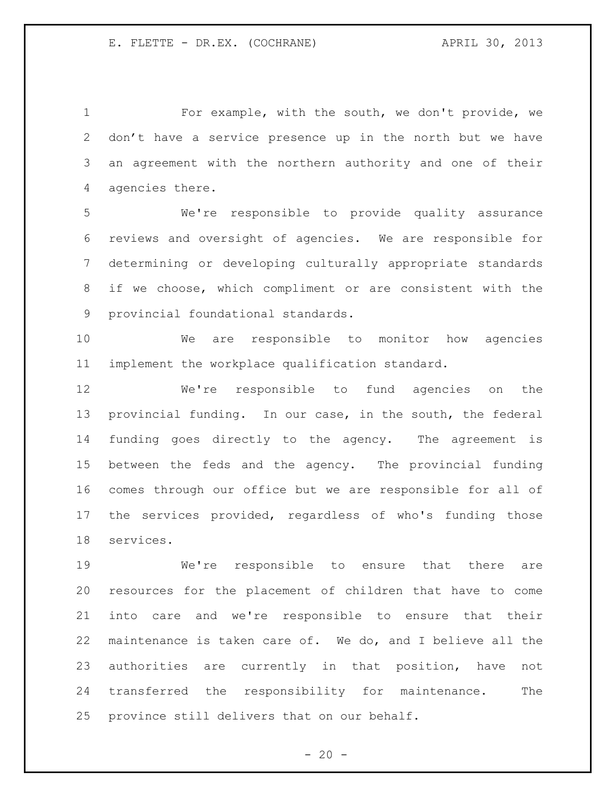For example, with the south, we don't provide, we don't have a service presence up in the north but we have an agreement with the northern authority and one of their agencies there.

 We're responsible to provide quality assurance reviews and oversight of agencies. We are responsible for determining or developing culturally appropriate standards if we choose, which compliment or are consistent with the provincial foundational standards.

 We are responsible to monitor how agencies implement the workplace qualification standard.

 We're responsible to fund agencies on the provincial funding. In our case, in the south, the federal funding goes directly to the agency. The agreement is between the feds and the agency. The provincial funding comes through our office but we are responsible for all of the services provided, regardless of who's funding those services.

 We're responsible to ensure that there are resources for the placement of children that have to come into care and we're responsible to ensure that their maintenance is taken care of. We do, and I believe all the authorities are currently in that position, have not transferred the responsibility for maintenance. The province still delivers that on our behalf.

 $- 20 -$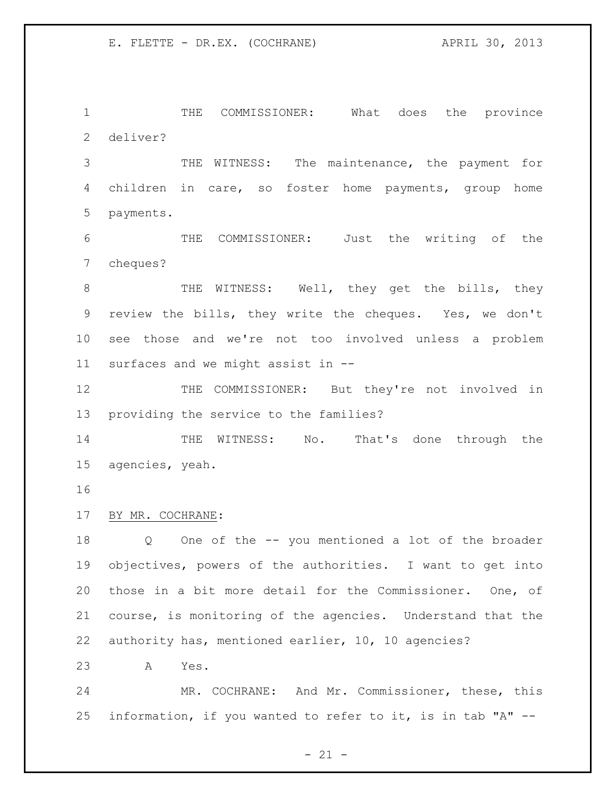THE COMMISSIONER: What does the province deliver?

 THE WITNESS: The maintenance, the payment for children in care, so foster home payments, group home payments.

 THE COMMISSIONER: Just the writing of the cheques?

8 THE WITNESS: Well, they get the bills, they review the bills, they write the cheques. Yes, we don't see those and we're not too involved unless a problem surfaces and we might assist in --

12 THE COMMISSIONER: But they're not involved in providing the service to the families?

14 THE WITNESS: No. That's done through the agencies, yeah.

#### BY MR. COCHRANE:

 Q One of the -- you mentioned a lot of the broader objectives, powers of the authorities. I want to get into those in a bit more detail for the Commissioner. One, of course, is monitoring of the agencies. Understand that the authority has, mentioned earlier, 10, 10 agencies?

A Yes.

 MR. COCHRANE: And Mr. Commissioner, these, this information, if you wanted to refer to it, is in tab "A" --

 $- 21 -$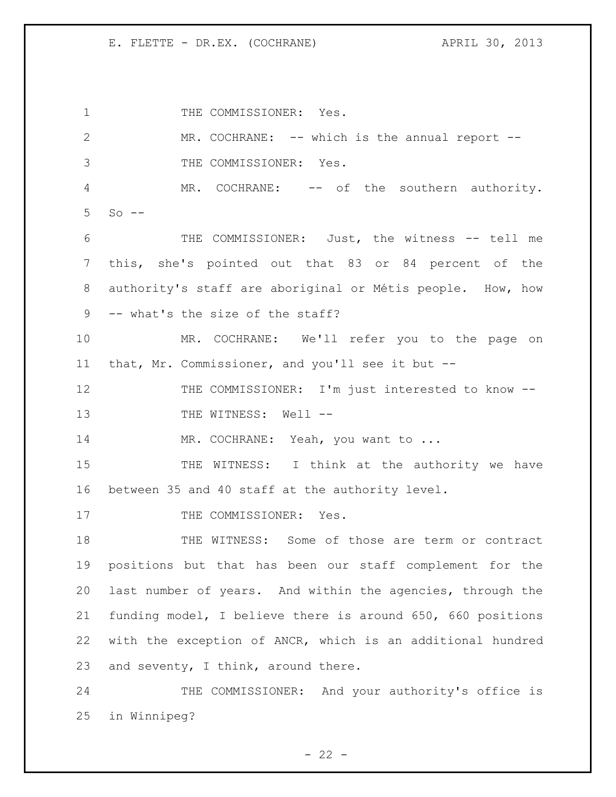1 THE COMMISSIONER: Yes. MR. COCHRANE: -- which is the annual report -- THE COMMISSIONER: Yes. MR. COCHRANE: -- of the southern authority. So  $-$  THE COMMISSIONER: Just, the witness -- tell me this, she's pointed out that 83 or 84 percent of the authority's staff are aboriginal or Métis people. How, how -- what's the size of the staff? MR. COCHRANE: We'll refer you to the page on that, Mr. Commissioner, and you'll see it but -- 12 THE COMMISSIONER: I'm just interested to know --13 THE WITNESS: Well --14 MR. COCHRANE: Yeah, you want to ... 15 THE WITNESS: I think at the authority we have between 35 and 40 staff at the authority level. 17 THE COMMISSIONER: Yes. THE WITNESS: Some of those are term or contract positions but that has been our staff complement for the last number of years. And within the agencies, through the funding model, I believe there is around 650, 660 positions with the exception of ANCR, which is an additional hundred 23 and seventy, I think, around there. THE COMMISSIONER: And your authority's office is in Winnipeg?

 $- 22 -$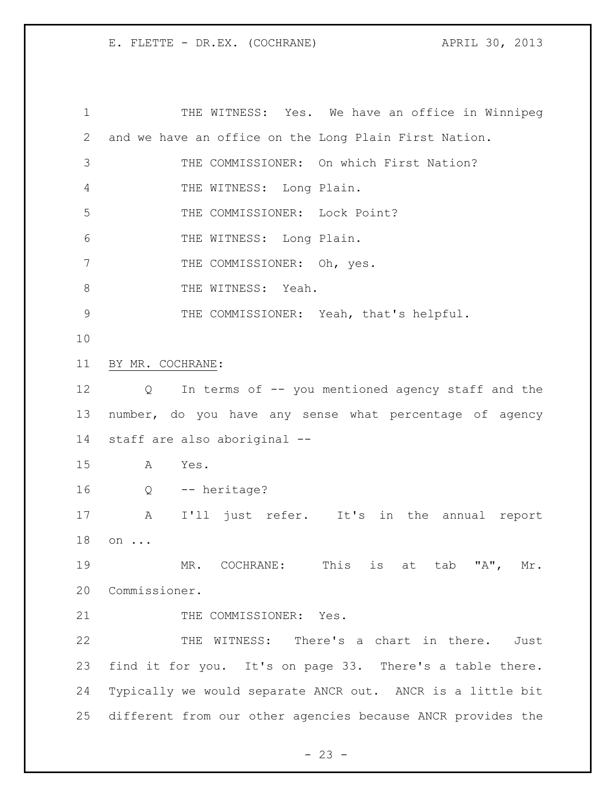1 THE WITNESS: Yes. We have an office in Winnipeg and we have an office on the Long Plain First Nation. THE COMMISSIONER: On which First Nation? THE WITNESS: Long Plain. THE COMMISSIONER: Lock Point? THE WITNESS: Long Plain. 7 THE COMMISSIONER: Oh, yes. 8 THE WITNESS: Yeah. THE COMMISSIONER: Yeah, that's helpful. BY MR. COCHRANE: Q In terms of -- you mentioned agency staff and the number, do you have any sense what percentage of agency staff are also aboriginal -- A Yes. Q -- heritage? A I'll just refer. It's in the annual report on ... 19 MR. COCHRANE: This is at tab "A", Mr. Commissioner. 21 THE COMMISSIONER: Yes. THE WITNESS: There's a chart in there. Just find it for you. It's on page 33. There's a table there. Typically we would separate ANCR out. ANCR is a little bit different from our other agencies because ANCR provides the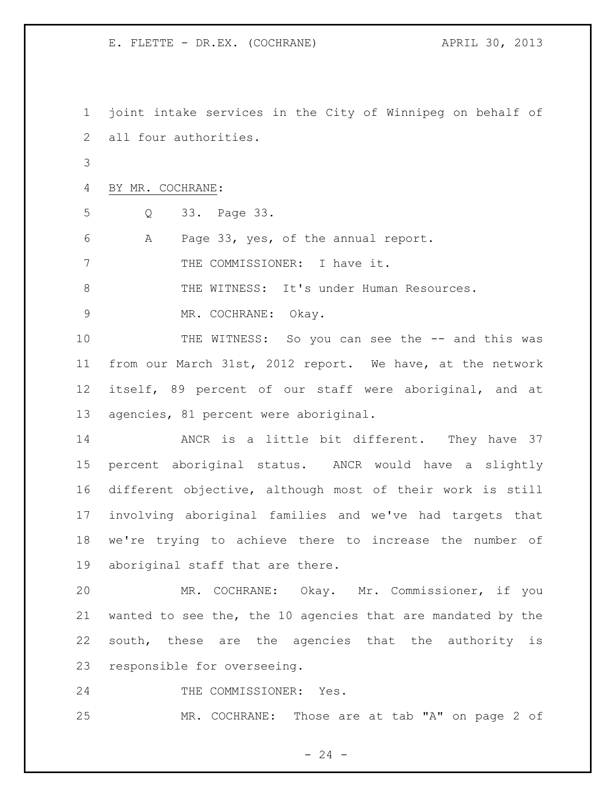joint intake services in the City of Winnipeg on behalf of all four authorities.

BY MR. COCHRANE:

Q 33. Page 33.

A Page 33, yes, of the annual report.

7 THE COMMISSIONER: I have it.

8 THE WITNESS: It's under Human Resources.

MR. COCHRANE: Okay.

10 THE WITNESS: So you can see the -- and this was from our March 31st, 2012 report. We have, at the network itself, 89 percent of our staff were aboriginal, and at agencies, 81 percent were aboriginal.

 ANCR is a little bit different. They have 37 percent aboriginal status. ANCR would have a slightly different objective, although most of their work is still involving aboriginal families and we've had targets that we're trying to achieve there to increase the number of aboriginal staff that are there.

 MR. COCHRANE: Okay. Mr. Commissioner, if you wanted to see the, the 10 agencies that are mandated by the south, these are the agencies that the authority is responsible for overseeing.

24 THE COMMISSIONER: Yes.

MR. COCHRANE: Those are at tab "A" on page 2 of

 $- 24 -$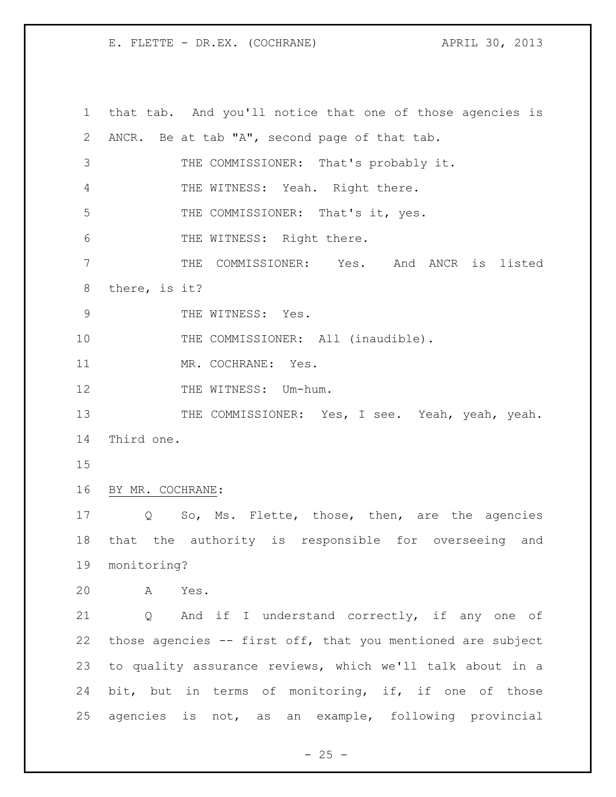that tab. And you'll notice that one of those agencies is ANCR. Be at tab "A", second page of that tab. THE COMMISSIONER: That's probably it. 4 THE WITNESS: Yeah. Right there. THE COMMISSIONER: That's it, yes. 6 THE WITNESS: Right there. THE COMMISSIONER: Yes. And ANCR is listed there, is it? 9 THE WITNESS: Yes. 10 THE COMMISSIONER: All (inaudible). 11 MR. COCHRANE: Yes. 12 THE WITNESS: Um-hum. 13 THE COMMISSIONER: Yes, I see. Yeah, yeah, yeah. Third one. BY MR. COCHRANE: Q So, Ms. Flette, those, then, are the agencies that the authority is responsible for overseeing and monitoring? A Yes. Q And if I understand correctly, if any one of those agencies -- first off, that you mentioned are subject to quality assurance reviews, which we'll talk about in a bit, but in terms of monitoring, if, if one of those agencies is not, as an example, following provincial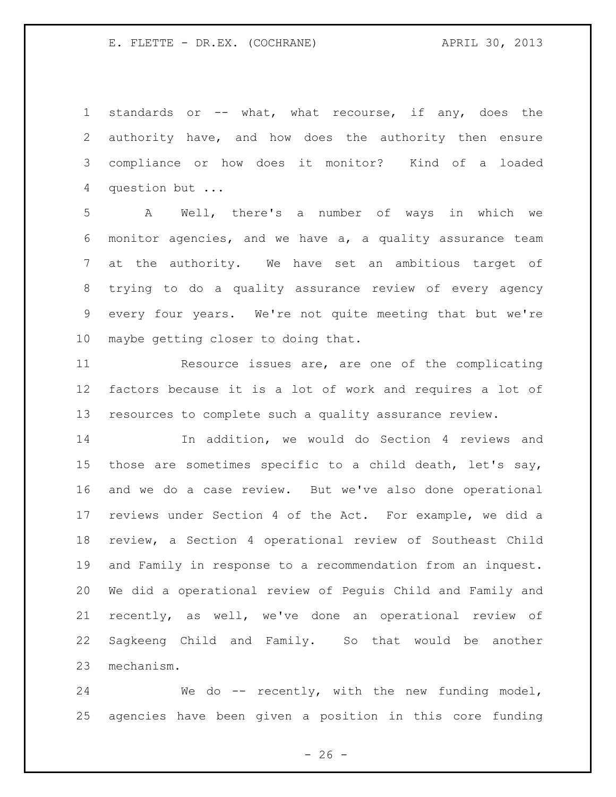standards or -- what, what recourse, if any, does the authority have, and how does the authority then ensure compliance or how does it monitor? Kind of a loaded question but ...

 A Well, there's a number of ways in which we monitor agencies, and we have a, a quality assurance team at the authority. We have set an ambitious target of trying to do a quality assurance review of every agency every four years. We're not quite meeting that but we're maybe getting closer to doing that.

 Resource issues are, are one of the complicating factors because it is a lot of work and requires a lot of resources to complete such a quality assurance review.

 In addition, we would do Section 4 reviews and those are sometimes specific to a child death, let's say, and we do a case review. But we've also done operational reviews under Section 4 of the Act. For example, we did a review, a Section 4 operational review of Southeast Child and Family in response to a recommendation from an inquest. We did a operational review of Peguis Child and Family and recently, as well, we've done an operational review of Sagkeeng Child and Family. So that would be another mechanism.

24 We do -- recently, with the new funding model, agencies have been given a position in this core funding

 $- 26 -$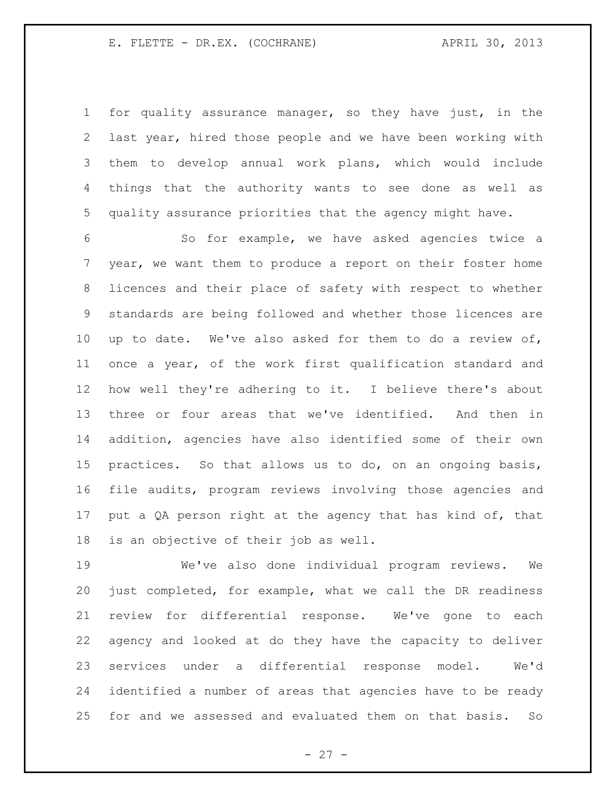for quality assurance manager, so they have just, in the last year, hired those people and we have been working with them to develop annual work plans, which would include things that the authority wants to see done as well as quality assurance priorities that the agency might have.

 So for example, we have asked agencies twice a year, we want them to produce a report on their foster home licences and their place of safety with respect to whether standards are being followed and whether those licences are up to date. We've also asked for them to do a review of, once a year, of the work first qualification standard and how well they're adhering to it. I believe there's about three or four areas that we've identified. And then in addition, agencies have also identified some of their own practices. So that allows us to do, on an ongoing basis, file audits, program reviews involving those agencies and 17 put a QA person right at the agency that has kind of, that is an objective of their job as well.

 We've also done individual program reviews. We just completed, for example, what we call the DR readiness review for differential response. We've gone to each agency and looked at do they have the capacity to deliver services under a differential response model. We'd identified a number of areas that agencies have to be ready for and we assessed and evaluated them on that basis. So

 $- 27 -$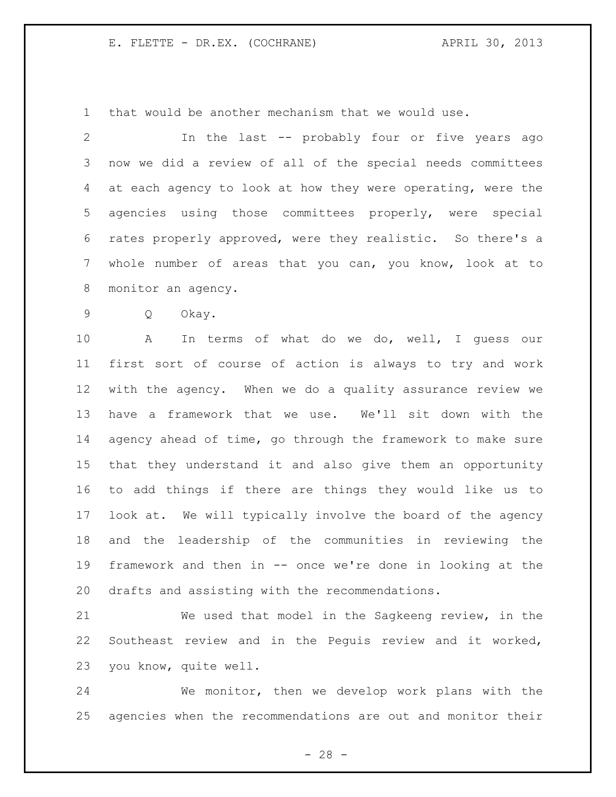that would be another mechanism that we would use.

 In the last -- probably four or five years ago now we did a review of all of the special needs committees at each agency to look at how they were operating, were the agencies using those committees properly, were special rates properly approved, were they realistic. So there's a whole number of areas that you can, you know, look at to monitor an agency.

Q Okay.

 A In terms of what do we do, well, I guess our first sort of course of action is always to try and work with the agency. When we do a quality assurance review we have a framework that we use. We'll sit down with the agency ahead of time, go through the framework to make sure that they understand it and also give them an opportunity to add things if there are things they would like us to look at. We will typically involve the board of the agency and the leadership of the communities in reviewing the framework and then in -- once we're done in looking at the drafts and assisting with the recommendations.

 We used that model in the Sagkeeng review, in the Southeast review and in the Peguis review and it worked, you know, quite well.

 We monitor, then we develop work plans with the agencies when the recommendations are out and monitor their

 $- 28 -$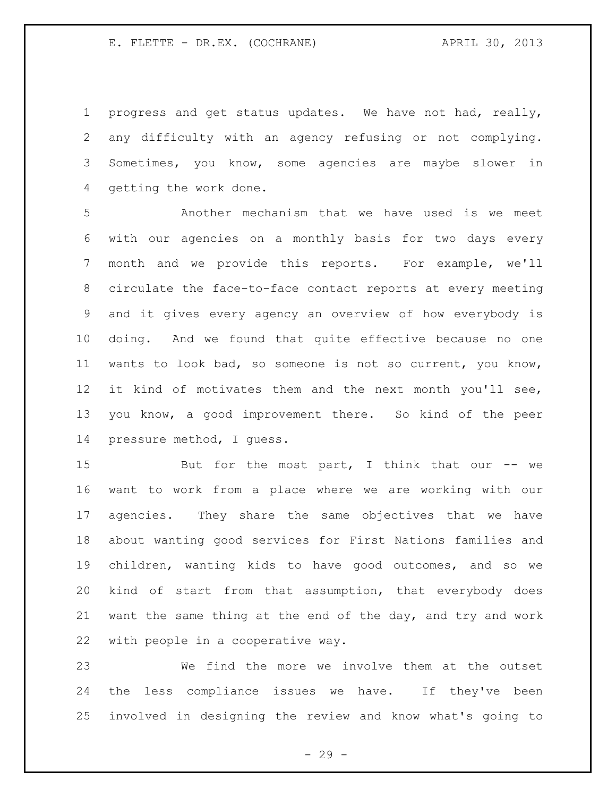progress and get status updates. We have not had, really, any difficulty with an agency refusing or not complying. Sometimes, you know, some agencies are maybe slower in getting the work done.

 Another mechanism that we have used is we meet with our agencies on a monthly basis for two days every month and we provide this reports. For example, we'll circulate the face-to-face contact reports at every meeting and it gives every agency an overview of how everybody is doing. And we found that quite effective because no one wants to look bad, so someone is not so current, you know, it kind of motivates them and the next month you'll see, you know, a good improvement there. So kind of the peer pressure method, I guess.

15 But for the most part, I think that our -- we want to work from a place where we are working with our agencies. They share the same objectives that we have about wanting good services for First Nations families and children, wanting kids to have good outcomes, and so we kind of start from that assumption, that everybody does want the same thing at the end of the day, and try and work with people in a cooperative way.

 We find the more we involve them at the outset the less compliance issues we have. If they've been involved in designing the review and know what's going to

- 29 -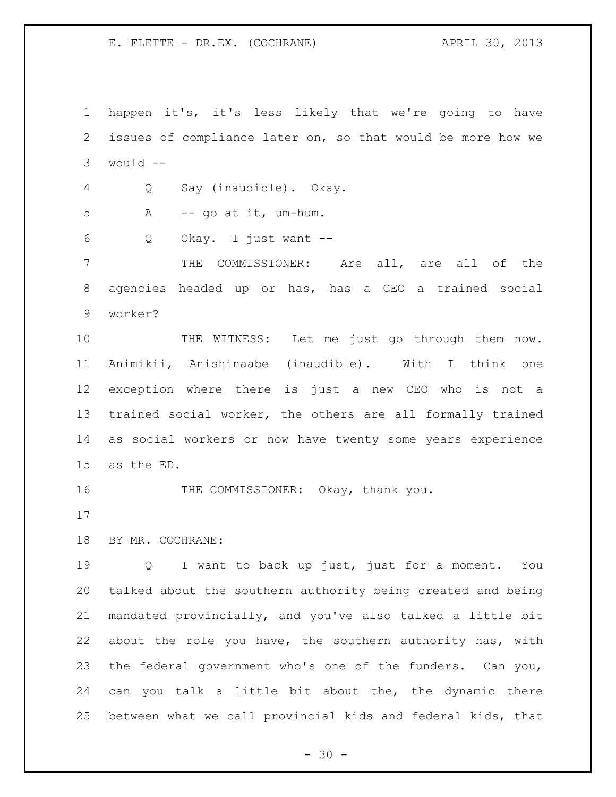happen it's, it's less likely that we're going to have issues of compliance later on, so that would be more how we would -- Q Say (inaudible). Okay. A  $-$  go at it, um-hum. Q Okay. I just want -- THE COMMISSIONER: Are all, are all of the agencies headed up or has, has a CEO a trained social worker? 10 THE WITNESS: Let me just go through them now. Animikii, Anishinaabe (inaudible). With I think one exception where there is just a new CEO who is not a trained social worker, the others are all formally trained as social workers or now have twenty some years experience as the ED. 16 THE COMMISSIONER: Okay, thank you. BY MR. COCHRANE: Q I want to back up just, just for a moment. You talked about the southern authority being created and being mandated provincially, and you've also talked a little bit about the role you have, the southern authority has, with the federal government who's one of the funders. Can you, can you talk a little bit about the, the dynamic there between what we call provincial kids and federal kids, that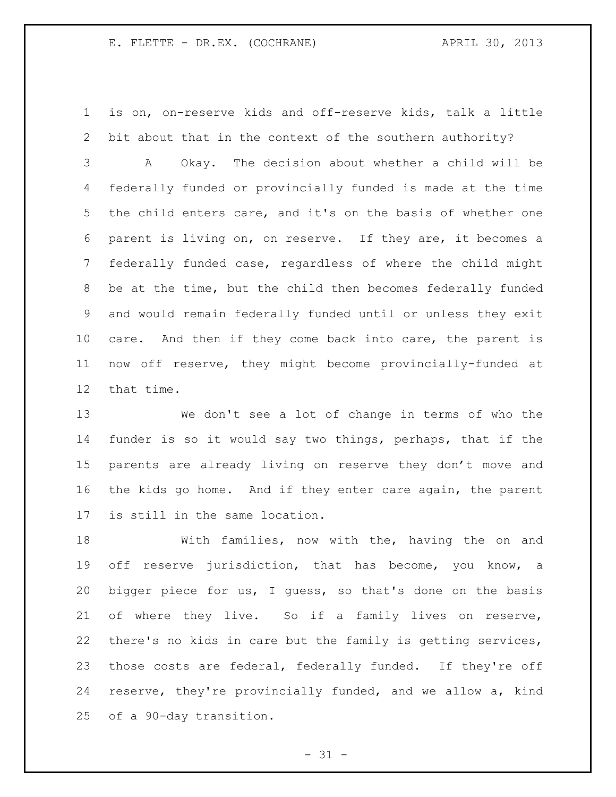is on, on-reserve kids and off-reserve kids, talk a little bit about that in the context of the southern authority?

 A Okay. The decision about whether a child will be federally funded or provincially funded is made at the time the child enters care, and it's on the basis of whether one parent is living on, on reserve. If they are, it becomes a federally funded case, regardless of where the child might be at the time, but the child then becomes federally funded and would remain federally funded until or unless they exit care. And then if they come back into care, the parent is now off reserve, they might become provincially-funded at that time.

 We don't see a lot of change in terms of who the funder is so it would say two things, perhaps, that if the parents are already living on reserve they don't move and the kids go home. And if they enter care again, the parent is still in the same location.

 With families, now with the, having the on and off reserve jurisdiction, that has become, you know, a bigger piece for us, I guess, so that's done on the basis of where they live. So if a family lives on reserve, there's no kids in care but the family is getting services, those costs are federal, federally funded. If they're off reserve, they're provincially funded, and we allow a, kind of a 90-day transition.

 $- 31 -$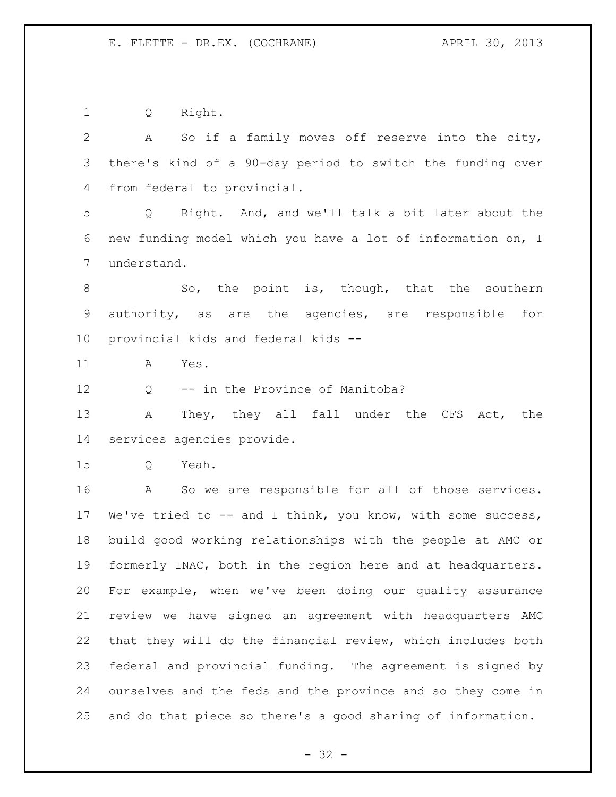Q Right.

| $\overline{2}$  | So if a family moves off reserve into the city,<br>A           |
|-----------------|----------------------------------------------------------------|
| 3               | there's kind of a 90-day period to switch the funding over     |
| 4               | from federal to provincial.                                    |
| 5               | Right. And, and we'll talk a bit later about the<br>$Q \qquad$ |
| 6               | new funding model which you have a lot of information on, I    |
| $\overline{7}$  | understand.                                                    |
| $8\,$           | So, the point is, though, that the southern                    |
| 9               | authority, as are the agencies, are responsible for            |
| 10 <sub>o</sub> | provincial kids and federal kids --                            |
| 11              | Α<br>Yes.                                                      |
| 12              | -- in the Province of Manitoba?<br>Q                           |
| 13              | They, they all fall under the CFS Act, the<br>Α                |
| 14              | services agencies provide.                                     |
| 15              | Yeah.<br>Q                                                     |
| 16              | So we are responsible for all of those services.<br>A          |
| 17              | We've tried to $-$ and I think, you know, with some success,   |
| 18              | build good working relationships with the people at AMC or     |
| 19              | formerly INAC, both in the region here and at headquarters.    |
| 20              | For example, when we've been doing our quality assurance       |
| 21              | review we have signed an agreement with headquarters AMC       |
| 22              | that they will do the financial review, which includes both    |
| 23              | federal and provincial funding. The agreement is signed by     |
| 24              | ourselves and the feds and the province and so they come in    |
| 25              | and do that piece so there's a good sharing of information.    |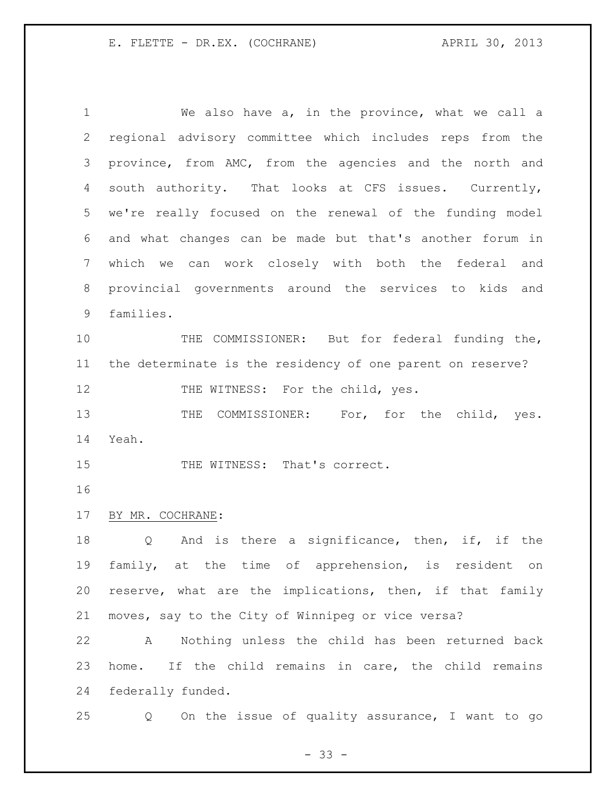We also have a, in the province, what we call a regional advisory committee which includes reps from the province, from AMC, from the agencies and the north and south authority. That looks at CFS issues. Currently, we're really focused on the renewal of the funding model and what changes can be made but that's another forum in which we can work closely with both the federal and provincial governments around the services to kids and families. 10 THE COMMISSIONER: But for federal funding the, the determinate is the residency of one parent on reserve? 12 THE WITNESS: For the child, yes. 13 THE COMMISSIONER: For, for the child, yes. Yeah. 15 THE WITNESS: That's correct. BY MR. COCHRANE: 18 Q And is there a significance, then, if, if the family, at the time of apprehension, is resident on reserve, what are the implications, then, if that family moves, say to the City of Winnipeg or vice versa? A Nothing unless the child has been returned back home. If the child remains in care, the child remains federally funded. Q On the issue of quality assurance, I want to go

 $- 33 -$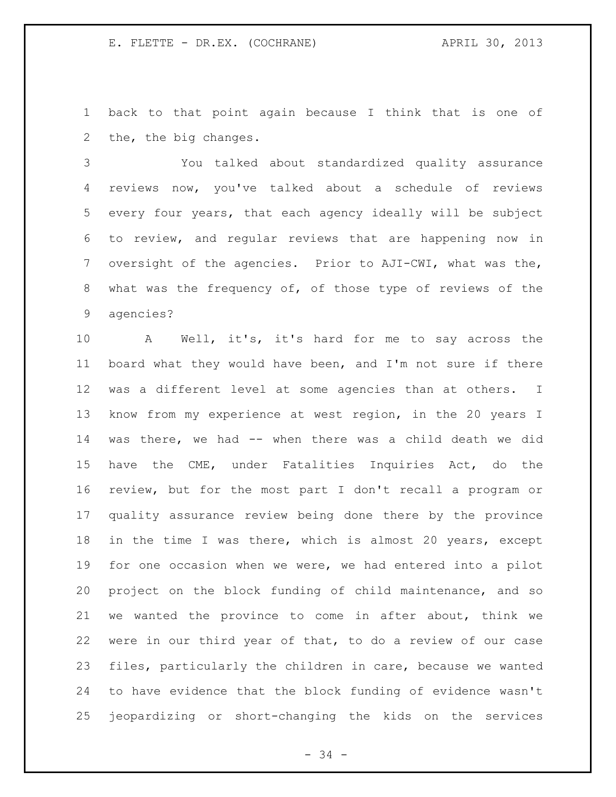back to that point again because I think that is one of the, the big changes.

 You talked about standardized quality assurance reviews now, you've talked about a schedule of reviews every four years, that each agency ideally will be subject to review, and regular reviews that are happening now in oversight of the agencies. Prior to AJI-CWI, what was the, what was the frequency of, of those type of reviews of the agencies?

 A Well, it's, it's hard for me to say across the board what they would have been, and I'm not sure if there was a different level at some agencies than at others. I know from my experience at west region, in the 20 years I was there, we had -- when there was a child death we did have the CME, under Fatalities Inquiries Act, do the review, but for the most part I don't recall a program or quality assurance review being done there by the province in the time I was there, which is almost 20 years, except for one occasion when we were, we had entered into a pilot project on the block funding of child maintenance, and so we wanted the province to come in after about, think we were in our third year of that, to do a review of our case files, particularly the children in care, because we wanted to have evidence that the block funding of evidence wasn't jeopardizing or short-changing the kids on the services

 $-34 -$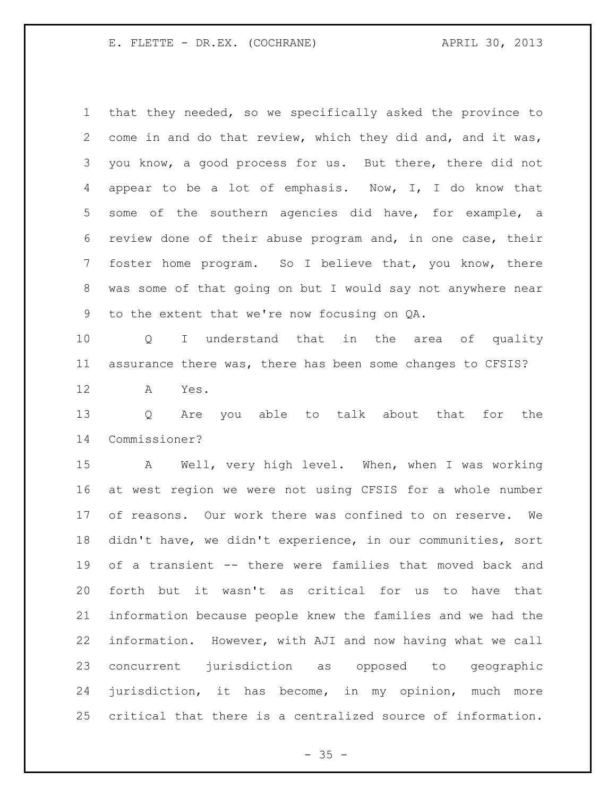that they needed, so we specifically asked the province to come in and do that review, which they did and, and it was, you know, a good process for us. But there, there did not appear to be a lot of emphasis. Now, I, I do know that some of the southern agencies did have, for example, a review done of their abuse program and, in one case, their foster home program. So I believe that, you know, there was some of that going on but I would say not anywhere near to the extent that we're now focusing on QA.

 Q I understand that in the area of quality assurance there was, there has been some changes to CFSIS?

A Yes.

 Q Are you able to talk about that for the Commissioner?

 A Well, very high level. When, when I was working at west region we were not using CFSIS for a whole number of reasons. Our work there was confined to on reserve. We didn't have, we didn't experience, in our communities, sort of a transient -- there were families that moved back and forth but it wasn't as critical for us to have that information because people knew the families and we had the information. However, with AJI and now having what we call concurrent jurisdiction as opposed to geographic jurisdiction, it has become, in my opinion, much more critical that there is a centralized source of information.

 $- 35 -$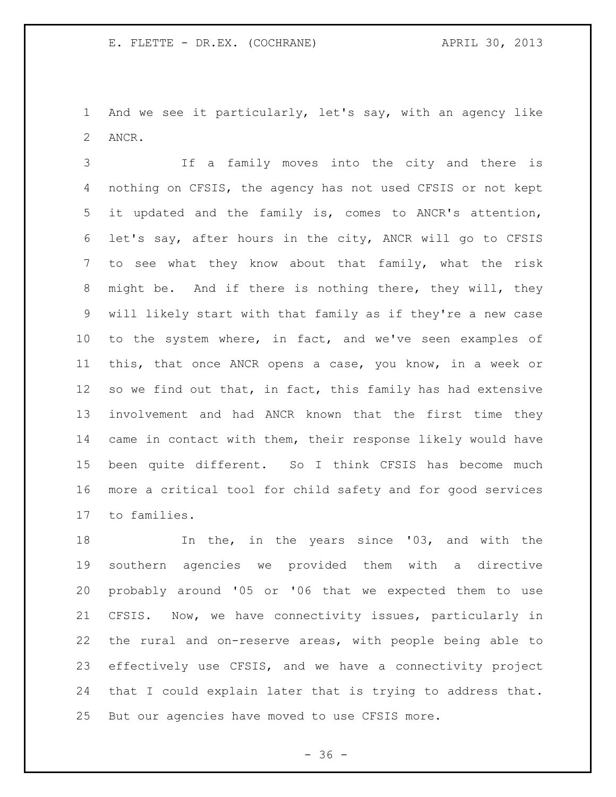And we see it particularly, let's say, with an agency like ANCR.

 If a family moves into the city and there is nothing on CFSIS, the agency has not used CFSIS or not kept it updated and the family is, comes to ANCR's attention, let's say, after hours in the city, ANCR will go to CFSIS to see what they know about that family, what the risk might be. And if there is nothing there, they will, they will likely start with that family as if they're a new case to the system where, in fact, and we've seen examples of this, that once ANCR opens a case, you know, in a week or 12 so we find out that, in fact, this family has had extensive involvement and had ANCR known that the first time they came in contact with them, their response likely would have been quite different. So I think CFSIS has become much more a critical tool for child safety and for good services to families.

 In the, in the years since '03, and with the southern agencies we provided them with a directive probably around '05 or '06 that we expected them to use CFSIS. Now, we have connectivity issues, particularly in the rural and on-reserve areas, with people being able to effectively use CFSIS, and we have a connectivity project that I could explain later that is trying to address that. But our agencies have moved to use CFSIS more.

 $- 36 -$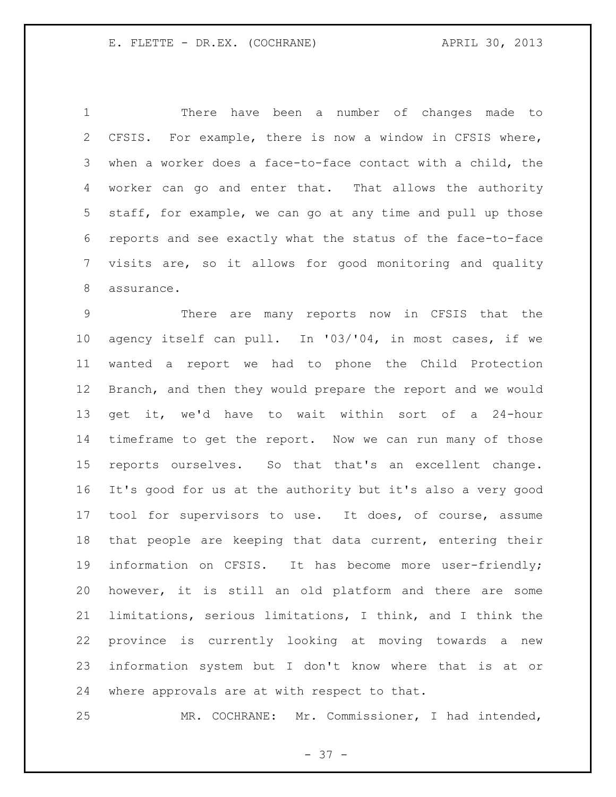There have been a number of changes made to CFSIS. For example, there is now a window in CFSIS where, when a worker does a face-to-face contact with a child, the worker can go and enter that. That allows the authority staff, for example, we can go at any time and pull up those reports and see exactly what the status of the face-to-face visits are, so it allows for good monitoring and quality assurance.

 There are many reports now in CFSIS that the agency itself can pull. In '03/'04, in most cases, if we wanted a report we had to phone the Child Protection Branch, and then they would prepare the report and we would get it, we'd have to wait within sort of a 24-hour timeframe to get the report. Now we can run many of those reports ourselves. So that that's an excellent change. It's good for us at the authority but it's also a very good tool for supervisors to use. It does, of course, assume that people are keeping that data current, entering their information on CFSIS. It has become more user-friendly; however, it is still an old platform and there are some limitations, serious limitations, I think, and I think the province is currently looking at moving towards a new information system but I don't know where that is at or where approvals are at with respect to that.

MR. COCHRANE: Mr. Commissioner, I had intended,

- 37 -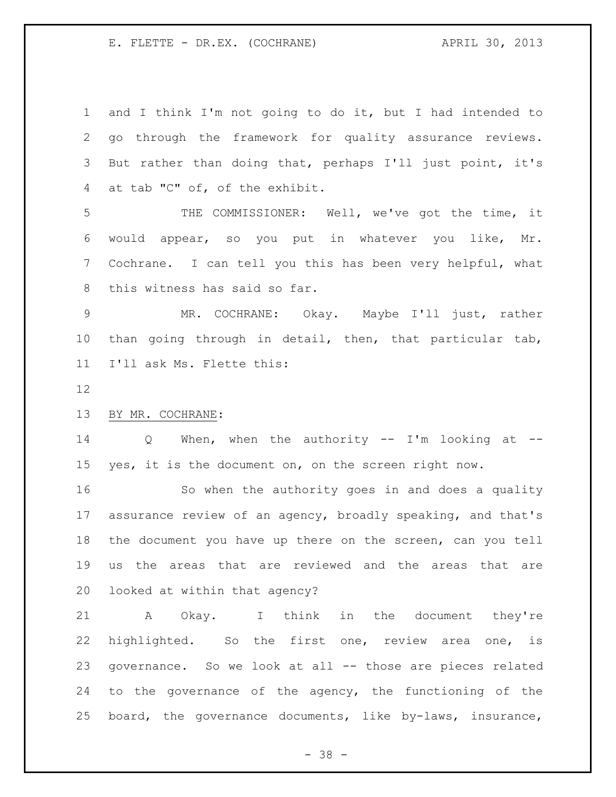and I think I'm not going to do it, but I had intended to go through the framework for quality assurance reviews. But rather than doing that, perhaps I'll just point, it's at tab "C" of, of the exhibit.

 THE COMMISSIONER: Well, we've got the time, it would appear, so you put in whatever you like, Mr. Cochrane. I can tell you this has been very helpful, what this witness has said so far.

 MR. COCHRANE: Okay. Maybe I'll just, rather than going through in detail, then, that particular tab, I'll ask Ms. Flette this:

## BY MR. COCHRANE:

 Q When, when the authority -- I'm looking at -- yes, it is the document on, on the screen right now.

 So when the authority goes in and does a quality assurance review of an agency, broadly speaking, and that's the document you have up there on the screen, can you tell us the areas that are reviewed and the areas that are looked at within that agency?

 A Okay. I think in the document they're highlighted. So the first one, review area one, is governance. So we look at all -- those are pieces related to the governance of the agency, the functioning of the board, the governance documents, like by-laws, insurance,

- 38 -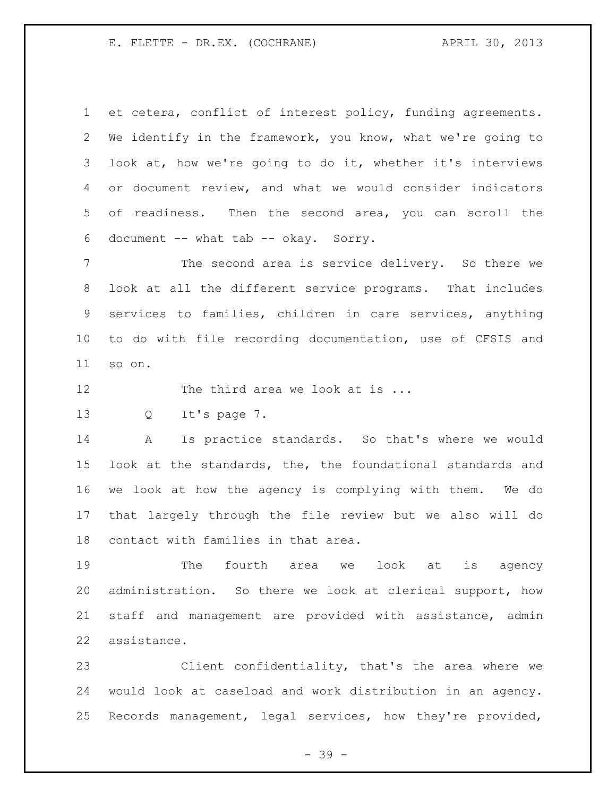et cetera, conflict of interest policy, funding agreements. We identify in the framework, you know, what we're going to look at, how we're going to do it, whether it's interviews or document review, and what we would consider indicators of readiness. Then the second area, you can scroll the document -- what tab -- okay. Sorry.

 The second area is service delivery. So there we look at all the different service programs. That includes services to families, children in care services, anything to do with file recording documentation, use of CFSIS and so on.

12 The third area we look at is ...

Q It's page 7.

 A Is practice standards. So that's where we would look at the standards, the, the foundational standards and we look at how the agency is complying with them. We do that largely through the file review but we also will do contact with families in that area.

 The fourth area we look at is agency administration. So there we look at clerical support, how staff and management are provided with assistance, admin assistance.

 Client confidentiality, that's the area where we would look at caseload and work distribution in an agency. Records management, legal services, how they're provided,

- 39 -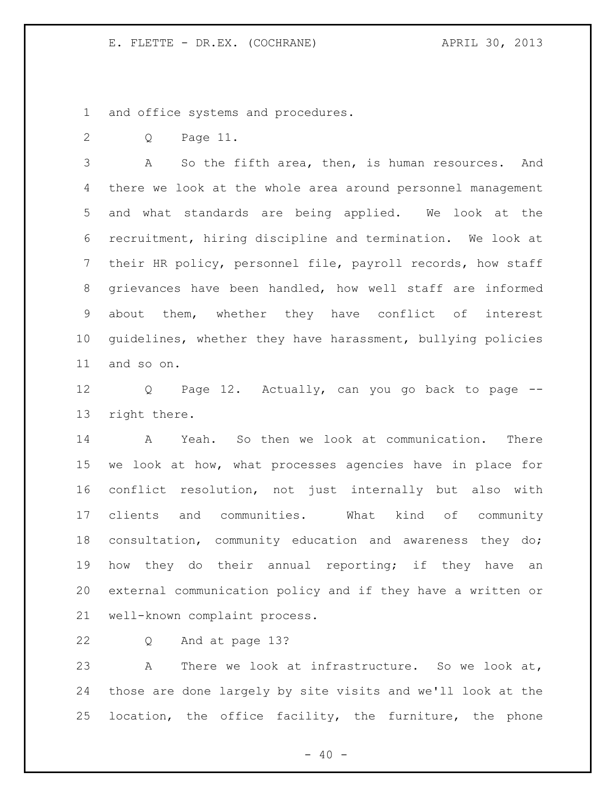and office systems and procedures.

Q Page 11.

 A So the fifth area, then, is human resources. And there we look at the whole area around personnel management and what standards are being applied. We look at the recruitment, hiring discipline and termination. We look at their HR policy, personnel file, payroll records, how staff grievances have been handled, how well staff are informed about them, whether they have conflict of interest guidelines, whether they have harassment, bullying policies and so on.

 Q Page 12. Actually, can you go back to page -- right there.

 A Yeah. So then we look at communication. There we look at how, what processes agencies have in place for conflict resolution, not just internally but also with clients and communities. What kind of community consultation, community education and awareness they do; 19 how they do their annual reporting; if they have an external communication policy and if they have a written or well-known complaint process.

Q And at page 13?

 A There we look at infrastructure. So we look at, those are done largely by site visits and we'll look at the location, the office facility, the furniture, the phone

 $- 40 -$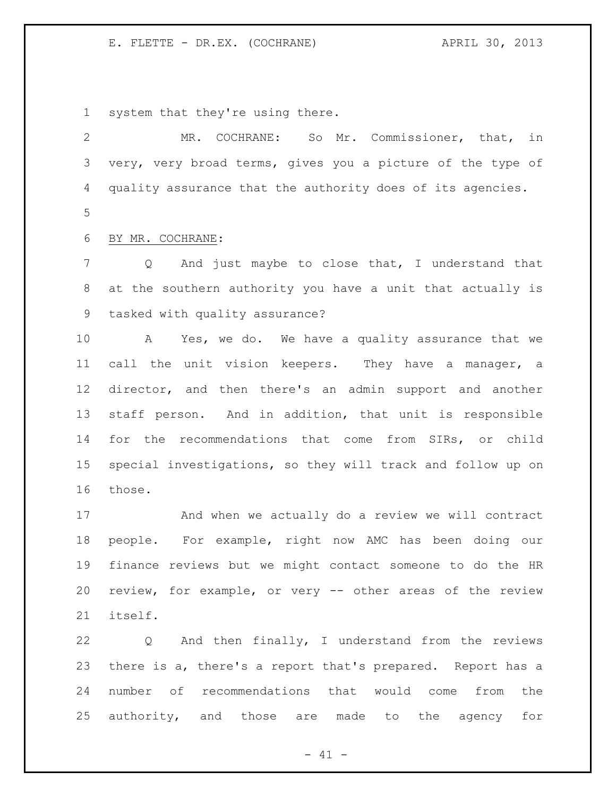system that they're using there.

 MR. COCHRANE: So Mr. Commissioner, that, in very, very broad terms, gives you a picture of the type of quality assurance that the authority does of its agencies. 

BY MR. COCHRANE:

 Q And just maybe to close that, I understand that at the southern authority you have a unit that actually is tasked with quality assurance?

 A Yes, we do. We have a quality assurance that we call the unit vision keepers. They have a manager, a director, and then there's an admin support and another staff person. And in addition, that unit is responsible for the recommendations that come from SIRs, or child special investigations, so they will track and follow up on those.

 And when we actually do a review we will contract people. For example, right now AMC has been doing our finance reviews but we might contact someone to do the HR review, for example, or very -- other areas of the review itself.

 Q And then finally, I understand from the reviews there is a, there's a report that's prepared. Report has a number of recommendations that would come from the authority, and those are made to the agency for

 $- 41 -$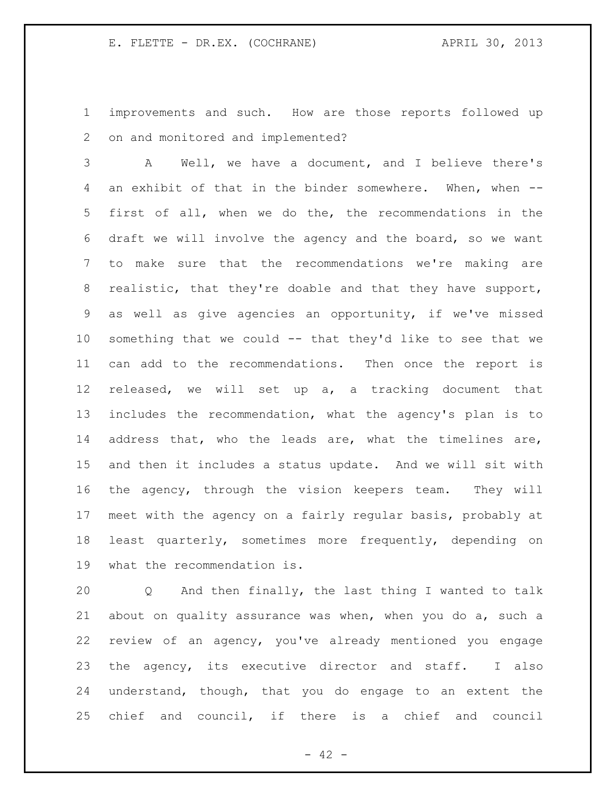improvements and such. How are those reports followed up on and monitored and implemented?

 A Well, we have a document, and I believe there's an exhibit of that in the binder somewhere. When, when -- first of all, when we do the, the recommendations in the draft we will involve the agency and the board, so we want to make sure that the recommendations we're making are realistic, that they're doable and that they have support, as well as give agencies an opportunity, if we've missed something that we could -- that they'd like to see that we can add to the recommendations. Then once the report is released, we will set up a, a tracking document that includes the recommendation, what the agency's plan is to address that, who the leads are, what the timelines are, and then it includes a status update. And we will sit with the agency, through the vision keepers team. They will meet with the agency on a fairly regular basis, probably at least quarterly, sometimes more frequently, depending on what the recommendation is.

 Q And then finally, the last thing I wanted to talk about on quality assurance was when, when you do a, such a review of an agency, you've already mentioned you engage 23 the agency, its executive director and staff. I also understand, though, that you do engage to an extent the chief and council, if there is a chief and council

 $- 42 -$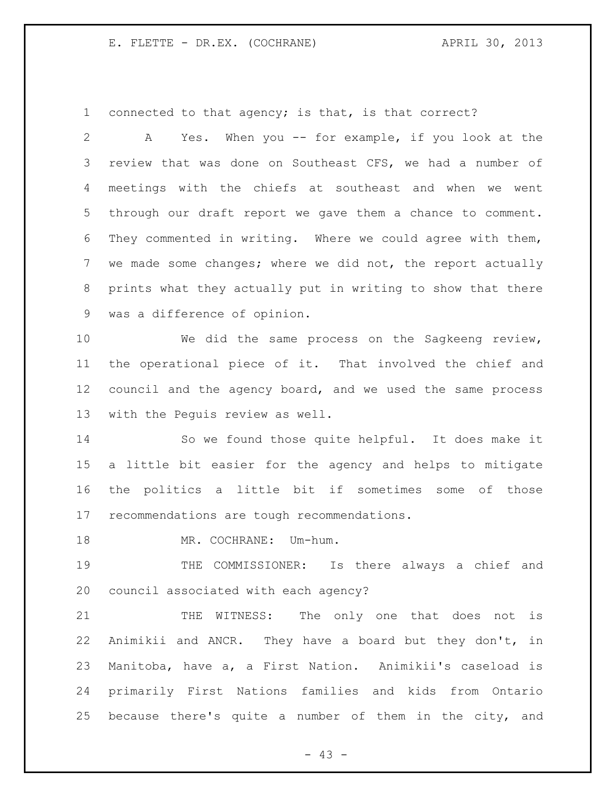connected to that agency; is that, is that correct?

 A Yes. When you -- for example, if you look at the review that was done on Southeast CFS, we had a number of meetings with the chiefs at southeast and when we went through our draft report we gave them a chance to comment. They commented in writing. Where we could agree with them, we made some changes; where we did not, the report actually prints what they actually put in writing to show that there was a difference of opinion. We did the same process on the Sagkeeng review,

 the operational piece of it. That involved the chief and council and the agency board, and we used the same process with the Peguis review as well.

 So we found those quite helpful. It does make it a little bit easier for the agency and helps to mitigate the politics a little bit if sometimes some of those recommendations are tough recommendations.

18 MR. COCHRANE: Um-hum.

 THE COMMISSIONER: Is there always a chief and council associated with each agency?

21 THE WITNESS: The only one that does not is Animikii and ANCR. They have a board but they don't, in Manitoba, have a, a First Nation. Animikii's caseload is primarily First Nations families and kids from Ontario because there's quite a number of them in the city, and

- 43 -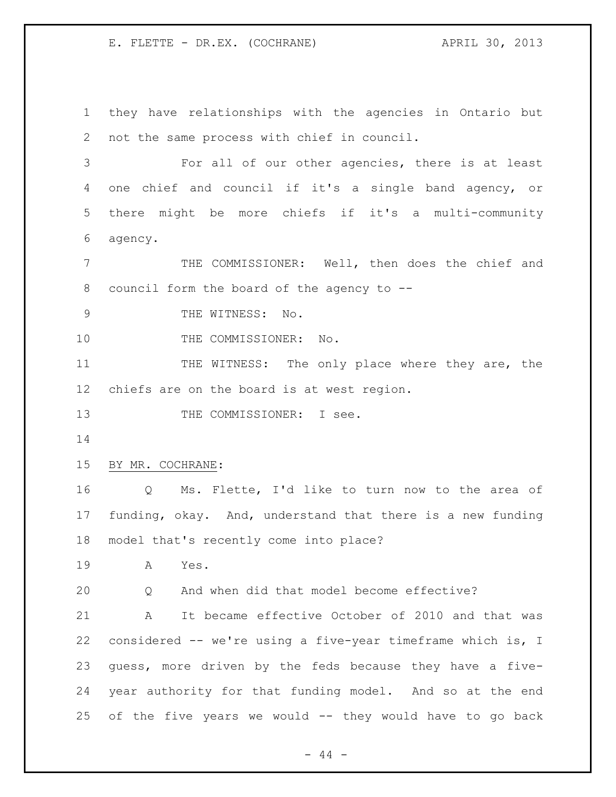they have relationships with the agencies in Ontario but not the same process with chief in council. For all of our other agencies, there is at least one chief and council if it's a single band agency, or there might be more chiefs if it's a multi-community agency. THE COMMISSIONER: Well, then does the chief and council form the board of the agency to -- 9 THE WITNESS: No. 10 THE COMMISSIONER: No. 11 THE WITNESS: The only place where they are, the chiefs are on the board is at west region. 13 THE COMMISSIONER: I see. BY MR. COCHRANE: Q Ms. Flette, I'd like to turn now to the area of funding, okay. And, understand that there is a new funding model that's recently come into place? A Yes. Q And when did that model become effective? A It became effective October of 2010 and that was considered -- we're using a five-year timeframe which is, I guess, more driven by the feds because they have a five- year authority for that funding model. And so at the end of the five years we would -- they would have to go back

 $-44 -$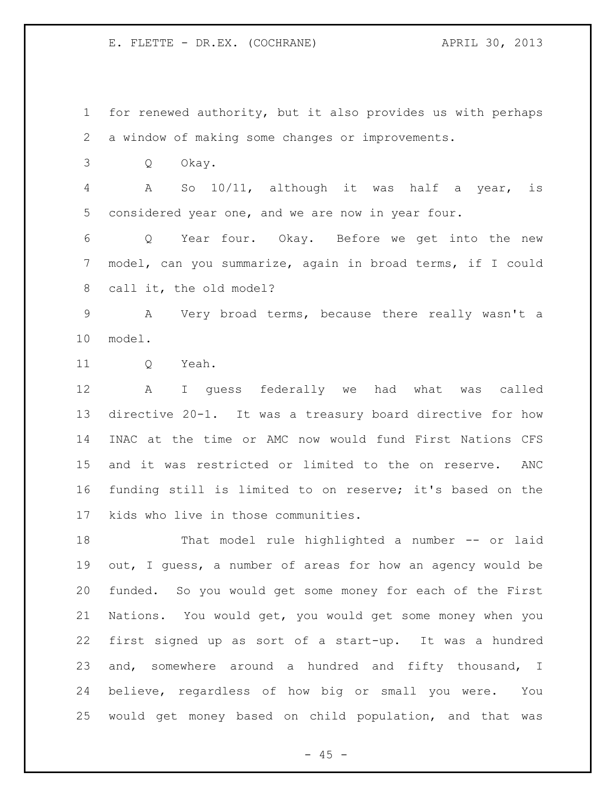for renewed authority, but it also provides us with perhaps a window of making some changes or improvements. Q Okay. A So 10/11, although it was half a year, is considered year one, and we are now in year four. Q Year four. Okay. Before we get into the new model, can you summarize, again in broad terms, if I could call it, the old model? A Very broad terms, because there really wasn't a model. 11 O Yeah. A I guess federally we had what was called directive 20-1. It was a treasury board directive for how INAC at the time or AMC now would fund First Nations CFS and it was restricted or limited to the on reserve. ANC funding still is limited to on reserve; it's based on the kids who live in those communities. That model rule highlighted a number -- or laid out, I guess, a number of areas for how an agency would be funded. So you would get some money for each of the First Nations. You would get, you would get some money when you first signed up as sort of a start-up. It was a hundred and, somewhere around a hundred and fifty thousand, I believe, regardless of how big or small you were. You would get money based on child population, and that was

 $- 45 -$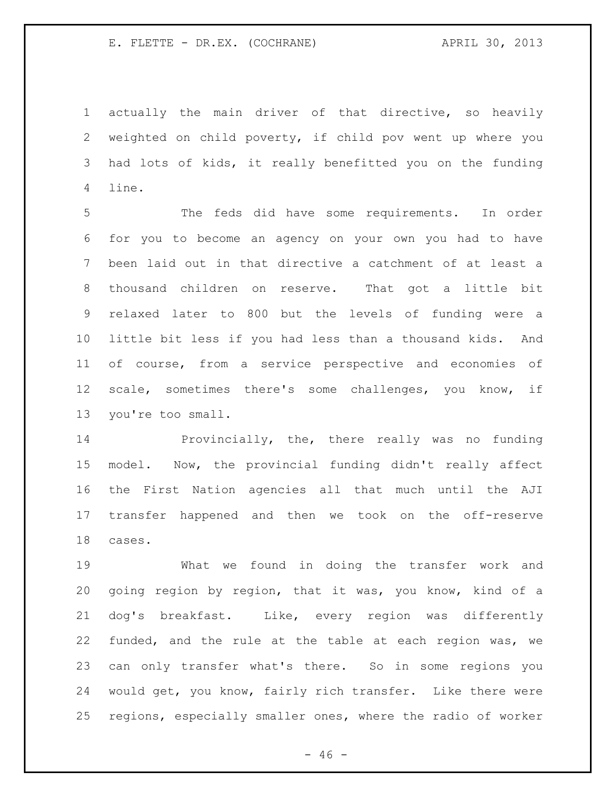actually the main driver of that directive, so heavily weighted on child poverty, if child pov went up where you had lots of kids, it really benefitted you on the funding line.

 The feds did have some requirements. In order for you to become an agency on your own you had to have been laid out in that directive a catchment of at least a thousand children on reserve. That got a little bit relaxed later to 800 but the levels of funding were a little bit less if you had less than a thousand kids. And of course, from a service perspective and economies of scale, sometimes there's some challenges, you know, if you're too small.

 Provincially, the, there really was no funding model. Now, the provincial funding didn't really affect the First Nation agencies all that much until the AJI transfer happened and then we took on the off-reserve cases.

 What we found in doing the transfer work and going region by region, that it was, you know, kind of a dog's breakfast. Like, every region was differently funded, and the rule at the table at each region was, we can only transfer what's there. So in some regions you would get, you know, fairly rich transfer. Like there were regions, especially smaller ones, where the radio of worker

 $- 46 -$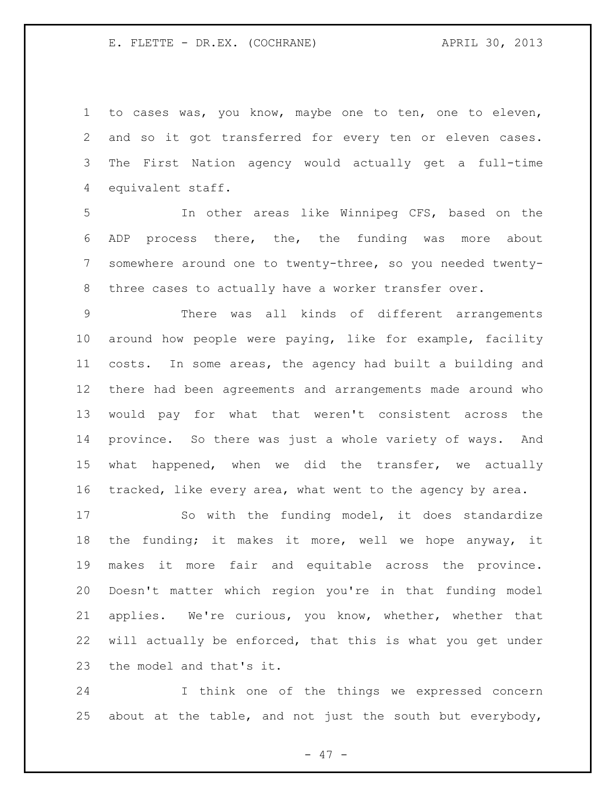to cases was, you know, maybe one to ten, one to eleven, and so it got transferred for every ten or eleven cases. The First Nation agency would actually get a full-time equivalent staff.

 In other areas like Winnipeg CFS, based on the ADP process there, the, the funding was more about somewhere around one to twenty-three, so you needed twenty-three cases to actually have a worker transfer over.

 There was all kinds of different arrangements around how people were paying, like for example, facility costs. In some areas, the agency had built a building and there had been agreements and arrangements made around who would pay for what that weren't consistent across the province. So there was just a whole variety of ways. And what happened, when we did the transfer, we actually tracked, like every area, what went to the agency by area.

 So with the funding model, it does standardize the funding; it makes it more, well we hope anyway, it makes it more fair and equitable across the province. Doesn't matter which region you're in that funding model applies. We're curious, you know, whether, whether that will actually be enforced, that this is what you get under the model and that's it.

 I think one of the things we expressed concern 25 about at the table, and not just the south but everybody,

- 47 -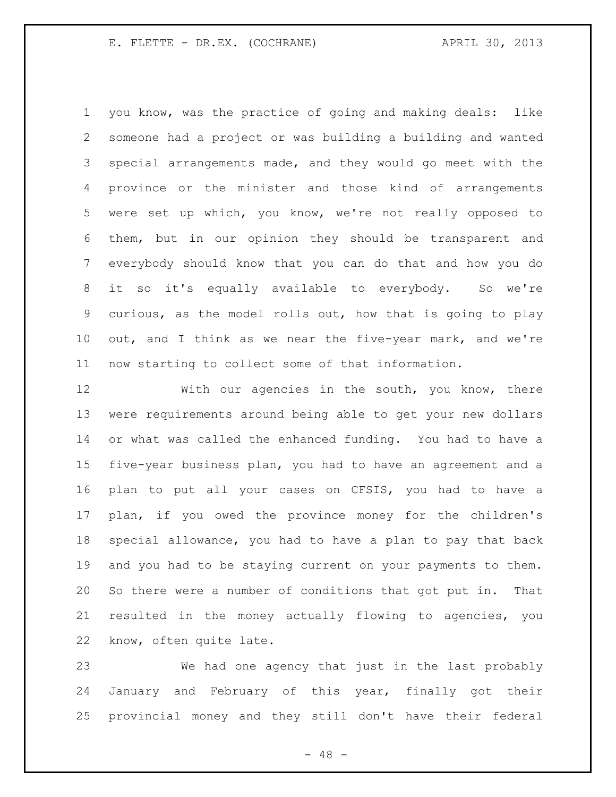you know, was the practice of going and making deals: like someone had a project or was building a building and wanted special arrangements made, and they would go meet with the province or the minister and those kind of arrangements were set up which, you know, we're not really opposed to them, but in our opinion they should be transparent and everybody should know that you can do that and how you do it so it's equally available to everybody. So we're curious, as the model rolls out, how that is going to play out, and I think as we near the five-year mark, and we're now starting to collect some of that information.

 With our agencies in the south, you know, there were requirements around being able to get your new dollars or what was called the enhanced funding. You had to have a five-year business plan, you had to have an agreement and a plan to put all your cases on CFSIS, you had to have a plan, if you owed the province money for the children's special allowance, you had to have a plan to pay that back and you had to be staying current on your payments to them. So there were a number of conditions that got put in. That resulted in the money actually flowing to agencies, you know, often quite late.

 We had one agency that just in the last probably January and February of this year, finally got their provincial money and they still don't have their federal

- 48 -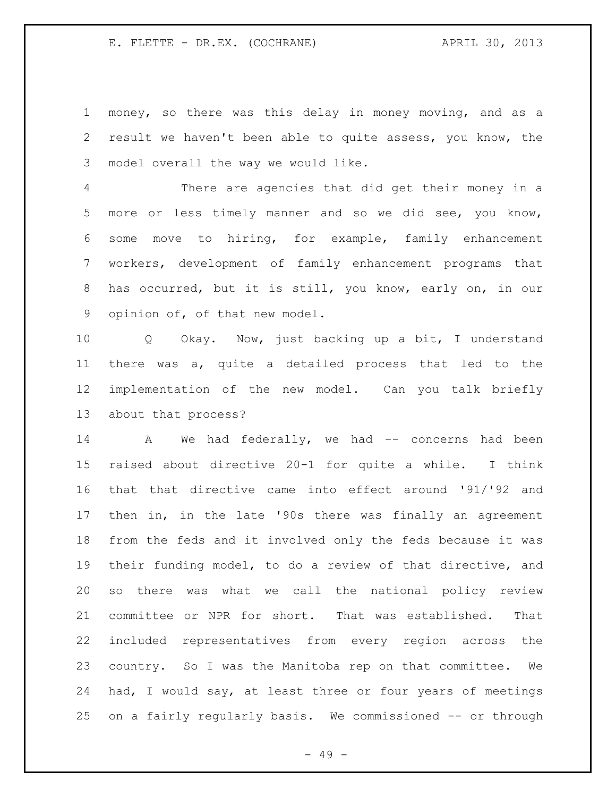money, so there was this delay in money moving, and as a result we haven't been able to quite assess, you know, the model overall the way we would like.

 There are agencies that did get their money in a more or less timely manner and so we did see, you know, some move to hiring, for example, family enhancement workers, development of family enhancement programs that has occurred, but it is still, you know, early on, in our opinion of, of that new model.

 Q Okay. Now, just backing up a bit, I understand there was a, quite a detailed process that led to the implementation of the new model. Can you talk briefly about that process?

14 A We had federally, we had -- concerns had been raised about directive 20-1 for quite a while. I think that that directive came into effect around '91/'92 and then in, in the late '90s there was finally an agreement from the feds and it involved only the feds because it was their funding model, to do a review of that directive, and so there was what we call the national policy review committee or NPR for short. That was established. That included representatives from every region across the country. So I was the Manitoba rep on that committee. We had, I would say, at least three or four years of meetings on a fairly regularly basis. We commissioned -- or through

- 49 -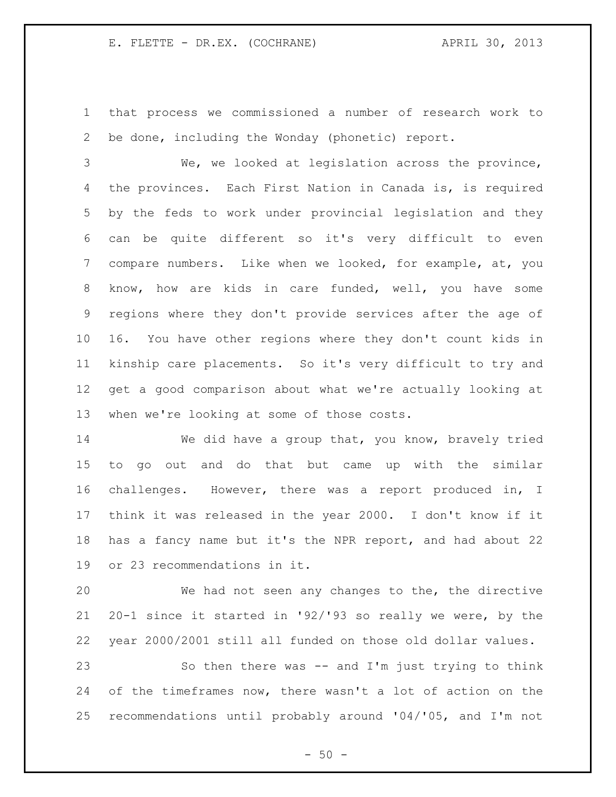that process we commissioned a number of research work to be done, including the Wonday (phonetic) report.

 We, we looked at legislation across the province, the provinces. Each First Nation in Canada is, is required by the feds to work under provincial legislation and they can be quite different so it's very difficult to even compare numbers. Like when we looked, for example, at, you know, how are kids in care funded, well, you have some regions where they don't provide services after the age of 16. You have other regions where they don't count kids in kinship care placements. So it's very difficult to try and get a good comparison about what we're actually looking at when we're looking at some of those costs.

 We did have a group that, you know, bravely tried to go out and do that but came up with the similar challenges. However, there was a report produced in, I think it was released in the year 2000. I don't know if it has a fancy name but it's the NPR report, and had about 22 or 23 recommendations in it.

 We had not seen any changes to the, the directive 20-1 since it started in '92/'93 so really we were, by the year 2000/2001 still all funded on those old dollar values. So then there was -- and I'm just trying to think

 of the timeframes now, there wasn't a lot of action on the recommendations until probably around '04/'05, and I'm not

 $-50 -$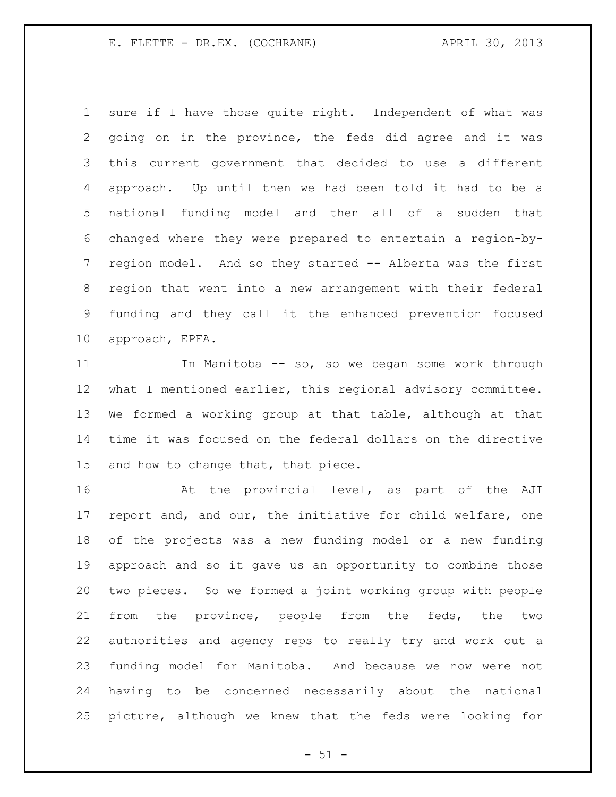sure if I have those quite right. Independent of what was going on in the province, the feds did agree and it was this current government that decided to use a different approach. Up until then we had been told it had to be a national funding model and then all of a sudden that changed where they were prepared to entertain a region-by- region model. And so they started -- Alberta was the first region that went into a new arrangement with their federal funding and they call it the enhanced prevention focused approach, EPFA.

 In Manitoba -- so, so we began some work through what I mentioned earlier, this regional advisory committee. We formed a working group at that table, although at that time it was focused on the federal dollars on the directive and how to change that, that piece.

16 6 At the provincial level, as part of the AJI report and, and our, the initiative for child welfare, one of the projects was a new funding model or a new funding approach and so it gave us an opportunity to combine those two pieces. So we formed a joint working group with people from the province, people from the feds, the two authorities and agency reps to really try and work out a funding model for Manitoba. And because we now were not having to be concerned necessarily about the national picture, although we knew that the feds were looking for

 $- 51 -$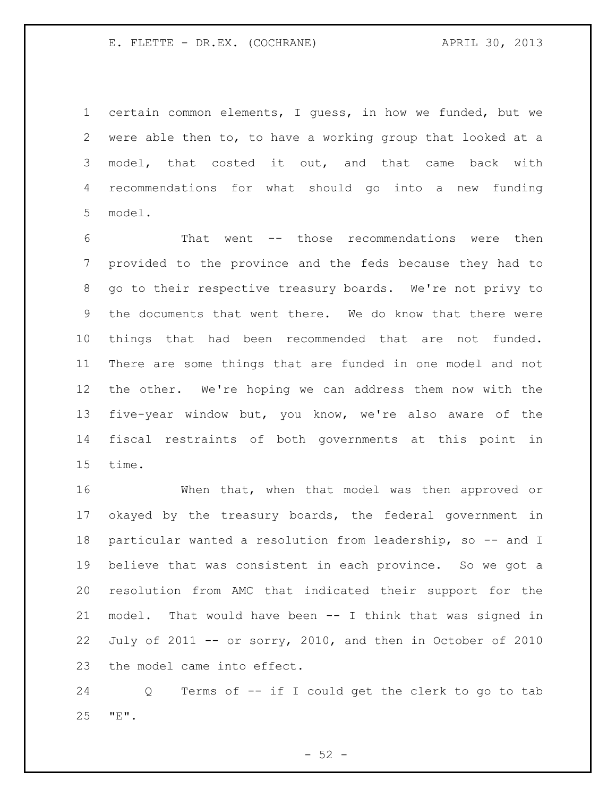certain common elements, I guess, in how we funded, but we were able then to, to have a working group that looked at a model, that costed it out, and that came back with recommendations for what should go into a new funding model.

 That went -- those recommendations were then provided to the province and the feds because they had to go to their respective treasury boards. We're not privy to the documents that went there. We do know that there were things that had been recommended that are not funded. There are some things that are funded in one model and not the other. We're hoping we can address them now with the five-year window but, you know, we're also aware of the fiscal restraints of both governments at this point in time.

 When that, when that model was then approved or okayed by the treasury boards, the federal government in 18 particular wanted a resolution from leadership, so -- and I believe that was consistent in each province. So we got a resolution from AMC that indicated their support for the model. That would have been -- I think that was signed in July of 2011 -- or sorry, 2010, and then in October of 2010 the model came into effect.

 Q Terms of -- if I could get the clerk to go to tab "E".

 $-52 -$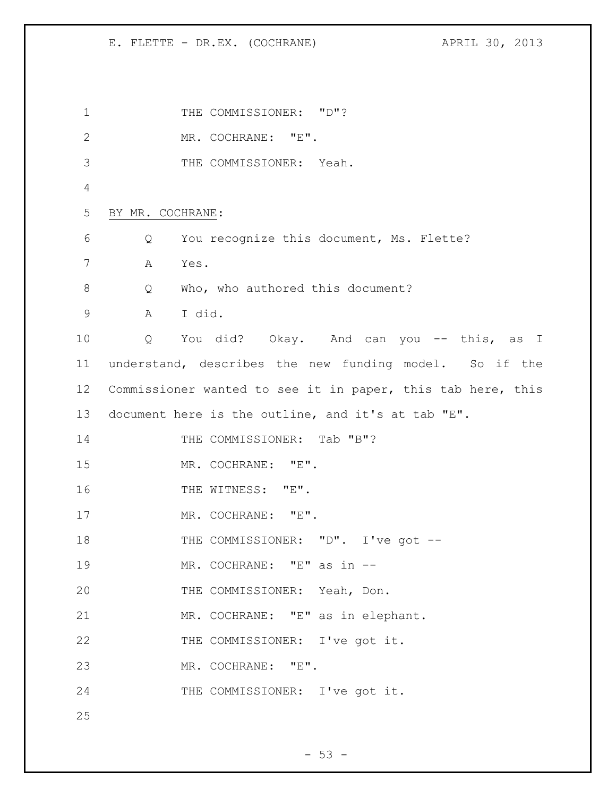1 THE COMMISSIONER: "D"? MR. COCHRANE: "E". THE COMMISSIONER: Yeah. BY MR. COCHRANE: Q You recognize this document, Ms. Flette? A Yes. 8 Q Who, who authored this document? A I did. Q You did? Okay. And can you -- this, as I understand, describes the new funding model. So if the Commissioner wanted to see it in paper, this tab here, this document here is the outline, and it's at tab "E". 14 THE COMMISSIONER: Tab "B"? MR. COCHRANE: "E". 16 THE WITNESS: "E". 17 MR. COCHRANE: "E". 18 THE COMMISSIONER: "D". I've got -- MR. COCHRANE: "E" as in -- THE COMMISSIONER: Yeah, Don. MR. COCHRANE: "E" as in elephant. THE COMMISSIONER: I've got it. MR. COCHRANE: "E". THE COMMISSIONER: I've got it.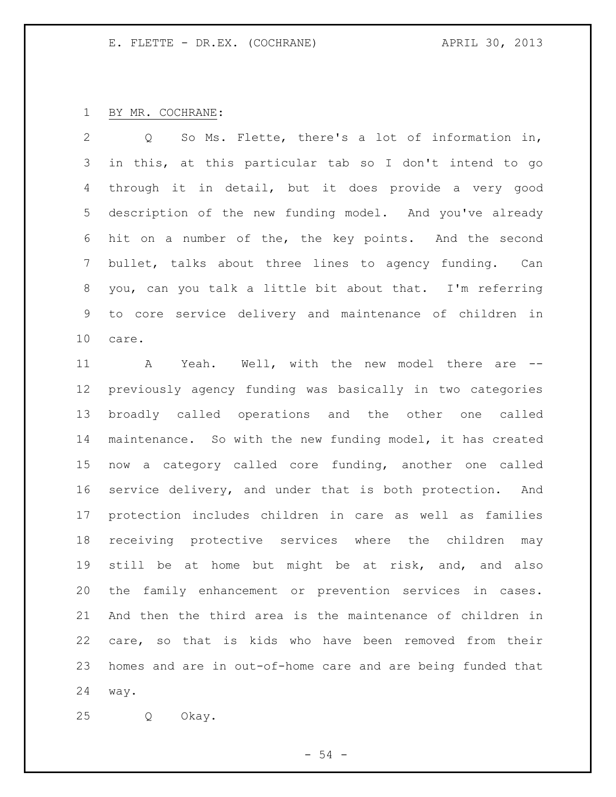# BY MR. COCHRANE:

 Q So Ms. Flette, there's a lot of information in, in this, at this particular tab so I don't intend to go through it in detail, but it does provide a very good description of the new funding model. And you've already hit on a number of the, the key points. And the second bullet, talks about three lines to agency funding. Can you, can you talk a little bit about that. I'm referring to core service delivery and maintenance of children in care.

 A Yeah. Well, with the new model there are -- previously agency funding was basically in two categories broadly called operations and the other one called maintenance. So with the new funding model, it has created now a category called core funding, another one called service delivery, and under that is both protection. And protection includes children in care as well as families receiving protective services where the children may still be at home but might be at risk, and, and also the family enhancement or prevention services in cases. And then the third area is the maintenance of children in care, so that is kids who have been removed from their homes and are in out-of-home care and are being funded that way.

Q Okay.

 $-54 -$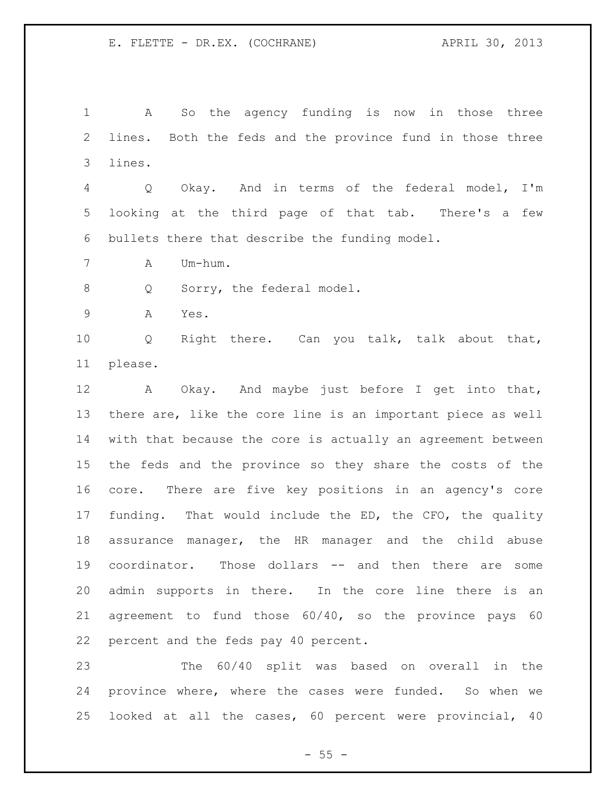A So the agency funding is now in those three lines. Both the feds and the province fund in those three lines.

 Q Okay. And in terms of the federal model, I'm looking at the third page of that tab. There's a few bullets there that describe the funding model.

A Um-hum.

8 Q Sorry, the federal model.

A Yes.

 Q Right there. Can you talk, talk about that, please.

 A Okay. And maybe just before I get into that, there are, like the core line is an important piece as well with that because the core is actually an agreement between the feds and the province so they share the costs of the core. There are five key positions in an agency's core funding. That would include the ED, the CFO, the quality assurance manager, the HR manager and the child abuse coordinator. Those dollars -- and then there are some admin supports in there. In the core line there is an agreement to fund those 60/40, so the province pays 60 percent and the feds pay 40 percent.

 The 60/40 split was based on overall in the province where, where the cases were funded. So when we looked at all the cases, 60 percent were provincial, 40

 $- 55 -$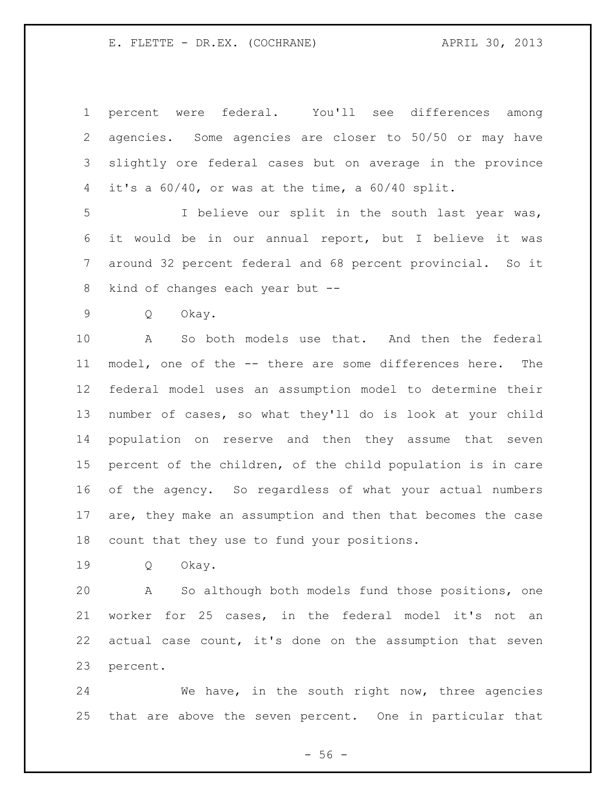percent were federal. You'll see differences among agencies. Some agencies are closer to 50/50 or may have slightly ore federal cases but on average in the province it's a 60/40, or was at the time, a 60/40 split.

 I believe our split in the south last year was, it would be in our annual report, but I believe it was around 32 percent federal and 68 percent provincial. So it kind of changes each year but --

Q Okay.

 A So both models use that. And then the federal model, one of the -- there are some differences here. The federal model uses an assumption model to determine their number of cases, so what they'll do is look at your child population on reserve and then they assume that seven percent of the children, of the child population is in care of the agency. So regardless of what your actual numbers are, they make an assumption and then that becomes the case count that they use to fund your positions.

Q Okay.

 A So although both models fund those positions, one worker for 25 cases, in the federal model it's not an actual case count, it's done on the assumption that seven percent.

 We have, in the south right now, three agencies that are above the seven percent. One in particular that

 $- 56 -$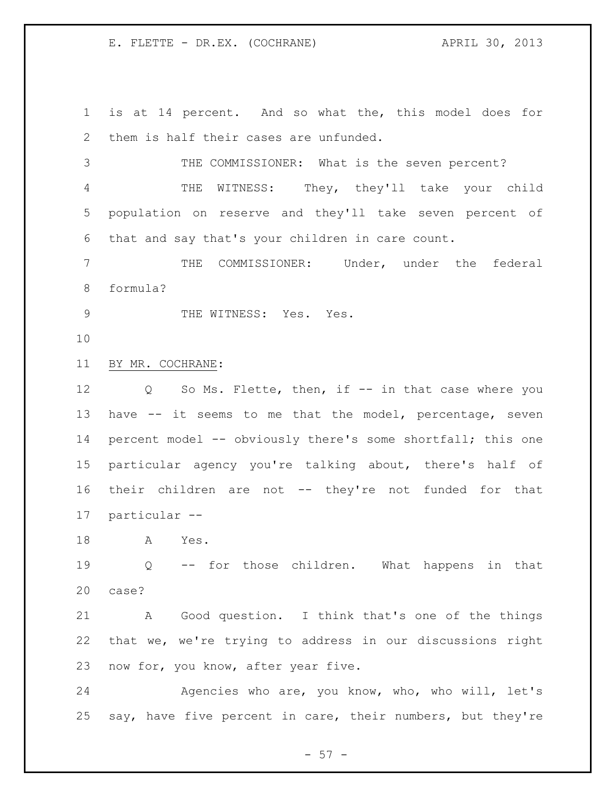is at 14 percent. And so what the, this model does for them is half their cases are unfunded. THE COMMISSIONER: What is the seven percent?

 THE WITNESS: They, they'll take your child population on reserve and they'll take seven percent of that and say that's your children in care count.

 THE COMMISSIONER: Under, under the federal formula?

9 THE WITNESS: Yes. Yes.

BY MR. COCHRANE:

12 Q So Ms. Flette, then, if -- in that case where you have -- it seems to me that the model, percentage, seven 14 percent model -- obviously there's some shortfall; this one particular agency you're talking about, there's half of their children are not -- they're not funded for that particular --

A Yes.

 Q -- for those children. What happens in that case?

 A Good question. I think that's one of the things that we, we're trying to address in our discussions right now for, you know, after year five.

24 Agencies who are, you know, who, who will, let's say, have five percent in care, their numbers, but they're

 $-57 -$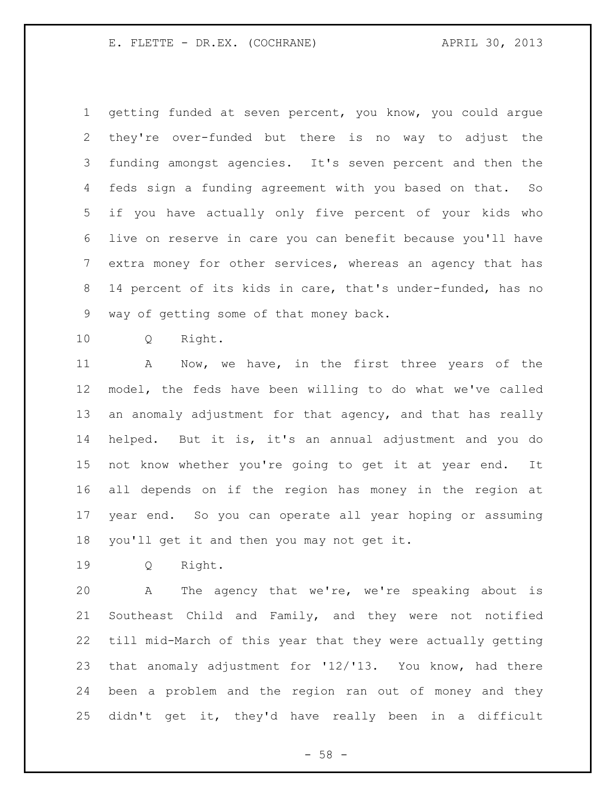getting funded at seven percent, you know, you could argue they're over-funded but there is no way to adjust the funding amongst agencies. It's seven percent and then the feds sign a funding agreement with you based on that. So if you have actually only five percent of your kids who live on reserve in care you can benefit because you'll have extra money for other services, whereas an agency that has 14 percent of its kids in care, that's under-funded, has no way of getting some of that money back.

Q Right.

 A Now, we have, in the first three years of the model, the feds have been willing to do what we've called an anomaly adjustment for that agency, and that has really helped. But it is, it's an annual adjustment and you do not know whether you're going to get it at year end. It all depends on if the region has money in the region at year end. So you can operate all year hoping or assuming you'll get it and then you may not get it.

Q Right.

 A The agency that we're, we're speaking about is Southeast Child and Family, and they were not notified till mid-March of this year that they were actually getting that anomaly adjustment for '12/'13. You know, had there been a problem and the region ran out of money and they didn't get it, they'd have really been in a difficult

 $- 58 -$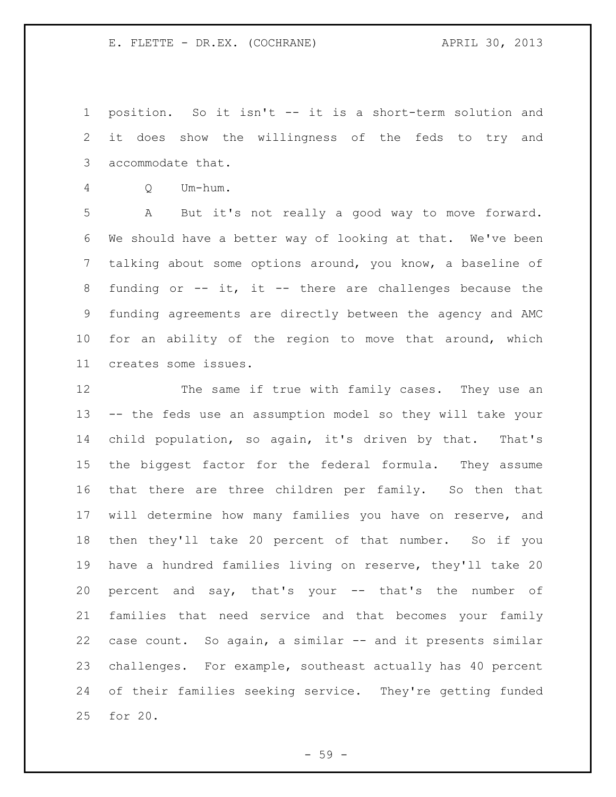position. So it isn't -- it is a short-term solution and it does show the willingness of the feds to try and accommodate that.

Q Um-hum.

 A But it's not really a good way to move forward. We should have a better way of looking at that. We've been talking about some options around, you know, a baseline of funding or -- it, it -- there are challenges because the funding agreements are directly between the agency and AMC for an ability of the region to move that around, which creates some issues.

 The same if true with family cases. They use an -- the feds use an assumption model so they will take your child population, so again, it's driven by that. That's the biggest factor for the federal formula. They assume that there are three children per family. So then that will determine how many families you have on reserve, and then they'll take 20 percent of that number. So if you have a hundred families living on reserve, they'll take 20 percent and say, that's your -- that's the number of families that need service and that becomes your family case count. So again, a similar -- and it presents similar challenges. For example, southeast actually has 40 percent of their families seeking service. They're getting funded for 20.

- 59 -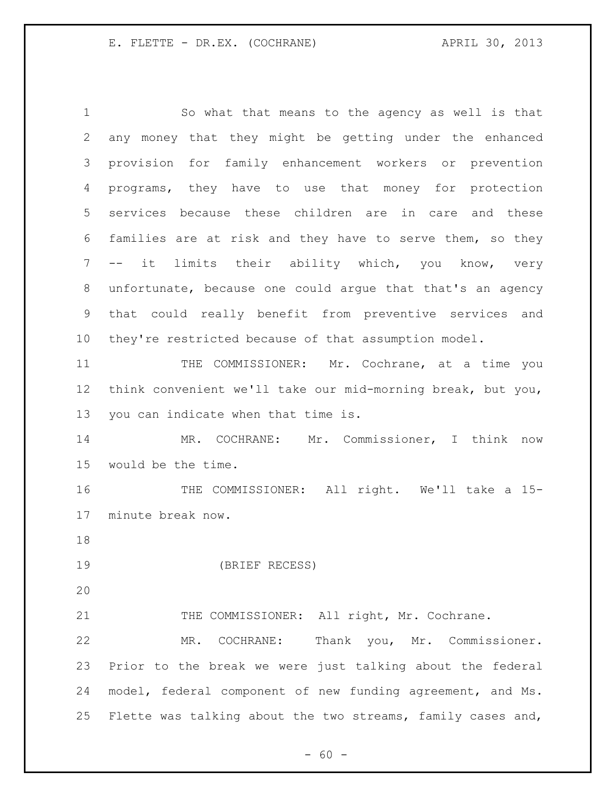So what that means to the agency as well is that any money that they might be getting under the enhanced provision for family enhancement workers or prevention programs, they have to use that money for protection services because these children are in care and these families are at risk and they have to serve them, so they -- it limits their ability which, you know, very unfortunate, because one could argue that that's an agency that could really benefit from preventive services and they're restricted because of that assumption model. THE COMMISSIONER: Mr. Cochrane, at a time you think convenient we'll take our mid-morning break, but you, you can indicate when that time is.

 MR. COCHRANE: Mr. Commissioner, I think now would be the time.

 THE COMMISSIONER: All right. We'll take a 15- minute break now.

(BRIEF RECESS)

21 THE COMMISSIONER: All right, Mr. Cochrane.

 MR. COCHRANE: Thank you, Mr. Commissioner. Prior to the break we were just talking about the federal model, federal component of new funding agreement, and Ms. Flette was talking about the two streams, family cases and,

 $- 60 -$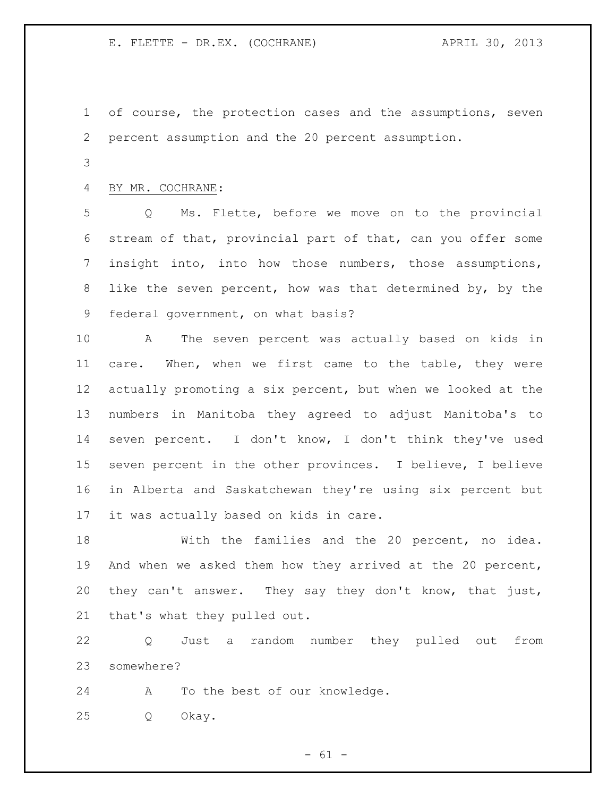- of course, the protection cases and the assumptions, seven percent assumption and the 20 percent assumption.
- 

# BY MR. COCHRANE:

 Q Ms. Flette, before we move on to the provincial stream of that, provincial part of that, can you offer some insight into, into how those numbers, those assumptions, like the seven percent, how was that determined by, by the federal government, on what basis?

 A The seven percent was actually based on kids in care. When, when we first came to the table, they were actually promoting a six percent, but when we looked at the numbers in Manitoba they agreed to adjust Manitoba's to seven percent. I don't know, I don't think they've used seven percent in the other provinces. I believe, I believe in Alberta and Saskatchewan they're using six percent but it was actually based on kids in care.

 With the families and the 20 percent, no idea. And when we asked them how they arrived at the 20 percent, they can't answer. They say they don't know, that just, that's what they pulled out.

 Q Just a random number they pulled out from somewhere?

A To the best of our knowledge.

Q Okay.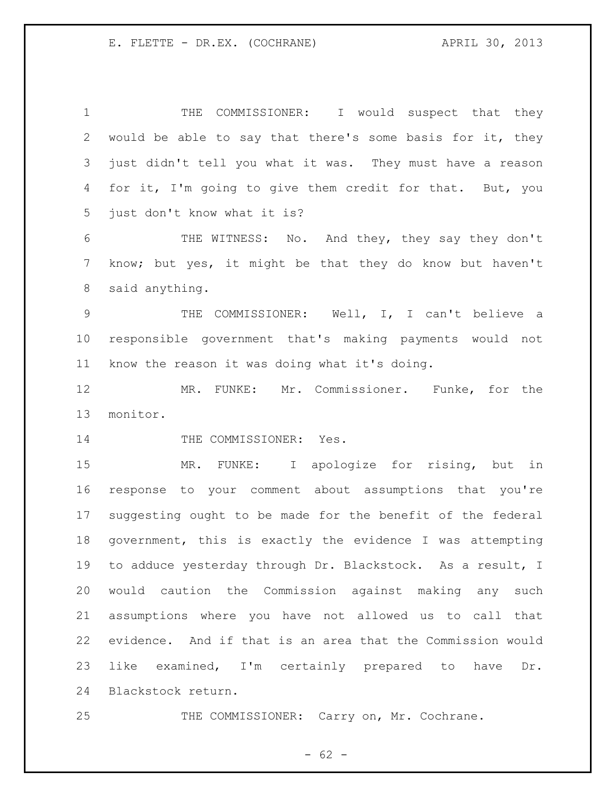1 THE COMMISSIONER: I would suspect that they would be able to say that there's some basis for it, they just didn't tell you what it was. They must have a reason for it, I'm going to give them credit for that. But, you just don't know what it is? THE WITNESS: No. And they, they say they don't know; but yes, it might be that they do know but haven't said anything. THE COMMISSIONER: Well, I, I can't believe a responsible government that's making payments would not know the reason it was doing what it's doing. MR. FUNKE: Mr. Commissioner. Funke, for the monitor. 14 THE COMMISSIONER: Yes. MR. FUNKE: I apologize for rising, but in response to your comment about assumptions that you're suggesting ought to be made for the benefit of the federal government, this is exactly the evidence I was attempting to adduce yesterday through Dr. Blackstock. As a result, I would caution the Commission against making any such assumptions where you have not allowed us to call that evidence. And if that is an area that the Commission would like examined, I'm certainly prepared to have Dr. Blackstock return. 25 THE COMMISSIONER: Carry on, Mr. Cochrane.

 $- 62 -$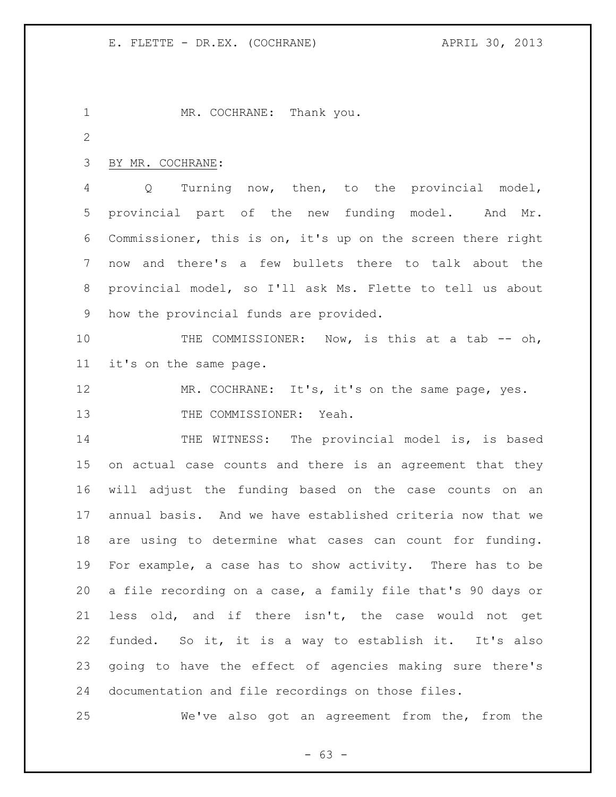1 MR. COCHRANE: Thank you. BY MR. COCHRANE: Q Turning now, then, to the provincial model, provincial part of the new funding model. And Mr. Commissioner, this is on, it's up on the screen there right now and there's a few bullets there to talk about the provincial model, so I'll ask Ms. Flette to tell us about how the provincial funds are provided. 10 THE COMMISSIONER: Now, is this at a tab -- oh, it's on the same page. 12 MR. COCHRANE: It's, it's on the same page, yes. 13 THE COMMISSIONER: Yeah. 14 THE WITNESS: The provincial model is, is based on actual case counts and there is an agreement that they will adjust the funding based on the case counts on an annual basis. And we have established criteria now that we are using to determine what cases can count for funding. For example, a case has to show activity. There has to be a file recording on a case, a family file that's 90 days or less old, and if there isn't, the case would not get funded. So it, it is a way to establish it. It's also going to have the effect of agencies making sure there's documentation and file recordings on those files. We've also got an agreement from the, from the

- 63 -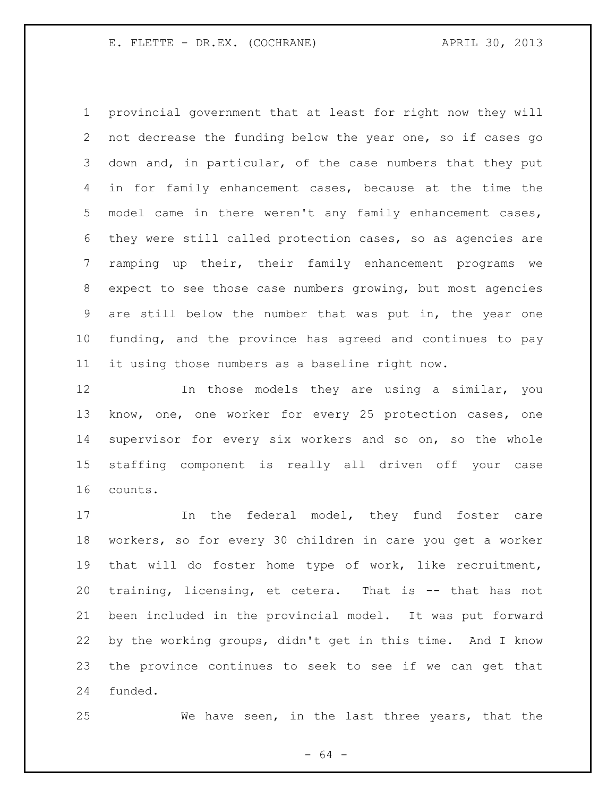provincial government that at least for right now they will not decrease the funding below the year one, so if cases go down and, in particular, of the case numbers that they put in for family enhancement cases, because at the time the model came in there weren't any family enhancement cases, they were still called protection cases, so as agencies are ramping up their, their family enhancement programs we expect to see those case numbers growing, but most agencies are still below the number that was put in, the year one funding, and the province has agreed and continues to pay it using those numbers as a baseline right now.

 In those models they are using a similar, you know, one, one worker for every 25 protection cases, one supervisor for every six workers and so on, so the whole staffing component is really all driven off your case counts.

 In the federal model, they fund foster care workers, so for every 30 children in care you get a worker that will do foster home type of work, like recruitment, training, licensing, et cetera. That is -- that has not been included in the provincial model. It was put forward by the working groups, didn't get in this time. And I know the province continues to seek to see if we can get that funded.

We have seen, in the last three years, that the

- 64 -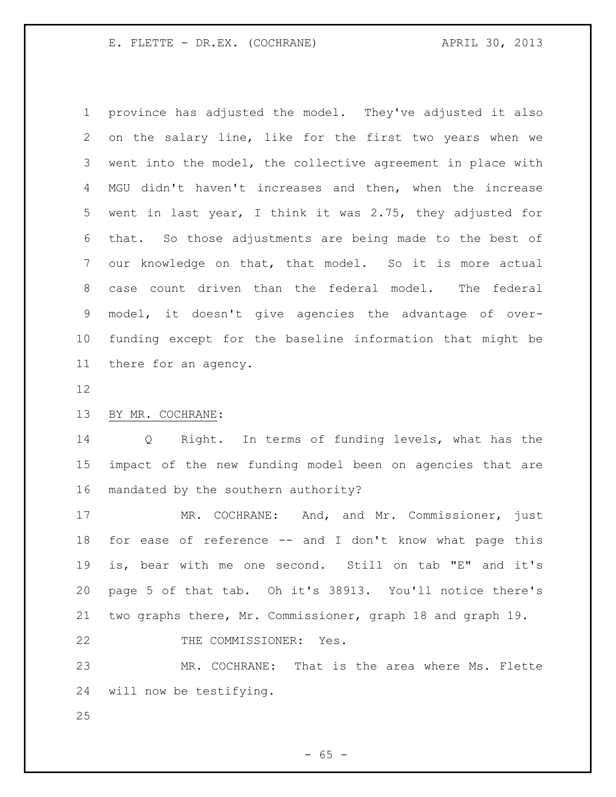province has adjusted the model. They've adjusted it also on the salary line, like for the first two years when we went into the model, the collective agreement in place with MGU didn't haven't increases and then, when the increase went in last year, I think it was 2.75, they adjusted for that. So those adjustments are being made to the best of our knowledge on that, that model. So it is more actual case count driven than the federal model. The federal model, it doesn't give agencies the advantage of over- funding except for the baseline information that might be there for an agency.

## BY MR. COCHRANE:

 Q Right. In terms of funding levels, what has the impact of the new funding model been on agencies that are mandated by the southern authority?

 MR. COCHRANE: And, and Mr. Commissioner, just for ease of reference -- and I don't know what page this is, bear with me one second. Still on tab "E" and it's page 5 of that tab. Oh it's 38913. You'll notice there's two graphs there, Mr. Commissioner, graph 18 and graph 19. 22 THE COMMISSIONER: Yes.

 MR. COCHRANE: That is the area where Ms. Flette will now be testifying.

 $- 65 -$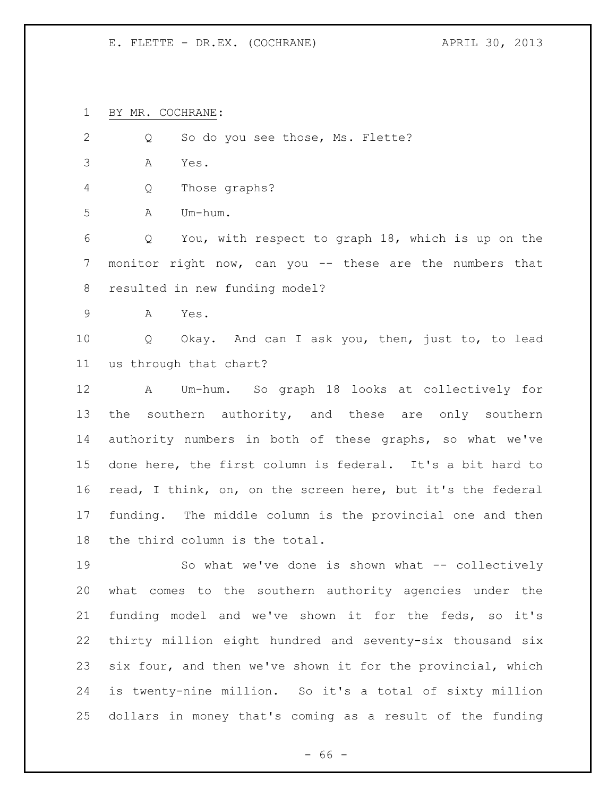BY MR. COCHRANE:

2 Q So do you see those, Ms. Flette? A Yes. Q Those graphs? A Um-hum. Q You, with respect to graph 18, which is up on the monitor right now, can you -- these are the numbers that resulted in new funding model? A Yes. Q Okay. And can I ask you, then, just to, to lead us through that chart? A Um-hum. So graph 18 looks at collectively for 13 the southern authority, and these are only southern authority numbers in both of these graphs, so what we've done here, the first column is federal. It's a bit hard to read, I think, on, on the screen here, but it's the federal funding. The middle column is the provincial one and then the third column is the total. So what we've done is shown what -- collectively what comes to the southern authority agencies under the funding model and we've shown it for the feds, so it's thirty million eight hundred and seventy-six thousand six

 is twenty-nine million. So it's a total of sixty million dollars in money that's coming as a result of the funding

six four, and then we've shown it for the provincial, which

- 66 -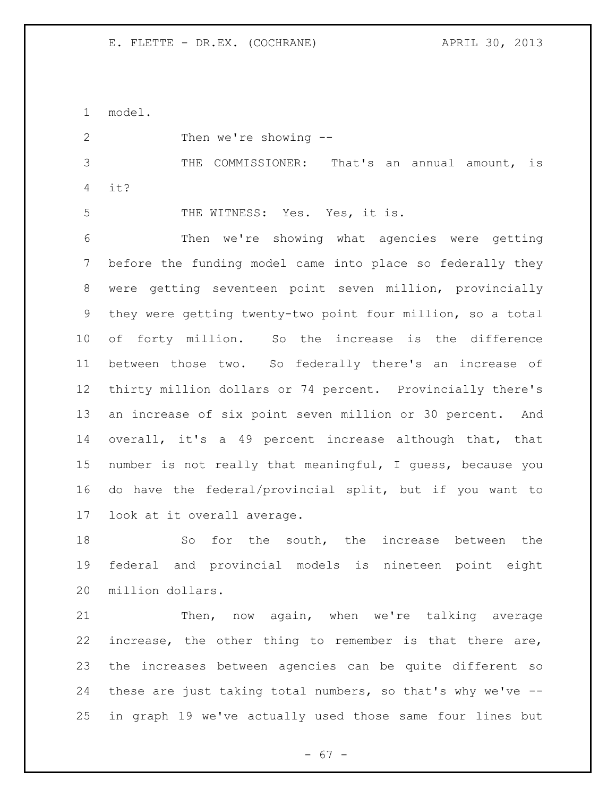model. Then we're showing -- THE COMMISSIONER: That's an annual amount, is it? THE WITNESS: Yes. Yes, it is. Then we're showing what agencies were getting before the funding model came into place so federally they were getting seventeen point seven million, provincially they were getting twenty-two point four million, so a total of forty million. So the increase is the difference between those two. So federally there's an increase of thirty million dollars or 74 percent. Provincially there's an increase of six point seven million or 30 percent. And overall, it's a 49 percent increase although that, that number is not really that meaningful, I guess, because you do have the federal/provincial split, but if you want to look at it overall average.

 So for the south, the increase between the federal and provincial models is nineteen point eight million dollars.

21 Then, now again, when we're talking average increase, the other thing to remember is that there are, the increases between agencies can be quite different so these are just taking total numbers, so that's why we've -- in graph 19 we've actually used those same four lines but

- 67 -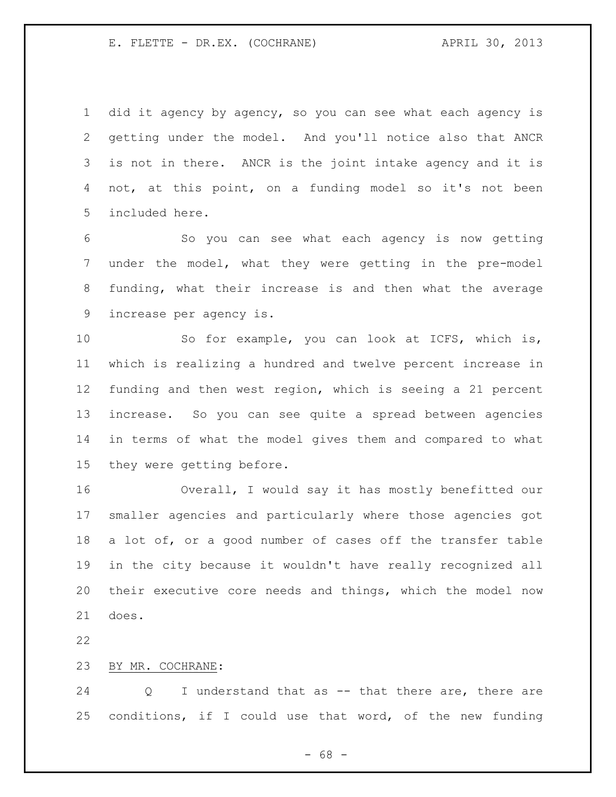did it agency by agency, so you can see what each agency is getting under the model. And you'll notice also that ANCR is not in there. ANCR is the joint intake agency and it is not, at this point, on a funding model so it's not been included here.

 So you can see what each agency is now getting under the model, what they were getting in the pre-model funding, what their increase is and then what the average increase per agency is.

 So for example, you can look at ICFS, which is, which is realizing a hundred and twelve percent increase in funding and then west region, which is seeing a 21 percent increase. So you can see quite a spread between agencies in terms of what the model gives them and compared to what they were getting before.

 Overall, I would say it has mostly benefitted our smaller agencies and particularly where those agencies got 18 a lot of, or a good number of cases off the transfer table in the city because it wouldn't have really recognized all their executive core needs and things, which the model now does.

BY MR. COCHRANE:

 Q I understand that as -- that there are, there are conditions, if I could use that word, of the new funding

 $- 68 -$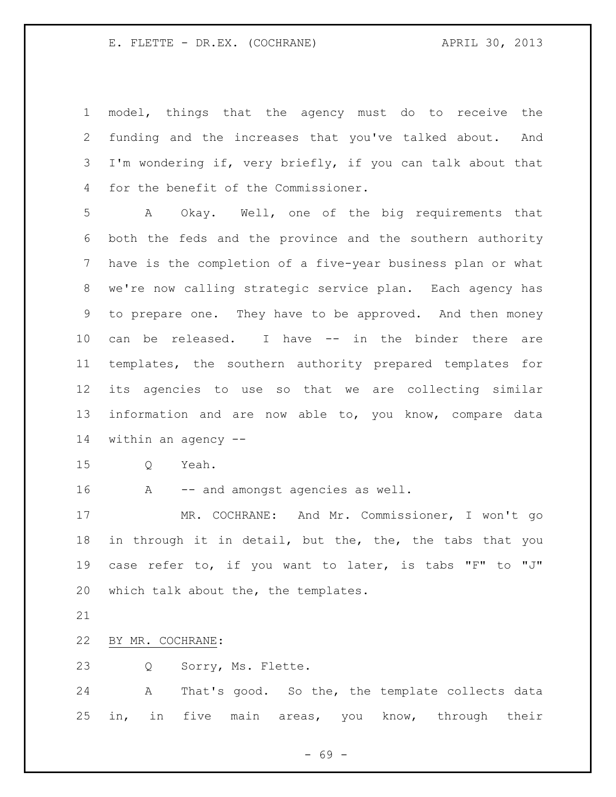model, things that the agency must do to receive the funding and the increases that you've talked about. And 3 I'm wondering if, very briefly, if you can talk about that for the benefit of the Commissioner.

 A Okay. Well, one of the big requirements that both the feds and the province and the southern authority have is the completion of a five-year business plan or what we're now calling strategic service plan. Each agency has to prepare one. They have to be approved. And then money can be released. I have -- in the binder there are templates, the southern authority prepared templates for its agencies to use so that we are collecting similar information and are now able to, you know, compare data within an agency --

Q Yeah.

16 A -- and amongst agencies as well.

 MR. COCHRANE: And Mr. Commissioner, I won't go in through it in detail, but the, the, the tabs that you case refer to, if you want to later, is tabs "F" to "J" which talk about the, the templates.

### BY MR. COCHRANE:

Q Sorry, Ms. Flette.

 A That's good. So the, the template collects data in, in five main areas, you know, through their

- 69 -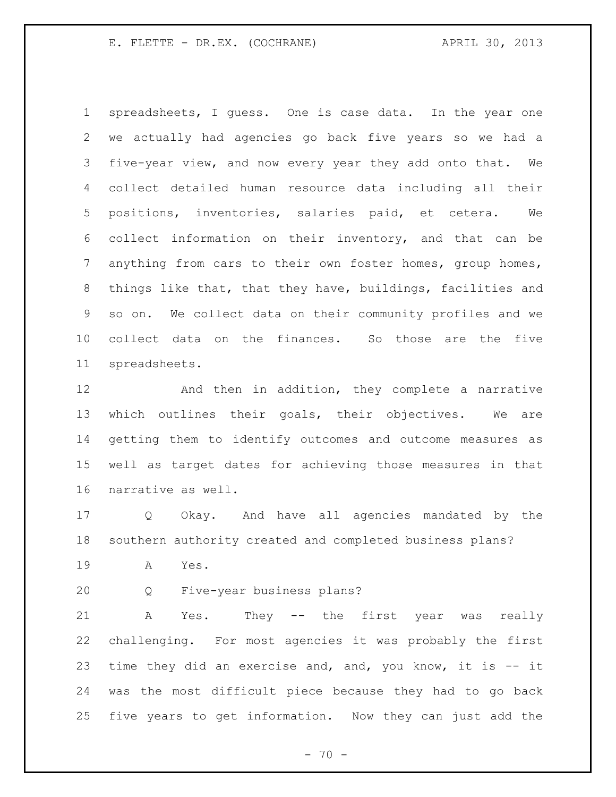spreadsheets, I guess. One is case data. In the year one we actually had agencies go back five years so we had a five-year view, and now every year they add onto that. We collect detailed human resource data including all their positions, inventories, salaries paid, et cetera. We collect information on their inventory, and that can be anything from cars to their own foster homes, group homes, things like that, that they have, buildings, facilities and so on. We collect data on their community profiles and we collect data on the finances. So those are the five spreadsheets.

**And then in addition, they complete a narrative**  which outlines their goals, their objectives. We are getting them to identify outcomes and outcome measures as well as target dates for achieving those measures in that narrative as well.

 Q Okay. And have all agencies mandated by the southern authority created and completed business plans?

A Yes.

Q Five-year business plans?

 A Yes. They -- the first year was really challenging. For most agencies it was probably the first time they did an exercise and, and, you know, it is -- it was the most difficult piece because they had to go back five years to get information. Now they can just add the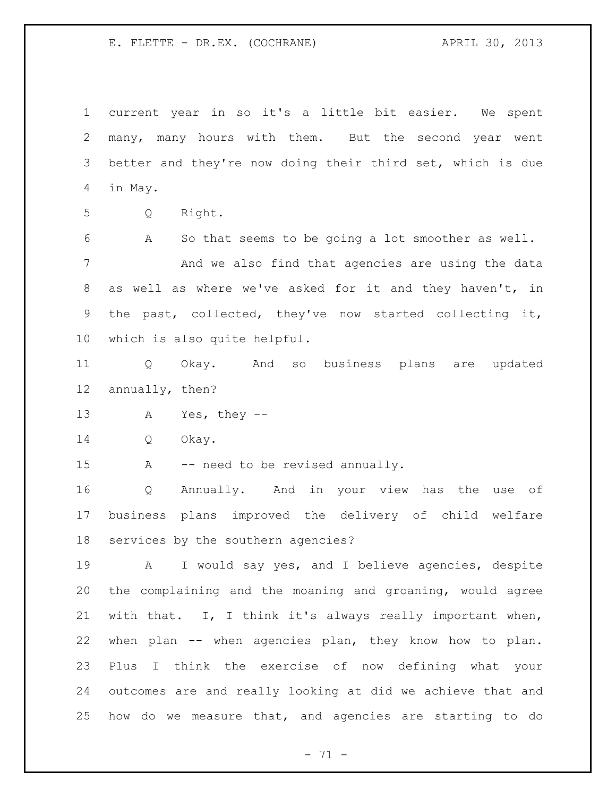current year in so it's a little bit easier. We spent many, many hours with them. But the second year went better and they're now doing their third set, which is due in May.

Q Right.

 A So that seems to be going a lot smoother as well. And we also find that agencies are using the data as well as where we've asked for it and they haven't, in the past, collected, they've now started collecting it, which is also quite helpful.

 Q Okay. And so business plans are updated annually, then?

A Yes, they --

Q Okay.

15 A -- need to be revised annually.

 Q Annually. And in your view has the use of business plans improved the delivery of child welfare services by the southern agencies?

 A I would say yes, and I believe agencies, despite the complaining and the moaning and groaning, would agree with that. I, I think it's always really important when, when plan -- when agencies plan, they know how to plan. Plus I think the exercise of now defining what your outcomes are and really looking at did we achieve that and how do we measure that, and agencies are starting to do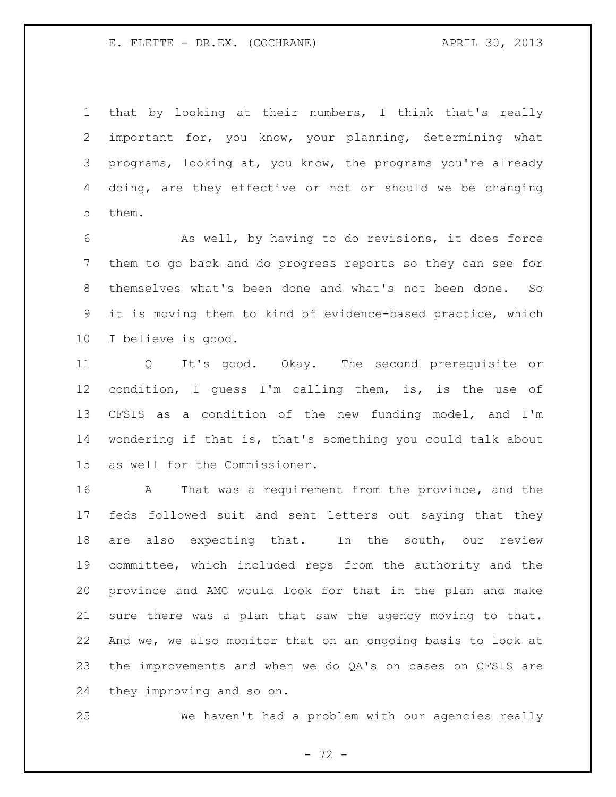that by looking at their numbers, I think that's really important for, you know, your planning, determining what programs, looking at, you know, the programs you're already doing, are they effective or not or should we be changing them.

 As well, by having to do revisions, it does force them to go back and do progress reports so they can see for themselves what's been done and what's not been done. So it is moving them to kind of evidence-based practice, which I believe is good.

 Q It's good. Okay. The second prerequisite or condition, I guess I'm calling them, is, is the use of CFSIS as a condition of the new funding model, and I'm wondering if that is, that's something you could talk about as well for the Commissioner.

 A That was a requirement from the province, and the feds followed suit and sent letters out saying that they are also expecting that. In the south, our review committee, which included reps from the authority and the province and AMC would look for that in the plan and make sure there was a plan that saw the agency moving to that. And we, we also monitor that on an ongoing basis to look at the improvements and when we do QA's on cases on CFSIS are they improving and so on.

We haven't had a problem with our agencies really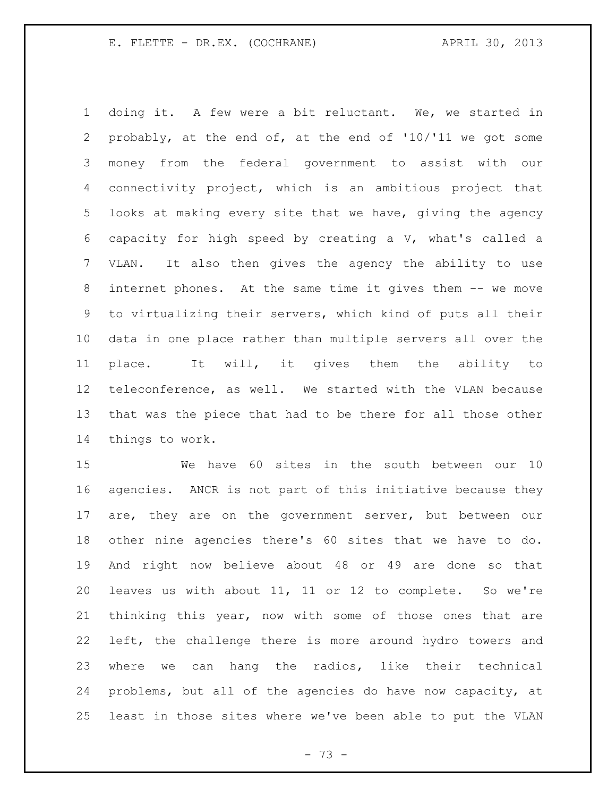doing it. A few were a bit reluctant. We, we started in probably, at the end of, at the end of '10/'11 we got some money from the federal government to assist with our connectivity project, which is an ambitious project that looks at making every site that we have, giving the agency capacity for high speed by creating a V, what's called a VLAN. It also then gives the agency the ability to use internet phones. At the same time it gives them -- we move to virtualizing their servers, which kind of puts all their data in one place rather than multiple servers all over the place. It will, it gives them the ability to teleconference, as well. We started with the VLAN because that was the piece that had to be there for all those other things to work.

 We have 60 sites in the south between our 10 agencies. ANCR is not part of this initiative because they are, they are on the government server, but between our other nine agencies there's 60 sites that we have to do. And right now believe about 48 or 49 are done so that leaves us with about 11, 11 or 12 to complete. So we're thinking this year, now with some of those ones that are left, the challenge there is more around hydro towers and where we can hang the radios, like their technical problems, but all of the agencies do have now capacity, at least in those sites where we've been able to put the VLAN

- 73 -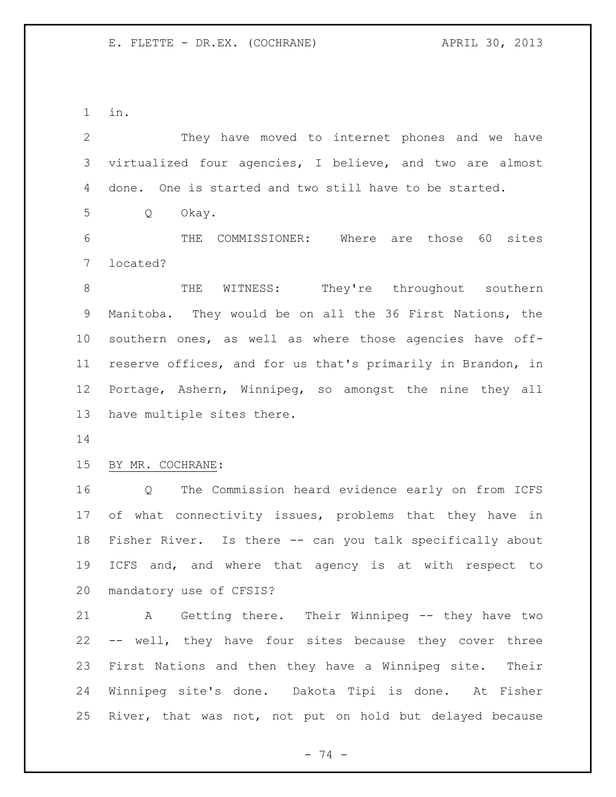in.

| $\overline{2}$ | They have moved to internet phones and we have              |
|----------------|-------------------------------------------------------------|
| 3              | virtualized four agencies, I believe, and two are almost    |
| 4              | done. One is started and two still have to be started.      |
| 5              | Okay.<br>Q                                                  |
| 6              | THE COMMISSIONER: Where are those 60<br>sites               |
| 7              | located?                                                    |
| 8              | WITNESS: They're throughout southern<br>THE                 |
| 9              | Manitoba. They would be on all the 36 First Nations, the    |
| 10             | southern ones, as well as where those agencies have off-    |
| 11             | reserve offices, and for us that's primarily in Brandon, in |
| 12             | Portage, Ashern, Winnipeg, so amongst the nine they all     |
| 13             | have multiple sites there.                                  |
| 14             |                                                             |
| 15             | BY MR. COCHRANE:                                            |
| 16             | The Commission heard evidence early on from ICFS<br>Q       |
| 17             | of what connectivity issues, problems that they have in     |
| 18             | Fisher River. Is there -- can you talk specifically about   |
| 19             | ICFS and, and where that agency is at with respect to       |
|                | 20 mandatory use of CFSIS?                                  |
| 21             | A Getting there. Their Winnipeg -- they have two            |
|                | 22 -- well, they have four sites because they cover three   |
| 23             | First Nations and then they have a Winnipeg site. Their     |
| 24             | Winnipeg site's done. Dakota Tipi is done. At Fisher        |
| 25             | River, that was not, not put on hold but delayed because    |
|                |                                                             |

- 74 -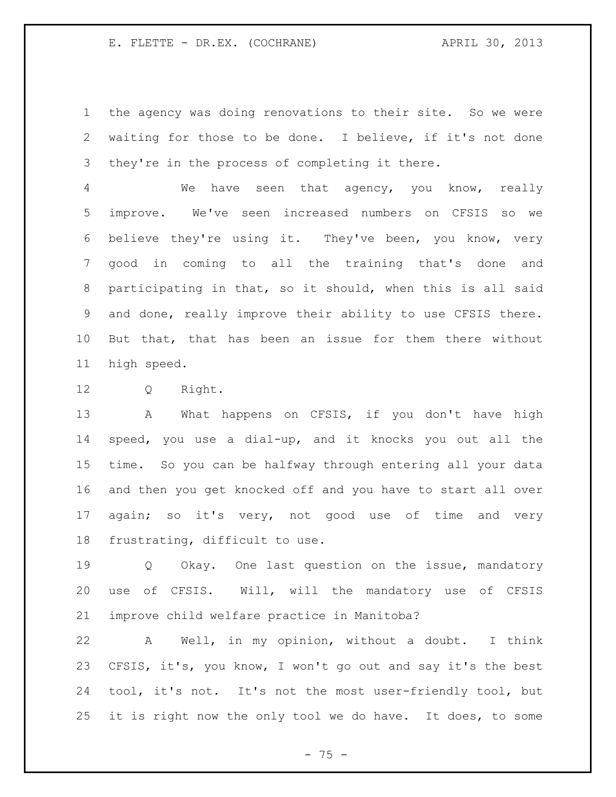the agency was doing renovations to their site. So we were waiting for those to be done. I believe, if it's not done they're in the process of completing it there.

 We have seen that agency, you know, really improve. We've seen increased numbers on CFSIS so we believe they're using it. They've been, you know, very good in coming to all the training that's done and participating in that, so it should, when this is all said and done, really improve their ability to use CFSIS there. But that, that has been an issue for them there without high speed.

Q Right.

13 A What happens on CFSIS, if you don't have high speed, you use a dial-up, and it knocks you out all the time. So you can be halfway through entering all your data and then you get knocked off and you have to start all over again; so it's very, not good use of time and very frustrating, difficult to use.

19 0 Okay. One last question on the issue, mandatory use of CFSIS. Will, will the mandatory use of CFSIS improve child welfare practice in Manitoba?

 A Well, in my opinion, without a doubt. I think CFSIS, it's, you know, I won't go out and say it's the best tool, it's not. It's not the most user-friendly tool, but it is right now the only tool we do have. It does, to some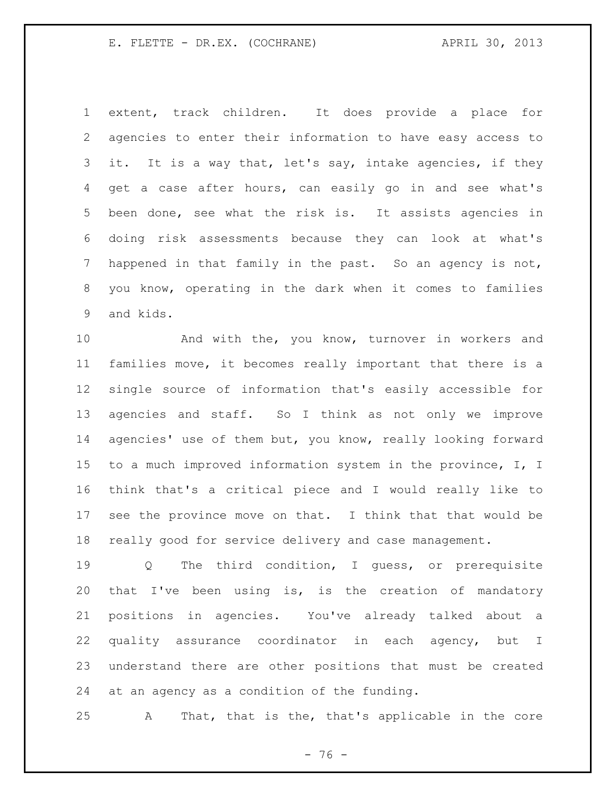extent, track children. It does provide a place for agencies to enter their information to have easy access to it. It is a way that, let's say, intake agencies, if they get a case after hours, can easily go in and see what's been done, see what the risk is. It assists agencies in doing risk assessments because they can look at what's happened in that family in the past. So an agency is not, you know, operating in the dark when it comes to families and kids.

 And with the, you know, turnover in workers and families move, it becomes really important that there is a single source of information that's easily accessible for agencies and staff. So I think as not only we improve agencies' use of them but, you know, really looking forward to a much improved information system in the province, I, I think that's a critical piece and I would really like to see the province move on that. I think that that would be really good for service delivery and case management.

19 Q The third condition, I quess, or prerequisite that I've been using is, is the creation of mandatory positions in agencies. You've already talked about a quality assurance coordinator in each agency, but I understand there are other positions that must be created at an agency as a condition of the funding.

A That, that is the, that's applicable in the core

 $- 76 -$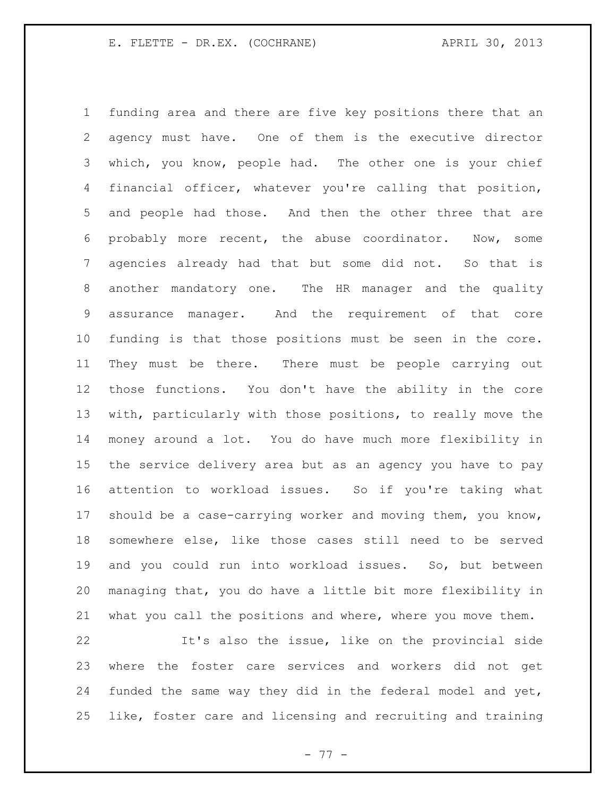funding area and there are five key positions there that an agency must have. One of them is the executive director which, you know, people had. The other one is your chief financial officer, whatever you're calling that position, and people had those. And then the other three that are probably more recent, the abuse coordinator. Now, some agencies already had that but some did not. So that is another mandatory one. The HR manager and the quality assurance manager. And the requirement of that core funding is that those positions must be seen in the core. They must be there. There must be people carrying out those functions. You don't have the ability in the core with, particularly with those positions, to really move the money around a lot. You do have much more flexibility in the service delivery area but as an agency you have to pay attention to workload issues. So if you're taking what should be a case-carrying worker and moving them, you know, somewhere else, like those cases still need to be served and you could run into workload issues. So, but between managing that, you do have a little bit more flexibility in what you call the positions and where, where you move them.

 It's also the issue, like on the provincial side where the foster care services and workers did not get funded the same way they did in the federal model and yet, like, foster care and licensing and recruiting and training

- 77 -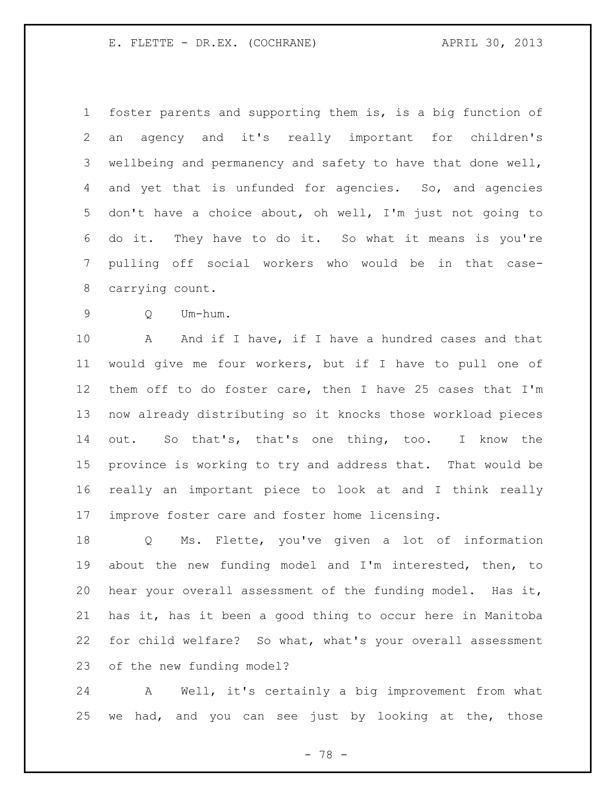foster parents and supporting them is, is a big function of an agency and it's really important for children's 3 wellbeing and permanency and safety to have that done well, and yet that is unfunded for agencies. So, and agencies don't have a choice about, oh well, I'm just not going to do it. They have to do it. So what it means is you're pulling off social workers who would be in that case-carrying count.

Q Um-hum.

10 A And if I have, if I have a hundred cases and that would give me four workers, but if I have to pull one of them off to do foster care, then I have 25 cases that I'm now already distributing so it knocks those workload pieces out. So that's, that's one thing, too. I know the province is working to try and address that. That would be really an important piece to look at and I think really improve foster care and foster home licensing.

 Q Ms. Flette, you've given a lot of information about the new funding model and I'm interested, then, to hear your overall assessment of the funding model. Has it, has it, has it been a good thing to occur here in Manitoba for child welfare? So what, what's your overall assessment of the new funding model?

 A Well, it's certainly a big improvement from what we had, and you can see just by looking at the, those

- 78 -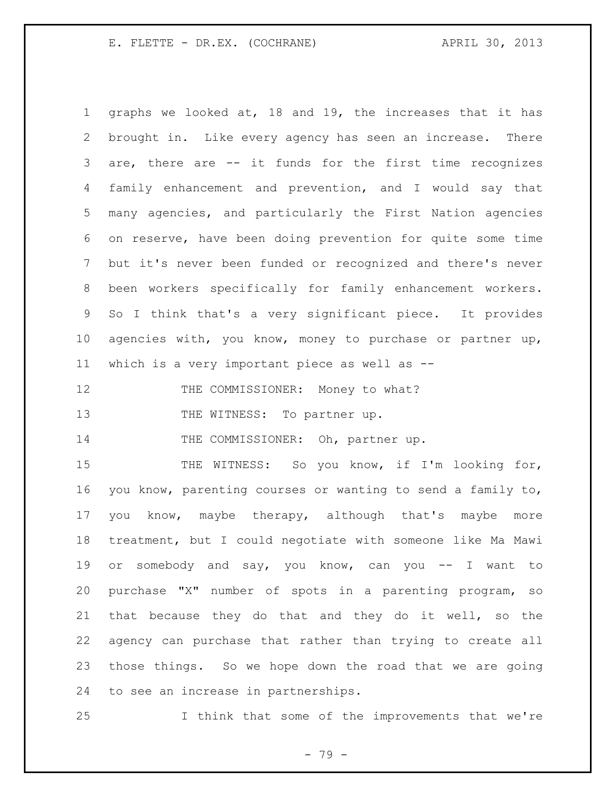graphs we looked at, 18 and 19, the increases that it has brought in. Like every agency has seen an increase. There are, there are -- it funds for the first time recognizes family enhancement and prevention, and I would say that many agencies, and particularly the First Nation agencies on reserve, have been doing prevention for quite some time but it's never been funded or recognized and there's never been workers specifically for family enhancement workers. So I think that's a very significant piece. It provides agencies with, you know, money to purchase or partner up, which is a very important piece as well as -- 12 THE COMMISSIONER: Money to what?

13 THE WITNESS: To partner up.

14 THE COMMISSIONER: Oh, partner up.

15 THE WITNESS: So you know, if I'm looking for, you know, parenting courses or wanting to send a family to, you know, maybe therapy, although that's maybe more treatment, but I could negotiate with someone like Ma Mawi or somebody and say, you know, can you -- I want to purchase "X" number of spots in a parenting program, so that because they do that and they do it well, so the agency can purchase that rather than trying to create all those things. So we hope down the road that we are going to see an increase in partnerships.

I think that some of the improvements that we're

- 79 -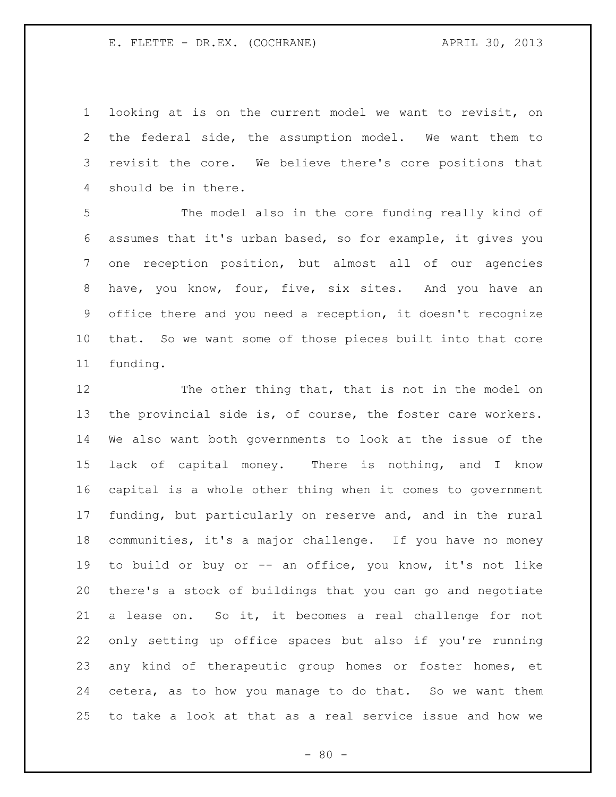looking at is on the current model we want to revisit, on the federal side, the assumption model. We want them to revisit the core. We believe there's core positions that should be in there.

 The model also in the core funding really kind of assumes that it's urban based, so for example, it gives you one reception position, but almost all of our agencies have, you know, four, five, six sites. And you have an office there and you need a reception, it doesn't recognize that. So we want some of those pieces built into that core funding.

 The other thing that, that is not in the model on 13 the provincial side is, of course, the foster care workers. We also want both governments to look at the issue of the lack of capital money. There is nothing, and I know capital is a whole other thing when it comes to government funding, but particularly on reserve and, and in the rural communities, it's a major challenge. If you have no money to build or buy or -- an office, you know, it's not like there's a stock of buildings that you can go and negotiate a lease on. So it, it becomes a real challenge for not only setting up office spaces but also if you're running any kind of therapeutic group homes or foster homes, et cetera, as to how you manage to do that. So we want them to take a look at that as a real service issue and how we

 $- 80 -$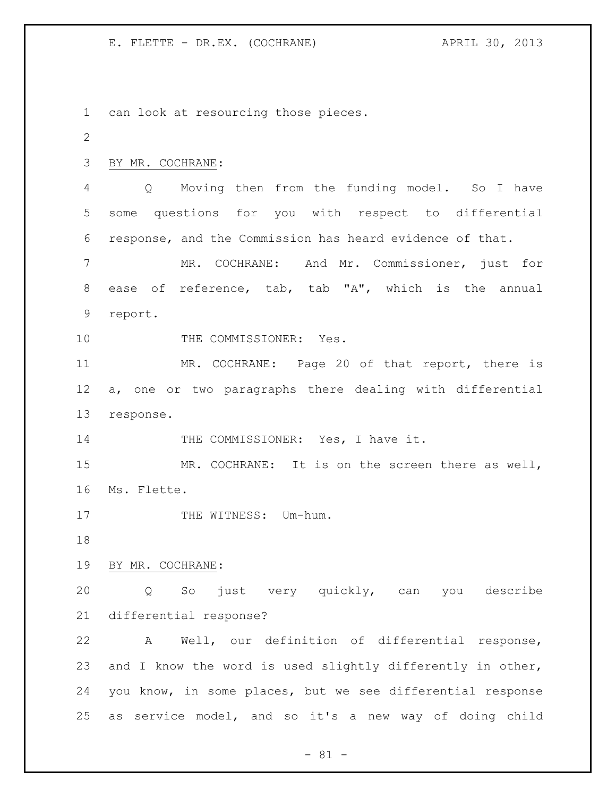can look at resourcing those pieces. BY MR. COCHRANE: Q Moving then from the funding model. So I have some questions for you with respect to differential response, and the Commission has heard evidence of that. MR. COCHRANE: And Mr. Commissioner, just for ease of reference, tab, tab "A", which is the annual report. 10 THE COMMISSIONER: Yes. MR. COCHRANE: Page 20 of that report, there is a, one or two paragraphs there dealing with differential response. 14 THE COMMISSIONER: Yes, I have it. MR. COCHRANE: It is on the screen there as well, Ms. Flette. 17 THE WITNESS: Um-hum. BY MR. COCHRANE: Q So just very quickly, can you describe differential response? A Well, our definition of differential response, and I know the word is used slightly differently in other, you know, in some places, but we see differential response as service model, and so it's a new way of doing child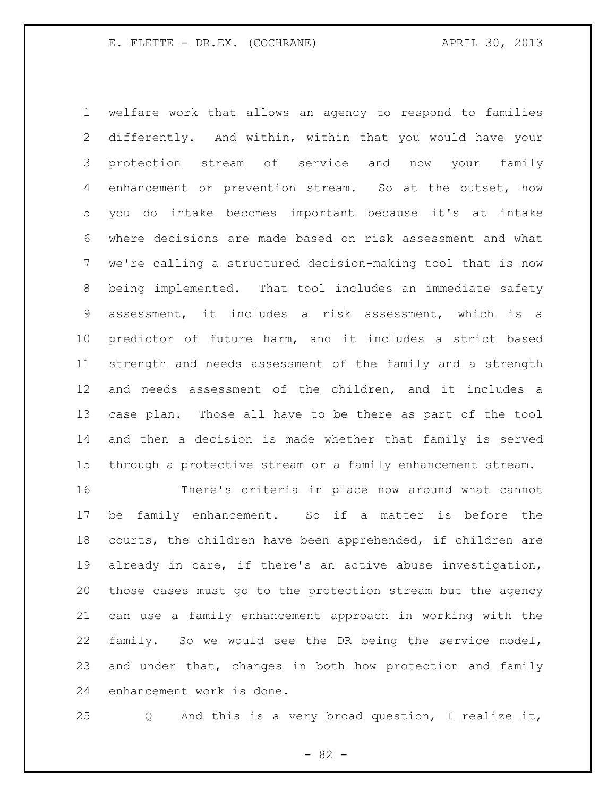welfare work that allows an agency to respond to families differently. And within, within that you would have your protection stream of service and now your family enhancement or prevention stream. So at the outset, how you do intake becomes important because it's at intake where decisions are made based on risk assessment and what we're calling a structured decision-making tool that is now being implemented. That tool includes an immediate safety assessment, it includes a risk assessment, which is a predictor of future harm, and it includes a strict based strength and needs assessment of the family and a strength and needs assessment of the children, and it includes a case plan. Those all have to be there as part of the tool and then a decision is made whether that family is served through a protective stream or a family enhancement stream.

 There's criteria in place now around what cannot be family enhancement. So if a matter is before the courts, the children have been apprehended, if children are already in care, if there's an active abuse investigation, those cases must go to the protection stream but the agency can use a family enhancement approach in working with the family. So we would see the DR being the service model, and under that, changes in both how protection and family enhancement work is done.

Q And this is a very broad question, I realize it,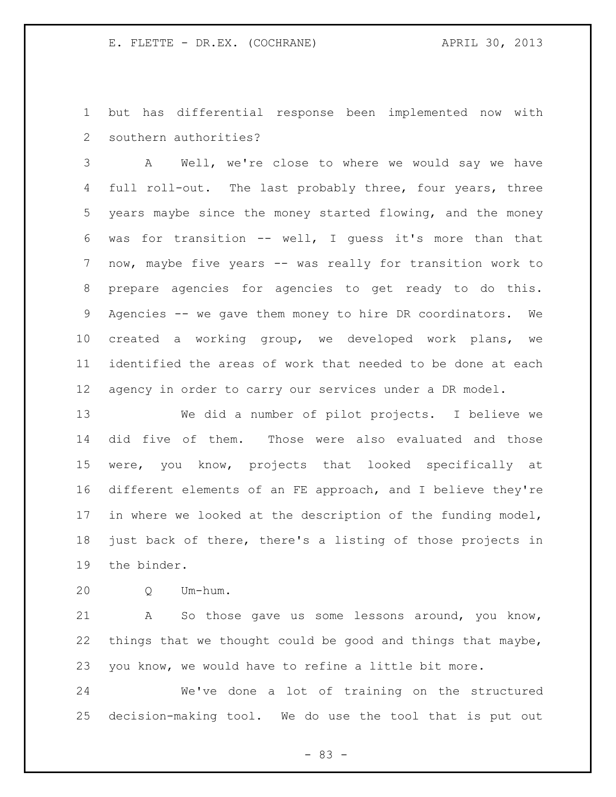but has differential response been implemented now with southern authorities?

 A Well, we're close to where we would say we have 4 full roll-out. The last probably three, four years, three years maybe since the money started flowing, and the money was for transition -- well, I guess it's more than that now, maybe five years -- was really for transition work to prepare agencies for agencies to get ready to do this. Agencies -- we gave them money to hire DR coordinators. We created a working group, we developed work plans, we identified the areas of work that needed to be done at each agency in order to carry our services under a DR model.

 We did a number of pilot projects. I believe we did five of them. Those were also evaluated and those were, you know, projects that looked specifically at different elements of an FE approach, and I believe they're in where we looked at the description of the funding model, just back of there, there's a listing of those projects in the binder.

Q Um-hum.

 A So those gave us some lessons around, you know, things that we thought could be good and things that maybe, you know, we would have to refine a little bit more.

 We've done a lot of training on the structured decision-making tool. We do use the tool that is put out

- 83 -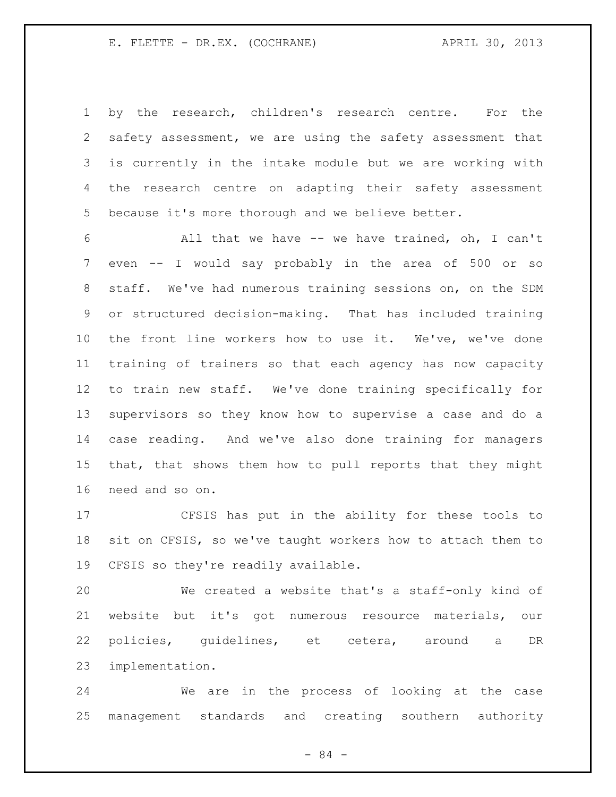by the research, children's research centre. For the safety assessment, we are using the safety assessment that is currently in the intake module but we are working with the research centre on adapting their safety assessment because it's more thorough and we believe better.

 All that we have -- we have trained, oh, I can't even -- I would say probably in the area of 500 or so staff. We've had numerous training sessions on, on the SDM or structured decision-making. That has included training the front line workers how to use it. We've, we've done training of trainers so that each agency has now capacity to train new staff. We've done training specifically for supervisors so they know how to supervise a case and do a case reading. And we've also done training for managers that, that shows them how to pull reports that they might need and so on.

 CFSIS has put in the ability for these tools to sit on CFSIS, so we've taught workers how to attach them to CFSIS so they're readily available.

 We created a website that's a staff-only kind of website but it's got numerous resource materials, our policies, guidelines, et cetera, around a DR implementation.

 We are in the process of looking at the case management standards and creating southern authority

- 84 -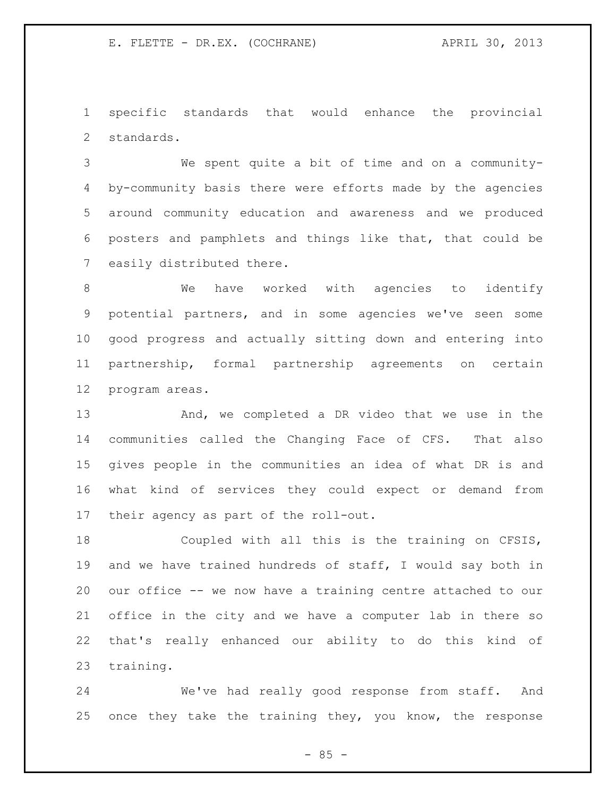specific standards that would enhance the provincial standards.

 We spent quite a bit of time and on a community- by-community basis there were efforts made by the agencies around community education and awareness and we produced posters and pamphlets and things like that, that could be easily distributed there.

 We have worked with agencies to identify potential partners, and in some agencies we've seen some good progress and actually sitting down and entering into partnership, formal partnership agreements on certain program areas.

 And, we completed a DR video that we use in the communities called the Changing Face of CFS. That also gives people in the communities an idea of what DR is and what kind of services they could expect or demand from their agency as part of the roll-out.

 Coupled with all this is the training on CFSIS, and we have trained hundreds of staff, I would say both in our office -- we now have a training centre attached to our office in the city and we have a computer lab in there so that's really enhanced our ability to do this kind of training.

 We've had really good response from staff. And once they take the training they, you know, the response

 $- 85 -$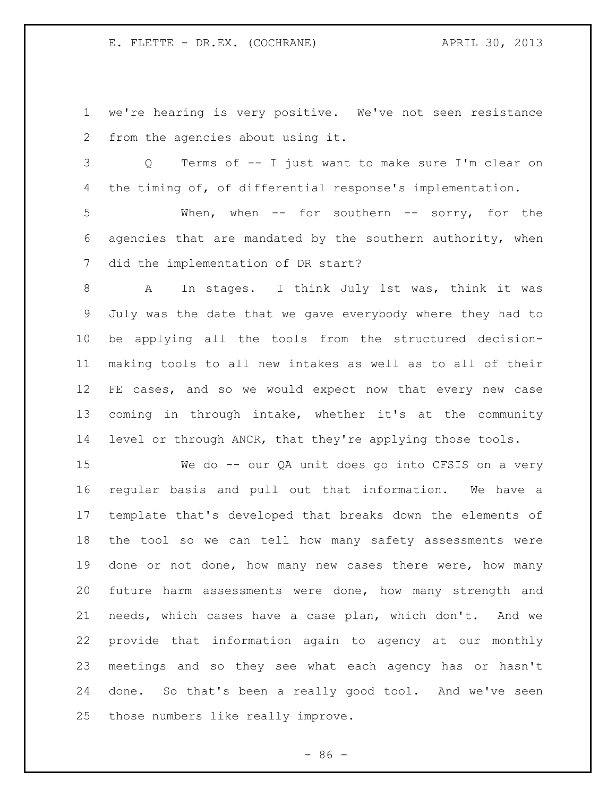we're hearing is very positive. We've not seen resistance from the agencies about using it.

 Q Terms of -- I just want to make sure I'm clear on the timing of, of differential response's implementation.

 When, when -- for southern -- sorry, for the agencies that are mandated by the southern authority, when did the implementation of DR start?

 A In stages. I think July 1st was, think it was July was the date that we gave everybody where they had to be applying all the tools from the structured decision- making tools to all new intakes as well as to all of their FE cases, and so we would expect now that every new case coming in through intake, whether it's at the community level or through ANCR, that they're applying those tools.

 We do -- our QA unit does go into CFSIS on a very regular basis and pull out that information. We have a template that's developed that breaks down the elements of the tool so we can tell how many safety assessments were done or not done, how many new cases there were, how many future harm assessments were done, how many strength and needs, which cases have a case plan, which don't. And we provide that information again to agency at our monthly meetings and so they see what each agency has or hasn't done. So that's been a really good tool. And we've seen those numbers like really improve.

 $-86 -$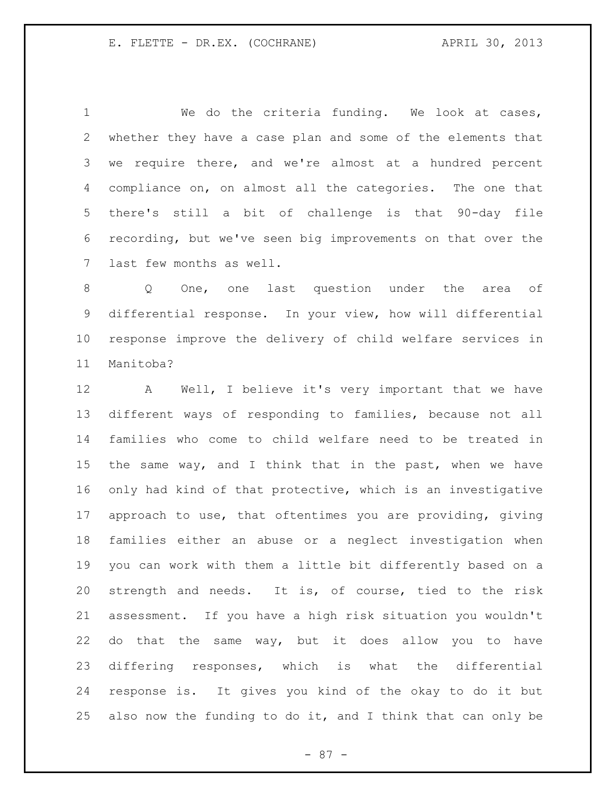We do the criteria funding. We look at cases, whether they have a case plan and some of the elements that we require there, and we're almost at a hundred percent compliance on, on almost all the categories. The one that there's still a bit of challenge is that 90-day file recording, but we've seen big improvements on that over the last few months as well.

 Q One, one last question under the area of differential response. In your view, how will differential response improve the delivery of child welfare services in Manitoba?

 A Well, I believe it's very important that we have different ways of responding to families, because not all families who come to child welfare need to be treated in the same way, and I think that in the past, when we have only had kind of that protective, which is an investigative approach to use, that oftentimes you are providing, giving families either an abuse or a neglect investigation when you can work with them a little bit differently based on a strength and needs. It is, of course, tied to the risk assessment. If you have a high risk situation you wouldn't do that the same way, but it does allow you to have differing responses, which is what the differential response is. It gives you kind of the okay to do it but also now the funding to do it, and I think that can only be

- 87 -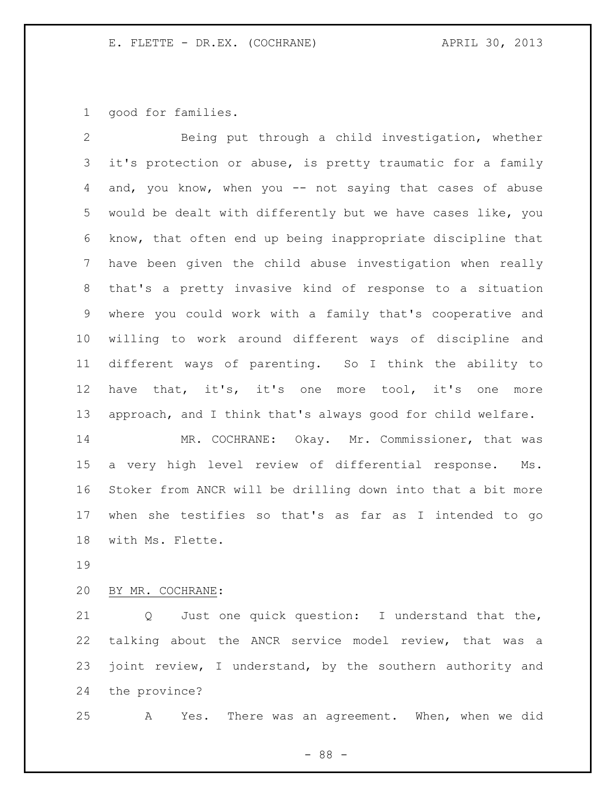good for families.

 Being put through a child investigation, whether it's protection or abuse, is pretty traumatic for a family 4 and, you know, when you -- not saying that cases of abuse would be dealt with differently but we have cases like, you know, that often end up being inappropriate discipline that have been given the child abuse investigation when really that's a pretty invasive kind of response to a situation where you could work with a family that's cooperative and willing to work around different ways of discipline and different ways of parenting. So I think the ability to have that, it's, it's one more tool, it's one more approach, and I think that's always good for child welfare. 14 MR. COCHRANE: Okay. Mr. Commissioner, that was a very high level review of differential response. Ms.

 Stoker from ANCR will be drilling down into that a bit more when she testifies so that's as far as I intended to go with Ms. Flette.

## BY MR. COCHRANE:

 Q Just one quick question: I understand that the, talking about the ANCR service model review, that was a 23 joint review, I understand, by the southern authority and the province?

A Yes. There was an agreement. When, when we did

- 88 -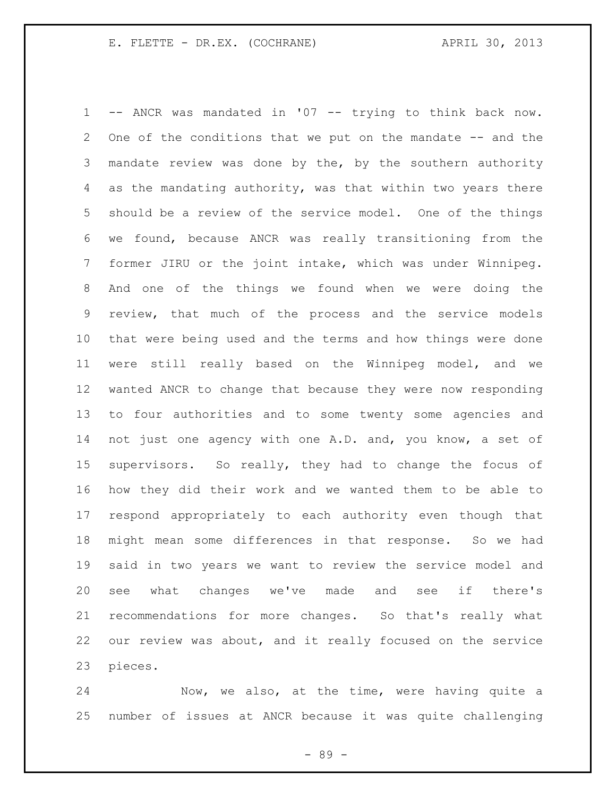-- ANCR was mandated in '07 -- trying to think back now. 2 One of the conditions that we put on the mandate -- and the mandate review was done by the, by the southern authority as the mandating authority, was that within two years there should be a review of the service model. One of the things we found, because ANCR was really transitioning from the former JIRU or the joint intake, which was under Winnipeg. And one of the things we found when we were doing the review, that much of the process and the service models that were being used and the terms and how things were done were still really based on the Winnipeg model, and we wanted ANCR to change that because they were now responding to four authorities and to some twenty some agencies and not just one agency with one A.D. and, you know, a set of supervisors. So really, they had to change the focus of how they did their work and we wanted them to be able to respond appropriately to each authority even though that might mean some differences in that response. So we had said in two years we want to review the service model and see what changes we've made and see if there's recommendations for more changes. So that's really what our review was about, and it really focused on the service pieces.

 Now, we also, at the time, were having quite a number of issues at ANCR because it was quite challenging

- 89 -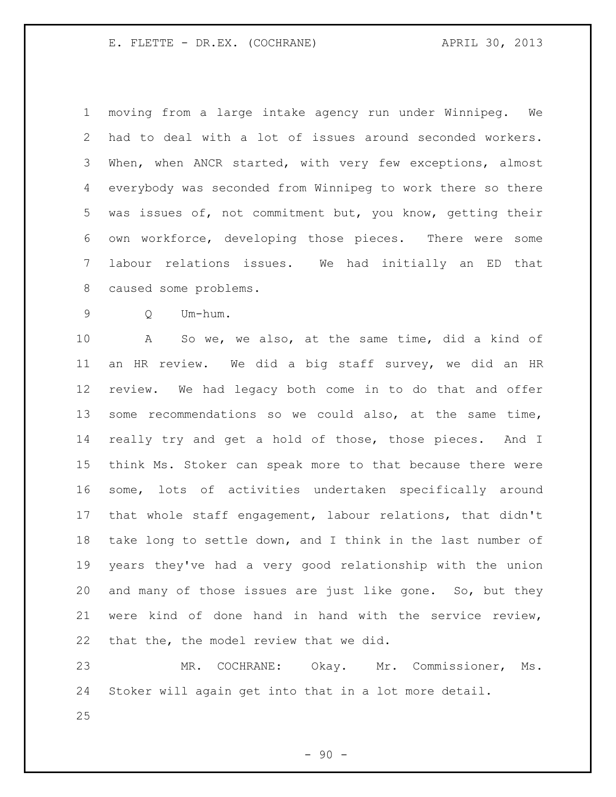moving from a large intake agency run under Winnipeg. We had to deal with a lot of issues around seconded workers. When, when ANCR started, with very few exceptions, almost everybody was seconded from Winnipeg to work there so there was issues of, not commitment but, you know, getting their own workforce, developing those pieces. There were some labour relations issues. We had initially an ED that caused some problems.

Q Um-hum.

 A So we, we also, at the same time, did a kind of an HR review. We did a big staff survey, we did an HR review. We had legacy both come in to do that and offer some recommendations so we could also, at the same time, really try and get a hold of those, those pieces. And I think Ms. Stoker can speak more to that because there were some, lots of activities undertaken specifically around that whole staff engagement, labour relations, that didn't take long to settle down, and I think in the last number of years they've had a very good relationship with the union and many of those issues are just like gone. So, but they were kind of done hand in hand with the service review, that the, the model review that we did.

 MR. COCHRANE: Okay. Mr. Commissioner, Ms. Stoker will again get into that in a lot more detail.

 $-90 -$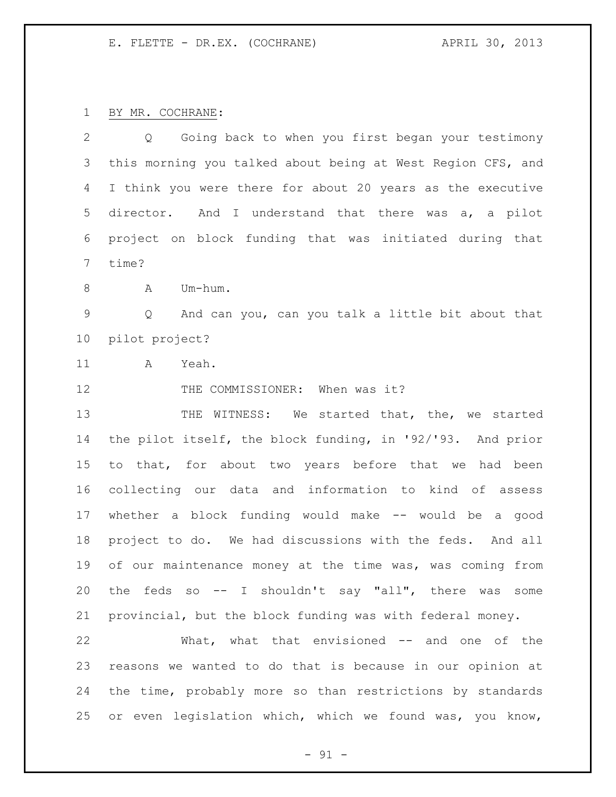BY MR. COCHRANE:

| $\overline{2}$ | Going back to when you first began your testimony<br>Q      |
|----------------|-------------------------------------------------------------|
| 3              | this morning you talked about being at West Region CFS, and |
| 4              | I think you were there for about 20 years as the executive  |
| 5              | And I understand that there was a, a pilot<br>director.     |
| 6              | project on block funding that was initiated during that     |
| 7              | time?                                                       |
| 8              | Um-hum.<br>A                                                |
| 9              | And can you, can you talk a little bit about that<br>Q      |
| 10             | pilot project?                                              |
| 11             | Yeah.<br>A                                                  |
| 12             | THE COMMISSIONER: When was it?                              |
| 13             | THE WITNESS: We started that, the, we started               |
| 14             | the pilot itself, the block funding, in '92/'93. And prior  |
| 15             | to that, for about two years before that we had been        |
| 16             | collecting our data and information to kind of assess       |
| 17             | whether a block funding would make -- would be a good       |
| 18             | project to do. We had discussions with the feds. And all    |
| 19             | of our maintenance money at the time was, was coming from   |
| 20             | the feds so -- I shouldn't say "all", there was<br>some     |
| 21             | provincial, but the block funding was with federal money.   |
| 22             | What, what that envisioned -- and one of the                |
| 23             | reasons we wanted to do that is because in our opinion at   |
| 24             | the time, probably more so than restrictions by standards   |
| 25             | or even legislation which, which we found was, you know,    |

- 91 -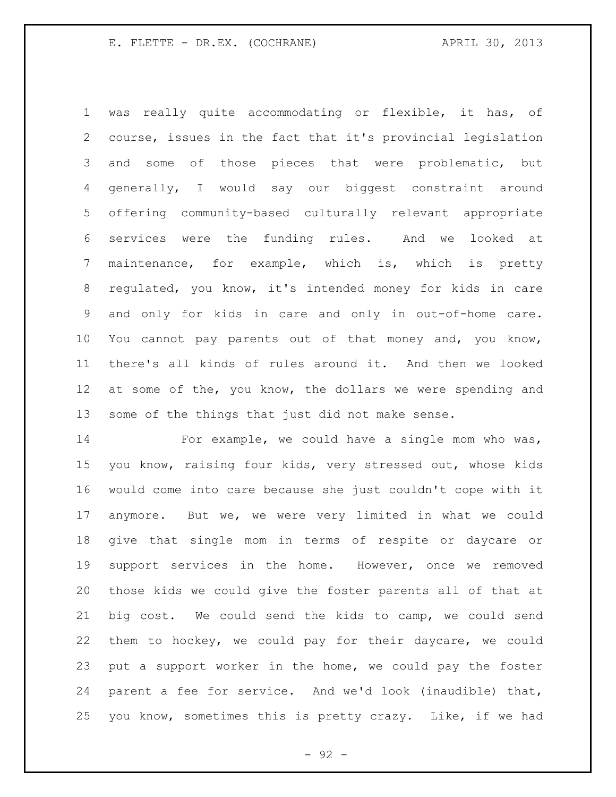was really quite accommodating or flexible, it has, of course, issues in the fact that it's provincial legislation and some of those pieces that were problematic, but generally, I would say our biggest constraint around offering community-based culturally relevant appropriate services were the funding rules. And we looked at maintenance, for example, which is, which is pretty regulated, you know, it's intended money for kids in care and only for kids in care and only in out-of-home care. You cannot pay parents out of that money and, you know, there's all kinds of rules around it. And then we looked at some of the, you know, the dollars we were spending and some of the things that just did not make sense.

 For example, we could have a single mom who was, you know, raising four kids, very stressed out, whose kids would come into care because she just couldn't cope with it anymore. But we, we were very limited in what we could give that single mom in terms of respite or daycare or support services in the home. However, once we removed those kids we could give the foster parents all of that at big cost. We could send the kids to camp, we could send them to hockey, we could pay for their daycare, we could put a support worker in the home, we could pay the foster parent a fee for service. And we'd look (inaudible) that, you know, sometimes this is pretty crazy. Like, if we had

- 92 -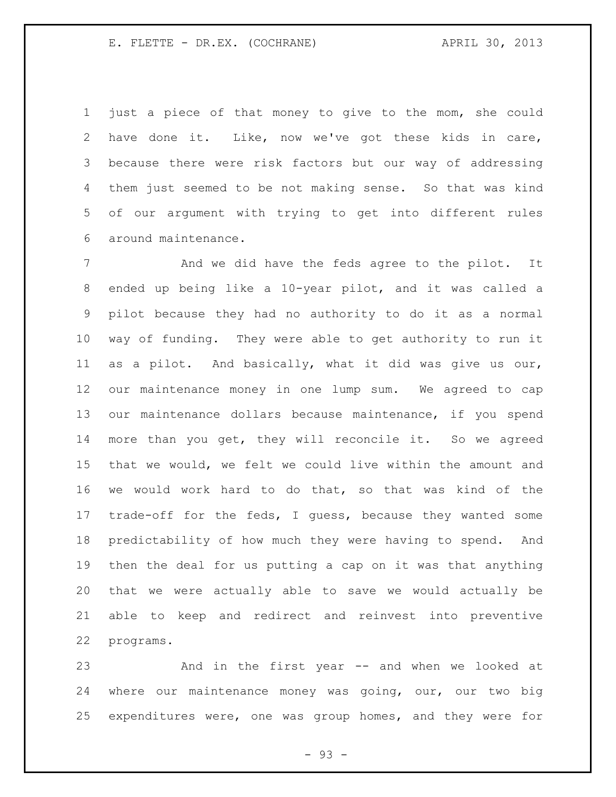just a piece of that money to give to the mom, she could have done it. Like, now we've got these kids in care, because there were risk factors but our way of addressing them just seemed to be not making sense. So that was kind of our argument with trying to get into different rules around maintenance.

7 And we did have the feds agree to the pilot. It ended up being like a 10-year pilot, and it was called a pilot because they had no authority to do it as a normal way of funding. They were able to get authority to run it as a pilot. And basically, what it did was give us our, our maintenance money in one lump sum. We agreed to cap our maintenance dollars because maintenance, if you spend more than you get, they will reconcile it. So we agreed that we would, we felt we could live within the amount and we would work hard to do that, so that was kind of the trade-off for the feds, I guess, because they wanted some predictability of how much they were having to spend. And then the deal for us putting a cap on it was that anything that we were actually able to save we would actually be able to keep and redirect and reinvest into preventive programs.

 And in the first year -- and when we looked at where our maintenance money was going, our, our two big expenditures were, one was group homes, and they were for

- 93 -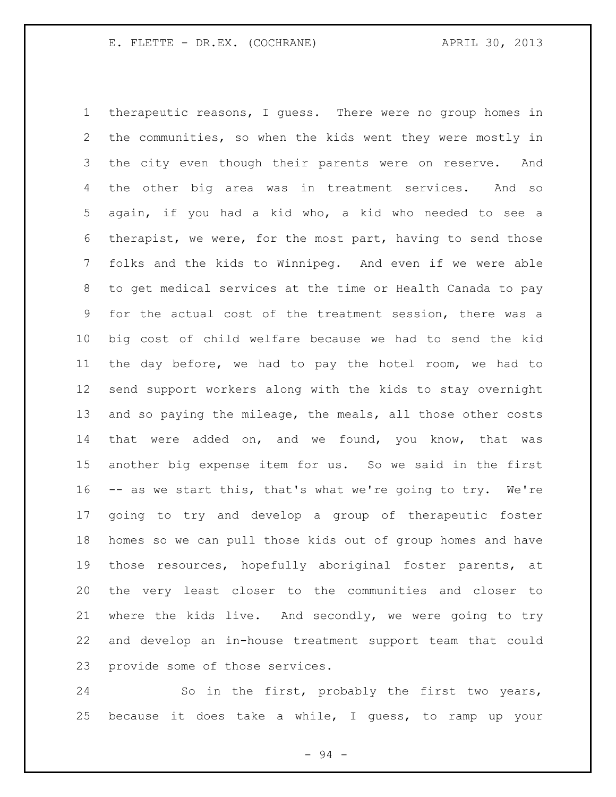therapeutic reasons, I guess. There were no group homes in the communities, so when the kids went they were mostly in the city even though their parents were on reserve. And the other big area was in treatment services. And so again, if you had a kid who, a kid who needed to see a therapist, we were, for the most part, having to send those folks and the kids to Winnipeg. And even if we were able to get medical services at the time or Health Canada to pay for the actual cost of the treatment session, there was a big cost of child welfare because we had to send the kid the day before, we had to pay the hotel room, we had to send support workers along with the kids to stay overnight and so paying the mileage, the meals, all those other costs 14 that were added on, and we found, you know, that was another big expense item for us. So we said in the first -- as we start this, that's what we're going to try. We're going to try and develop a group of therapeutic foster homes so we can pull those kids out of group homes and have those resources, hopefully aboriginal foster parents, at the very least closer to the communities and closer to where the kids live. And secondly, we were going to try and develop an in-house treatment support team that could provide some of those services.

 So in the first, probably the first two years, because it does take a while, I guess, to ramp up your

- 94 -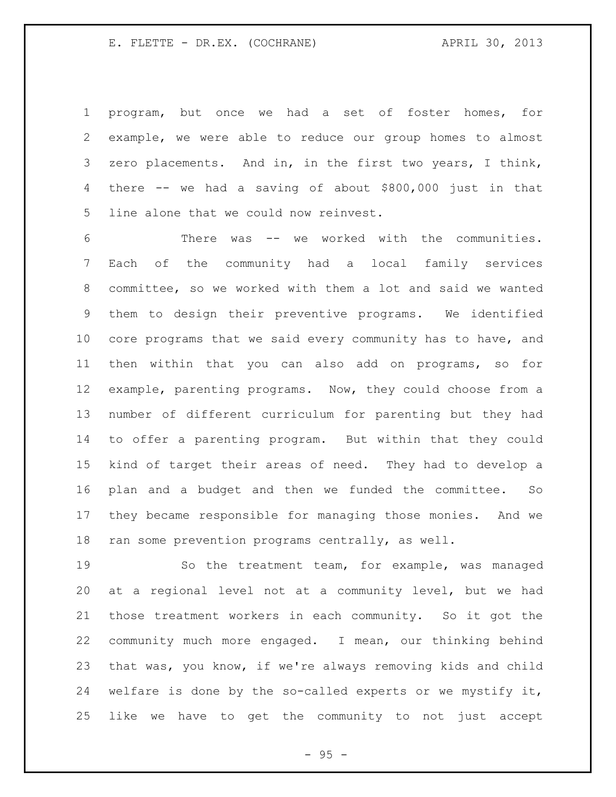program, but once we had a set of foster homes, for example, we were able to reduce our group homes to almost zero placements. And in, in the first two years, I think, there -- we had a saving of about \$800,000 just in that line alone that we could now reinvest.

 There was -- we worked with the communities. Each of the community had a local family services committee, so we worked with them a lot and said we wanted them to design their preventive programs. We identified core programs that we said every community has to have, and then within that you can also add on programs, so for example, parenting programs. Now, they could choose from a number of different curriculum for parenting but they had to offer a parenting program. But within that they could kind of target their areas of need. They had to develop a plan and a budget and then we funded the committee. So they became responsible for managing those monies. And we ran some prevention programs centrally, as well.

 So the treatment team, for example, was managed at a regional level not at a community level, but we had those treatment workers in each community. So it got the community much more engaged. I mean, our thinking behind that was, you know, if we're always removing kids and child welfare is done by the so-called experts or we mystify it, like we have to get the community to not just accept

 $- 95 -$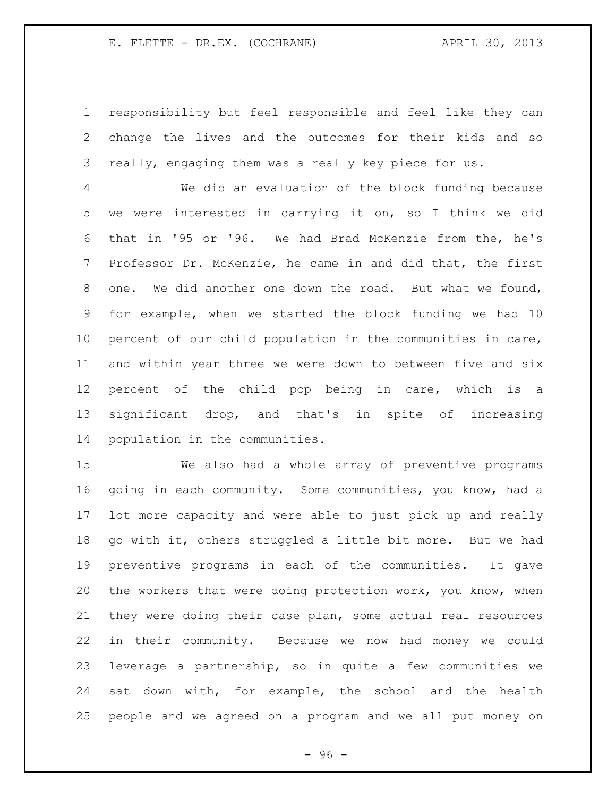responsibility but feel responsible and feel like they can change the lives and the outcomes for their kids and so really, engaging them was a really key piece for us.

 We did an evaluation of the block funding because we were interested in carrying it on, so I think we did that in '95 or '96. We had Brad McKenzie from the, he's Professor Dr. McKenzie, he came in and did that, the first one. We did another one down the road. But what we found, for example, when we started the block funding we had 10 percent of our child population in the communities in care, and within year three we were down to between five and six percent of the child pop being in care, which is a significant drop, and that's in spite of increasing population in the communities.

 We also had a whole array of preventive programs going in each community. Some communities, you know, had a lot more capacity and were able to just pick up and really go with it, others struggled a little bit more. But we had preventive programs in each of the communities. It gave the workers that were doing protection work, you know, when they were doing their case plan, some actual real resources in their community. Because we now had money we could leverage a partnership, so in quite a few communities we sat down with, for example, the school and the health people and we agreed on a program and we all put money on

 $-96 -$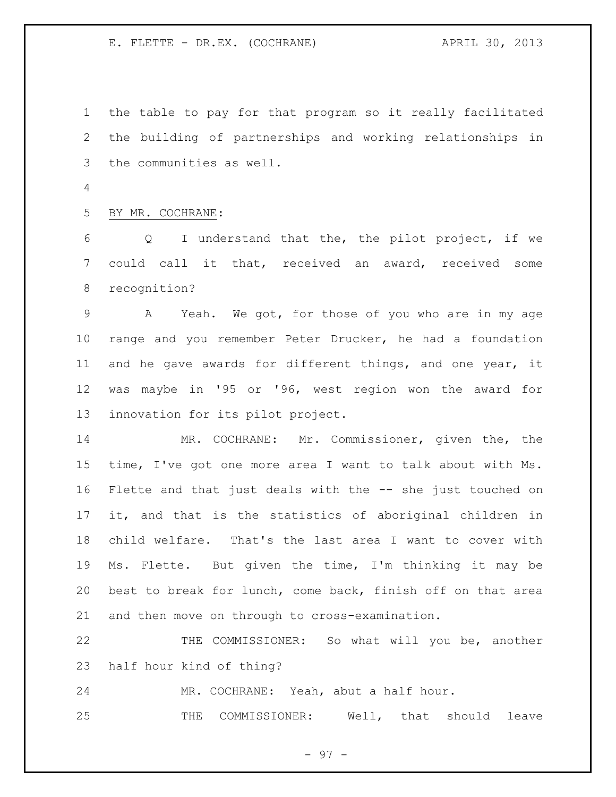the table to pay for that program so it really facilitated the building of partnerships and working relationships in the communities as well.

BY MR. COCHRANE:

 Q I understand that the, the pilot project, if we could call it that, received an award, received some recognition?

 A Yeah. We got, for those of you who are in my age range and you remember Peter Drucker, he had a foundation and he gave awards for different things, and one year, it was maybe in '95 or '96, west region won the award for innovation for its pilot project.

 MR. COCHRANE: Mr. Commissioner, given the, the time, I've got one more area I want to talk about with Ms. Flette and that just deals with the -- she just touched on it, and that is the statistics of aboriginal children in child welfare. That's the last area I want to cover with Ms. Flette. But given the time, I'm thinking it may be best to break for lunch, come back, finish off on that area and then move on through to cross-examination.

 THE COMMISSIONER: So what will you be, another half hour kind of thing?

MR. COCHRANE: Yeah, abut a half hour.

THE COMMISSIONER: Well, that should leave

- 97 -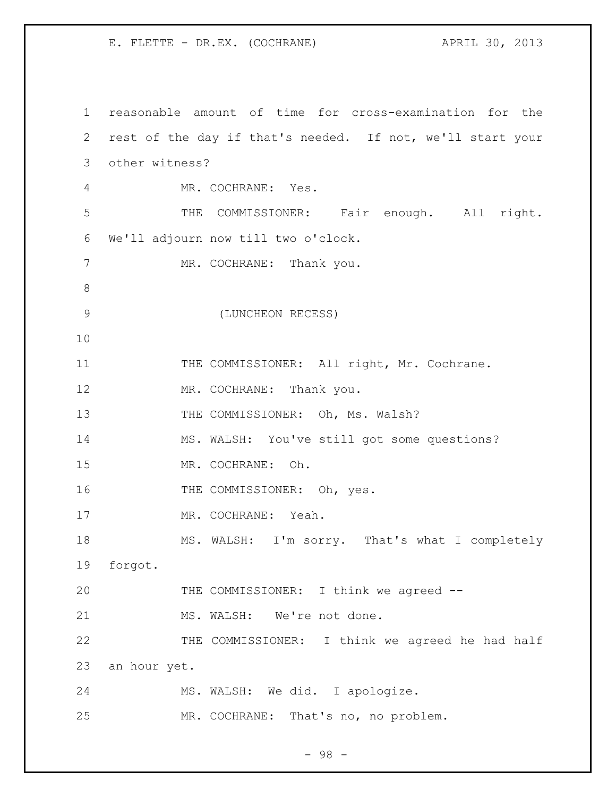reasonable amount of time for cross-examination for the rest of the day if that's needed. If not, we'll start your other witness? MR. COCHRANE: Yes. THE COMMISSIONER: Fair enough. All right. We'll adjourn now till two o'clock. 7 MR. COCHRANE: Thank you. (LUNCHEON RECESS) 11 THE COMMISSIONER: All right, Mr. Cochrane. 12 MR. COCHRANE: Thank you. 13 THE COMMISSIONER: Oh, Ms. Walsh? MS. WALSH: You've still got some questions? MR. COCHRANE: Oh. 16 THE COMMISSIONER: Oh, yes. MR. COCHRANE: Yeah. MS. WALSH: I'm sorry. That's what I completely forgot. THE COMMISSIONER: I think we agreed -- 21 MS. WALSH: We're not done. 22 THE COMMISSIONER: I think we agreed he had half an hour yet. MS. WALSH: We did. I apologize. MR. COCHRANE: That's no, no problem.

- 98 -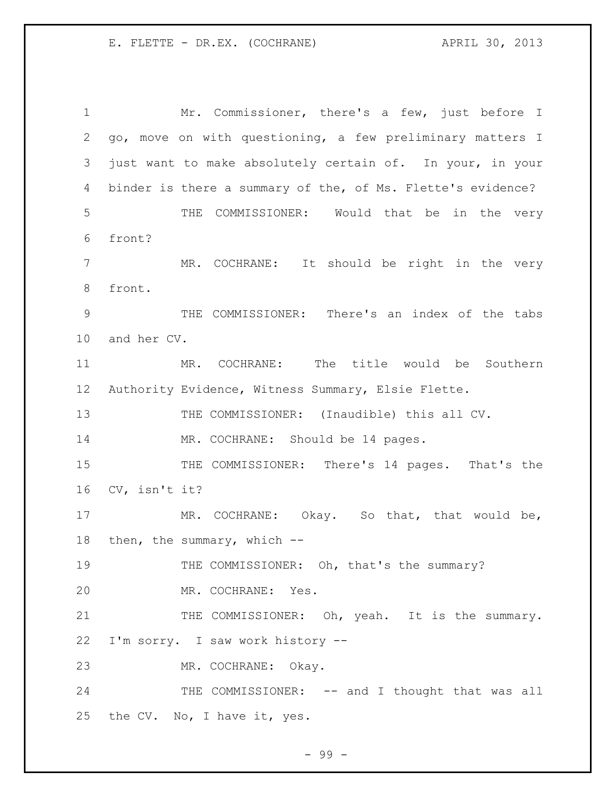Mr. Commissioner, there's a few, just before I go, move on with questioning, a few preliminary matters I just want to make absolutely certain of. In your, in your binder is there a summary of the, of Ms. Flette's evidence? THE COMMISSIONER: Would that be in the very front? MR. COCHRANE: It should be right in the very front. THE COMMISSIONER: There's an index of the tabs and her CV. MR. COCHRANE: The title would be Southern Authority Evidence, Witness Summary, Elsie Flette. 13 THE COMMISSIONER: (Inaudible) this all CV. 14 MR. COCHRANE: Should be 14 pages. THE COMMISSIONER: There's 14 pages. That's the CV, isn't it? 17 MR. COCHRANE: Okay. So that, that would be, 18 then, the summary, which --19 THE COMMISSIONER: Oh, that's the summary? MR. COCHRANE: Yes. 21 THE COMMISSIONER: Oh, yeah. It is the summary. I'm sorry. I saw work history -- MR. COCHRANE: Okay. 24 THE COMMISSIONER: -- and I thought that was all the CV. No, I have it, yes.

- 99 -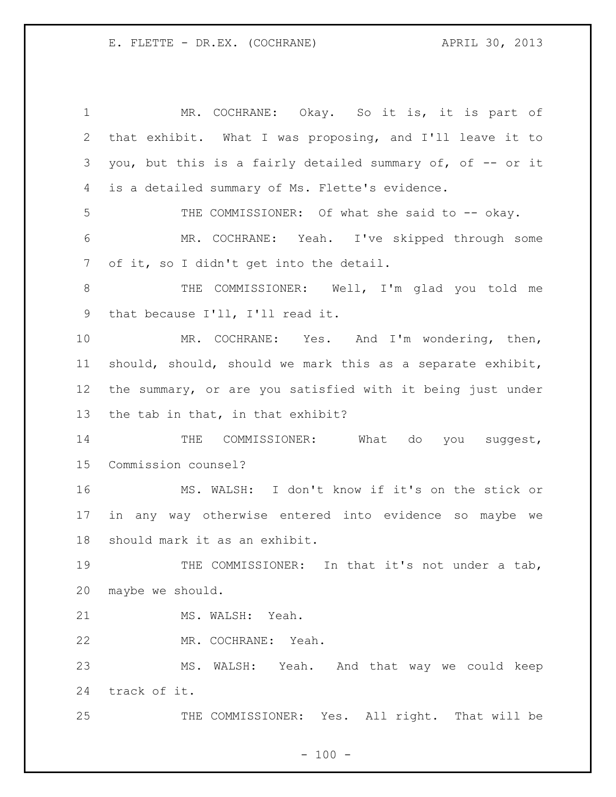1 MR. COCHRANE: Okay. So it is, it is part of that exhibit. What I was proposing, and I'll leave it to you, but this is a fairly detailed summary of, of -- or it is a detailed summary of Ms. Flette's evidence. 5 THE COMMISSIONER: Of what she said to -- okay. MR. COCHRANE: Yeah. I've skipped through some of it, so I didn't get into the detail. THE COMMISSIONER: Well, I'm glad you told me that because I'll, I'll read it. MR. COCHRANE: Yes. And I'm wondering, then, should, should, should we mark this as a separate exhibit, the summary, or are you satisfied with it being just under the tab in that, in that exhibit? 14 THE COMMISSIONER: What do you suggest, Commission counsel? MS. WALSH: I don't know if it's on the stick or in any way otherwise entered into evidence so maybe we should mark it as an exhibit. 19 THE COMMISSIONER: In that it's not under a tab, maybe we should. 21 MS. WALSH: Yeah. MR. COCHRANE: Yeah. MS. WALSH: Yeah. And that way we could keep track of it. 25 THE COMMISSIONER: Yes. All right. That will be

 $- 100 -$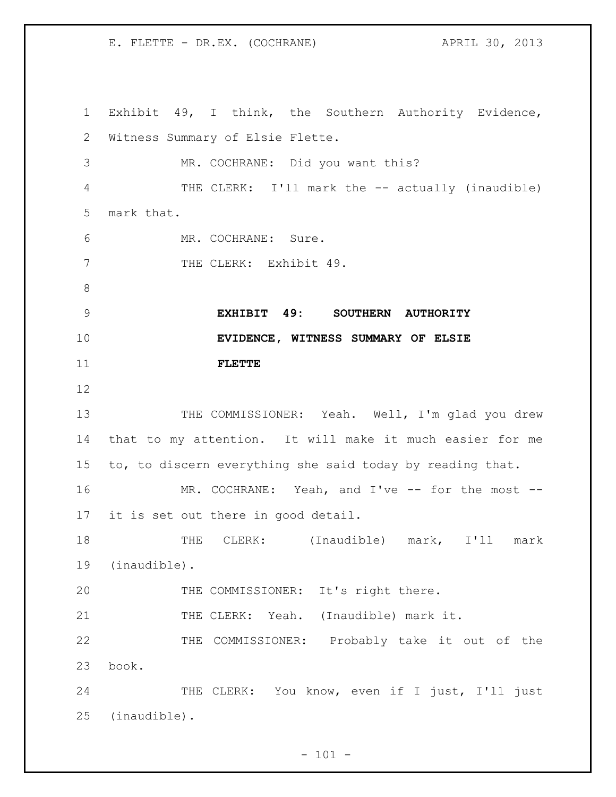Exhibit 49, I think, the Southern Authority Evidence, Witness Summary of Elsie Flette. MR. COCHRANE: Did you want this? THE CLERK: I'll mark the -- actually (inaudible) mark that. MR. COCHRANE: Sure. 7 THE CLERK: Exhibit 49. **EXHIBIT 49: SOUTHERN AUTHORITY EVIDENCE, WITNESS SUMMARY OF ELSIE FLETTE** 13 THE COMMISSIONER: Yeah. Well, I'm glad you drew that to my attention. It will make it much easier for me to, to discern everything she said today by reading that. 16 MR. COCHRANE: Yeah, and I've -- for the most -- it is set out there in good detail. THE CLERK: (Inaudible) mark, I'll mark (inaudible). THE COMMISSIONER: It's right there. 21 THE CLERK: Yeah. (Inaudible) mark it. THE COMMISSIONER: Probably take it out of the book. 24 THE CLERK: You know, even if I just, I'll just (inaudible).

 $- 101 -$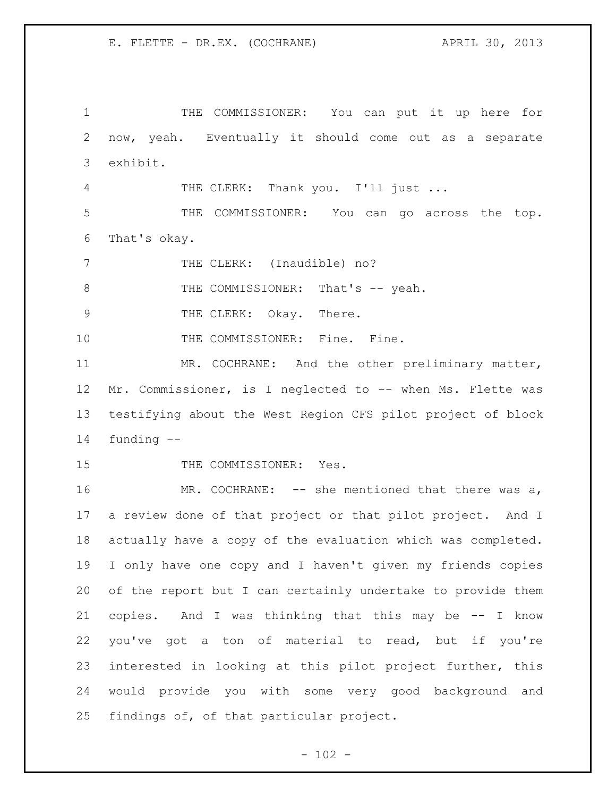THE COMMISSIONER: You can put it up here for now, yeah. Eventually it should come out as a separate exhibit. 4 THE CLERK: Thank you. I'll just ... THE COMMISSIONER: You can go across the top. That's okay. 7 THE CLERK: (Inaudible) no? 8 THE COMMISSIONER: That's -- yeah. 9 THE CLERK: Okay. There. 10 THE COMMISSIONER: Fine. Fine. MR. COCHRANE: And the other preliminary matter, Mr. Commissioner, is I neglected to -- when Ms. Flette was testifying about the West Region CFS pilot project of block funding -- 15 THE COMMISSIONER: Yes.

16 MR. COCHRANE: -- she mentioned that there was a, a review done of that project or that pilot project. And I actually have a copy of the evaluation which was completed. I only have one copy and I haven't given my friends copies of the report but I can certainly undertake to provide them copies. And I was thinking that this may be -- I know you've got a ton of material to read, but if you're interested in looking at this pilot project further, this would provide you with some very good background and findings of, of that particular project.

 $- 102 -$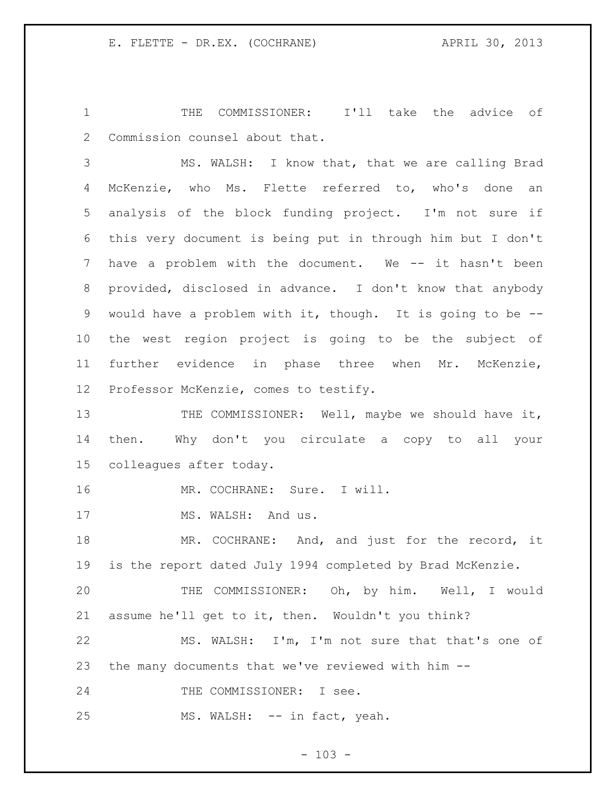1 THE COMMISSIONER: I'll take the advice of Commission counsel about that.

 MS. WALSH: I know that, that we are calling Brad McKenzie, who Ms. Flette referred to, who's done an analysis of the block funding project. I'm not sure if this very document is being put in through him but I don't have a problem with the document. We -- it hasn't been provided, disclosed in advance. I don't know that anybody would have a problem with it, though. It is going to be -- the west region project is going to be the subject of further evidence in phase three when Mr. McKenzie, Professor McKenzie, comes to testify.

13 THE COMMISSIONER: Well, maybe we should have it, then. Why don't you circulate a copy to all your colleagues after today.

16 MR. COCHRANE: Sure. I will.

17 MS. WALSH: And us.

18 MR. COCHRANE: And, and just for the record, it is the report dated July 1994 completed by Brad McKenzie.

 THE COMMISSIONER: Oh, by him. Well, I would assume he'll get to it, then. Wouldn't you think?

 MS. WALSH: I'm, I'm not sure that that's one of the many documents that we've reviewed with him --

24 THE COMMISSIONER: I see.

25 MS. WALSH: -- in fact, yeah.

 $- 103 -$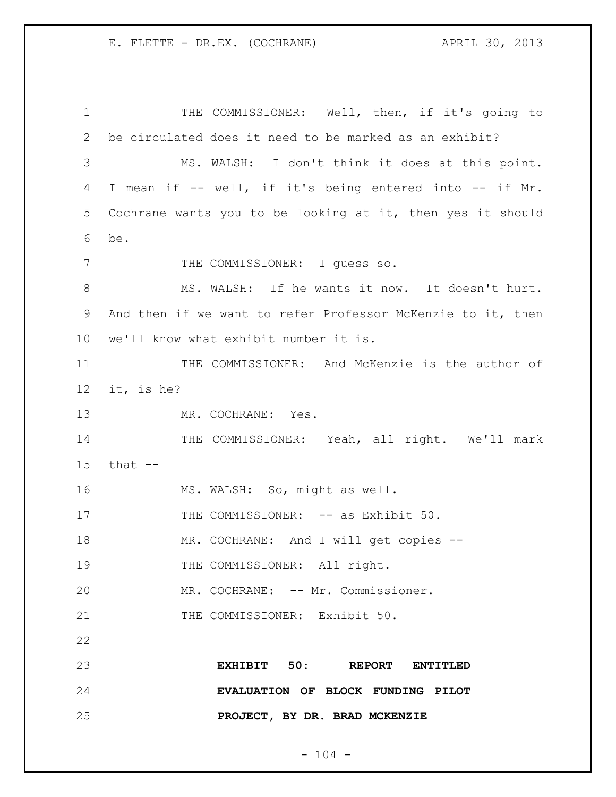THE COMMISSIONER: Well, then, if it's going to be circulated does it need to be marked as an exhibit? MS. WALSH: I don't think it does at this point. I mean if -- well, if it's being entered into -- if Mr. Cochrane wants you to be looking at it, then yes it should be. 7 THE COMMISSIONER: I guess so. MS. WALSH: If he wants it now. It doesn't hurt. And then if we want to refer Professor McKenzie to it, then we'll know what exhibit number it is. 11 THE COMMISSIONER: And McKenzie is the author of it, is he? 13 MR. COCHRANE: Yes. 14 THE COMMISSIONER: Yeah, all right. We'll mark that -- MS. WALSH: So, might as well. 17 THE COMMISSIONER: -- as Exhibit 50. MR. COCHRANE: And I will get copies -- 19 THE COMMISSIONER: All right. MR. COCHRANE: -- Mr. Commissioner. 21 THE COMMISSIONER: Exhibit 50. **EXHIBIT 50: REPORT ENTITLED EVALUATION OF BLOCK FUNDING PILOT PROJECT, BY DR. BRAD MCKENZIE**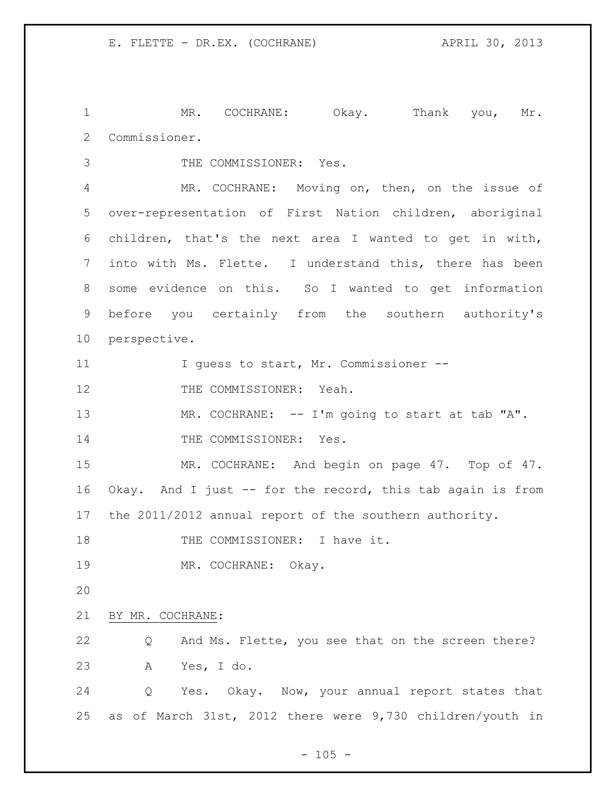1 MR. COCHRANE: Okay. Thank you, Mr. Commissioner.

THE COMMISSIONER: Yes.

 MR. COCHRANE: Moving on, then, on the issue of over-representation of First Nation children, aboriginal children, that's the next area I wanted to get in with, into with Ms. Flette. I understand this, there has been some evidence on this. So I wanted to get information before you certainly from the southern authority's perspective.

11 I guess to start, Mr. Commissioner --

12 THE COMMISSIONER: Yeah.

13 MR. COCHRANE: -- I'm going to start at tab "A". 14 THE COMMISSIONER: Yes.

15 MR. COCHRANE: And begin on page 47. Top of 47. Okay. And I just -- for the record, this tab again is from the 2011/2012 annual report of the southern authority.

18 THE COMMISSIONER: I have it.

MR. COCHRANE: Okay.

## BY MR. COCHRANE:

 Q And Ms. Flette, you see that on the screen there? A Yes, I do.

 Q Yes. Okay. Now, your annual report states that as of March 31st, 2012 there were 9,730 children/youth in

 $- 105 -$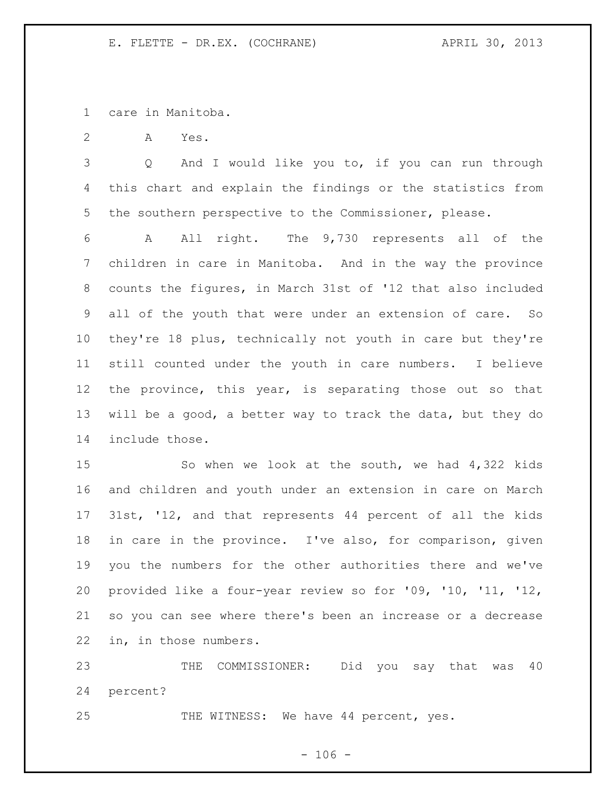care in Manitoba.

A Yes.

 Q And I would like you to, if you can run through this chart and explain the findings or the statistics from the southern perspective to the Commissioner, please.

 A All right. The 9,730 represents all of the children in care in Manitoba. And in the way the province counts the figures, in March 31st of '12 that also included all of the youth that were under an extension of care. So they're 18 plus, technically not youth in care but they're still counted under the youth in care numbers. I believe the province, this year, is separating those out so that will be a good, a better way to track the data, but they do include those.

 So when we look at the south, we had 4,322 kids and children and youth under an extension in care on March 31st, '12, and that represents 44 percent of all the kids in care in the province. I've also, for comparison, given you the numbers for the other authorities there and we've provided like a four-year review so for '09, '10, '11, '12, so you can see where there's been an increase or a decrease in, in those numbers.

 THE COMMISSIONER: Did you say that was 40 percent?

25 THE WITNESS: We have 44 percent, yes.

 $- 106 -$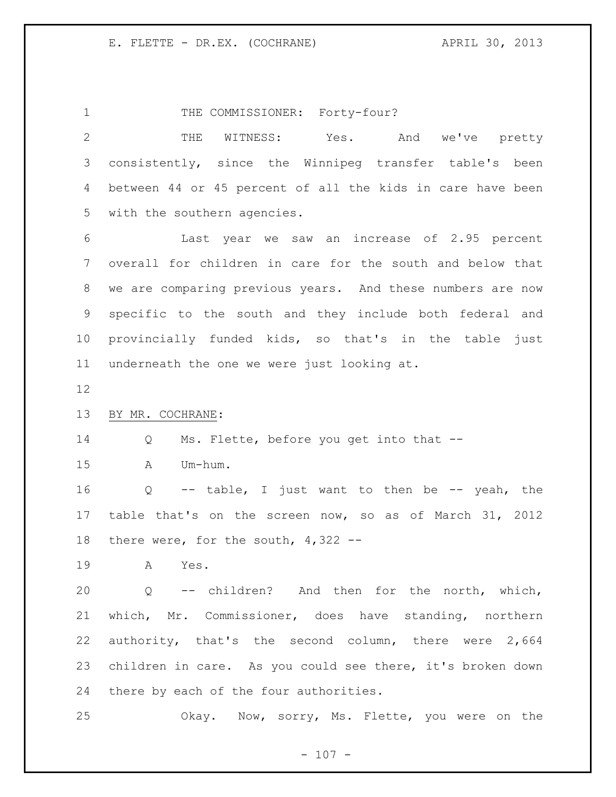1 THE COMMISSIONER: Forty-four? THE WITNESS: Yes. And we've pretty consistently, since the Winnipeg transfer table's been between 44 or 45 percent of all the kids in care have been with the southern agencies. Last year we saw an increase of 2.95 percent overall for children in care for the south and below that we are comparing previous years. And these numbers are now specific to the south and they include both federal and provincially funded kids, so that's in the table just underneath the one we were just looking at. BY MR. COCHRANE: Q Ms. Flette, before you get into that -- A Um-hum. Q -- table, I just want to then be -- yeah, the table that's on the screen now, so as of March 31, 2012 there were, for the south, 4,322 -- A Yes. Q -- children? And then for the north, which, which, Mr. Commissioner, does have standing, northern authority, that's the second column, there were 2,664 children in care. As you could see there, it's broken down there by each of the four authorities. Okay. Now, sorry, Ms. Flette, you were on the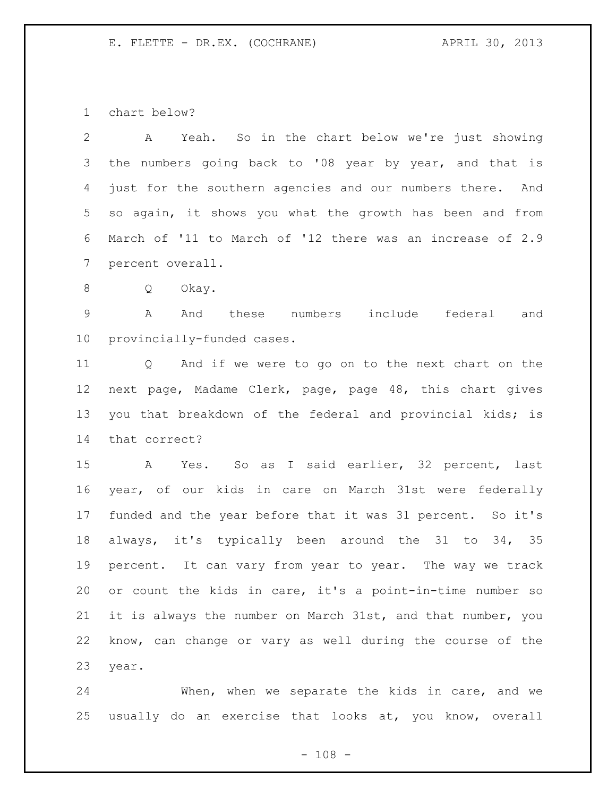chart below?

 A Yeah. So in the chart below we're just showing the numbers going back to '08 year by year, and that is just for the southern agencies and our numbers there. And so again, it shows you what the growth has been and from March of '11 to March of '12 there was an increase of 2.9 percent overall.

Q Okay.

 A And these numbers include federal and provincially-funded cases.

 Q And if we were to go on to the next chart on the next page, Madame Clerk, page, page 48, this chart gives you that breakdown of the federal and provincial kids; is that correct?

 A Yes. So as I said earlier, 32 percent, last year, of our kids in care on March 31st were federally funded and the year before that it was 31 percent. So it's always, it's typically been around the 31 to 34, 35 percent. It can vary from year to year. The way we track or count the kids in care, it's a point-in-time number so it is always the number on March 31st, and that number, you know, can change or vary as well during the course of the year.

 When, when we separate the kids in care, and we usually do an exercise that looks at, you know, overall

 $- 108 -$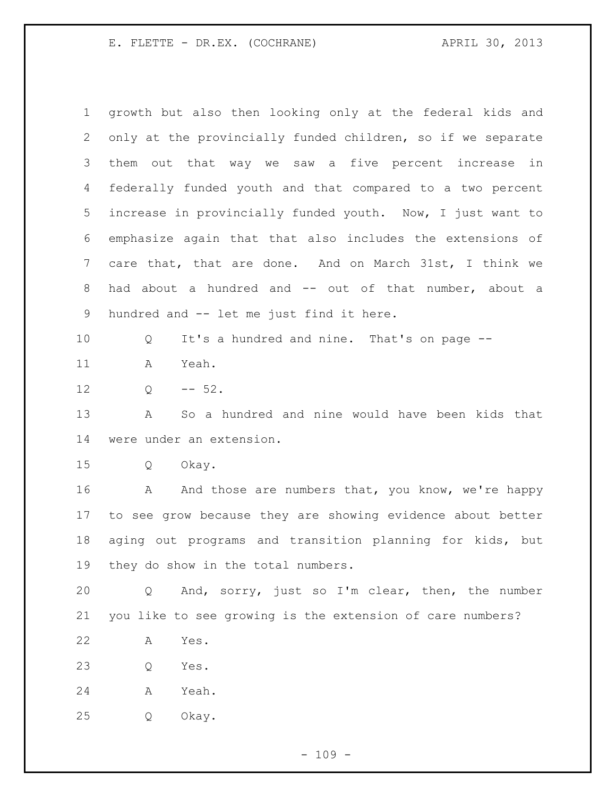| $\mathbf 1$  | growth but also then looking only at the federal kids and   |
|--------------|-------------------------------------------------------------|
| $\mathbf{2}$ | only at the provincially funded children, so if we separate |
| 3            | them out that way we saw a five percent increase in         |
| 4            | federally funded youth and that compared to a two percent   |
| 5            | increase in provincially funded youth. Now, I just want to  |
| 6            | emphasize again that that also includes the extensions of   |
| 7            | care that, that are done. And on March 31st, I think we     |
| 8            | had about a hundred and -- out of that number, about a      |
| 9            | hundred and -- let me just find it here.                    |
| 10           | It's a hundred and nine. That's on page --<br>Q             |
| 11           | Yeah.<br>A                                                  |
| 12           | $-- 52.$<br>Q                                               |
| 13           | So a hundred and nine would have been kids that<br>Α        |
| 14           | were under an extension.                                    |
| 15           | Q<br>Okay.                                                  |
| 16           | And those are numbers that, you know, we're happy<br>A      |
| 17           | to see grow because they are showing evidence about better  |
| 18           | aging out programs and transition planning for kids, but    |
| 19           | they do show in the total numbers.                          |
| 20           | And, sorry, just so I'm clear, then, the number<br>Q        |
| 21           | you like to see growing is the extension of care numbers?   |
| 22           | Α<br>Yes.                                                   |
| 23           | Yes.<br>Q                                                   |
| 24           | Yeah.<br>Α                                                  |
| 25           | Okay.<br>Q                                                  |
|              |                                                             |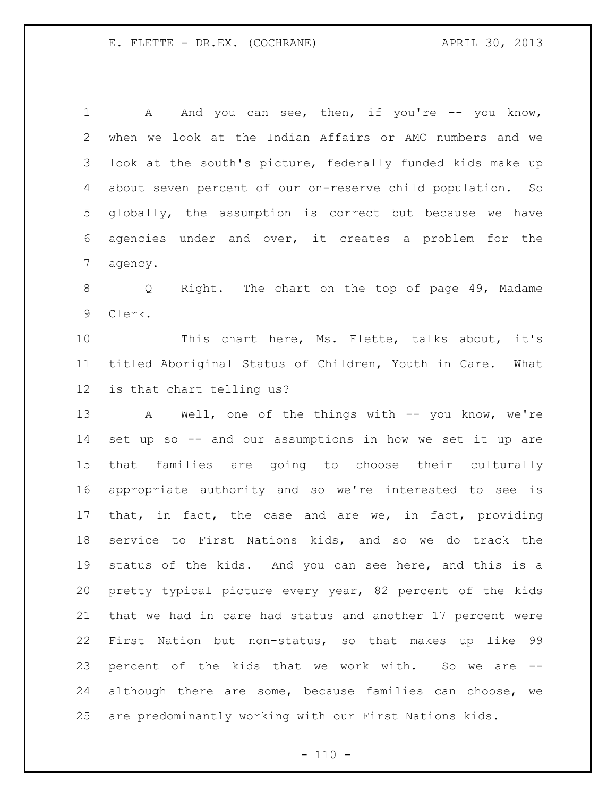1 A And you can see, then, if you're -- you know, when we look at the Indian Affairs or AMC numbers and we look at the south's picture, federally funded kids make up about seven percent of our on-reserve child population. So globally, the assumption is correct but because we have agencies under and over, it creates a problem for the agency.

 Q Right. The chart on the top of page 49, Madame Clerk.

 This chart here, Ms. Flette, talks about, it's titled Aboriginal Status of Children, Youth in Care. What is that chart telling us?

13 A Well, one of the things with -- you know, we're set up so -- and our assumptions in how we set it up are that families are going to choose their culturally appropriate authority and so we're interested to see is that, in fact, the case and are we, in fact, providing service to First Nations kids, and so we do track the status of the kids. And you can see here, and this is a pretty typical picture every year, 82 percent of the kids that we had in care had status and another 17 percent were First Nation but non-status, so that makes up like 99 percent of the kids that we work with. So we are -- although there are some, because families can choose, we are predominantly working with our First Nations kids.

 $- 110 -$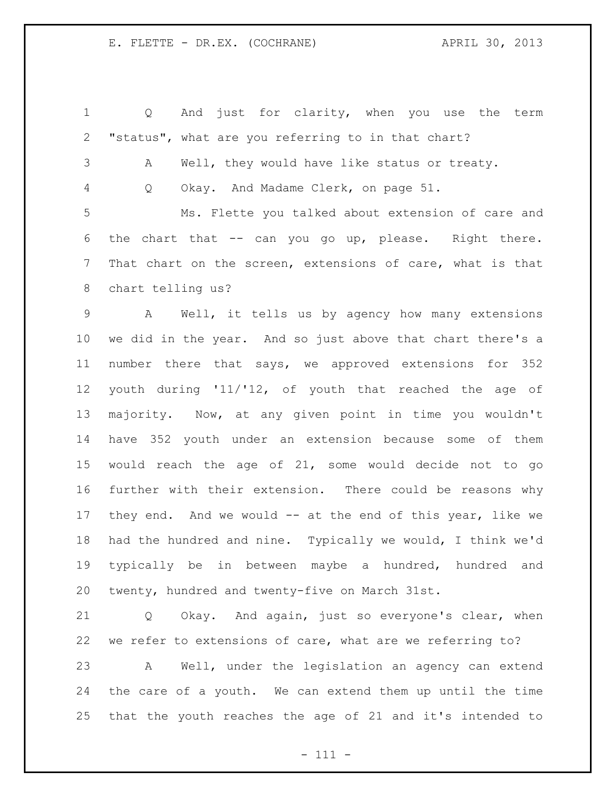Q And just for clarity, when you use the term "status", what are you referring to in that chart? A Well, they would have like status or treaty. Q Okay. And Madame Clerk, on page 51. Ms. Flette you talked about extension of care and the chart that -- can you go up, please. Right there. That chart on the screen, extensions of care, what is that chart telling us? A Well, it tells us by agency how many extensions we did in the year. And so just above that chart there's a number there that says, we approved extensions for 352 youth during '11/'12, of youth that reached the age of majority. Now, at any given point in time you wouldn't have 352 youth under an extension because some of them would reach the age of 21, some would decide not to go further with their extension. There could be reasons why they end. And we would -- at the end of this year, like we had the hundred and nine. Typically we would, I think we'd typically be in between maybe a hundred, hundred and twenty, hundred and twenty-five on March 31st.

 Q Okay. And again, just so everyone's clear, when we refer to extensions of care, what are we referring to? A Well, under the legislation an agency can extend the care of a youth. We can extend them up until the time that the youth reaches the age of 21 and it's intended to

- 111 -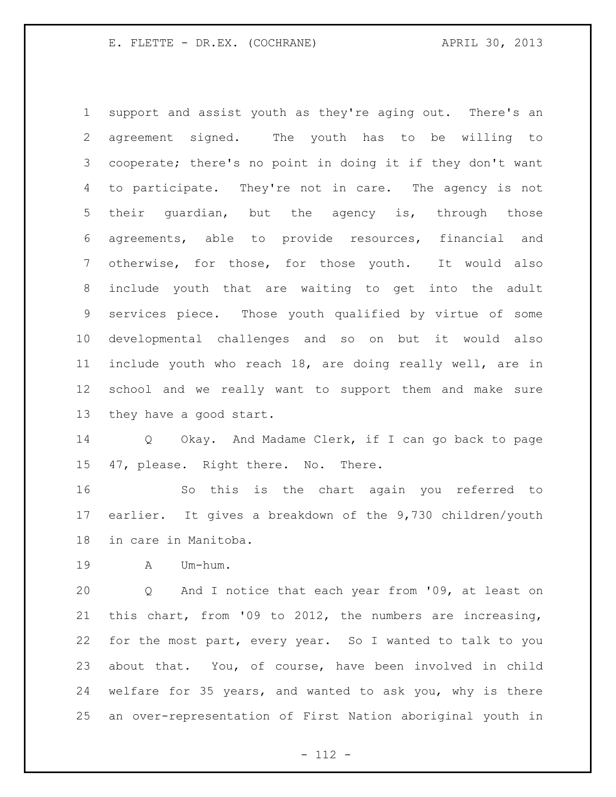support and assist youth as they're aging out. There's an agreement signed. The youth has to be willing to cooperate; there's no point in doing it if they don't want to participate. They're not in care. The agency is not their guardian, but the agency is, through those agreements, able to provide resources, financial and otherwise, for those, for those youth. It would also include youth that are waiting to get into the adult services piece. Those youth qualified by virtue of some developmental challenges and so on but it would also include youth who reach 18, are doing really well, are in school and we really want to support them and make sure they have a good start.

 Q Okay. And Madame Clerk, if I can go back to page 47, please. Right there. No. There.

 So this is the chart again you referred to earlier. It gives a breakdown of the 9,730 children/youth in care in Manitoba.

A Um-hum.

 Q And I notice that each year from '09, at least on this chart, from '09 to 2012, the numbers are increasing, for the most part, every year. So I wanted to talk to you about that. You, of course, have been involved in child welfare for 35 years, and wanted to ask you, why is there an over-representation of First Nation aboriginal youth in

- 112 -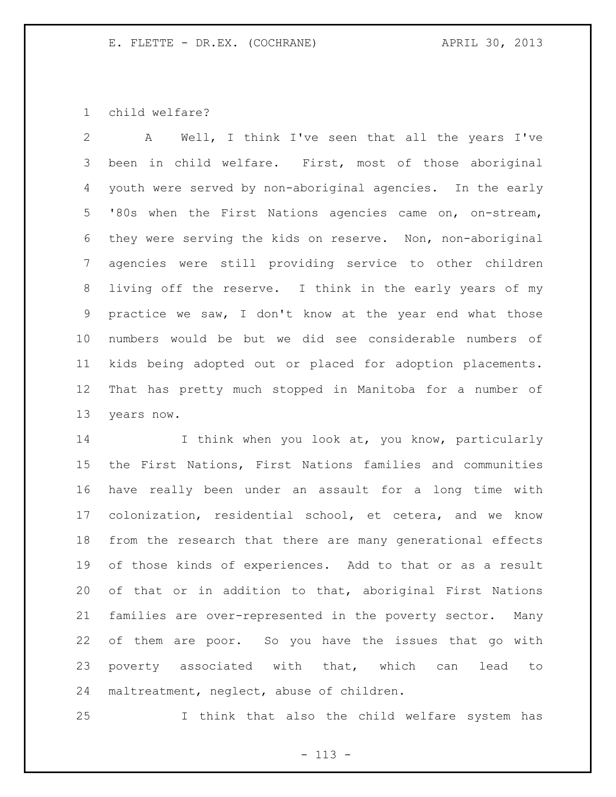child welfare?

 A Well, I think I've seen that all the years I've been in child welfare. First, most of those aboriginal youth were served by non-aboriginal agencies. In the early '80s when the First Nations agencies came on, on-stream, they were serving the kids on reserve. Non, non-aboriginal agencies were still providing service to other children living off the reserve. I think in the early years of my practice we saw, I don't know at the year end what those numbers would be but we did see considerable numbers of kids being adopted out or placed for adoption placements. That has pretty much stopped in Manitoba for a number of years now.

14 I think when you look at, you know, particularly the First Nations, First Nations families and communities have really been under an assault for a long time with colonization, residential school, et cetera, and we know from the research that there are many generational effects of those kinds of experiences. Add to that or as a result of that or in addition to that, aboriginal First Nations families are over-represented in the poverty sector. Many of them are poor. So you have the issues that go with poverty associated with that, which can lead to maltreatment, neglect, abuse of children.

I think that also the child welfare system has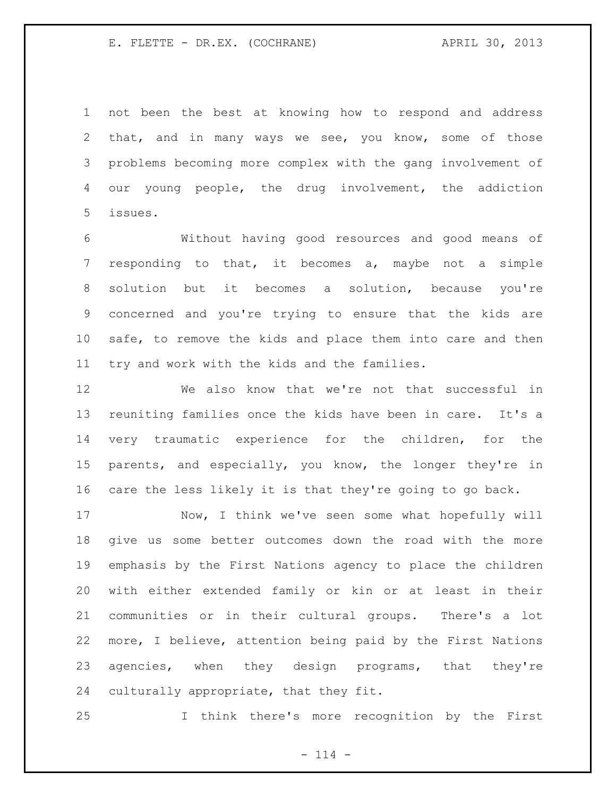not been the best at knowing how to respond and address that, and in many ways we see, you know, some of those problems becoming more complex with the gang involvement of our young people, the drug involvement, the addiction issues.

 Without having good resources and good means of responding to that, it becomes a, maybe not a simple solution but it becomes a solution, because you're concerned and you're trying to ensure that the kids are safe, to remove the kids and place them into care and then try and work with the kids and the families.

 We also know that we're not that successful in reuniting families once the kids have been in care. It's a very traumatic experience for the children, for the parents, and especially, you know, the longer they're in care the less likely it is that they're going to go back.

 Now, I think we've seen some what hopefully will give us some better outcomes down the road with the more emphasis by the First Nations agency to place the children with either extended family or kin or at least in their communities or in their cultural groups. There's a lot more, I believe, attention being paid by the First Nations 23 agencies, when they design programs, that they're culturally appropriate, that they fit.

I think there's more recognition by the First

 $- 114 -$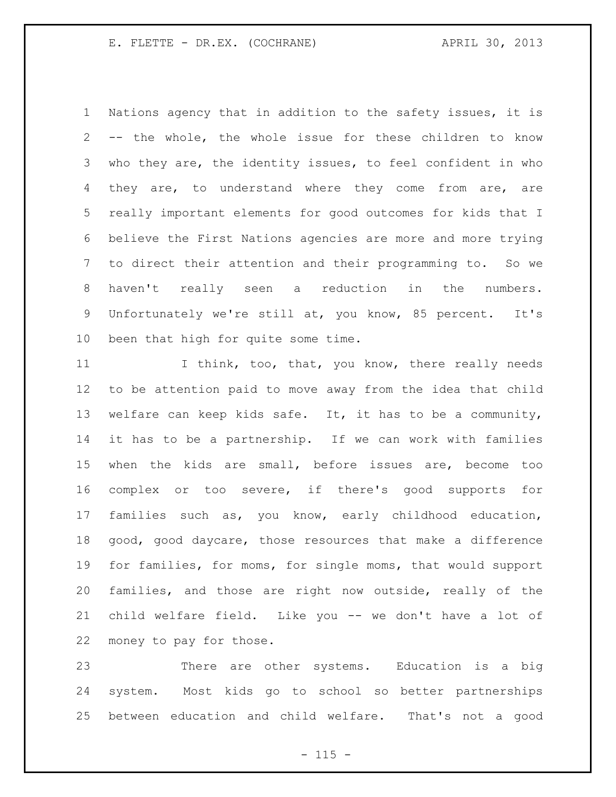Nations agency that in addition to the safety issues, it is -- the whole, the whole issue for these children to know who they are, the identity issues, to feel confident in who 4 they are, to understand where they come from are, are really important elements for good outcomes for kids that I believe the First Nations agencies are more and more trying to direct their attention and their programming to. So we haven't really seen a reduction in the numbers. Unfortunately we're still at, you know, 85 percent. It's been that high for quite some time.

11 I think, too, that, you know, there really needs to be attention paid to move away from the idea that child welfare can keep kids safe. It, it has to be a community, it has to be a partnership. If we can work with families when the kids are small, before issues are, become too complex or too severe, if there's good supports for families such as, you know, early childhood education, good, good daycare, those resources that make a difference for families, for moms, for single moms, that would support families, and those are right now outside, really of the child welfare field. Like you -- we don't have a lot of money to pay for those.

 There are other systems. Education is a big system. Most kids go to school so better partnerships between education and child welfare. That's not a good

 $- 115 -$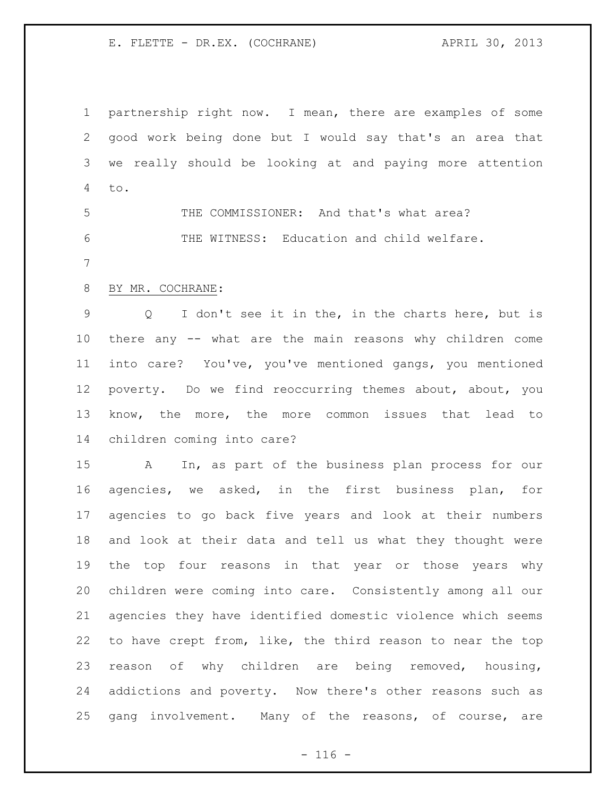partnership right now. I mean, there are examples of some good work being done but I would say that's an area that we really should be looking at and paying more attention to.

 THE COMMISSIONER: And that's what area? THE WITNESS: Education and child welfare.

## BY MR. COCHRANE:

 Q I don't see it in the, in the charts here, but is there any -- what are the main reasons why children come into care? You've, you've mentioned gangs, you mentioned poverty. Do we find reoccurring themes about, about, you know, the more, the more common issues that lead to children coming into care?

 A In, as part of the business plan process for our agencies, we asked, in the first business plan, for agencies to go back five years and look at their numbers and look at their data and tell us what they thought were the top four reasons in that year or those years why children were coming into care. Consistently among all our agencies they have identified domestic violence which seems to have crept from, like, the third reason to near the top reason of why children are being removed, housing, addictions and poverty. Now there's other reasons such as gang involvement. Many of the reasons, of course, are

 $- 116 -$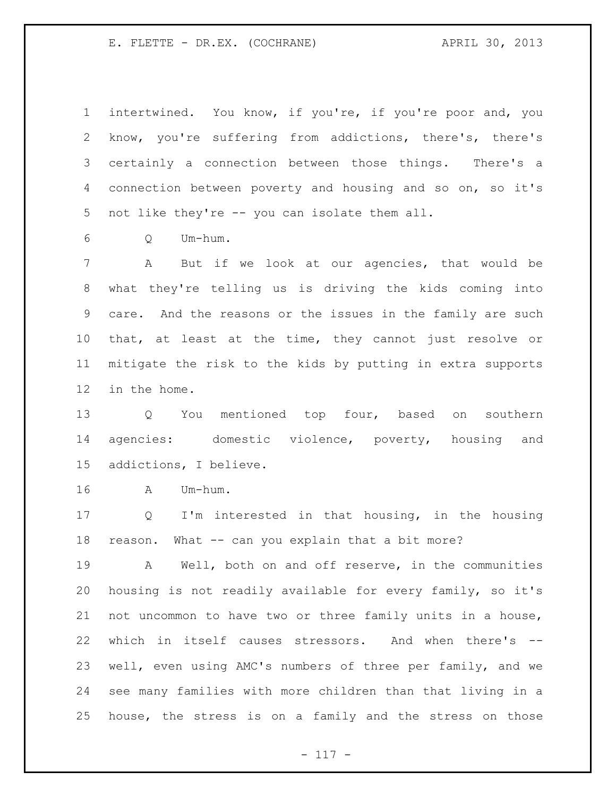intertwined. You know, if you're, if you're poor and, you know, you're suffering from addictions, there's, there's certainly a connection between those things. There's a connection between poverty and housing and so on, so it's not like they're -- you can isolate them all.

Q Um-hum.

 A But if we look at our agencies, that would be what they're telling us is driving the kids coming into care. And the reasons or the issues in the family are such that, at least at the time, they cannot just resolve or mitigate the risk to the kids by putting in extra supports in the home.

 Q You mentioned top four, based on southern agencies: domestic violence, poverty, housing and addictions, I believe.

A Um-hum.

 Q I'm interested in that housing, in the housing reason. What -- can you explain that a bit more?

 A Well, both on and off reserve, in the communities housing is not readily available for every family, so it's not uncommon to have two or three family units in a house, which in itself causes stressors. And when there's -- well, even using AMC's numbers of three per family, and we see many families with more children than that living in a house, the stress is on a family and the stress on those

 $- 117 -$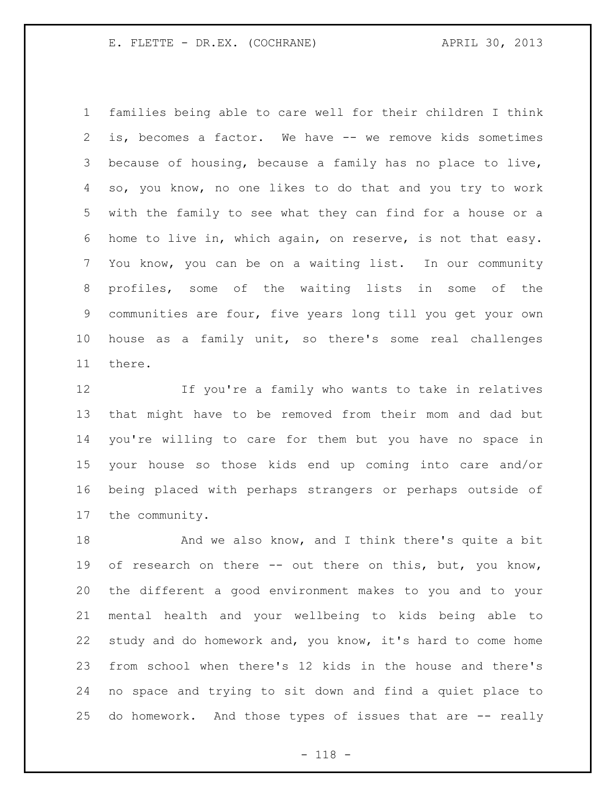families being able to care well for their children I think is, becomes a factor. We have -- we remove kids sometimes because of housing, because a family has no place to live, so, you know, no one likes to do that and you try to work with the family to see what they can find for a house or a home to live in, which again, on reserve, is not that easy. You know, you can be on a waiting list. In our community profiles, some of the waiting lists in some of the communities are four, five years long till you get your own house as a family unit, so there's some real challenges there.

 If you're a family who wants to take in relatives that might have to be removed from their mom and dad but you're willing to care for them but you have no space in your house so those kids end up coming into care and/or being placed with perhaps strangers or perhaps outside of the community.

18 And we also know, and I think there's quite a bit 19 of research on there -- out there on this, but, you know, the different a good environment makes to you and to your mental health and your wellbeing to kids being able to study and do homework and, you know, it's hard to come home from school when there's 12 kids in the house and there's no space and trying to sit down and find a quiet place to do homework. And those types of issues that are -- really

- 118 -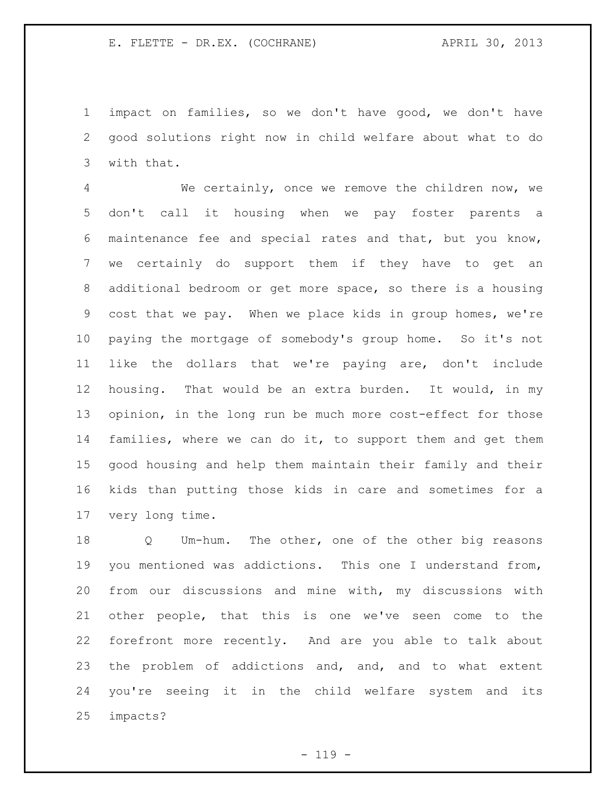impact on families, so we don't have good, we don't have good solutions right now in child welfare about what to do with that.

 We certainly, once we remove the children now, we don't call it housing when we pay foster parents a maintenance fee and special rates and that, but you know, we certainly do support them if they have to get an additional bedroom or get more space, so there is a housing cost that we pay. When we place kids in group homes, we're paying the mortgage of somebody's group home. So it's not like the dollars that we're paying are, don't include housing. That would be an extra burden. It would, in my opinion, in the long run be much more cost-effect for those families, where we can do it, to support them and get them good housing and help them maintain their family and their kids than putting those kids in care and sometimes for a very long time.

 Q Um-hum. The other, one of the other big reasons you mentioned was addictions. This one I understand from, from our discussions and mine with, my discussions with other people, that this is one we've seen come to the forefront more recently. And are you able to talk about the problem of addictions and, and, and to what extent you're seeing it in the child welfare system and its impacts?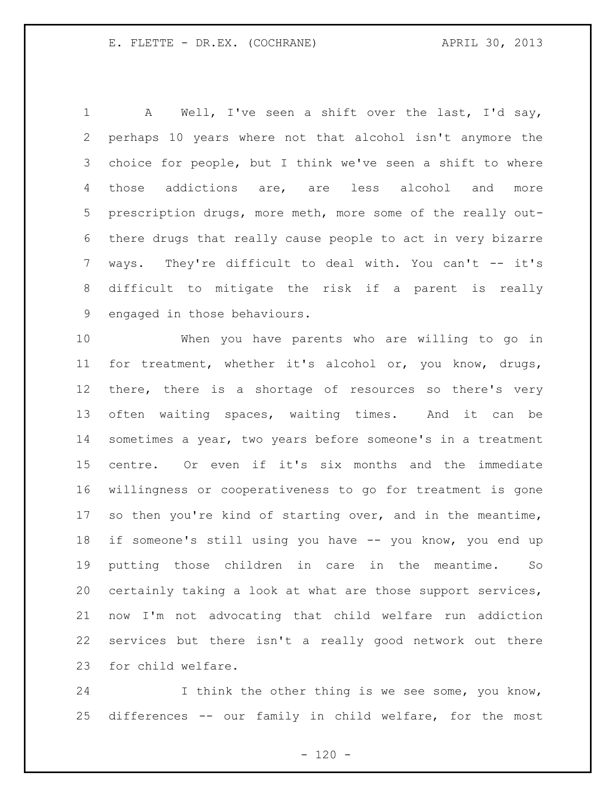1 A Well, I've seen a shift over the last, I'd say, perhaps 10 years where not that alcohol isn't anymore the choice for people, but I think we've seen a shift to where those addictions are, are less alcohol and more prescription drugs, more meth, more some of the really out- there drugs that really cause people to act in very bizarre 7 ways. They're difficult to deal with. You can't -- it's difficult to mitigate the risk if a parent is really engaged in those behaviours.

 When you have parents who are willing to go in for treatment, whether it's alcohol or, you know, drugs, there, there is a shortage of resources so there's very often waiting spaces, waiting times. And it can be sometimes a year, two years before someone's in a treatment centre. Or even if it's six months and the immediate willingness or cooperativeness to go for treatment is gone 17 so then you're kind of starting over, and in the meantime, 18 if someone's still using you have -- you know, you end up putting those children in care in the meantime. So certainly taking a look at what are those support services, now I'm not advocating that child welfare run addiction services but there isn't a really good network out there for child welfare.

 I think the other thing is we see some, you know, differences -- our family in child welfare, for the most

 $- 120 -$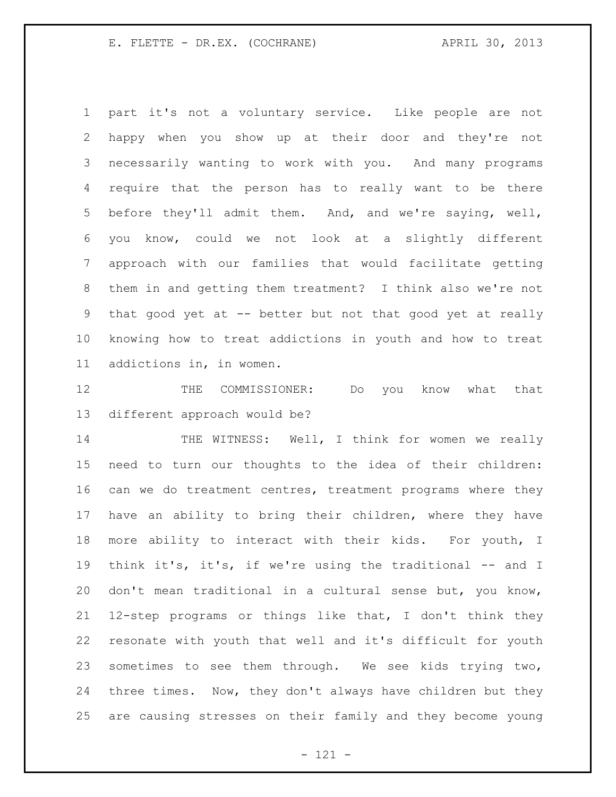part it's not a voluntary service. Like people are not happy when you show up at their door and they're not necessarily wanting to work with you. And many programs require that the person has to really want to be there before they'll admit them. And, and we're saying, well, you know, could we not look at a slightly different approach with our families that would facilitate getting them in and getting them treatment? I think also we're not that good yet at -- better but not that good yet at really knowing how to treat addictions in youth and how to treat addictions in, in women.

 THE COMMISSIONER: Do you know what that different approach would be?

14 THE WITNESS: Well, I think for women we really need to turn our thoughts to the idea of their children: can we do treatment centres, treatment programs where they have an ability to bring their children, where they have more ability to interact with their kids. For youth, I think it's, it's, if we're using the traditional -- and I don't mean traditional in a cultural sense but, you know, 12-step programs or things like that, I don't think they resonate with youth that well and it's difficult for youth sometimes to see them through. We see kids trying two, three times. Now, they don't always have children but they are causing stresses on their family and they become young

- 121 -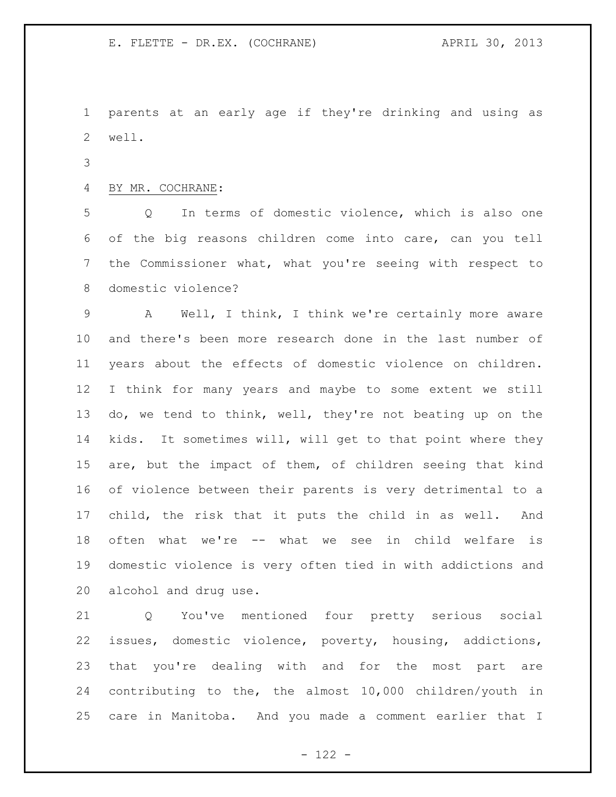parents at an early age if they're drinking and using as well.

## BY MR. COCHRANE:

 Q In terms of domestic violence, which is also one of the big reasons children come into care, can you tell the Commissioner what, what you're seeing with respect to domestic violence?

 A Well, I think, I think we're certainly more aware and there's been more research done in the last number of years about the effects of domestic violence on children. I think for many years and maybe to some extent we still do, we tend to think, well, they're not beating up on the kids. It sometimes will, will get to that point where they are, but the impact of them, of children seeing that kind of violence between their parents is very detrimental to a child, the risk that it puts the child in as well. And often what we're -- what we see in child welfare is domestic violence is very often tied in with addictions and alcohol and drug use.

 Q You've mentioned four pretty serious social issues, domestic violence, poverty, housing, addictions, that you're dealing with and for the most part are contributing to the, the almost 10,000 children/youth in care in Manitoba. And you made a comment earlier that I

 $- 122 -$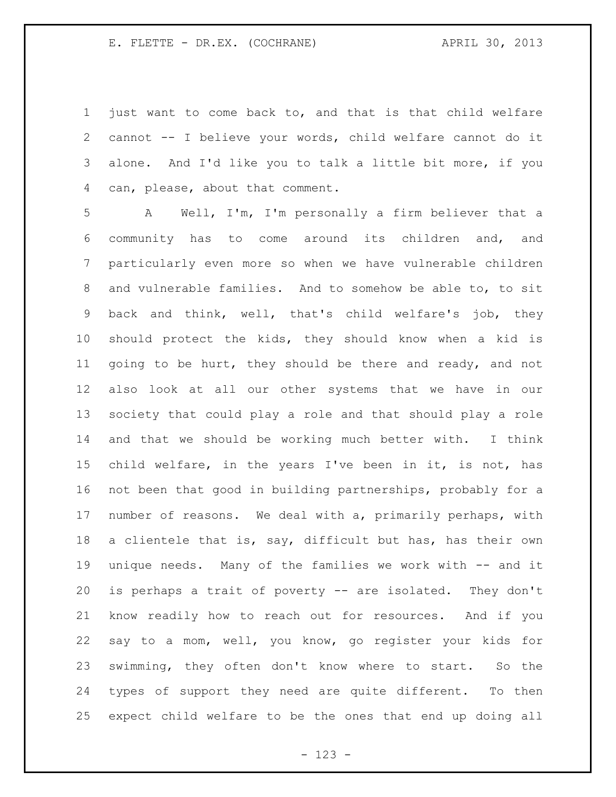just want to come back to, and that is that child welfare cannot -- I believe your words, child welfare cannot do it alone. And I'd like you to talk a little bit more, if you can, please, about that comment.

 A Well, I'm, I'm personally a firm believer that a community has to come around its children and, and particularly even more so when we have vulnerable children and vulnerable families. And to somehow be able to, to sit back and think, well, that's child welfare's job, they should protect the kids, they should know when a kid is going to be hurt, they should be there and ready, and not also look at all our other systems that we have in our society that could play a role and that should play a role and that we should be working much better with. I think child welfare, in the years I've been in it, is not, has not been that good in building partnerships, probably for a number of reasons. We deal with a, primarily perhaps, with a clientele that is, say, difficult but has, has their own unique needs. Many of the families we work with -- and it is perhaps a trait of poverty -- are isolated. They don't know readily how to reach out for resources. And if you say to a mom, well, you know, go register your kids for swimming, they often don't know where to start. So the types of support they need are quite different. To then expect child welfare to be the ones that end up doing all

- 123 -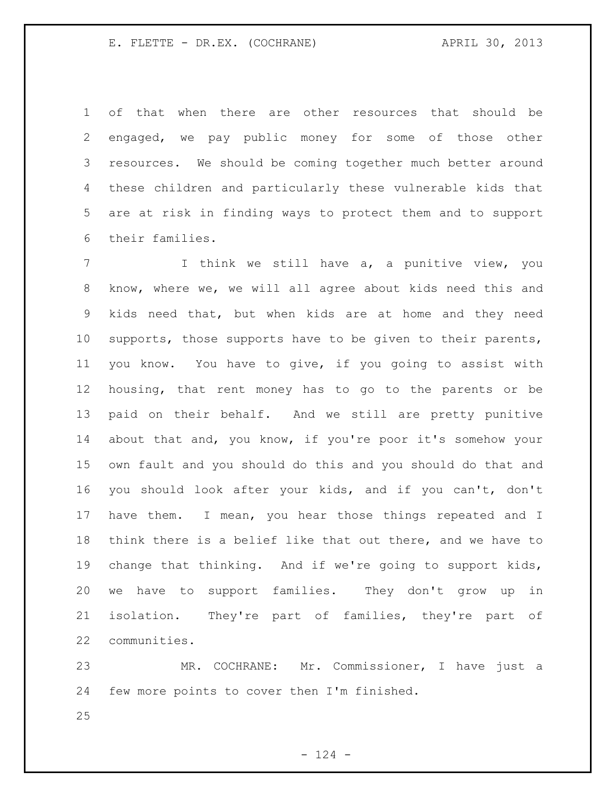of that when there are other resources that should be engaged, we pay public money for some of those other resources. We should be coming together much better around these children and particularly these vulnerable kids that are at risk in finding ways to protect them and to support their families.

7 1 I think we still have a, a punitive view, you know, where we, we will all agree about kids need this and kids need that, but when kids are at home and they need supports, those supports have to be given to their parents, you know. You have to give, if you going to assist with housing, that rent money has to go to the parents or be paid on their behalf. And we still are pretty punitive about that and, you know, if you're poor it's somehow your own fault and you should do this and you should do that and you should look after your kids, and if you can't, don't have them. I mean, you hear those things repeated and I think there is a belief like that out there, and we have to change that thinking. And if we're going to support kids, we have to support families. They don't grow up in isolation. They're part of families, they're part of communities.

 MR. COCHRANE: Mr. Commissioner, I have just a few more points to cover then I'm finished.

 $- 124 -$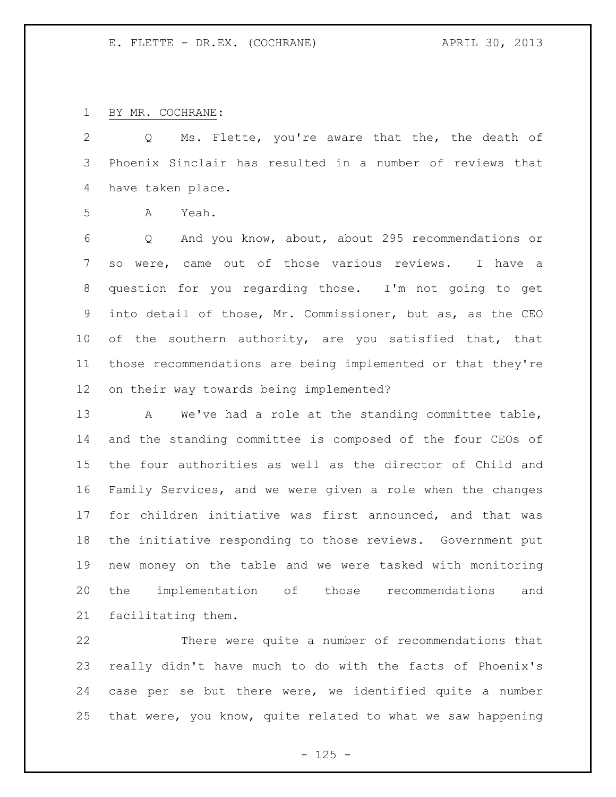BY MR. COCHRANE:

 Q Ms. Flette, you're aware that the, the death of Phoenix Sinclair has resulted in a number of reviews that have taken place.

A Yeah.

 Q And you know, about, about 295 recommendations or so were, came out of those various reviews. I have a question for you regarding those. I'm not going to get into detail of those, Mr. Commissioner, but as, as the CEO of the southern authority, are you satisfied that, that those recommendations are being implemented or that they're on their way towards being implemented?

13 A We've had a role at the standing committee table, and the standing committee is composed of the four CEOs of the four authorities as well as the director of Child and Family Services, and we were given a role when the changes for children initiative was first announced, and that was the initiative responding to those reviews. Government put new money on the table and we were tasked with monitoring the implementation of those recommendations and facilitating them.

 There were quite a number of recommendations that really didn't have much to do with the facts of Phoenix's case per se but there were, we identified quite a number that were, you know, quite related to what we saw happening

 $- 125 -$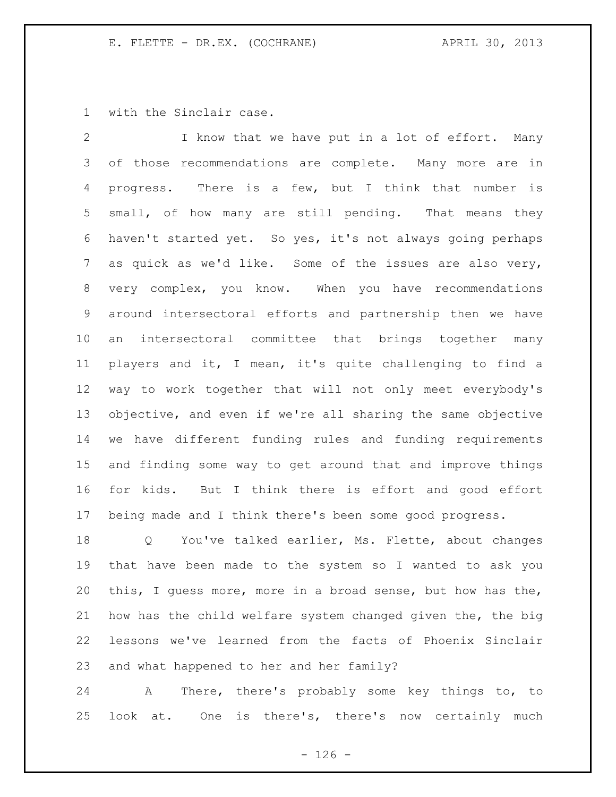with the Sinclair case.

 I know that we have put in a lot of effort. Many of those recommendations are complete. Many more are in progress. There is a few, but I think that number is small, of how many are still pending. That means they haven't started yet. So yes, it's not always going perhaps as quick as we'd like. Some of the issues are also very, very complex, you know. When you have recommendations around intersectoral efforts and partnership then we have an intersectoral committee that brings together many players and it, I mean, it's quite challenging to find a way to work together that will not only meet everybody's objective, and even if we're all sharing the same objective we have different funding rules and funding requirements and finding some way to get around that and improve things for kids. But I think there is effort and good effort being made and I think there's been some good progress.

 Q You've talked earlier, Ms. Flette, about changes that have been made to the system so I wanted to ask you this, I guess more, more in a broad sense, but how has the, how has the child welfare system changed given the, the big lessons we've learned from the facts of Phoenix Sinclair and what happened to her and her family?

 A There, there's probably some key things to, to look at. One is there's, there's now certainly much

 $- 126 -$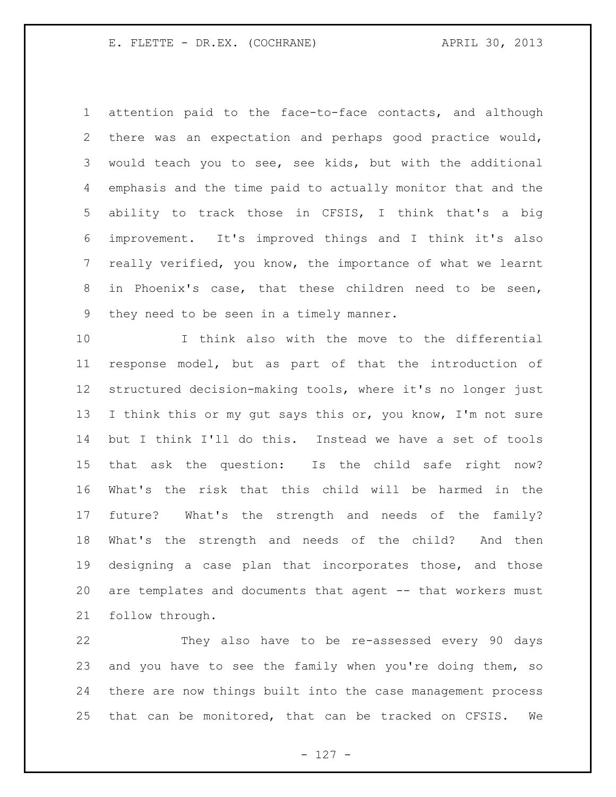attention paid to the face-to-face contacts, and although there was an expectation and perhaps good practice would, would teach you to see, see kids, but with the additional emphasis and the time paid to actually monitor that and the ability to track those in CFSIS, I think that's a big improvement. It's improved things and I think it's also really verified, you know, the importance of what we learnt in Phoenix's case, that these children need to be seen, they need to be seen in a timely manner.

 I think also with the move to the differential response model, but as part of that the introduction of structured decision-making tools, where it's no longer just 13 I think this or my gut says this or, you know, I'm not sure but I think I'll do this. Instead we have a set of tools that ask the question: Is the child safe right now? What's the risk that this child will be harmed in the future? What's the strength and needs of the family? What's the strength and needs of the child? And then designing a case plan that incorporates those, and those 20 are templates and documents that agent -- that workers must follow through.

 They also have to be re-assessed every 90 days 23 and you have to see the family when you're doing them, so there are now things built into the case management process that can be monitored, that can be tracked on CFSIS. We

- 127 -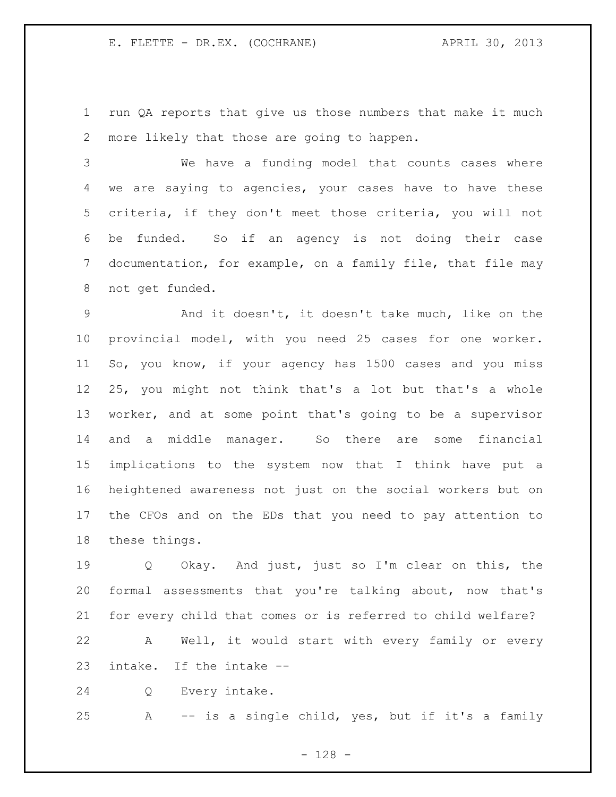run QA reports that give us those numbers that make it much more likely that those are going to happen.

 We have a funding model that counts cases where we are saying to agencies, your cases have to have these criteria, if they don't meet those criteria, you will not be funded. So if an agency is not doing their case documentation, for example, on a family file, that file may not get funded.

 And it doesn't, it doesn't take much, like on the provincial model, with you need 25 cases for one worker. So, you know, if your agency has 1500 cases and you miss 25, you might not think that's a lot but that's a whole worker, and at some point that's going to be a supervisor and a middle manager. So there are some financial implications to the system now that I think have put a heightened awareness not just on the social workers but on the CFOs and on the EDs that you need to pay attention to these things.

 Q Okay. And just, just so I'm clear on this, the formal assessments that you're talking about, now that's for every child that comes or is referred to child welfare?

 A Well, it would start with every family or every intake. If the intake --

Q Every intake.

A -- is a single child, yes, but if it's a family

- 128 -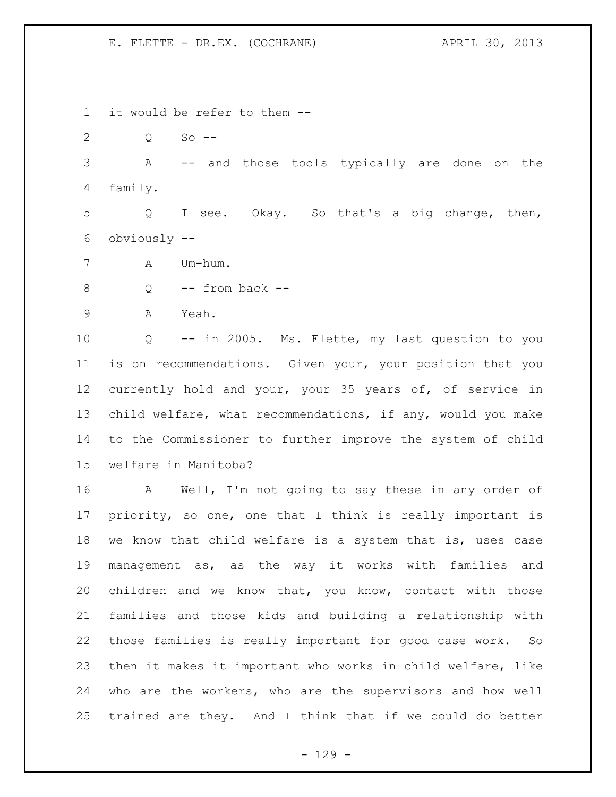it would be refer to them --

Q So --

 A -- and those tools typically are done on the family.

 Q I see. Okay. So that's a big change, then, obviously --

A Um-hum.

8 Q -- from back --

A Yeah.

 Q -- in 2005. Ms. Flette, my last question to you is on recommendations. Given your, your position that you currently hold and your, your 35 years of, of service in child welfare, what recommendations, if any, would you make to the Commissioner to further improve the system of child welfare in Manitoba?

 A Well, I'm not going to say these in any order of priority, so one, one that I think is really important is we know that child welfare is a system that is, uses case management as, as the way it works with families and children and we know that, you know, contact with those families and those kids and building a relationship with those families is really important for good case work. So then it makes it important who works in child welfare, like who are the workers, who are the supervisors and how well trained are they. And I think that if we could do better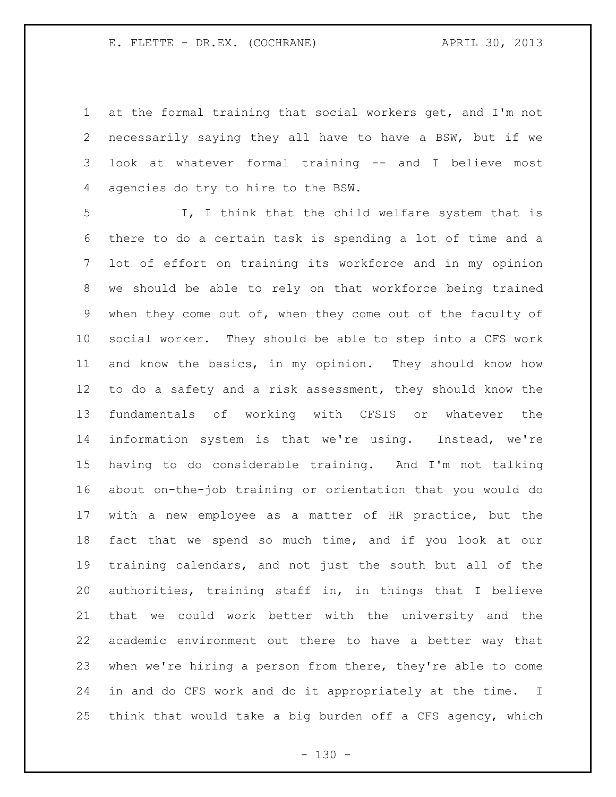at the formal training that social workers get, and I'm not necessarily saying they all have to have a BSW, but if we look at whatever formal training -- and I believe most agencies do try to hire to the BSW.

 I, I think that the child welfare system that is there to do a certain task is spending a lot of time and a lot of effort on training its workforce and in my opinion we should be able to rely on that workforce being trained when they come out of, when they come out of the faculty of social worker. They should be able to step into a CFS work and know the basics, in my opinion. They should know how to do a safety and a risk assessment, they should know the fundamentals of working with CFSIS or whatever the information system is that we're using. Instead, we're having to do considerable training. And I'm not talking about on-the-job training or orientation that you would do with a new employee as a matter of HR practice, but the fact that we spend so much time, and if you look at our training calendars, and not just the south but all of the authorities, training staff in, in things that I believe that we could work better with the university and the academic environment out there to have a better way that when we're hiring a person from there, they're able to come in and do CFS work and do it appropriately at the time. I think that would take a big burden off a CFS agency, which

 $- 130 -$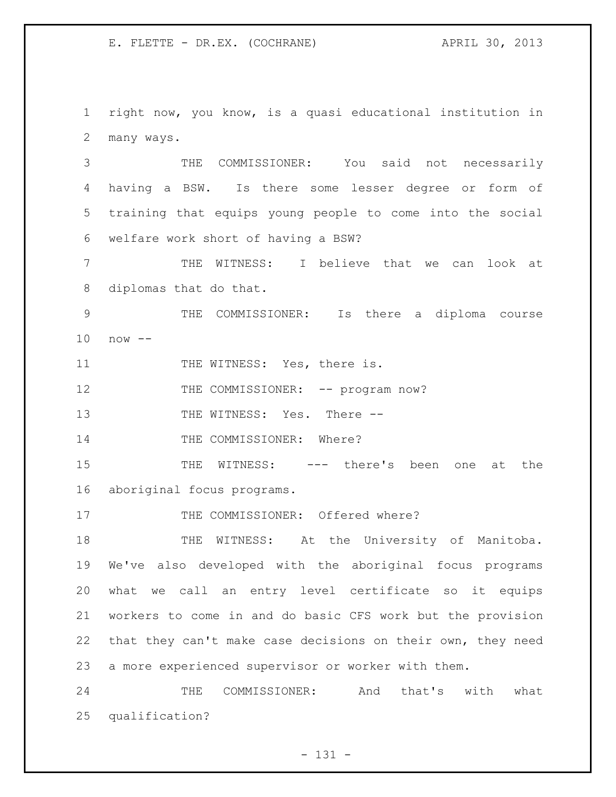right now, you know, is a quasi educational institution in many ways.

 THE COMMISSIONER: You said not necessarily having a BSW. Is there some lesser degree or form of training that equips young people to come into the social welfare work short of having a BSW?

 THE WITNESS: I believe that we can look at diplomas that do that.

 THE COMMISSIONER: Is there a diploma course now --

11 THE WITNESS: Yes, there is.

12 THE COMMISSIONER: -- program now?

13 THE WITNESS: Yes. There --

14 THE COMMISSIONER: Where?

 THE WITNESS: --- there's been one at the aboriginal focus programs.

17 THE COMMISSIONER: Offered where?

18 THE WITNESS: At the University of Manitoba. We've also developed with the aboriginal focus programs what we call an entry level certificate so it equips workers to come in and do basic CFS work but the provision that they can't make case decisions on their own, they need a more experienced supervisor or worker with them.

 THE COMMISSIONER: And that's with what qualification?

- 131 -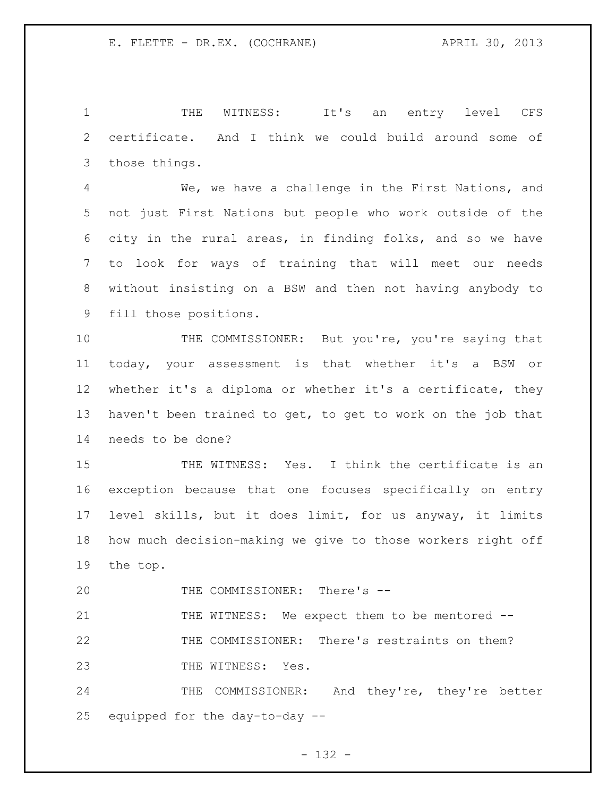THE WITNESS: It's an entry level CFS certificate. And I think we could build around some of those things.

 We, we have a challenge in the First Nations, and not just First Nations but people who work outside of the city in the rural areas, in finding folks, and so we have to look for ways of training that will meet our needs without insisting on a BSW and then not having anybody to fill those positions.

10 THE COMMISSIONER: But you're, you're saying that today, your assessment is that whether it's a BSW or whether it's a diploma or whether it's a certificate, they haven't been trained to get, to get to work on the job that needs to be done?

 THE WITNESS: Yes. I think the certificate is an exception because that one focuses specifically on entry level skills, but it does limit, for us anyway, it limits how much decision-making we give to those workers right off the top.

20 THE COMMISSIONER: There's --

21 THE WITNESS: We expect them to be mentored -- THE COMMISSIONER: There's restraints on them? 23 THE WITNESS: Yes.

24 THE COMMISSIONER: And they're, they're better equipped for the day-to-day --

- 132 -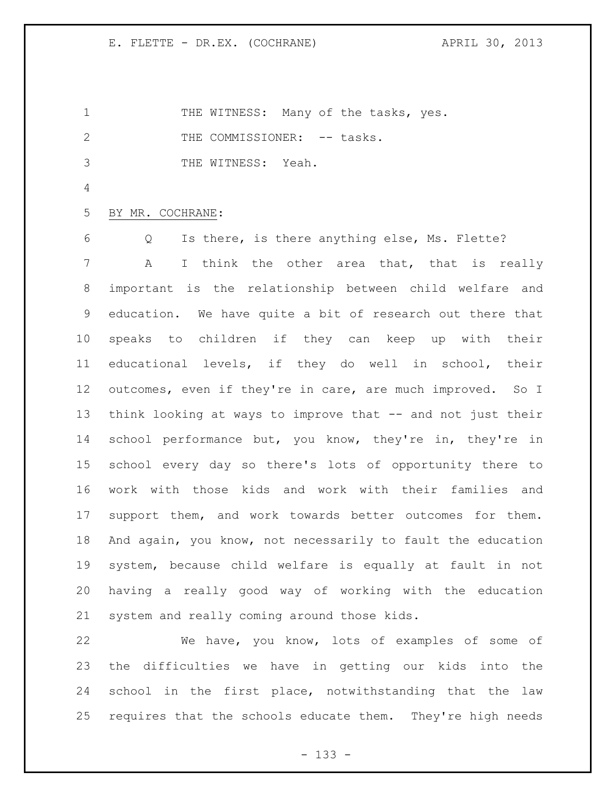1 THE WITNESS: Many of the tasks, yes. 2 THE COMMISSIONER: -- tasks. THE WITNESS: Yeah. BY MR. COCHRANE: Q Is there, is there anything else, Ms. Flette? A I think the other area that, that is really important is the relationship between child welfare and education. We have quite a bit of research out there that speaks to children if they can keep up with their educational levels, if they do well in school, their outcomes, even if they're in care, are much improved. So I think looking at ways to improve that -- and not just their 14 school performance but, you know, they're in, they're in school every day so there's lots of opportunity there to work with those kids and work with their families and support them, and work towards better outcomes for them. And again, you know, not necessarily to fault the education system, because child welfare is equally at fault in not having a really good way of working with the education system and really coming around those kids.

 We have, you know, lots of examples of some of the difficulties we have in getting our kids into the school in the first place, notwithstanding that the law requires that the schools educate them. They're high needs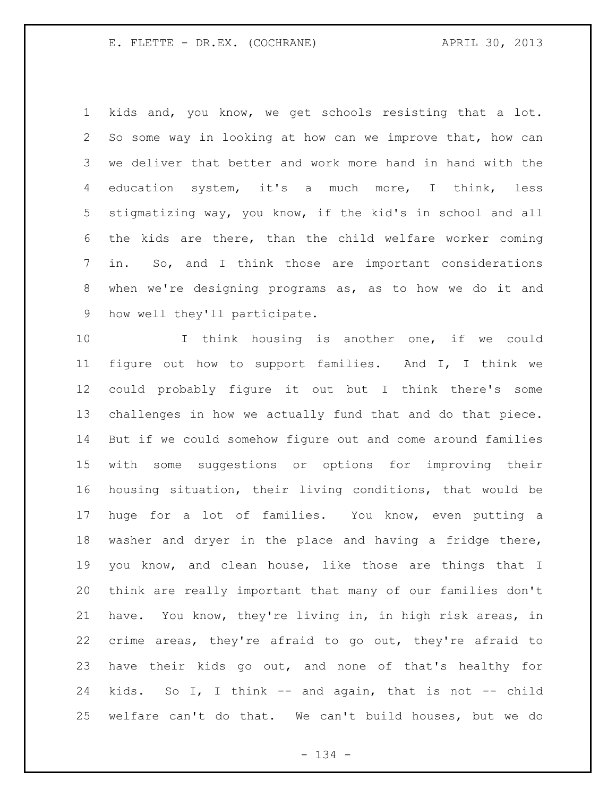kids and, you know, we get schools resisting that a lot. So some way in looking at how can we improve that, how can we deliver that better and work more hand in hand with the education system, it's a much more, I think, less stigmatizing way, you know, if the kid's in school and all the kids are there, than the child welfare worker coming in. So, and I think those are important considerations when we're designing programs as, as to how we do it and how well they'll participate.

 I think housing is another one, if we could figure out how to support families. And I, I think we could probably figure it out but I think there's some challenges in how we actually fund that and do that piece. But if we could somehow figure out and come around families with some suggestions or options for improving their housing situation, their living conditions, that would be huge for a lot of families. You know, even putting a washer and dryer in the place and having a fridge there, you know, and clean house, like those are things that I think are really important that many of our families don't have. You know, they're living in, in high risk areas, in crime areas, they're afraid to go out, they're afraid to have their kids go out, and none of that's healthy for kids. So I, I think -- and again, that is not -- child welfare can't do that. We can't build houses, but we do

- 134 -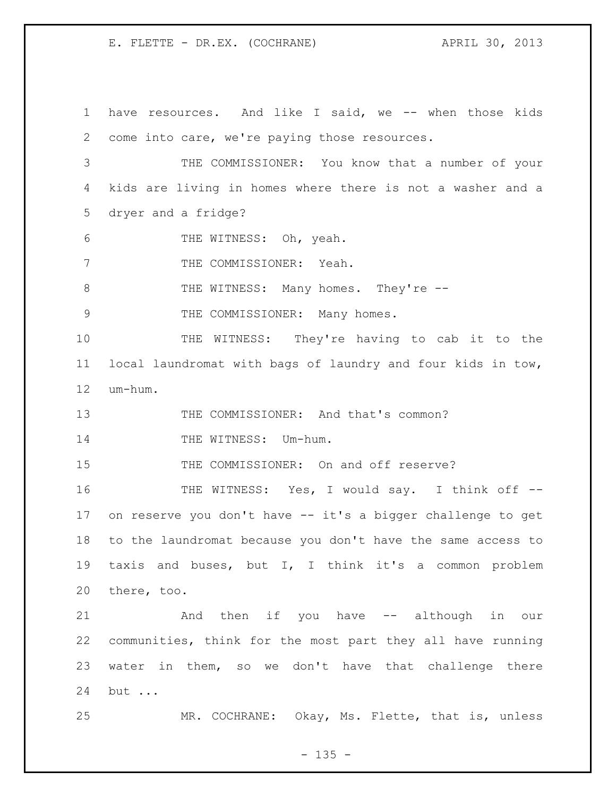have resources. And like I said, we -- when those kids come into care, we're paying those resources. THE COMMISSIONER: You know that a number of your kids are living in homes where there is not a washer and a dryer and a fridge? THE WITNESS: Oh, yeah. 7 THE COMMISSIONER: Yeah. 8 THE WITNESS: Many homes. They're --9 THE COMMISSIONER: Many homes. THE WITNESS: They're having to cab it to the local laundromat with bags of laundry and four kids in tow, um-hum. THE COMMISSIONER: And that's common? 14 THE WITNESS: Um-hum. THE COMMISSIONER: On and off reserve? THE WITNESS: Yes, I would say. I think off -- on reserve you don't have -- it's a bigger challenge to get to the laundromat because you don't have the same access to taxis and buses, but I, I think it's a common problem there, too. And then if you have -- although in our communities, think for the most part they all have running water in them, so we don't have that challenge there but ... MR. COCHRANE: Okay, Ms. Flette, that is, unless

 $- 135 -$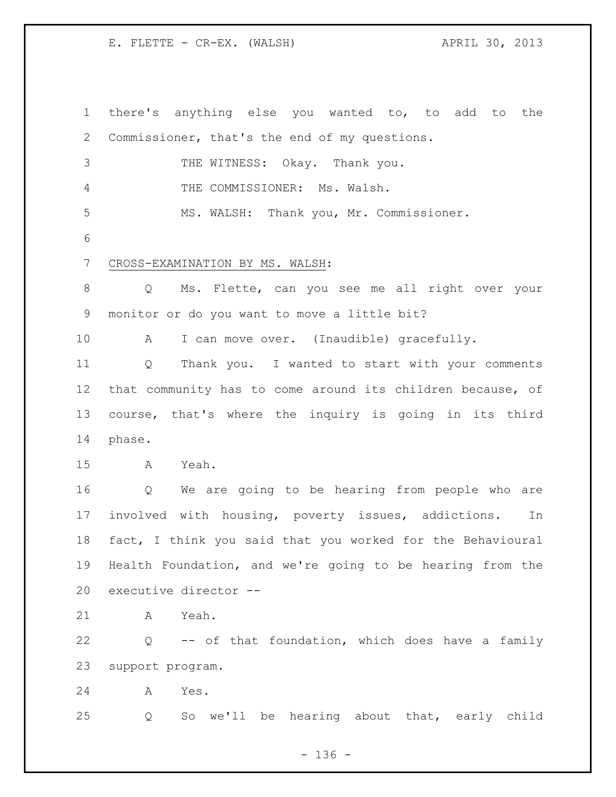there's anything else you wanted to, to add to the Commissioner, that's the end of my questions. THE WITNESS: Okay. Thank you. THE COMMISSIONER: Ms. Walsh. MS. WALSH: Thank you, Mr. Commissioner. CROSS-EXAMINATION BY MS. WALSH: Q Ms. Flette, can you see me all right over your monitor or do you want to move a little bit? A I can move over. (Inaudible) gracefully. Q Thank you. I wanted to start with your comments that community has to come around its children because, of course, that's where the inquiry is going in its third phase. A Yeah. Q We are going to be hearing from people who are involved with housing, poverty issues, addictions. In fact, I think you said that you worked for the Behavioural Health Foundation, and we're going to be hearing from the executive director -- A Yeah. Q -- of that foundation, which does have a family support program. A Yes. Q So we'll be hearing about that, early child

 $- 136 -$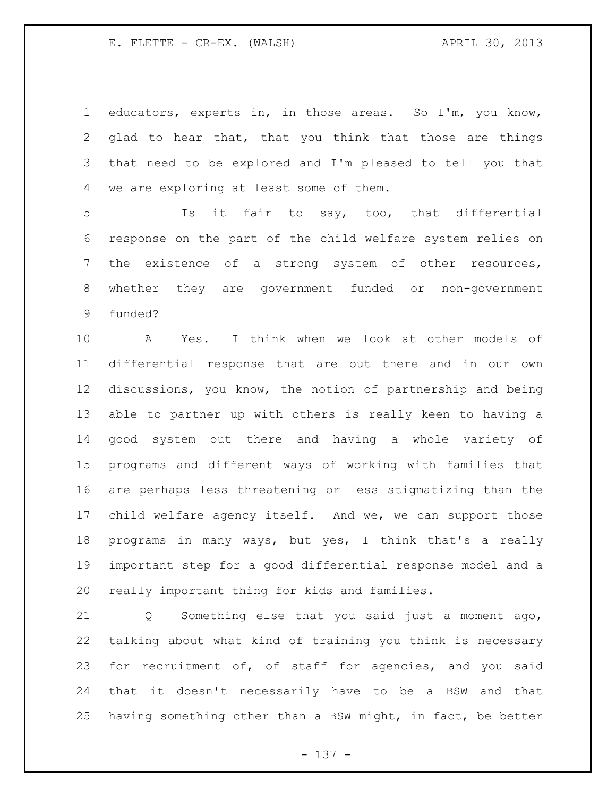educators, experts in, in those areas. So I'm, you know, glad to hear that, that you think that those are things that need to be explored and I'm pleased to tell you that we are exploring at least some of them.

 Is it fair to say, too, that differential response on the part of the child welfare system relies on the existence of a strong system of other resources, whether they are government funded or non-government funded?

 A Yes. I think when we look at other models of differential response that are out there and in our own discussions, you know, the notion of partnership and being able to partner up with others is really keen to having a good system out there and having a whole variety of programs and different ways of working with families that are perhaps less threatening or less stigmatizing than the child welfare agency itself. And we, we can support those programs in many ways, but yes, I think that's a really important step for a good differential response model and a really important thing for kids and families.

 Q Something else that you said just a moment ago, talking about what kind of training you think is necessary for recruitment of, of staff for agencies, and you said that it doesn't necessarily have to be a BSW and that having something other than a BSW might, in fact, be better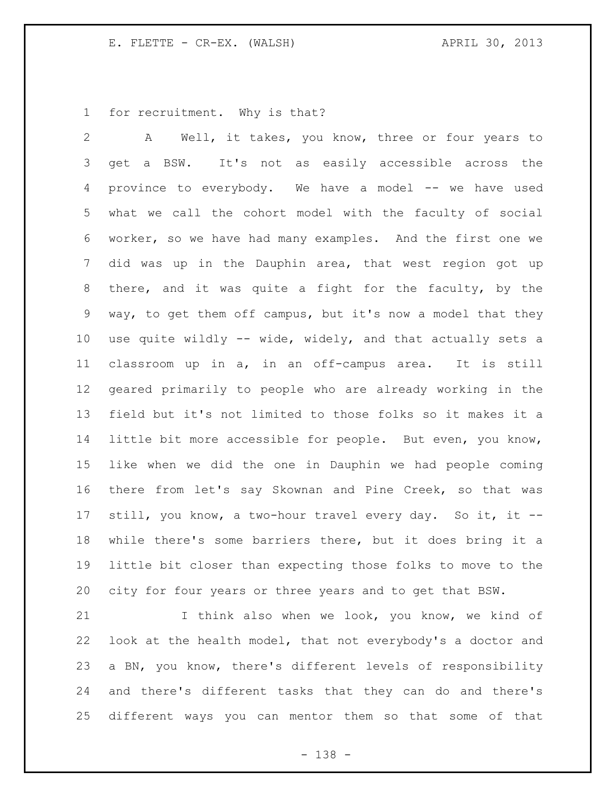for recruitment. Why is that?

 A Well, it takes, you know, three or four years to get a BSW. It's not as easily accessible across the province to everybody. We have a model -- we have used what we call the cohort model with the faculty of social worker, so we have had many examples. And the first one we did was up in the Dauphin area, that west region got up there, and it was quite a fight for the faculty, by the way, to get them off campus, but it's now a model that they use quite wildly -- wide, widely, and that actually sets a classroom up in a, in an off-campus area. It is still geared primarily to people who are already working in the field but it's not limited to those folks so it makes it a little bit more accessible for people. But even, you know, like when we did the one in Dauphin we had people coming there from let's say Skownan and Pine Creek, so that was still, you know, a two-hour travel every day. So it, it -- while there's some barriers there, but it does bring it a little bit closer than expecting those folks to move to the city for four years or three years and to get that BSW.

21 I think also when we look, you know, we kind of look at the health model, that not everybody's a doctor and a BN, you know, there's different levels of responsibility and there's different tasks that they can do and there's different ways you can mentor them so that some of that

- 138 -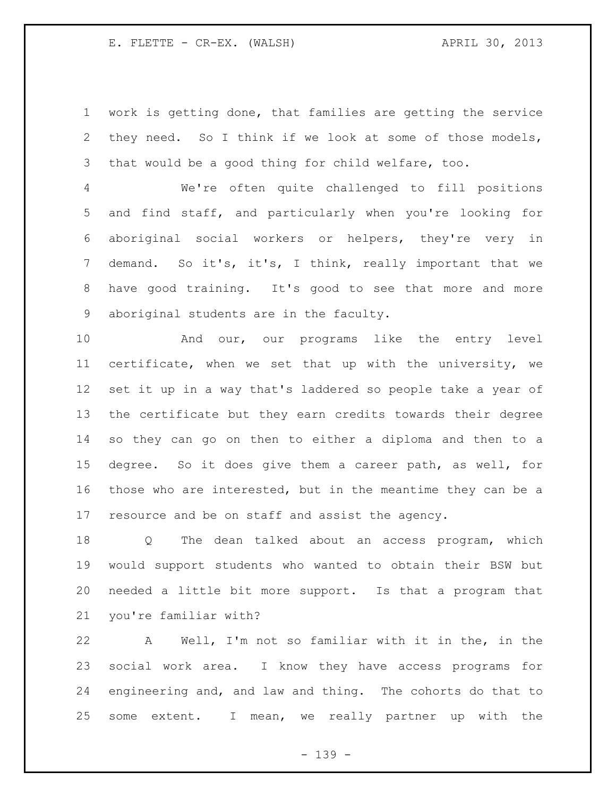work is getting done, that families are getting the service they need. So I think if we look at some of those models, that would be a good thing for child welfare, too.

 We're often quite challenged to fill positions and find staff, and particularly when you're looking for aboriginal social workers or helpers, they're very in demand. So it's, it's, I think, really important that we have good training. It's good to see that more and more aboriginal students are in the faculty.

 And our, our programs like the entry level certificate, when we set that up with the university, we set it up in a way that's laddered so people take a year of the certificate but they earn credits towards their degree so they can go on then to either a diploma and then to a degree. So it does give them a career path, as well, for those who are interested, but in the meantime they can be a resource and be on staff and assist the agency.

 Q The dean talked about an access program, which would support students who wanted to obtain their BSW but needed a little bit more support. Is that a program that you're familiar with?

 A Well, I'm not so familiar with it in the, in the social work area. I know they have access programs for engineering and, and law and thing. The cohorts do that to some extent. I mean, we really partner up with the

- 139 -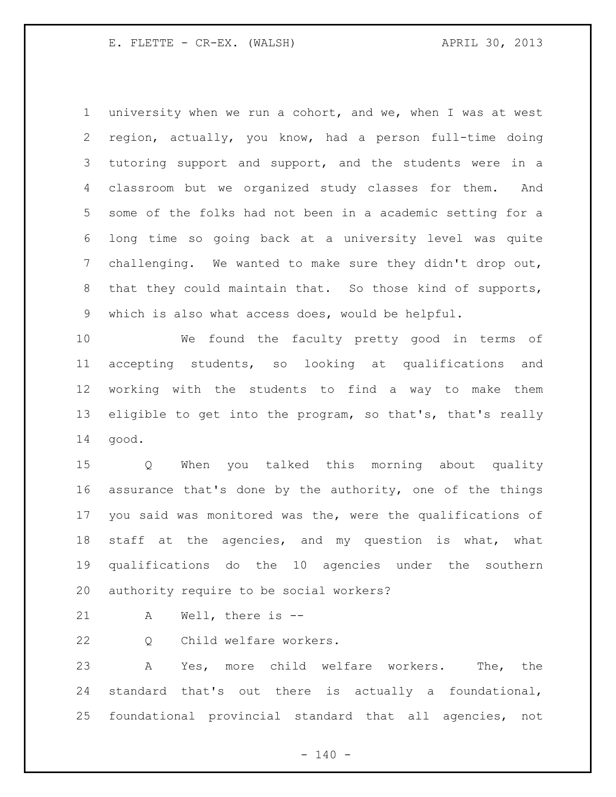university when we run a cohort, and we, when I was at west region, actually, you know, had a person full-time doing tutoring support and support, and the students were in a classroom but we organized study classes for them. And some of the folks had not been in a academic setting for a long time so going back at a university level was quite challenging. We wanted to make sure they didn't drop out, that they could maintain that. So those kind of supports, which is also what access does, would be helpful.

 We found the faculty pretty good in terms of accepting students, so looking at qualifications and working with the students to find a way to make them 13 eligible to get into the program, so that's, that's really good.

 Q When you talked this morning about quality assurance that's done by the authority, one of the things you said was monitored was the, were the qualifications of staff at the agencies, and my question is what, what qualifications do the 10 agencies under the southern authority require to be social workers?

A Well, there is --

Q Child welfare workers.

 A Yes, more child welfare workers. The, the standard that's out there is actually a foundational, foundational provincial standard that all agencies, not

 $- 140 -$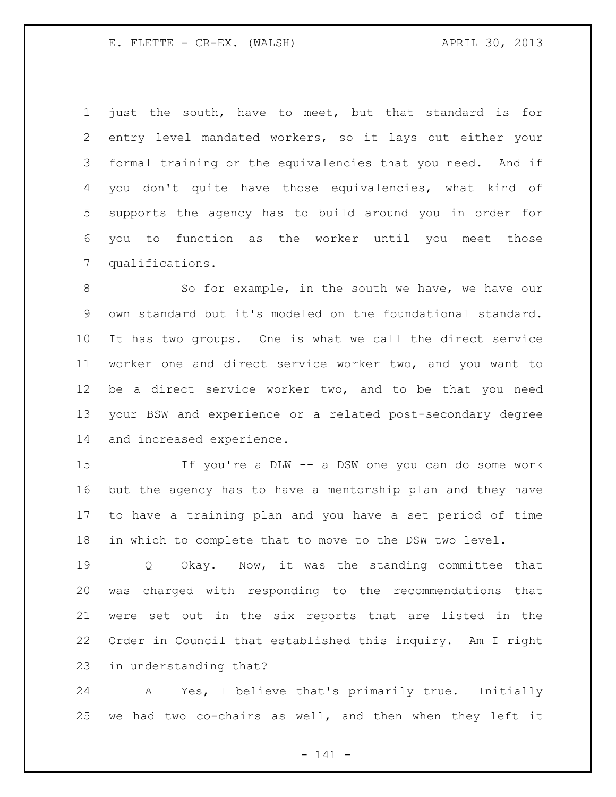just the south, have to meet, but that standard is for entry level mandated workers, so it lays out either your formal training or the equivalencies that you need. And if you don't quite have those equivalencies, what kind of supports the agency has to build around you in order for you to function as the worker until you meet those qualifications.

8 So for example, in the south we have, we have our own standard but it's modeled on the foundational standard. It has two groups. One is what we call the direct service worker one and direct service worker two, and you want to be a direct service worker two, and to be that you need your BSW and experience or a related post-secondary degree and increased experience.

 If you're a DLW -- a DSW one you can do some work but the agency has to have a mentorship plan and they have to have a training plan and you have a set period of time in which to complete that to move to the DSW two level.

 Q Okay. Now, it was the standing committee that was charged with responding to the recommendations that were set out in the six reports that are listed in the Order in Council that established this inquiry. Am I right in understanding that?

 A Yes, I believe that's primarily true. Initially we had two co-chairs as well, and then when they left it

- 141 -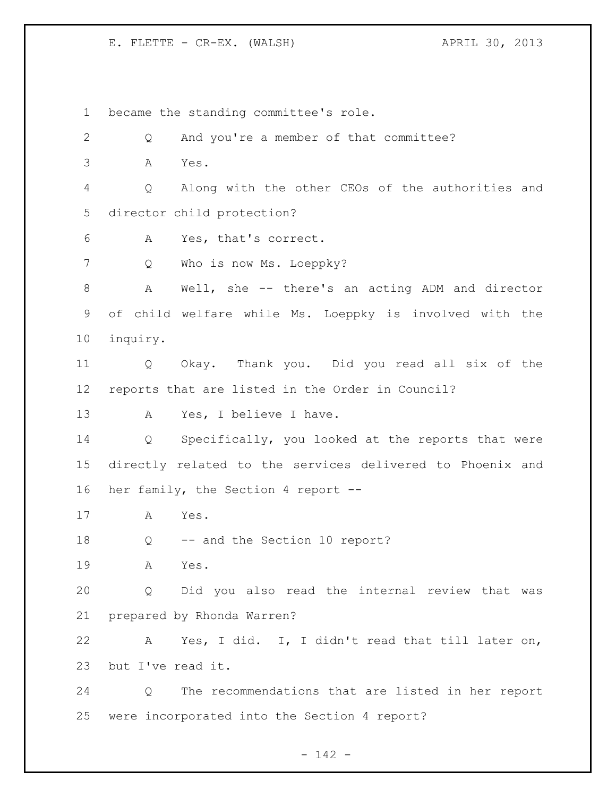became the standing committee's role. Q And you're a member of that committee? A Yes. Q Along with the other CEOs of the authorities and director child protection? A Yes, that's correct. Q Who is now Ms. Loeppky? A Well, she -- there's an acting ADM and director of child welfare while Ms. Loeppky is involved with the inquiry. Q Okay. Thank you. Did you read all six of the reports that are listed in the Order in Council? A Yes, I believe I have. Q Specifically, you looked at the reports that were directly related to the services delivered to Phoenix and her family, the Section 4 report -- A Yes. Q -- and the Section 10 report? A Yes. Q Did you also read the internal review that was prepared by Rhonda Warren? A Yes, I did. I, I didn't read that till later on, but I've read it. Q The recommendations that are listed in her report were incorporated into the Section 4 report?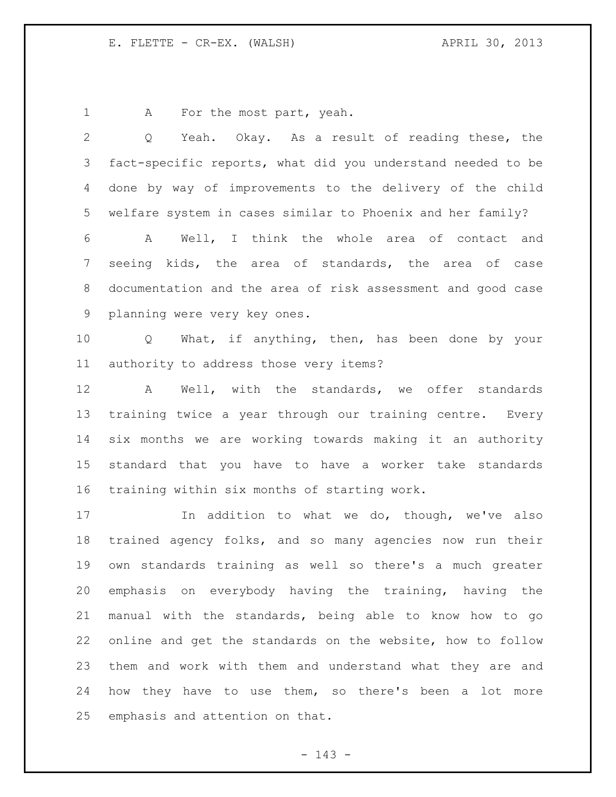1 A For the most part, yeah.

 fact-specific reports, what did you understand needed to be done by way of improvements to the delivery of the child welfare system in cases similar to Phoenix and her family? A Well, I think the whole area of contact and seeing kids, the area of standards, the area of case documentation and the area of risk assessment and good case planning were very key ones. Q What, if anything, then, has been done by your authority to address those very items? A Well, with the standards, we offer standards training twice a year through our training centre. Every six months we are working towards making it an authority standard that you have to have a worker take standards training within six months of starting work. 17 17 In addition to what we do, though, we've also trained agency folks, and so many agencies now run their own standards training as well so there's a much greater emphasis on everybody having the training, having the manual with the standards, being able to know how to go online and get the standards on the website, how to follow them and work with them and understand what they are and how they have to use them, so there's been a lot more emphasis and attention on that.

Q Yeah. Okay. As a result of reading these, the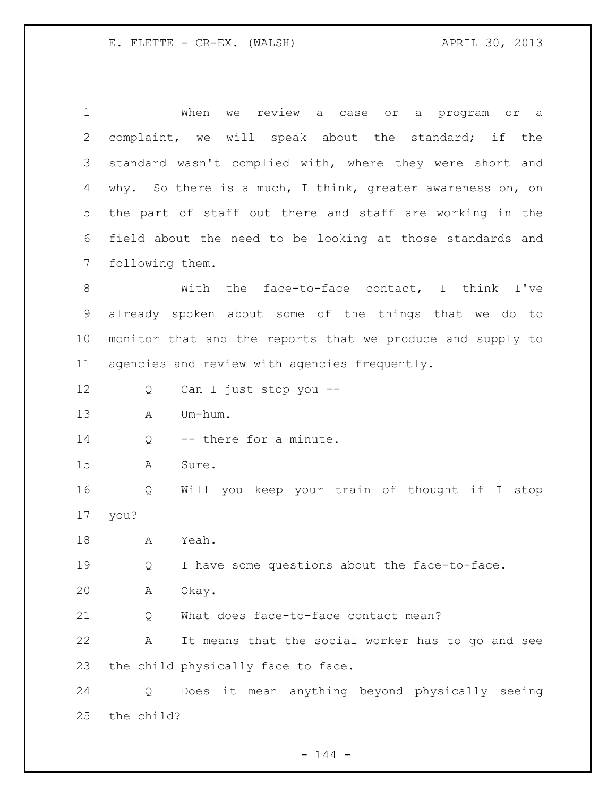| 1               | When<br>review a case or a program or a<br>we              |
|-----------------|------------------------------------------------------------|
| 2               | complaint, we will speak about the standard; if the        |
| 3               | standard wasn't complied with, where they were short and   |
| 4               | why. So there is a much, I think, greater awareness on, on |
| 5               | the part of staff out there and staff are working in the   |
| 6               | field about the need to be looking at those standards and  |
| $7\phantom{.0}$ | following them.                                            |
| 8               | With the face-to-face contact, I think I've                |
| $\mathsf 9$     | already spoken about some of the things that we do to      |
| 10              | monitor that and the reports that we produce and supply to |
| 11              | agencies and review with agencies frequently.              |
| 12              | Can I just stop you --<br>Q                                |
| 13              | Um-hum.<br>Α                                               |
| 14              | -- there for a minute.<br>Q                                |
| 15              | Α<br>Sure.                                                 |
| 16              | Will you keep your train of thought if I stop<br>Q         |
| 17              | you?                                                       |
| 18              | Α<br>Yeah.                                                 |
| 19              | I have some questions about the face-to-face.<br>Q         |
| 20              | Okay.<br>Α                                                 |
| 21              | What does face-to-face contact mean?<br>Q                  |
| 22              | It means that the social worker has to go and see<br>Α     |
| 23              | the child physically face to face.                         |
| 24              | Does it mean anything beyond physically seeing<br>Q        |
| 25              | the child?                                                 |

- 144 -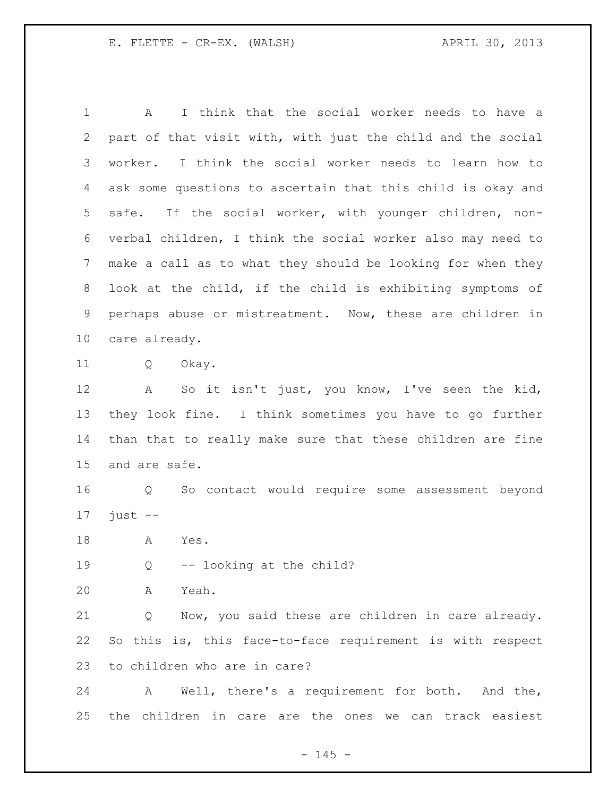A I think that the social worker needs to have a part of that visit with, with just the child and the social worker. I think the social worker needs to learn how to ask some questions to ascertain that this child is okay and safe. If the social worker, with younger children, non- verbal children, I think the social worker also may need to make a call as to what they should be looking for when they look at the child, if the child is exhibiting symptoms of perhaps abuse or mistreatment. Now, these are children in care already.

Q Okay.

 A So it isn't just, you know, I've seen the kid, they look fine. I think sometimes you have to go further than that to really make sure that these children are fine and are safe.

 Q So contact would require some assessment beyond just  $-$ 

A Yes.

Q -- looking at the child?

A Yeah.

 Q Now, you said these are children in care already. So this is, this face-to-face requirement is with respect to children who are in care?

 A Well, there's a requirement for both. And the, the children in care are the ones we can track easiest

 $- 145 -$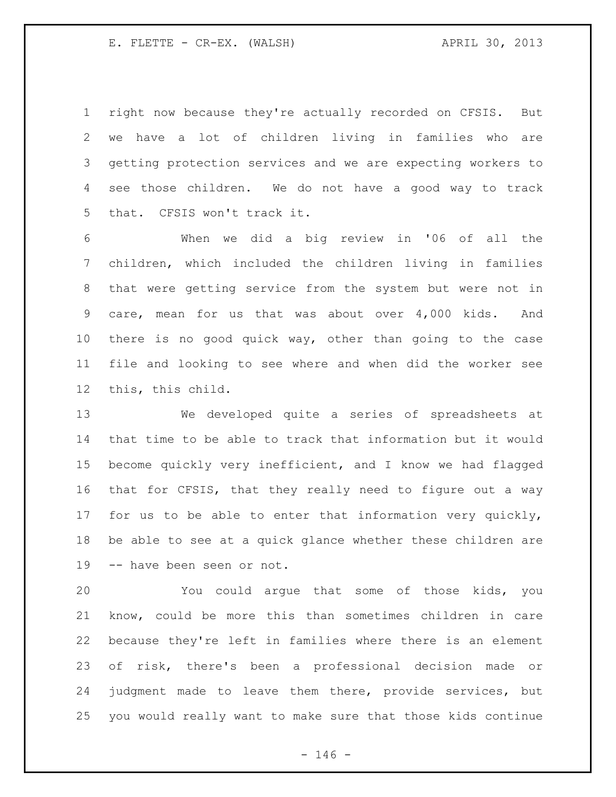right now because they're actually recorded on CFSIS. But we have a lot of children living in families who are getting protection services and we are expecting workers to see those children. We do not have a good way to track that. CFSIS won't track it.

 When we did a big review in '06 of all the children, which included the children living in families that were getting service from the system but were not in care, mean for us that was about over 4,000 kids. And there is no good quick way, other than going to the case file and looking to see where and when did the worker see this, this child.

 We developed quite a series of spreadsheets at that time to be able to track that information but it would become quickly very inefficient, and I know we had flagged that for CFSIS, that they really need to figure out a way for us to be able to enter that information very quickly, be able to see at a quick glance whether these children are -- have been seen or not.

 You could argue that some of those kids, you know, could be more this than sometimes children in care because they're left in families where there is an element of risk, there's been a professional decision made or judgment made to leave them there, provide services, but you would really want to make sure that those kids continue

 $- 146 -$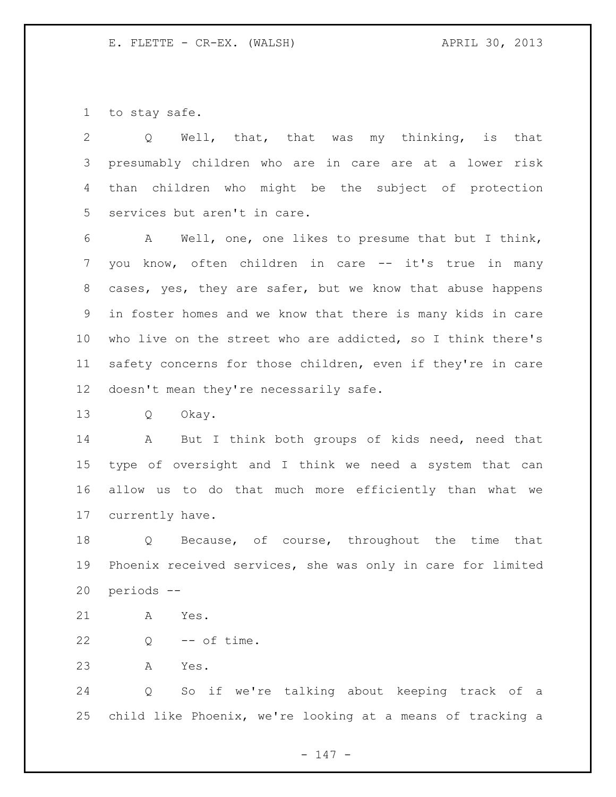to stay safe.

 Q Well, that, that was my thinking, is that presumably children who are in care are at a lower risk than children who might be the subject of protection services but aren't in care.

 A Well, one, one likes to presume that but I think, you know, often children in care -- it's true in many cases, yes, they are safer, but we know that abuse happens in foster homes and we know that there is many kids in care who live on the street who are addicted, so I think there's safety concerns for those children, even if they're in care doesn't mean they're necessarily safe.

Q Okay.

14 A But I think both groups of kids need, need that type of oversight and I think we need a system that can allow us to do that much more efficiently than what we currently have.

 Q Because, of course, throughout the time that Phoenix received services, she was only in care for limited periods --

A Yes.

22  $Q \leftarrow$  -- of time.

A Yes.

 Q So if we're talking about keeping track of a child like Phoenix, we're looking at a means of tracking a

- 147 -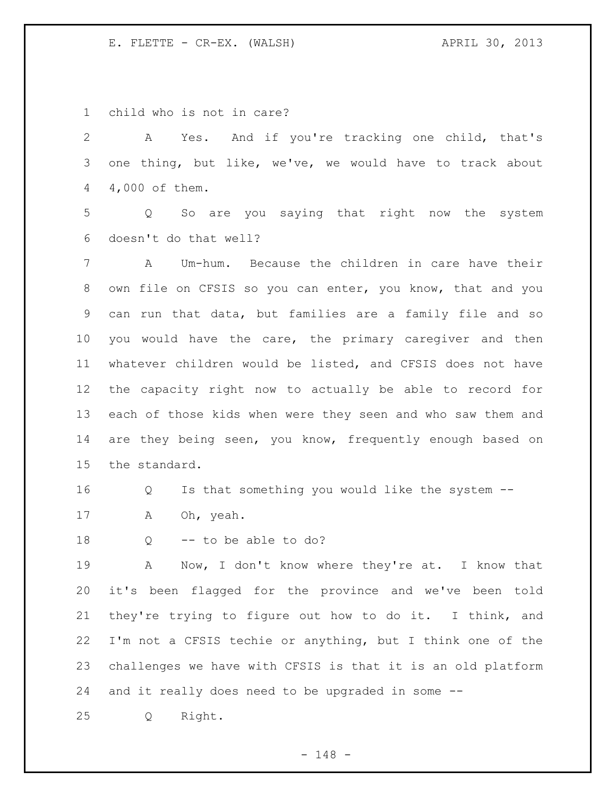child who is not in care? A Yes. And if you're tracking one child, that's one thing, but like, we've, we would have to track about 4,000 of them. Q So are you saying that right now the system doesn't do that well? A Um-hum. Because the children in care have their own file on CFSIS so you can enter, you know, that and you can run that data, but families are a family file and so you would have the care, the primary caregiver and then whatever children would be listed, and CFSIS does not have the capacity right now to actually be able to record for each of those kids when were they seen and who saw them and 14 are they being seen, you know, frequently enough based on the standard. Q Is that something you would like the system -- A Oh, yeah. Q -- to be able to do? A Now, I don't know where they're at. I know that it's been flagged for the province and we've been told they're trying to figure out how to do it. I think, and I'm not a CFSIS techie or anything, but I think one of the challenges we have with CFSIS is that it is an old platform

and it really does need to be upgraded in some --

Q Right.

- 148 -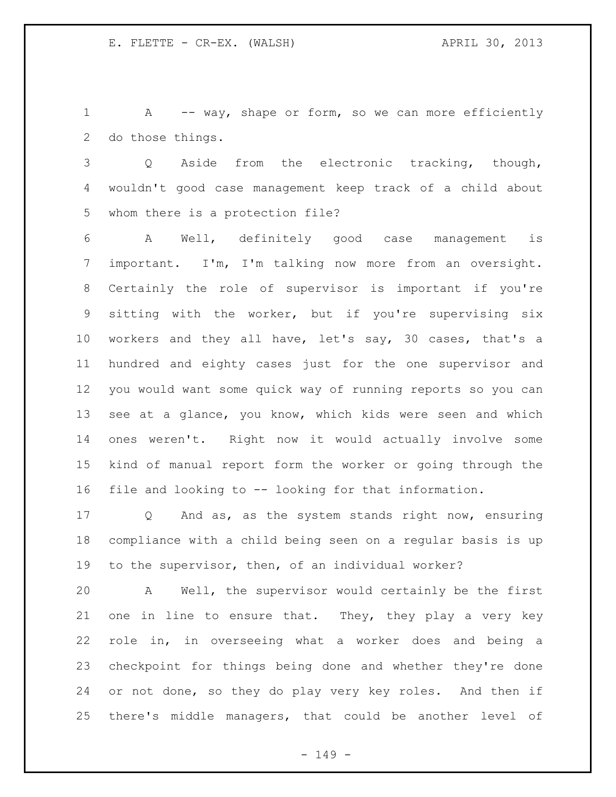1 A -- way, shape or form, so we can more efficiently do those things.

 Q Aside from the electronic tracking, though, wouldn't good case management keep track of a child about whom there is a protection file?

 A Well, definitely good case management is important. I'm, I'm talking now more from an oversight. Certainly the role of supervisor is important if you're sitting with the worker, but if you're supervising six workers and they all have, let's say, 30 cases, that's a hundred and eighty cases just for the one supervisor and you would want some quick way of running reports so you can see at a glance, you know, which kids were seen and which ones weren't. Right now it would actually involve some kind of manual report form the worker or going through the file and looking to -- looking for that information.

 Q And as, as the system stands right now, ensuring compliance with a child being seen on a regular basis is up to the supervisor, then, of an individual worker?

 A Well, the supervisor would certainly be the first one in line to ensure that. They, they play a very key role in, in overseeing what a worker does and being a checkpoint for things being done and whether they're done or not done, so they do play very key roles. And then if there's middle managers, that could be another level of

- 149 -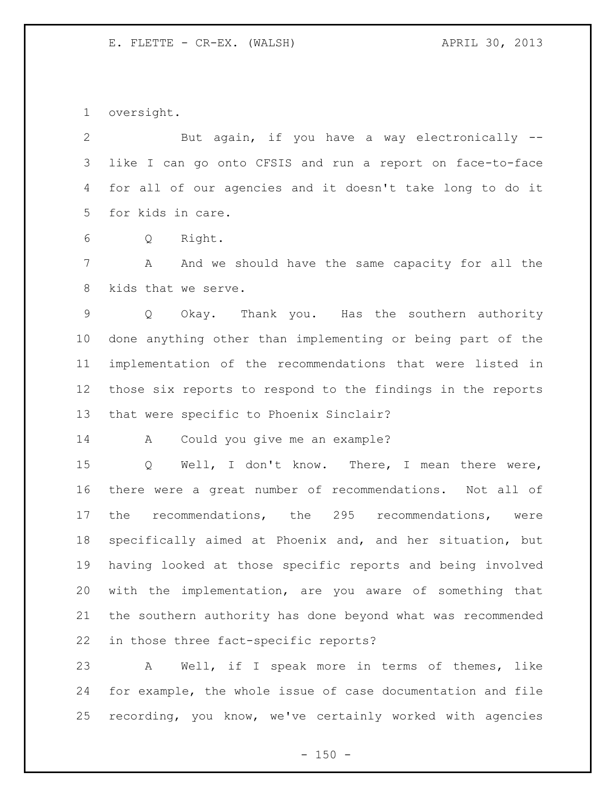oversight.

 But again, if you have a way electronically -- like I can go onto CFSIS and run a report on face-to-face for all of our agencies and it doesn't take long to do it for kids in care.

Q Right.

 A And we should have the same capacity for all the kids that we serve.

 Q Okay. Thank you. Has the southern authority done anything other than implementing or being part of the implementation of the recommendations that were listed in those six reports to respond to the findings in the reports that were specific to Phoenix Sinclair?

A Could you give me an example?

 Q Well, I don't know. There, I mean there were, there were a great number of recommendations. Not all of the recommendations, the 295 recommendations, were specifically aimed at Phoenix and, and her situation, but having looked at those specific reports and being involved with the implementation, are you aware of something that the southern authority has done beyond what was recommended in those three fact-specific reports?

 A Well, if I speak more in terms of themes, like for example, the whole issue of case documentation and file recording, you know, we've certainly worked with agencies

 $- 150 -$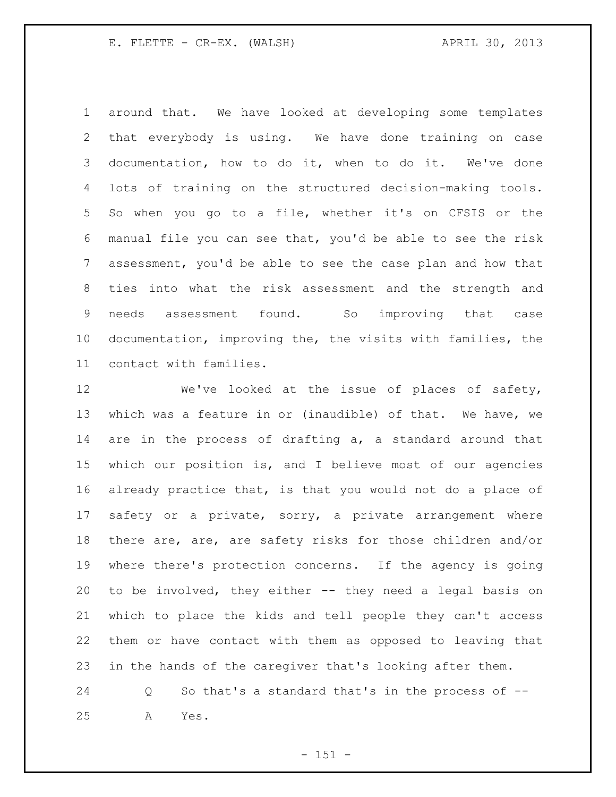around that. We have looked at developing some templates that everybody is using. We have done training on case documentation, how to do it, when to do it. We've done lots of training on the structured decision-making tools. So when you go to a file, whether it's on CFSIS or the manual file you can see that, you'd be able to see the risk assessment, you'd be able to see the case plan and how that ties into what the risk assessment and the strength and needs assessment found. So improving that case documentation, improving the, the visits with families, the contact with families.

12 We've looked at the issue of places of safety, which was a feature in or (inaudible) of that. We have, we are in the process of drafting a, a standard around that which our position is, and I believe most of our agencies already practice that, is that you would not do a place of safety or a private, sorry, a private arrangement where there are, are, are safety risks for those children and/or where there's protection concerns. If the agency is going to be involved, they either -- they need a legal basis on which to place the kids and tell people they can't access them or have contact with them as opposed to leaving that in the hands of the caregiver that's looking after them.

 Q So that's a standard that's in the process of -- A Yes.

 $- 151 -$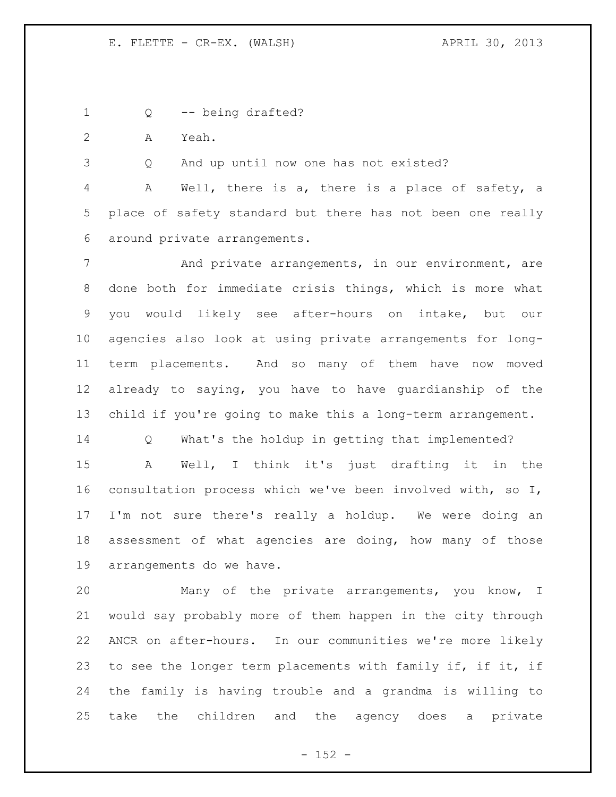1 Q -- being drafted?

A Yeah.

Q And up until now one has not existed?

 A Well, there is a, there is a place of safety, a place of safety standard but there has not been one really around private arrangements.

 And private arrangements, in our environment, are done both for immediate crisis things, which is more what you would likely see after-hours on intake, but our agencies also look at using private arrangements for long- term placements. And so many of them have now moved already to saying, you have to have guardianship of the child if you're going to make this a long-term arrangement.

 Q What's the holdup in getting that implemented? A Well, I think it's just drafting it in the consultation process which we've been involved with, so I, I'm not sure there's really a holdup. We were doing an assessment of what agencies are doing, how many of those arrangements do we have.

 Many of the private arrangements, you know, I would say probably more of them happen in the city through ANCR on after-hours. In our communities we're more likely to see the longer term placements with family if, if it, if the family is having trouble and a grandma is willing to take the children and the agency does a private

 $- 152 -$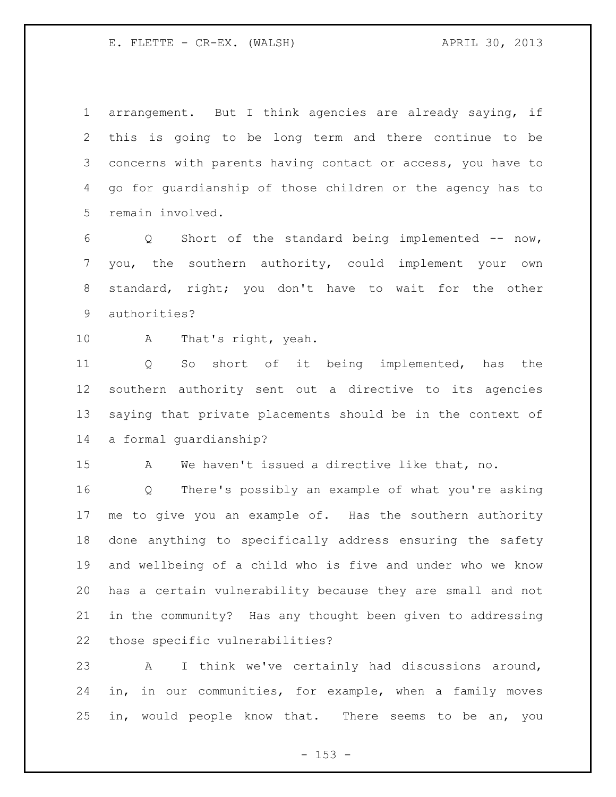arrangement. But I think agencies are already saying, if this is going to be long term and there continue to be concerns with parents having contact or access, you have to go for guardianship of those children or the agency has to remain involved.

 Q Short of the standard being implemented -- now, you, the southern authority, could implement your own standard, right; you don't have to wait for the other authorities?

A That's right, yeah.

 Q So short of it being implemented, has the southern authority sent out a directive to its agencies saying that private placements should be in the context of a formal guardianship?

A We haven't issued a directive like that, no.

 Q There's possibly an example of what you're asking me to give you an example of. Has the southern authority done anything to specifically address ensuring the safety and wellbeing of a child who is five and under who we know has a certain vulnerability because they are small and not in the community? Has any thought been given to addressing those specific vulnerabilities?

 A I think we've certainly had discussions around, in, in our communities, for example, when a family moves in, would people know that. There seems to be an, you

 $- 153 -$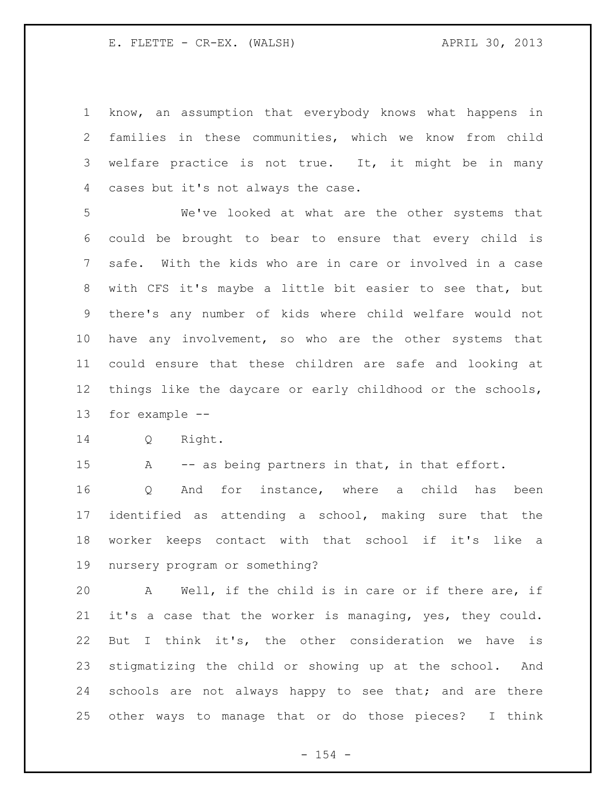know, an assumption that everybody knows what happens in families in these communities, which we know from child welfare practice is not true. It, it might be in many cases but it's not always the case.

 We've looked at what are the other systems that could be brought to bear to ensure that every child is safe. With the kids who are in care or involved in a case with CFS it's maybe a little bit easier to see that, but there's any number of kids where child welfare would not have any involvement, so who are the other systems that could ensure that these children are safe and looking at things like the daycare or early childhood or the schools, for example --

Q Right.

15 A -- as being partners in that, in that effort.

 Q And for instance, where a child has been identified as attending a school, making sure that the worker keeps contact with that school if it's like a nursery program or something?

 A Well, if the child is in care or if there are, if it's a case that the worker is managing, yes, they could. But I think it's, the other consideration we have is stigmatizing the child or showing up at the school. And 24 schools are not always happy to see that; and are there other ways to manage that or do those pieces? I think

 $- 154 -$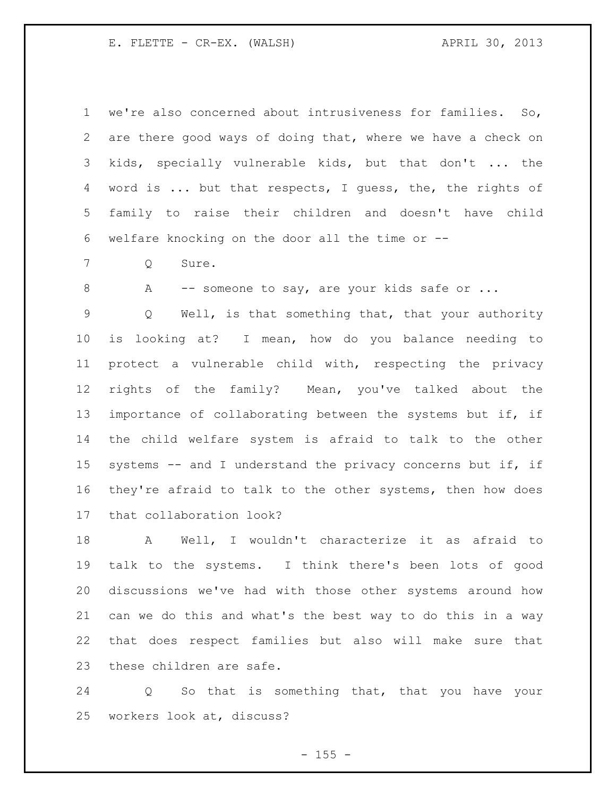we're also concerned about intrusiveness for families. So, are there good ways of doing that, where we have a check on kids, specially vulnerable kids, but that don't ... the 4 word is ... but that respects, I guess, the, the rights of family to raise their children and doesn't have child welfare knocking on the door all the time or --

Q Sure.

8 A -- someone to say, are your kids safe or ...

 Q Well, is that something that, that your authority is looking at? I mean, how do you balance needing to protect a vulnerable child with, respecting the privacy rights of the family? Mean, you've talked about the 13 importance of collaborating between the systems but if, if the child welfare system is afraid to talk to the other systems -- and I understand the privacy concerns but if, if they're afraid to talk to the other systems, then how does that collaboration look?

 A Well, I wouldn't characterize it as afraid to talk to the systems. I think there's been lots of good discussions we've had with those other systems around how can we do this and what's the best way to do this in a way that does respect families but also will make sure that these children are safe.

 Q So that is something that, that you have your workers look at, discuss?

 $- 155 -$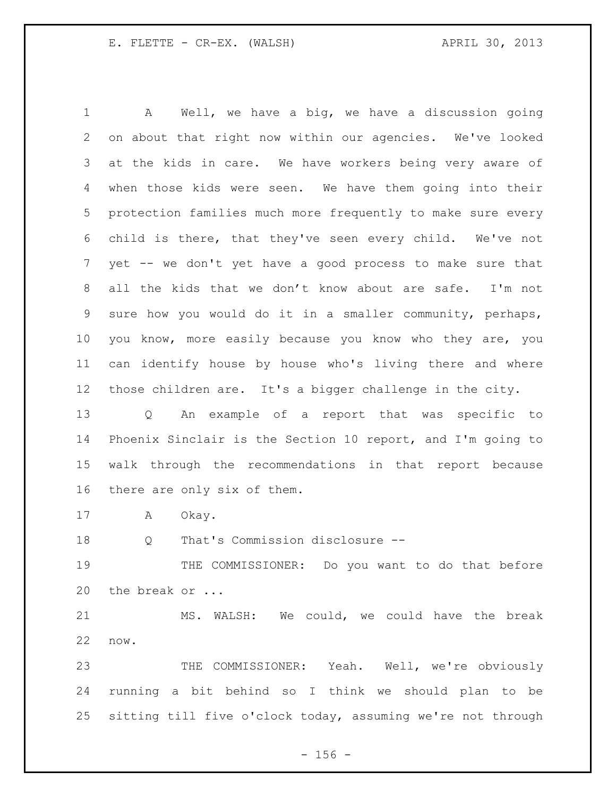A Well, we have a big, we have a discussion going on about that right now within our agencies. We've looked at the kids in care. We have workers being very aware of when those kids were seen. We have them going into their protection families much more frequently to make sure every child is there, that they've seen every child. We've not yet -- we don't yet have a good process to make sure that all the kids that we don't know about are safe. I'm not sure how you would do it in a smaller community, perhaps, you know, more easily because you know who they are, you can identify house by house who's living there and where those children are. It's a bigger challenge in the city.

 Q An example of a report that was specific to Phoenix Sinclair is the Section 10 report, and I'm going to walk through the recommendations in that report because there are only six of them.

A Okay.

Q That's Commission disclosure --

 THE COMMISSIONER: Do you want to do that before 20 the break or ...

 MS. WALSH: We could, we could have the break now.

 THE COMMISSIONER: Yeah. Well, we're obviously running a bit behind so I think we should plan to be sitting till five o'clock today, assuming we're not through

 $- 156 -$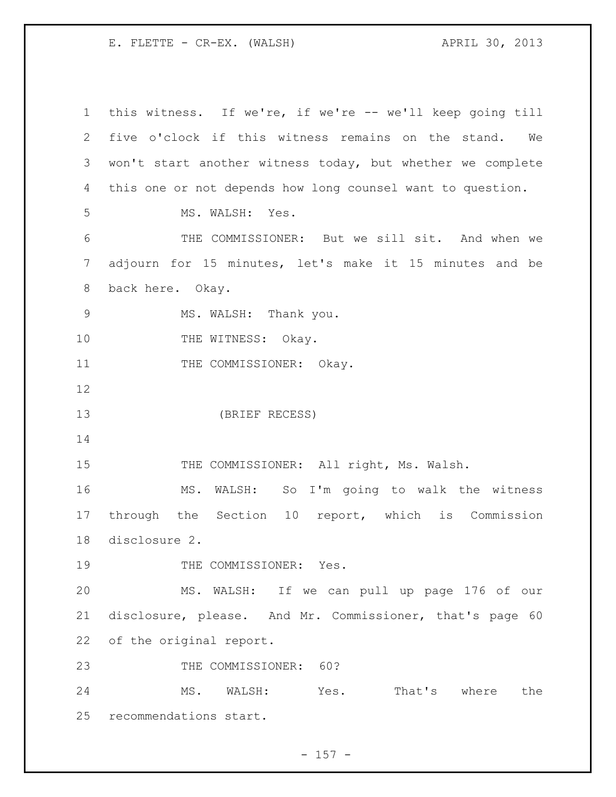this witness. If we're, if we're -- we'll keep going till five o'clock if this witness remains on the stand. We won't start another witness today, but whether we complete this one or not depends how long counsel want to question. MS. WALSH: Yes. THE COMMISSIONER: But we sill sit. And when we adjourn for 15 minutes, let's make it 15 minutes and be back here. Okay. 9 MS. WALSH: Thank you. 10 THE WITNESS: Okay. 11 THE COMMISSIONER: Okay. (BRIEF RECESS) 15 THE COMMISSIONER: All right, Ms. Walsh. MS. WALSH: So I'm going to walk the witness through the Section 10 report, which is Commission disclosure 2. 19 THE COMMISSIONER: Yes. MS. WALSH: If we can pull up page 176 of our disclosure, please. And Mr. Commissioner, that's page 60 of the original report. 23 THE COMMISSIONER: 60? MS. WALSH: Yes. That's where the recommendations start.

- 157 -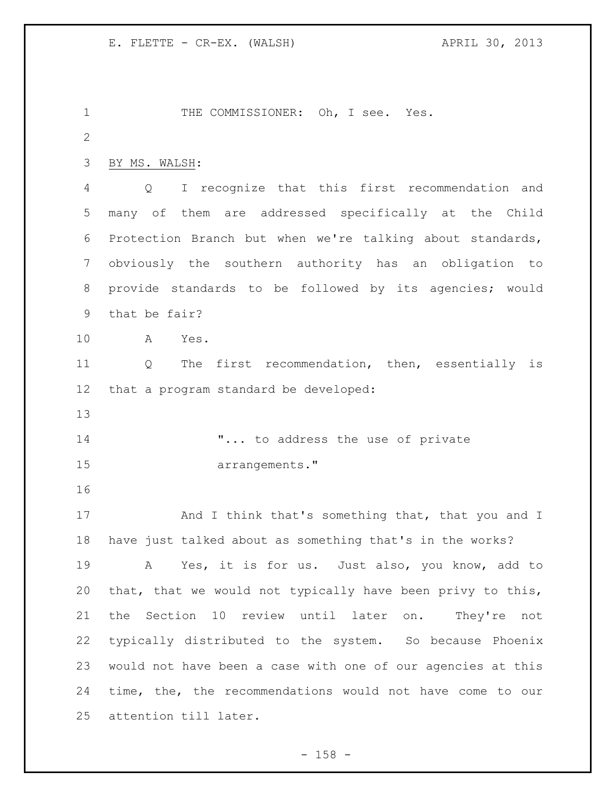1 THE COMMISSIONER: Oh, I see. Yes. BY MS. WALSH: Q I recognize that this first recommendation and many of them are addressed specifically at the Child Protection Branch but when we're talking about standards, obviously the southern authority has an obligation to provide standards to be followed by its agencies; would that be fair? A Yes. Q The first recommendation, then, essentially is that a program standard be developed: **"...** to address the use of private 15 arrangements." 17 And I think that's something that, that you and I have just talked about as something that's in the works? A Yes, it is for us. Just also, you know, add to that, that we would not typically have been privy to this, the Section 10 review until later on. They're not typically distributed to the system. So because Phoenix would not have been a case with one of our agencies at this time, the, the recommendations would not have come to our attention till later.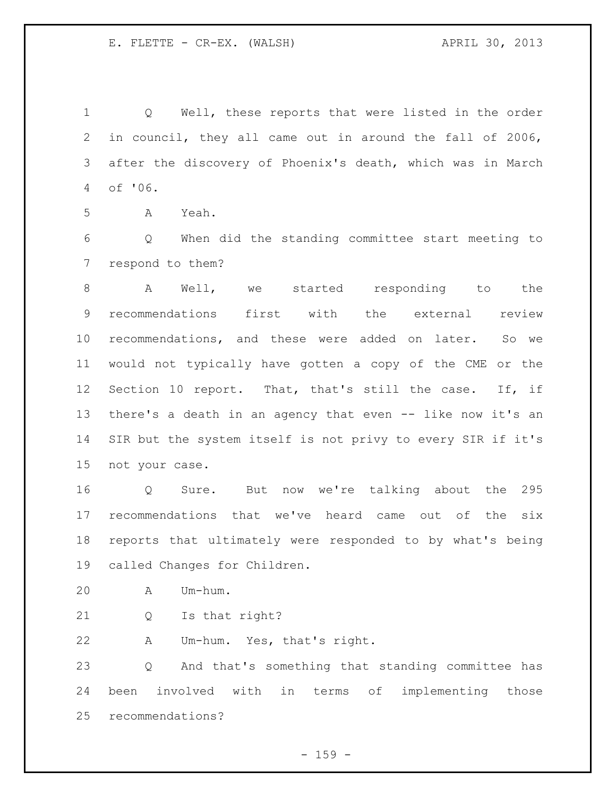Q Well, these reports that were listed in the order in council, they all came out in around the fall of 2006, after the discovery of Phoenix's death, which was in March of '06.

A Yeah.

 Q When did the standing committee start meeting to respond to them?

8 A Well, we started responding to the recommendations first with the external review recommendations, and these were added on later. So we would not typically have gotten a copy of the CME or the Section 10 report. That, that's still the case. If, if there's a death in an agency that even -- like now it's an SIR but the system itself is not privy to every SIR if it's not your case.

 Q Sure. But now we're talking about the 295 recommendations that we've heard came out of the six reports that ultimately were responded to by what's being called Changes for Children.

A Um-hum.

Q Is that right?

A Um-hum. Yes, that's right.

 Q And that's something that standing committee has been involved with in terms of implementing those recommendations?

- 159 -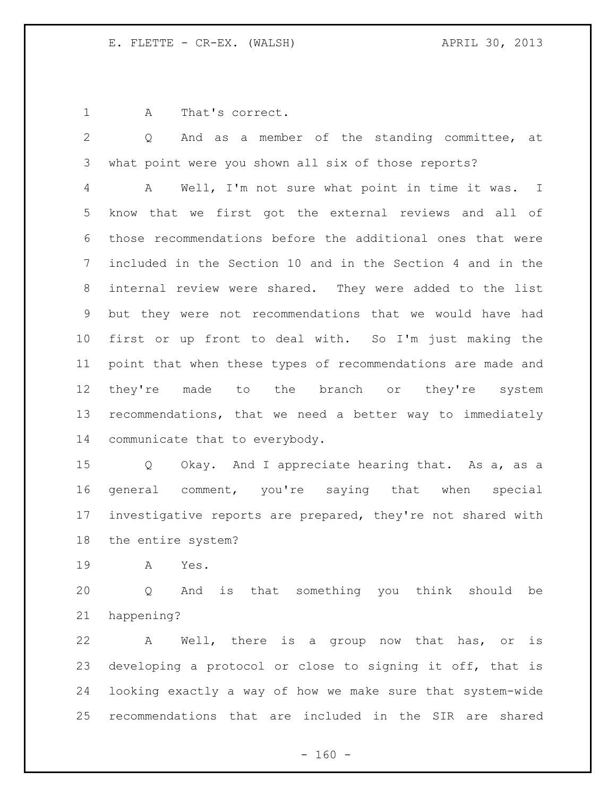A That's correct.

 Q And as a member of the standing committee, at what point were you shown all six of those reports?

 A Well, I'm not sure what point in time it was. I know that we first got the external reviews and all of those recommendations before the additional ones that were included in the Section 10 and in the Section 4 and in the internal review were shared. They were added to the list but they were not recommendations that we would have had first or up front to deal with. So I'm just making the point that when these types of recommendations are made and 12 they're made to the branch or they're system recommendations, that we need a better way to immediately communicate that to everybody.

 Q Okay. And I appreciate hearing that. As a, as a general comment, you're saying that when special investigative reports are prepared, they're not shared with the entire system?

A Yes.

 Q And is that something you think should be happening?

 A Well, there is a group now that has, or is developing a protocol or close to signing it off, that is looking exactly a way of how we make sure that system-wide recommendations that are included in the SIR are shared

 $- 160 -$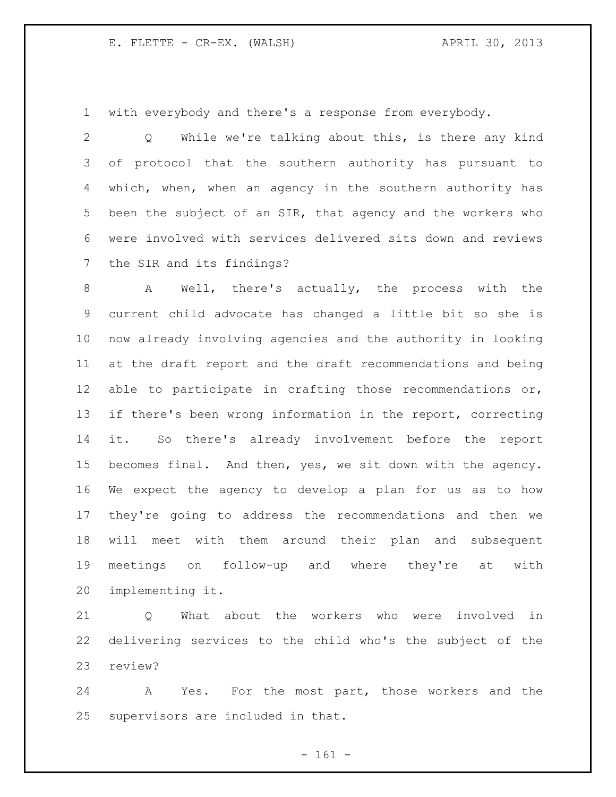with everybody and there's a response from everybody.

 Q While we're talking about this, is there any kind of protocol that the southern authority has pursuant to which, when, when an agency in the southern authority has been the subject of an SIR, that agency and the workers who were involved with services delivered sits down and reviews the SIR and its findings?

 A Well, there's actually, the process with the current child advocate has changed a little bit so she is now already involving agencies and the authority in looking at the draft report and the draft recommendations and being able to participate in crafting those recommendations or, if there's been wrong information in the report, correcting it. So there's already involvement before the report becomes final. And then, yes, we sit down with the agency. We expect the agency to develop a plan for us as to how they're going to address the recommendations and then we will meet with them around their plan and subsequent meetings on follow-up and where they're at with implementing it.

 Q What about the workers who were involved in delivering services to the child who's the subject of the review?

 A Yes. For the most part, those workers and the supervisors are included in that.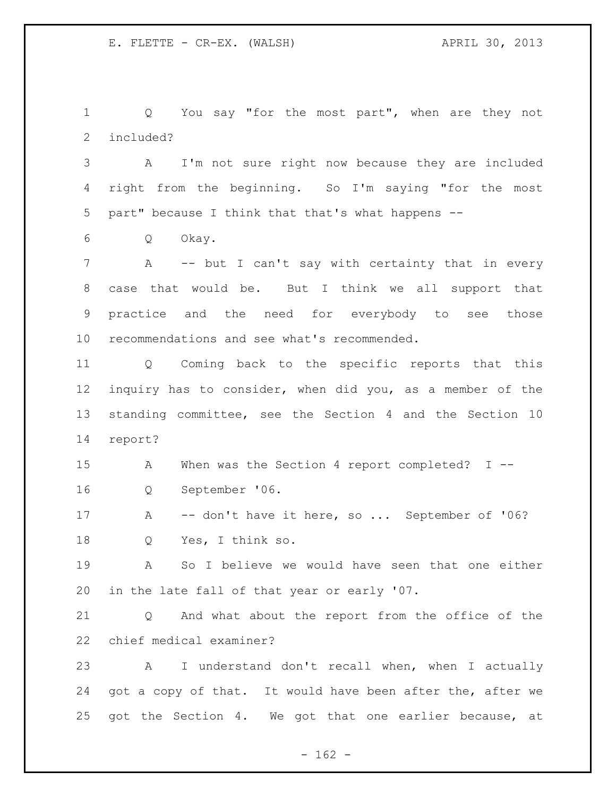Q You say "for the most part", when are they not included?

 A I'm not sure right now because they are included right from the beginning. So I'm saying "for the most part" because I think that that's what happens --

Q Okay.

7 A -- but I can't say with certainty that in every case that would be. But I think we all support that practice and the need for everybody to see those recommendations and see what's recommended.

 Q Coming back to the specific reports that this inquiry has to consider, when did you, as a member of the standing committee, see the Section 4 and the Section 10 report?

 A When was the Section 4 report completed? I -- Q September '06.

17 A -- don't have it here, so ... September of '06? Q Yes, I think so.

 A So I believe we would have seen that one either in the late fall of that year or early '07.

 Q And what about the report from the office of the chief medical examiner?

 A I understand don't recall when, when I actually 24 got a copy of that. It would have been after the, after we got the Section 4. We got that one earlier because, at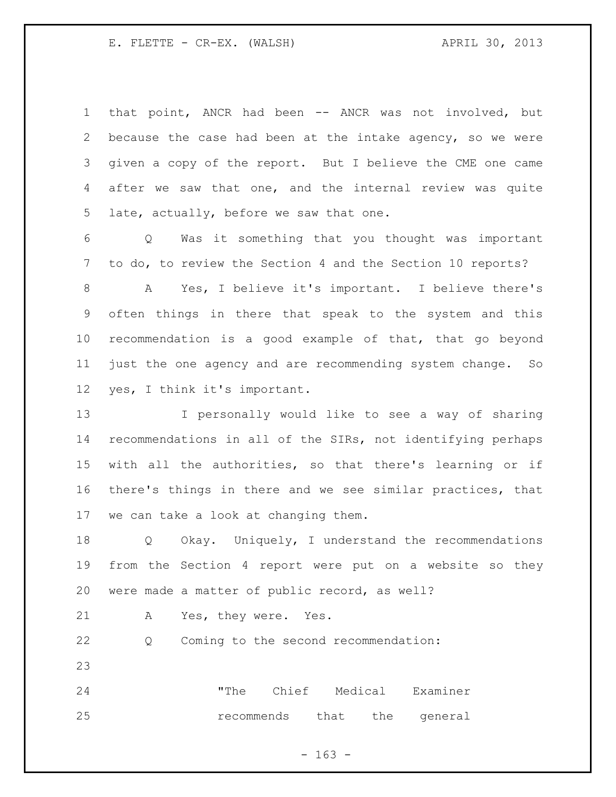that point, ANCR had been -- ANCR was not involved, but because the case had been at the intake agency, so we were given a copy of the report. But I believe the CME one came after we saw that one, and the internal review was quite late, actually, before we saw that one.

 Q Was it something that you thought was important to do, to review the Section 4 and the Section 10 reports?

 A Yes, I believe it's important. I believe there's often things in there that speak to the system and this recommendation is a good example of that, that go beyond just the one agency and are recommending system change. So yes, I think it's important.

 I personally would like to see a way of sharing recommendations in all of the SIRs, not identifying perhaps with all the authorities, so that there's learning or if there's things in there and we see similar practices, that we can take a look at changing them.

 Q Okay. Uniquely, I understand the recommendations from the Section 4 report were put on a website so they were made a matter of public record, as well?

A Yes, they were. Yes.

Q Coming to the second recommendation:

 "The Chief Medical Examiner **recommends** that the general

- 163 -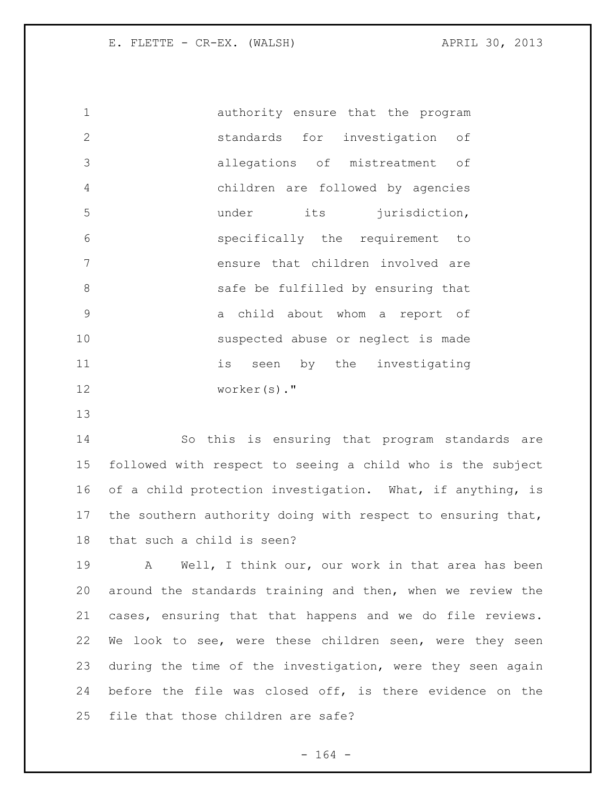authority ensure that the program standards for investigation of allegations of mistreatment of children are followed by agencies 5 b under its jurisdiction, specifically the requirement to ensure that children involved are safe be fulfilled by ensuring that a child about whom a report of suspected abuse or neglect is made 11 is seen by the investigating worker(s)."

 So this is ensuring that program standards are followed with respect to seeing a child who is the subject 16 of a child protection investigation. What, if anything, is the southern authority doing with respect to ensuring that, that such a child is seen?

 A Well, I think our, our work in that area has been around the standards training and then, when we review the cases, ensuring that that happens and we do file reviews. We look to see, were these children seen, were they seen during the time of the investigation, were they seen again before the file was closed off, is there evidence on the file that those children are safe?

- 164 -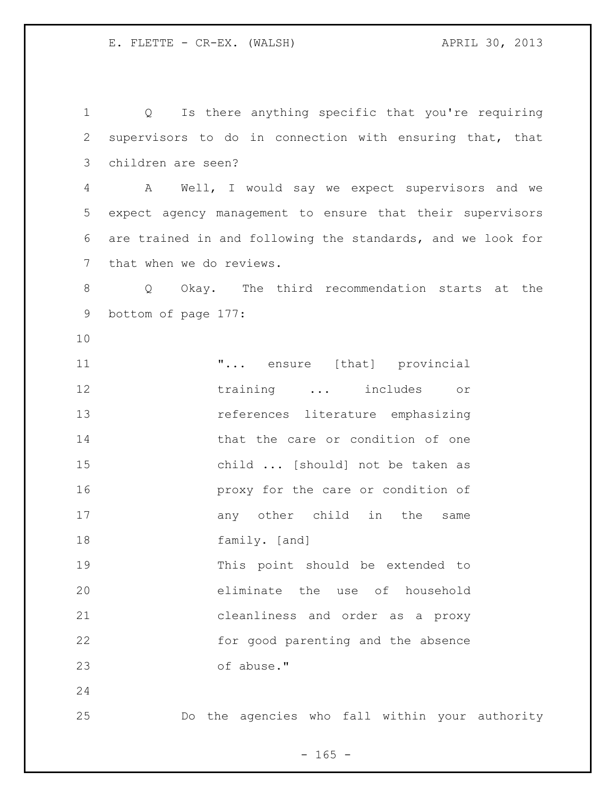Q Is there anything specific that you're requiring supervisors to do in connection with ensuring that, that children are seen? A Well, I would say we expect supervisors and we expect agency management to ensure that their supervisors are trained in and following the standards, and we look for that when we do reviews. Q Okay. The third recommendation starts at the bottom of page 177: **...** ensure [that] provincial 12 training ... includes or references literature emphasizing 14 that the care or condition of one child ... [should] not be taken as proxy for the care or condition of 17 any other child in the same family. [and] This point should be extended to eliminate the use of household cleanliness and order as a proxy for good parenting and the absence of abuse." Do the agencies who fall within your authority

 $- 165 -$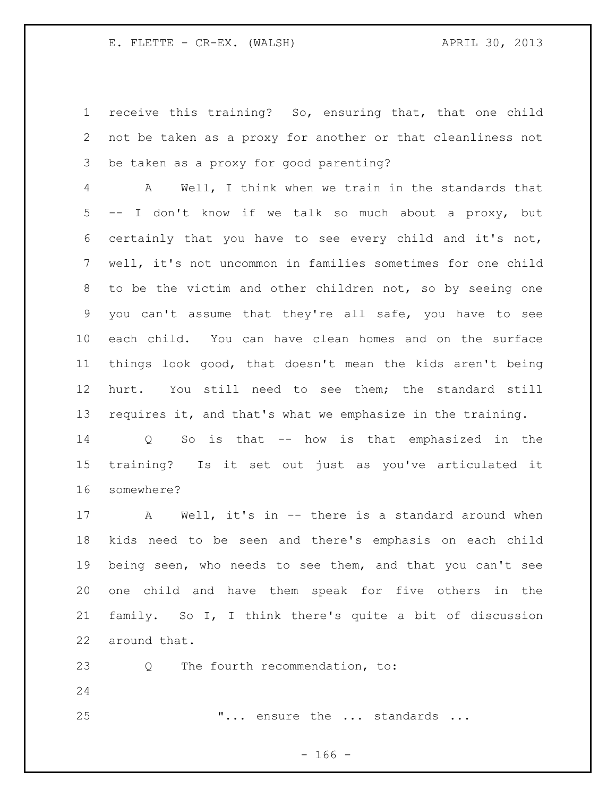receive this training? So, ensuring that, that one child not be taken as a proxy for another or that cleanliness not be taken as a proxy for good parenting?

 A Well, I think when we train in the standards that -- I don't know if we talk so much about a proxy, but certainly that you have to see every child and it's not, well, it's not uncommon in families sometimes for one child to be the victim and other children not, so by seeing one you can't assume that they're all safe, you have to see each child. You can have clean homes and on the surface things look good, that doesn't mean the kids aren't being hurt. You still need to see them; the standard still requires it, and that's what we emphasize in the training.

 Q So is that -- how is that emphasized in the training? Is it set out just as you've articulated it somewhere?

 A Well, it's in -- there is a standard around when kids need to be seen and there's emphasis on each child being seen, who needs to see them, and that you can't see one child and have them speak for five others in the family. So I, I think there's quite a bit of discussion around that.

23 Q The fourth recommendation, to:

25 T... ensure the ... standards ...

- 166 -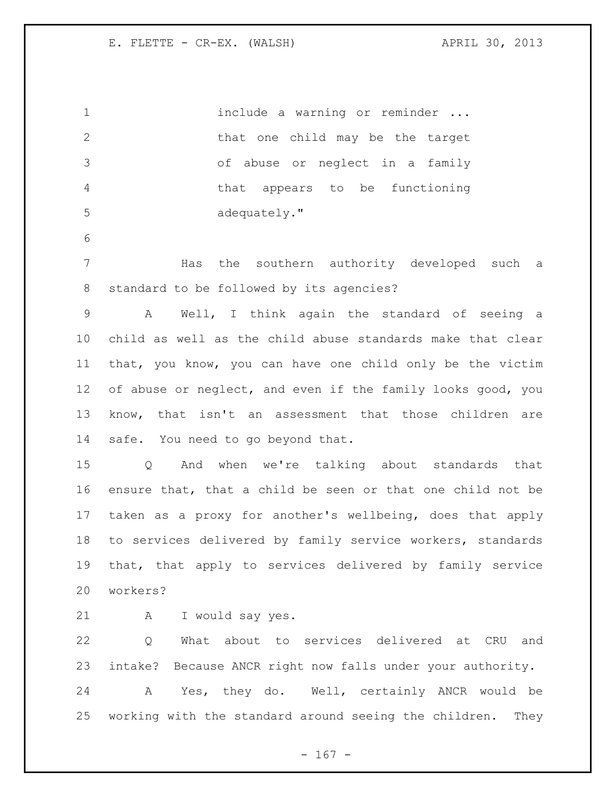1 include a warning or reminder ... 2 that one child may be the target of abuse or neglect in a family that appears to be functioning 5 adequately." Has the southern authority developed such a standard to be followed by its agencies? A Well, I think again the standard of seeing a child as well as the child abuse standards make that clear that, you know, you can have one child only be the victim of abuse or neglect, and even if the family looks good, you know, that isn't an assessment that those children are safe. You need to go beyond that. Q And when we're talking about standards that ensure that, that a child be seen or that one child not be taken as a proxy for another's wellbeing, does that apply to services delivered by family service workers, standards that, that apply to services delivered by family service workers? A I would say yes. Q What about to services delivered at CRU and intake? Because ANCR right now falls under your authority. A Yes, they do. Well, certainly ANCR would be working with the standard around seeing the children. They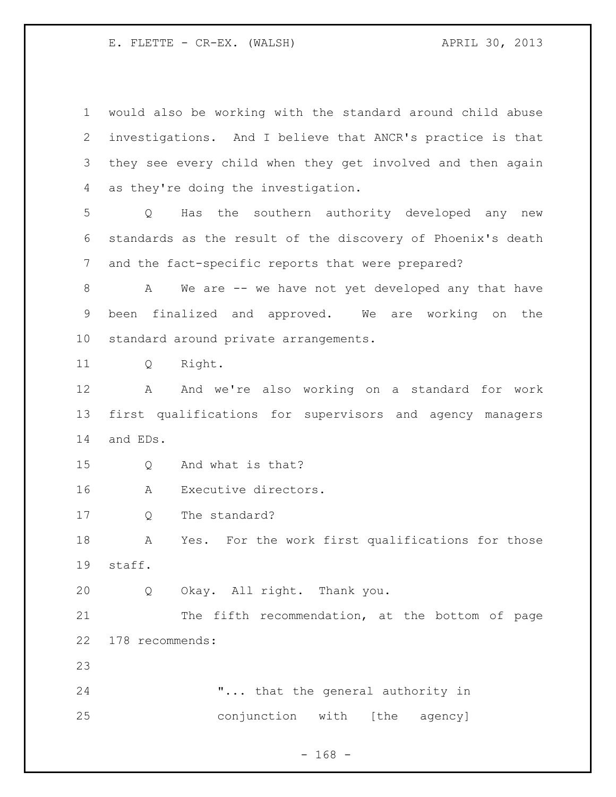would also be working with the standard around child abuse investigations. And I believe that ANCR's practice is that they see every child when they get involved and then again as they're doing the investigation. Q Has the southern authority developed any new standards as the result of the discovery of Phoenix's death and the fact-specific reports that were prepared? 8 A We are -- we have not yet developed any that have been finalized and approved. We are working on the standard around private arrangements. Q Right. A And we're also working on a standard for work first qualifications for supervisors and agency managers and EDs. Q And what is that? A Executive directors. Q The standard? A Yes. For the work first qualifications for those staff. Q Okay. All right. Thank you. 21 The fifth recommendation, at the bottom of page 178 recommends: "... that the general authority in conjunction with [the agency]

- 168 -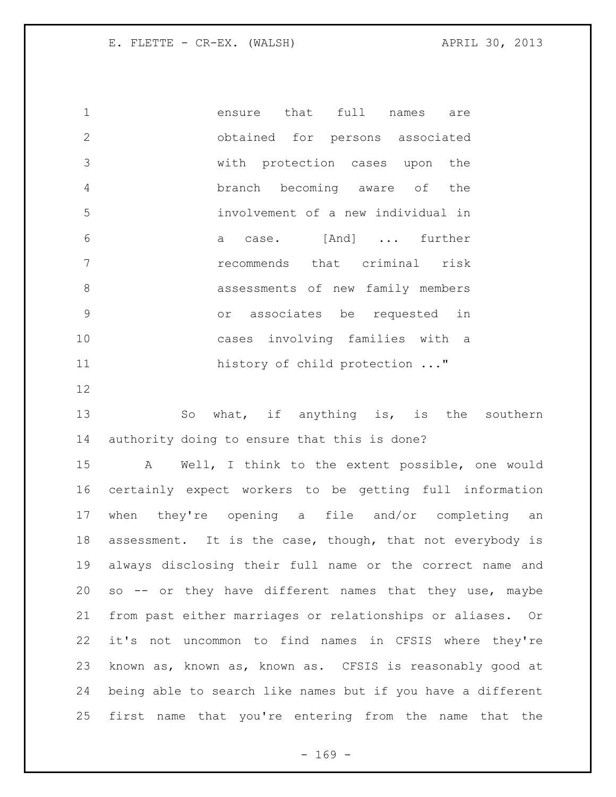ensure that full names are obtained for persons associated with protection cases upon the branch becoming aware of the involvement of a new individual in a case. [And] ... further recommends that criminal risk assessments of new family members or associates be requested in cases involving families with a 11 history of child protection ..."

13 So what, if anything is, is the southern authority doing to ensure that this is done?

 A Well, I think to the extent possible, one would certainly expect workers to be getting full information when they're opening a file and/or completing an assessment. It is the case, though, that not everybody is always disclosing their full name or the correct name and so -- or they have different names that they use, maybe from past either marriages or relationships or aliases. Or it's not uncommon to find names in CFSIS where they're known as, known as, known as. CFSIS is reasonably good at being able to search like names but if you have a different first name that you're entering from the name that the

 $- 169 -$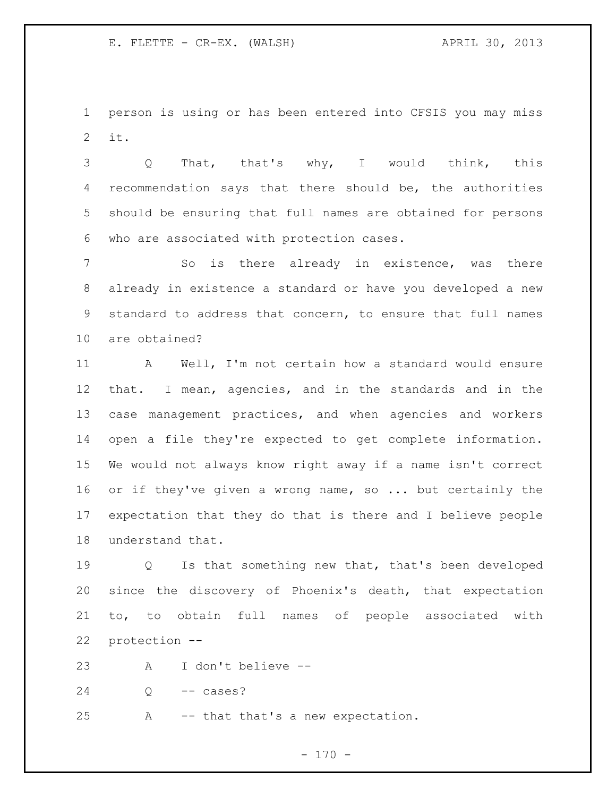person is using or has been entered into CFSIS you may miss it.

 Q That, that's why, I would think, this recommendation says that there should be, the authorities should be ensuring that full names are obtained for persons who are associated with protection cases.

7 5 So is there already in existence, was there already in existence a standard or have you developed a new standard to address that concern, to ensure that full names are obtained?

11 A Well, I'm not certain how a standard would ensure that. I mean, agencies, and in the standards and in the case management practices, and when agencies and workers open a file they're expected to get complete information. We would not always know right away if a name isn't correct 16 or if they've given a wrong name, so ... but certainly the expectation that they do that is there and I believe people understand that.

 Q Is that something new that, that's been developed since the discovery of Phoenix's death, that expectation to, to obtain full names of people associated with protection --

A I don't believe --

Q -- cases?

A -- that that's a new expectation.

 $- 170 -$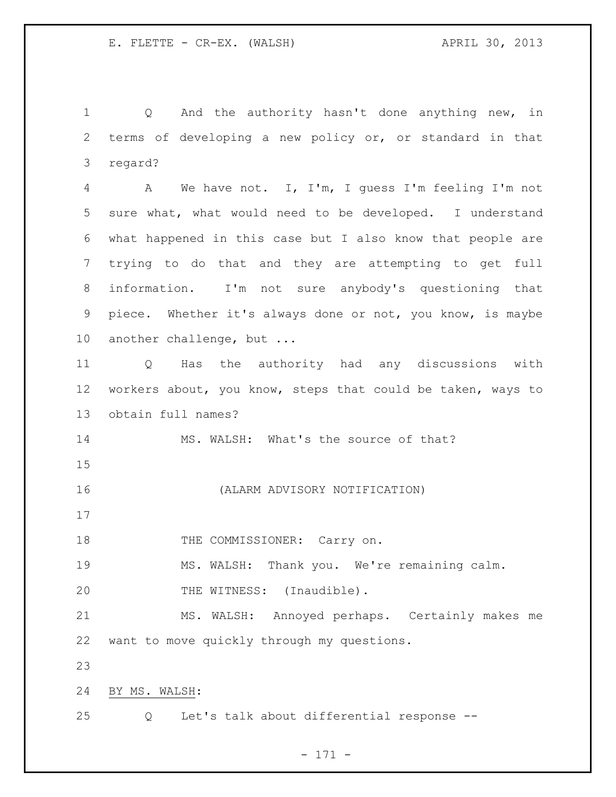Q And the authority hasn't done anything new, in terms of developing a new policy or, or standard in that regard?

 A We have not. I, I'm, I guess I'm feeling I'm not sure what, what would need to be developed. I understand what happened in this case but I also know that people are trying to do that and they are attempting to get full information. I'm not sure anybody's questioning that piece. Whether it's always done or not, you know, is maybe another challenge, but ...

 Q Has the authority had any discussions with workers about, you know, steps that could be taken, ways to obtain full names?

MS. WALSH: What's the source of that?

(ALARM ADVISORY NOTIFICATION)

18 THE COMMISSIONER: Carry on.

MS. WALSH: Thank you. We're remaining calm.

20 THE WITNESS: (Inaudible).

 MS. WALSH: Annoyed perhaps. Certainly makes me want to move quickly through my questions.

BY MS. WALSH:

Q Let's talk about differential response --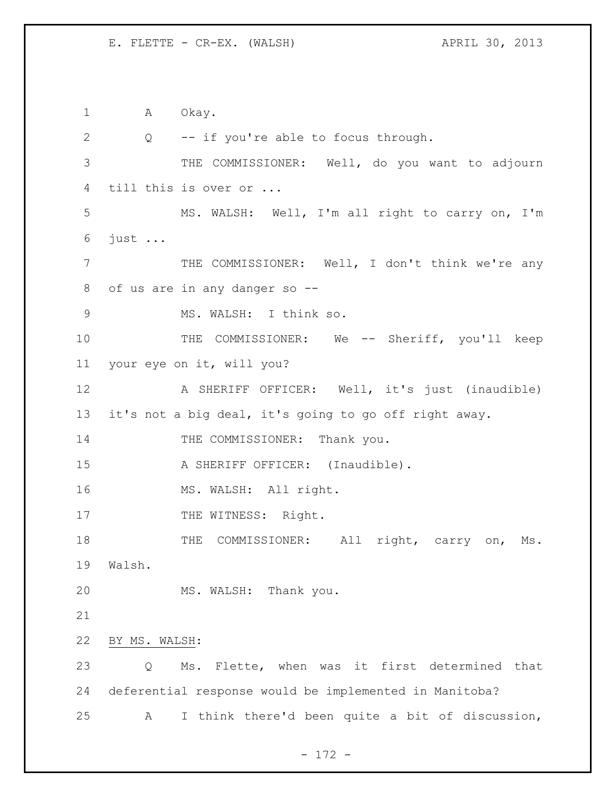1 A Okay. Q -- if you're able to focus through. THE COMMISSIONER: Well, do you want to adjourn till this is over or ... MS. WALSH: Well, I'm all right to carry on, I'm just ... THE COMMISSIONER: Well, I don't think we're any of us are in any danger so -- MS. WALSH: I think so. 10 THE COMMISSIONER: We -- Sheriff, you'll keep your eye on it, will you? A SHERIFF OFFICER: Well, it's just (inaudible) it's not a big deal, it's going to go off right away. 14 THE COMMISSIONER: Thank you. 15 A SHERIFF OFFICER: (Inaudible). 16 MS. WALSH: All right. 17 THE WITNESS: Right. 18 THE COMMISSIONER: All right, carry on, Ms. Walsh. MS. WALSH: Thank you. BY MS. WALSH: Q Ms. Flette, when was it first determined that deferential response would be implemented in Manitoba? A I think there'd been quite a bit of discussion,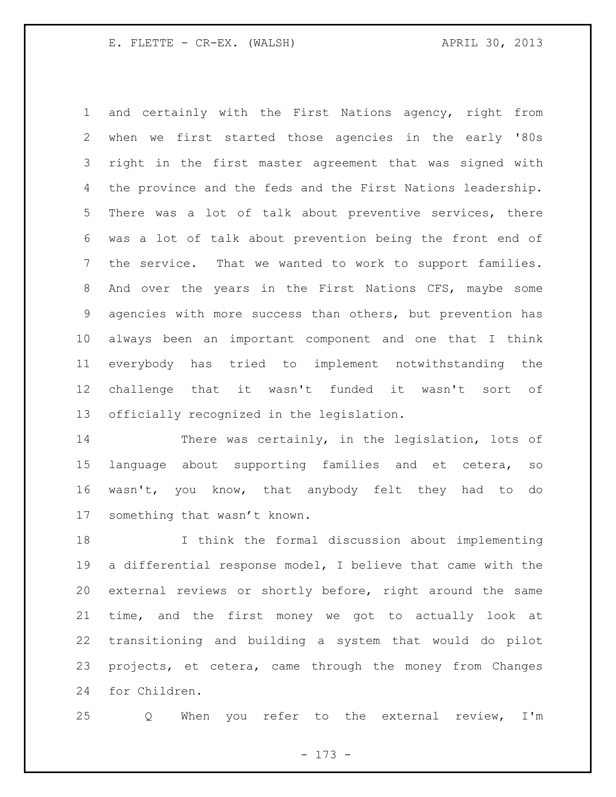and certainly with the First Nations agency, right from when we first started those agencies in the early '80s right in the first master agreement that was signed with the province and the feds and the First Nations leadership. There was a lot of talk about preventive services, there was a lot of talk about prevention being the front end of the service. That we wanted to work to support families. And over the years in the First Nations CFS, maybe some agencies with more success than others, but prevention has always been an important component and one that I think everybody has tried to implement notwithstanding the challenge that it wasn't funded it wasn't sort of officially recognized in the legislation.

14 There was certainly, in the legislation, lots of language about supporting families and et cetera, so wasn't, you know, that anybody felt they had to do something that wasn't known.

 I think the formal discussion about implementing a differential response model, I believe that came with the external reviews or shortly before, right around the same time, and the first money we got to actually look at transitioning and building a system that would do pilot projects, et cetera, came through the money from Changes for Children.

Q When you refer to the external review, I'm

- 173 -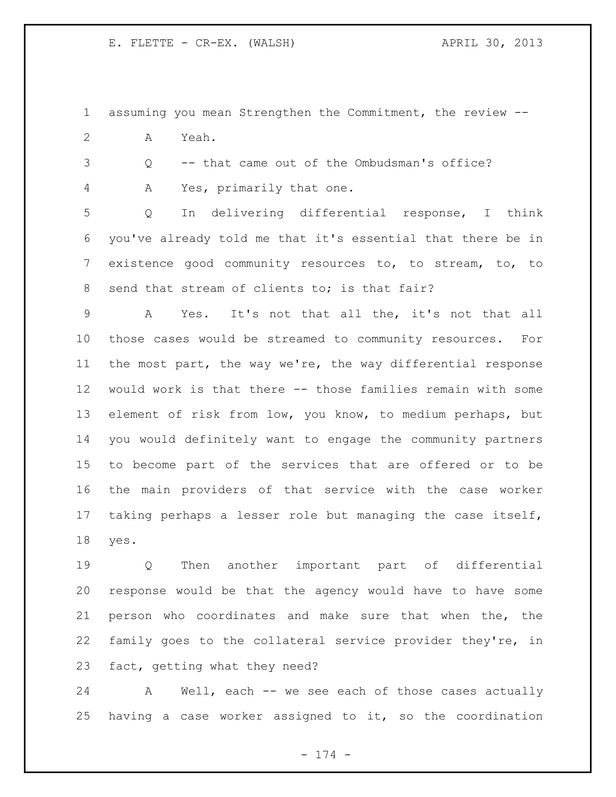assuming you mean Strengthen the Commitment, the review --

A Yeah.

Q -- that came out of the Ombudsman's office?

A Yes, primarily that one.

 Q In delivering differential response, I think you've already told me that it's essential that there be in existence good community resources to, to stream, to, to 8 send that stream of clients to; is that fair?

 A Yes. It's not that all the, it's not that all those cases would be streamed to community resources. For the most part, the way we're, the way differential response would work is that there -- those families remain with some element of risk from low, you know, to medium perhaps, but you would definitely want to engage the community partners to become part of the services that are offered or to be the main providers of that service with the case worker taking perhaps a lesser role but managing the case itself, yes.

 Q Then another important part of differential response would be that the agency would have to have some person who coordinates and make sure that when the, the family goes to the collateral service provider they're, in fact, getting what they need?

 A Well, each -- we see each of those cases actually having a case worker assigned to it, so the coordination

- 174 -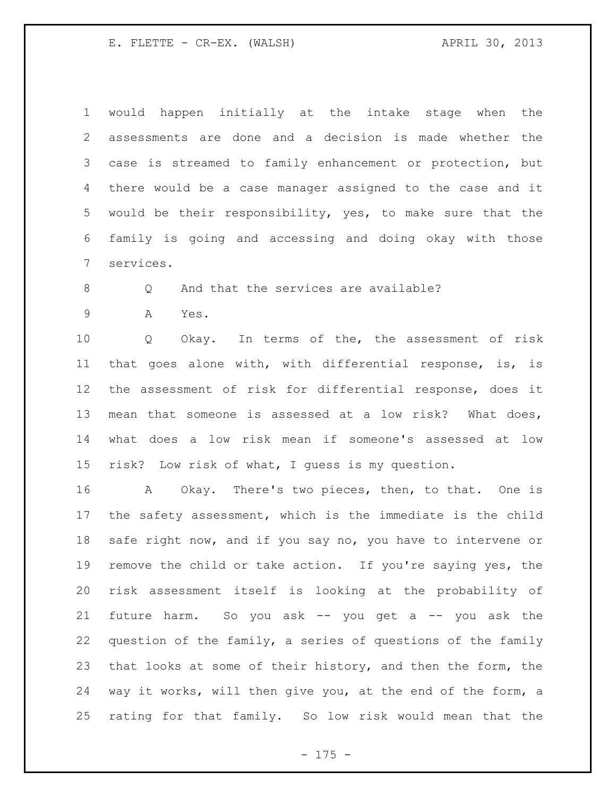would happen initially at the intake stage when the assessments are done and a decision is made whether the case is streamed to family enhancement or protection, but there would be a case manager assigned to the case and it would be their responsibility, yes, to make sure that the family is going and accessing and doing okay with those services.

8 Q And that the services are available?

A Yes.

 Q Okay. In terms of the, the assessment of risk that goes alone with, with differential response, is, is the assessment of risk for differential response, does it mean that someone is assessed at a low risk? What does, what does a low risk mean if someone's assessed at low risk? Low risk of what, I guess is my question.

 A Okay. There's two pieces, then, to that. One is the safety assessment, which is the immediate is the child safe right now, and if you say no, you have to intervene or remove the child or take action. If you're saying yes, the risk assessment itself is looking at the probability of future harm. So you ask -- you get a -- you ask the question of the family, a series of questions of the family that looks at some of their history, and then the form, the way it works, will then give you, at the end of the form, a rating for that family. So low risk would mean that the

- 175 -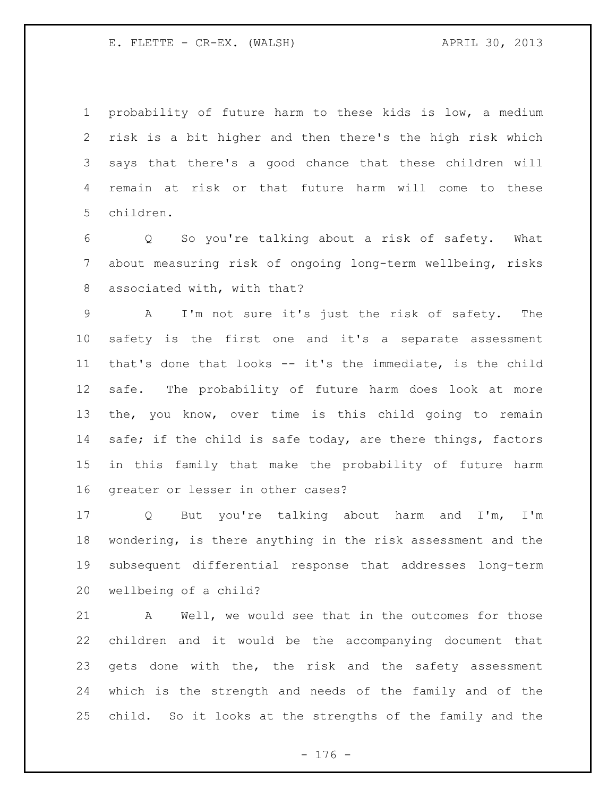probability of future harm to these kids is low, a medium risk is a bit higher and then there's the high risk which says that there's a good chance that these children will remain at risk or that future harm will come to these children.

 Q So you're talking about a risk of safety. What about measuring risk of ongoing long-term wellbeing, risks associated with, with that?

 A I'm not sure it's just the risk of safety. The safety is the first one and it's a separate assessment that's done that looks -- it's the immediate, is the child safe. The probability of future harm does look at more the, you know, over time is this child going to remain 14 safe; if the child is safe today, are there things, factors in this family that make the probability of future harm greater or lesser in other cases?

 Q But you're talking about harm and I'm, I'm wondering, is there anything in the risk assessment and the subsequent differential response that addresses long-term wellbeing of a child?

 A Well, we would see that in the outcomes for those children and it would be the accompanying document that gets done with the, the risk and the safety assessment which is the strength and needs of the family and of the child. So it looks at the strengths of the family and the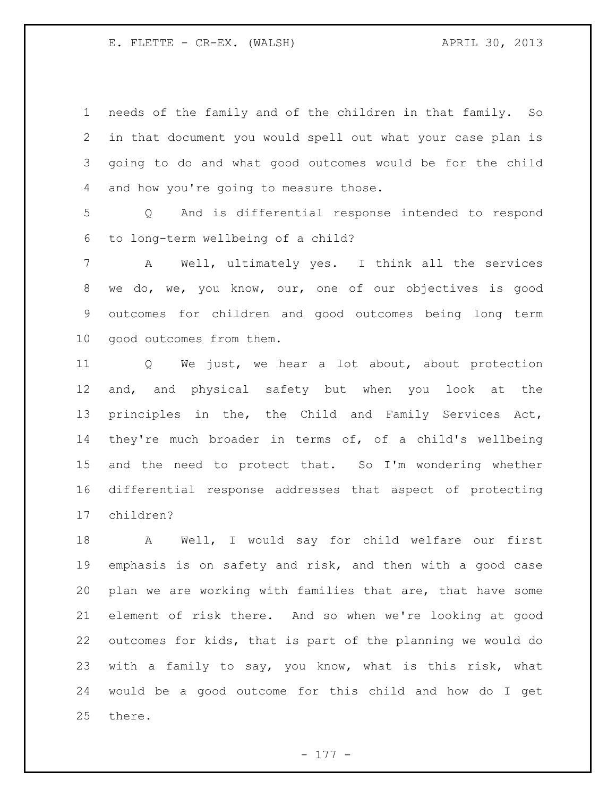needs of the family and of the children in that family. So in that document you would spell out what your case plan is going to do and what good outcomes would be for the child and how you're going to measure those.

 Q And is differential response intended to respond to long-term wellbeing of a child?

 A Well, ultimately yes. I think all the services we do, we, you know, our, one of our objectives is good outcomes for children and good outcomes being long term good outcomes from them.

 Q We just, we hear a lot about, about protection and, and physical safety but when you look at the principles in the, the Child and Family Services Act, they're much broader in terms of, of a child's wellbeing and the need to protect that. So I'm wondering whether differential response addresses that aspect of protecting children?

 A Well, I would say for child welfare our first emphasis is on safety and risk, and then with a good case plan we are working with families that are, that have some element of risk there. And so when we're looking at good outcomes for kids, that is part of the planning we would do with a family to say, you know, what is this risk, what would be a good outcome for this child and how do I get there.

- 177 -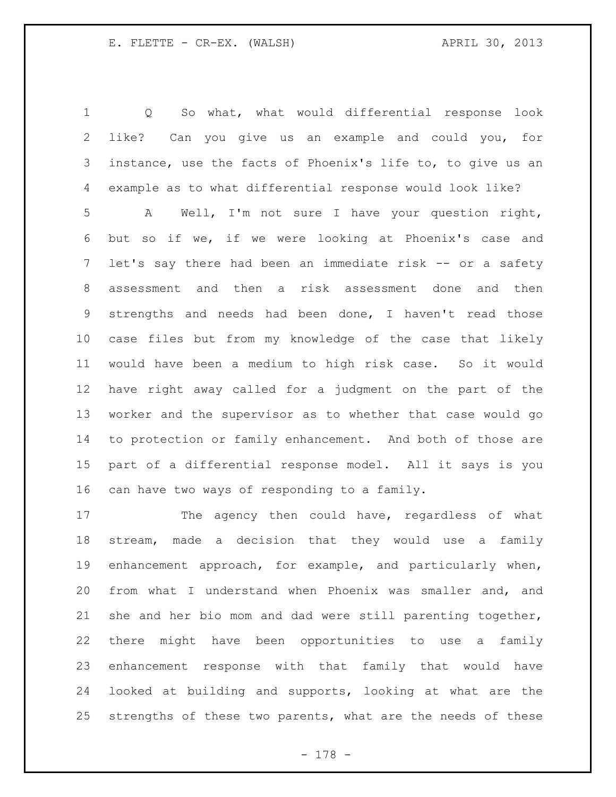Q So what, what would differential response look like? Can you give us an example and could you, for instance, use the facts of Phoenix's life to, to give us an

example as to what differential response would look like?

 A Well, I'm not sure I have your question right, but so if we, if we were looking at Phoenix's case and 7 let's say there had been an immediate risk -- or a safety assessment and then a risk assessment done and then strengths and needs had been done, I haven't read those case files but from my knowledge of the case that likely would have been a medium to high risk case. So it would have right away called for a judgment on the part of the worker and the supervisor as to whether that case would go to protection or family enhancement. And both of those are part of a differential response model. All it says is you can have two ways of responding to a family.

17 The agency then could have, regardless of what stream, made a decision that they would use a family enhancement approach, for example, and particularly when, from what I understand when Phoenix was smaller and, and she and her bio mom and dad were still parenting together, there might have been opportunities to use a family enhancement response with that family that would have looked at building and supports, looking at what are the strengths of these two parents, what are the needs of these

- 178 -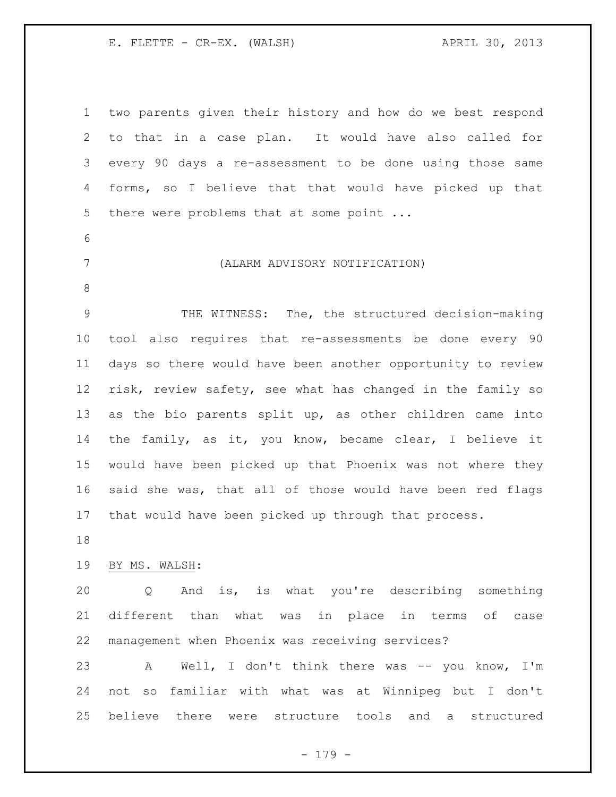two parents given their history and how do we best respond to that in a case plan. It would have also called for every 90 days a re-assessment to be done using those same forms, so I believe that that would have picked up that 5 there were problems that at some point ... (ALARM ADVISORY NOTIFICATION) THE WITNESS: The, the structured decision-making tool also requires that re-assessments be done every 90 days so there would have been another opportunity to review risk, review safety, see what has changed in the family so as the bio parents split up, as other children came into the family, as it, you know, became clear, I believe it would have been picked up that Phoenix was not where they said she was, that all of those would have been red flags that would have been picked up through that process. BY MS. WALSH: Q And is, is what you're describing something different than what was in place in terms of case management when Phoenix was receiving services? 23 A Well, I don't think there was -- you know, I'm not so familiar with what was at Winnipeg but I don't believe there were structure tools and a structured

- 179 -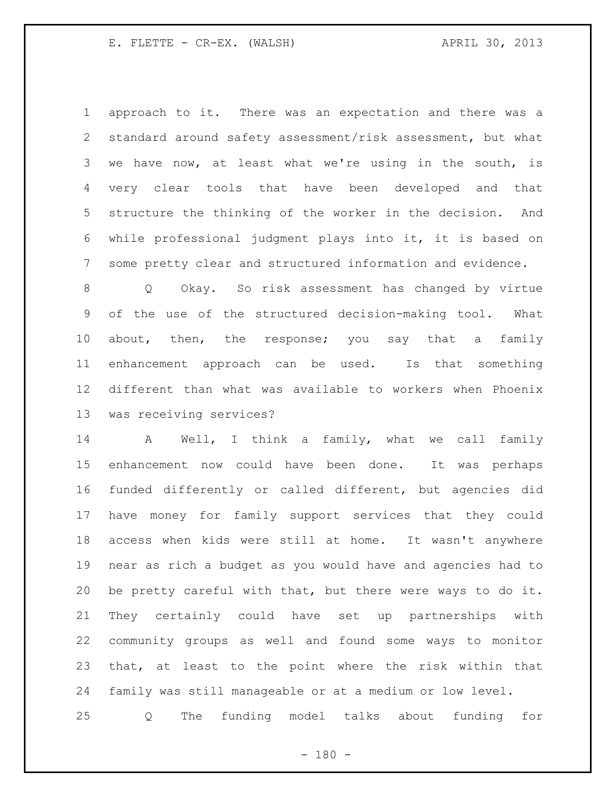approach to it. There was an expectation and there was a standard around safety assessment/risk assessment, but what we have now, at least what we're using in the south, is very clear tools that have been developed and that structure the thinking of the worker in the decision. And while professional judgment plays into it, it is based on some pretty clear and structured information and evidence.

 Q Okay. So risk assessment has changed by virtue of the use of the structured decision-making tool. What about, then, the response; you say that a family enhancement approach can be used. Is that something different than what was available to workers when Phoenix was receiving services?

 A Well, I think a family, what we call family enhancement now could have been done. It was perhaps funded differently or called different, but agencies did have money for family support services that they could access when kids were still at home. It wasn't anywhere near as rich a budget as you would have and agencies had to be pretty careful with that, but there were ways to do it. They certainly could have set up partnerships with community groups as well and found some ways to monitor that, at least to the point where the risk within that family was still manageable or at a medium or low level.

Q The funding model talks about funding for

 $- 180 -$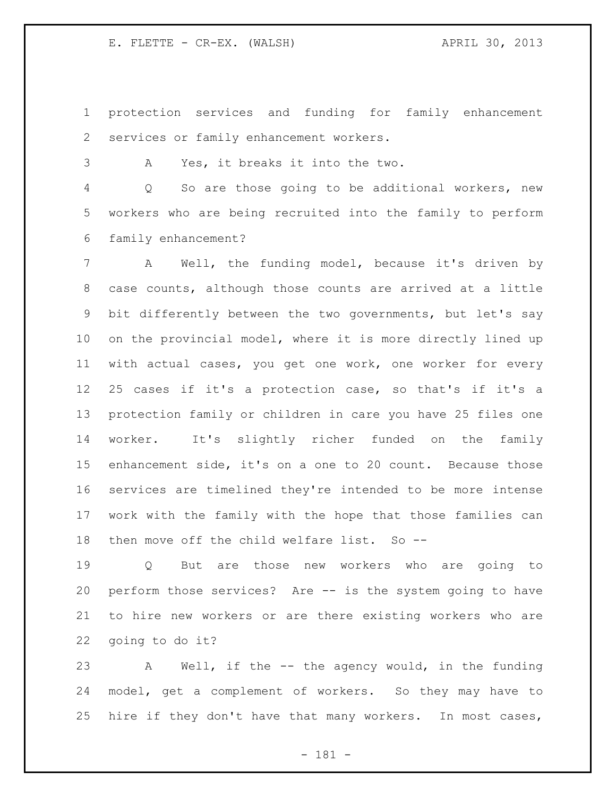protection services and funding for family enhancement services or family enhancement workers.

A Yes, it breaks it into the two.

 Q So are those going to be additional workers, new workers who are being recruited into the family to perform family enhancement?

 A Well, the funding model, because it's driven by case counts, although those counts are arrived at a little bit differently between the two governments, but let's say on the provincial model, where it is more directly lined up with actual cases, you get one work, one worker for every 25 cases if it's a protection case, so that's if it's a protection family or children in care you have 25 files one worker. It's slightly richer funded on the family enhancement side, it's on a one to 20 count. Because those services are timelined they're intended to be more intense work with the family with the hope that those families can then move off the child welfare list. So --

 Q But are those new workers who are going to perform those services? Are -- is the system going to have to hire new workers or are there existing workers who are going to do it?

 A Well, if the -- the agency would, in the funding model, get a complement of workers. So they may have to hire if they don't have that many workers. In most cases,

- 181 -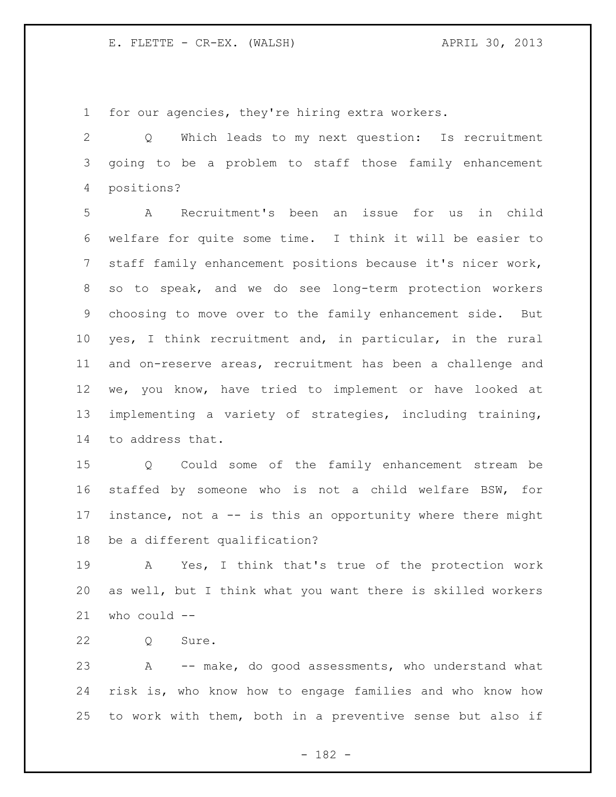for our agencies, they're hiring extra workers.

 Q Which leads to my next question: Is recruitment going to be a problem to staff those family enhancement positions?

 A Recruitment's been an issue for us in child welfare for quite some time. I think it will be easier to staff family enhancement positions because it's nicer work, so to speak, and we do see long-term protection workers choosing to move over to the family enhancement side. But yes, I think recruitment and, in particular, in the rural and on-reserve areas, recruitment has been a challenge and we, you know, have tried to implement or have looked at implementing a variety of strategies, including training, to address that.

 Q Could some of the family enhancement stream be staffed by someone who is not a child welfare BSW, for 17 instance, not a -- is this an opportunity where there might be a different qualification?

 A Yes, I think that's true of the protection work as well, but I think what you want there is skilled workers who could --

Q Sure.

 A -- make, do good assessments, who understand what risk is, who know how to engage families and who know how to work with them, both in a preventive sense but also if

- 182 -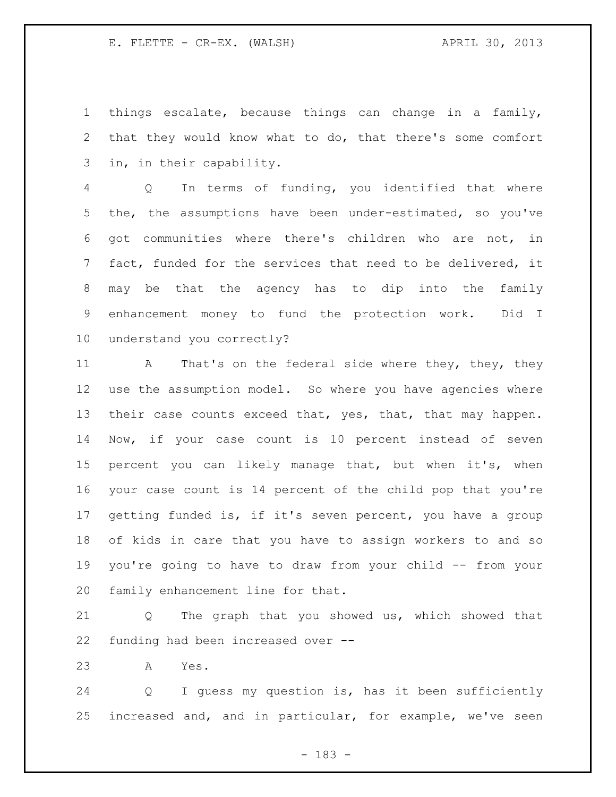things escalate, because things can change in a family, that they would know what to do, that there's some comfort in, in their capability.

 Q In terms of funding, you identified that where the, the assumptions have been under-estimated, so you've got communities where there's children who are not, in fact, funded for the services that need to be delivered, it may be that the agency has to dip into the family enhancement money to fund the protection work. Did I understand you correctly?

11 A That's on the federal side where they, they, they use the assumption model. So where you have agencies where 13 their case counts exceed that, yes, that, that may happen. Now, if your case count is 10 percent instead of seven percent you can likely manage that, but when it's, when your case count is 14 percent of the child pop that you're getting funded is, if it's seven percent, you have a group of kids in care that you have to assign workers to and so you're going to have to draw from your child -- from your family enhancement line for that.

 Q The graph that you showed us, which showed that funding had been increased over --

A Yes.

 Q I guess my question is, has it been sufficiently increased and, and in particular, for example, we've seen

- 183 -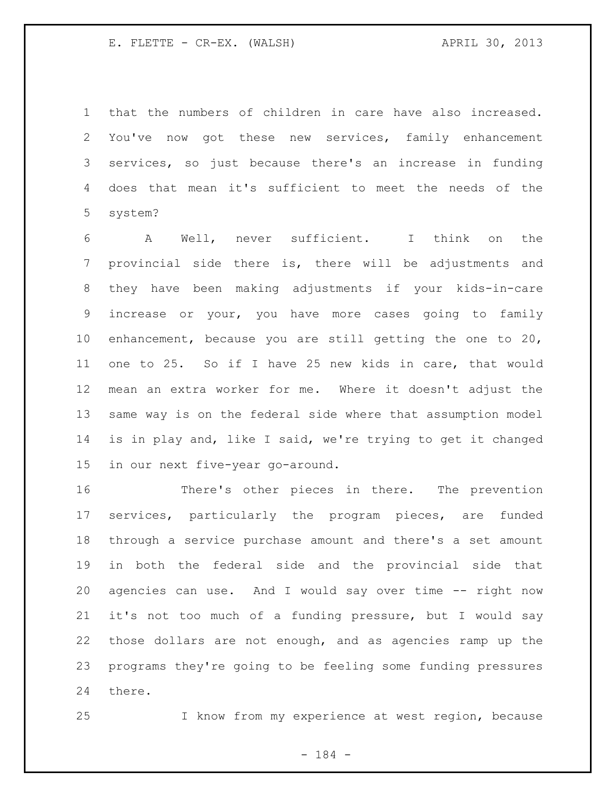that the numbers of children in care have also increased. You've now got these new services, family enhancement services, so just because there's an increase in funding does that mean it's sufficient to meet the needs of the system?

 A Well, never sufficient. I think on the provincial side there is, there will be adjustments and they have been making adjustments if your kids-in-care increase or your, you have more cases going to family enhancement, because you are still getting the one to 20, one to 25. So if I have 25 new kids in care, that would mean an extra worker for me. Where it doesn't adjust the same way is on the federal side where that assumption model is in play and, like I said, we're trying to get it changed in our next five-year go-around.

 There's other pieces in there. The prevention services, particularly the program pieces, are funded through a service purchase amount and there's a set amount in both the federal side and the provincial side that agencies can use. And I would say over time -- right now it's not too much of a funding pressure, but I would say those dollars are not enough, and as agencies ramp up the programs they're going to be feeling some funding pressures there.

I know from my experience at west region, because

- 184 -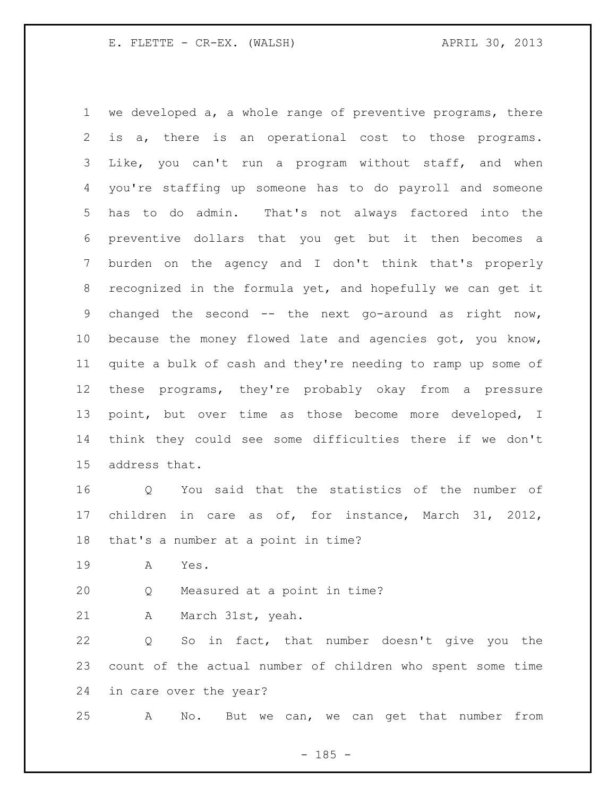we developed a, a whole range of preventive programs, there is a, there is an operational cost to those programs. Like, you can't run a program without staff, and when you're staffing up someone has to do payroll and someone has to do admin. That's not always factored into the preventive dollars that you get but it then becomes a burden on the agency and I don't think that's properly recognized in the formula yet, and hopefully we can get it changed the second -- the next go-around as right now, because the money flowed late and agencies got, you know, quite a bulk of cash and they're needing to ramp up some of these programs, they're probably okay from a pressure point, but over time as those become more developed, I think they could see some difficulties there if we don't address that.

 Q You said that the statistics of the number of children in care as of, for instance, March 31, 2012, that's a number at a point in time?

A Yes.

Q Measured at a point in time?

A March 31st, yeah.

 Q So in fact, that number doesn't give you the count of the actual number of children who spent some time in care over the year?

A No. But we can, we can get that number from

 $- 185 -$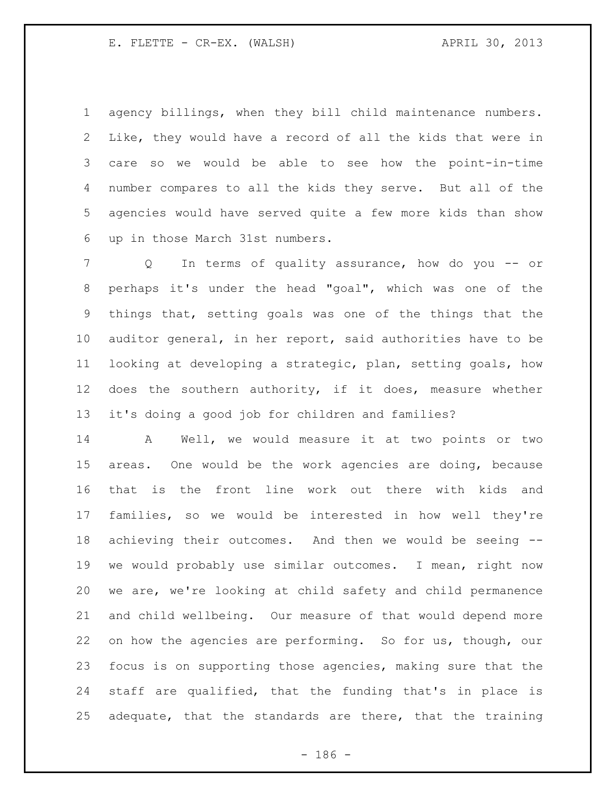agency billings, when they bill child maintenance numbers. Like, they would have a record of all the kids that were in care so we would be able to see how the point-in-time number compares to all the kids they serve. But all of the agencies would have served quite a few more kids than show up in those March 31st numbers.

 Q In terms of quality assurance, how do you -- or perhaps it's under the head "goal", which was one of the things that, setting goals was one of the things that the auditor general, in her report, said authorities have to be looking at developing a strategic, plan, setting goals, how does the southern authority, if it does, measure whether it's doing a good job for children and families?

 A Well, we would measure it at two points or two areas. One would be the work agencies are doing, because that is the front line work out there with kids and families, so we would be interested in how well they're achieving their outcomes. And then we would be seeing -- we would probably use similar outcomes. I mean, right now we are, we're looking at child safety and child permanence and child wellbeing. Our measure of that would depend more on how the agencies are performing. So for us, though, our focus is on supporting those agencies, making sure that the staff are qualified, that the funding that's in place is adequate, that the standards are there, that the training

 $- 186 -$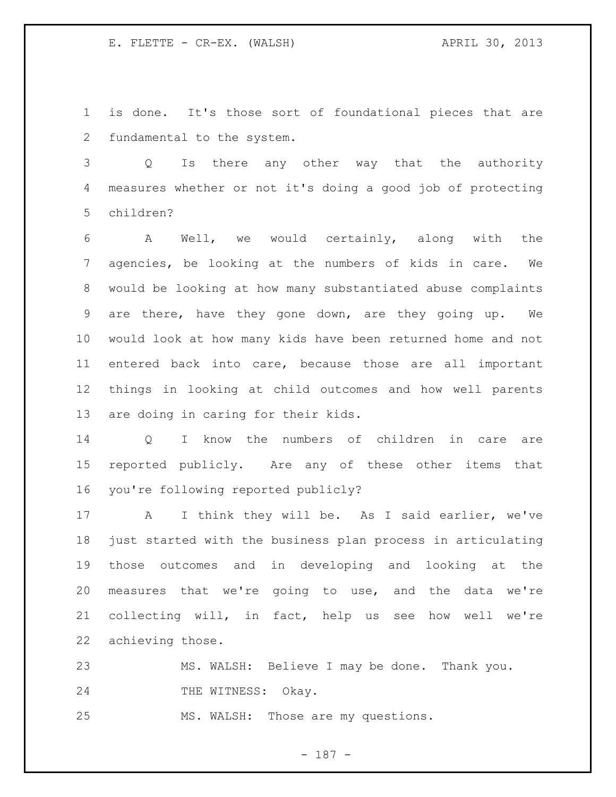is done. It's those sort of foundational pieces that are fundamental to the system.

 Q Is there any other way that the authority measures whether or not it's doing a good job of protecting children?

 A Well, we would certainly, along with the agencies, be looking at the numbers of kids in care. We would be looking at how many substantiated abuse complaints are there, have they gone down, are they going up. We would look at how many kids have been returned home and not entered back into care, because those are all important things in looking at child outcomes and how well parents are doing in caring for their kids.

 Q I know the numbers of children in care are reported publicly. Are any of these other items that you're following reported publicly?

 A I think they will be. As I said earlier, we've just started with the business plan process in articulating those outcomes and in developing and looking at the measures that we're going to use, and the data we're collecting will, in fact, help us see how well we're achieving those.

 MS. WALSH: Believe I may be done. Thank you. 24 THE WITNESS: Okay. MS. WALSH: Those are my questions.

- 187 -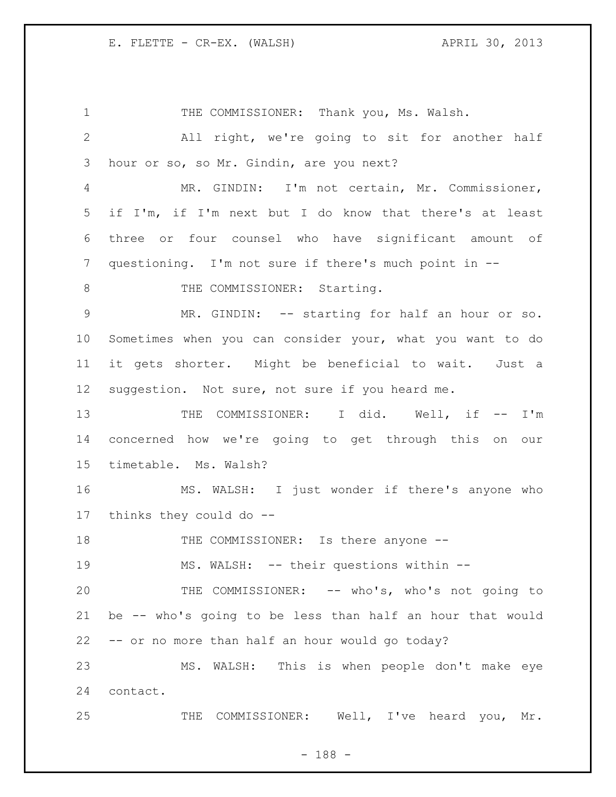1 THE COMMISSIONER: Thank you, Ms. Walsh. All right, we're going to sit for another half hour or so, so Mr. Gindin, are you next? MR. GINDIN: I'm not certain, Mr. Commissioner, if I'm, if I'm next but I do know that there's at least three or four counsel who have significant amount of questioning. I'm not sure if there's much point in -- 8 THE COMMISSIONER: Starting. MR. GINDIN: -- starting for half an hour or so. Sometimes when you can consider your, what you want to do it gets shorter. Might be beneficial to wait. Just a suggestion. Not sure, not sure if you heard me. THE COMMISSIONER: I did. Well, if -- I'm concerned how we're going to get through this on our timetable. Ms. Walsh? MS. WALSH: I just wonder if there's anyone who thinks they could do -- 18 THE COMMISSIONER: Is there anyone -- MS. WALSH: -- their questions within -- THE COMMISSIONER: -- who's, who's not going to be -- who's going to be less than half an hour that would -- or no more than half an hour would go today? MS. WALSH: This is when people don't make eye contact. 25 THE COMMISSIONER: Well, I've heard you, Mr.

- 188 -